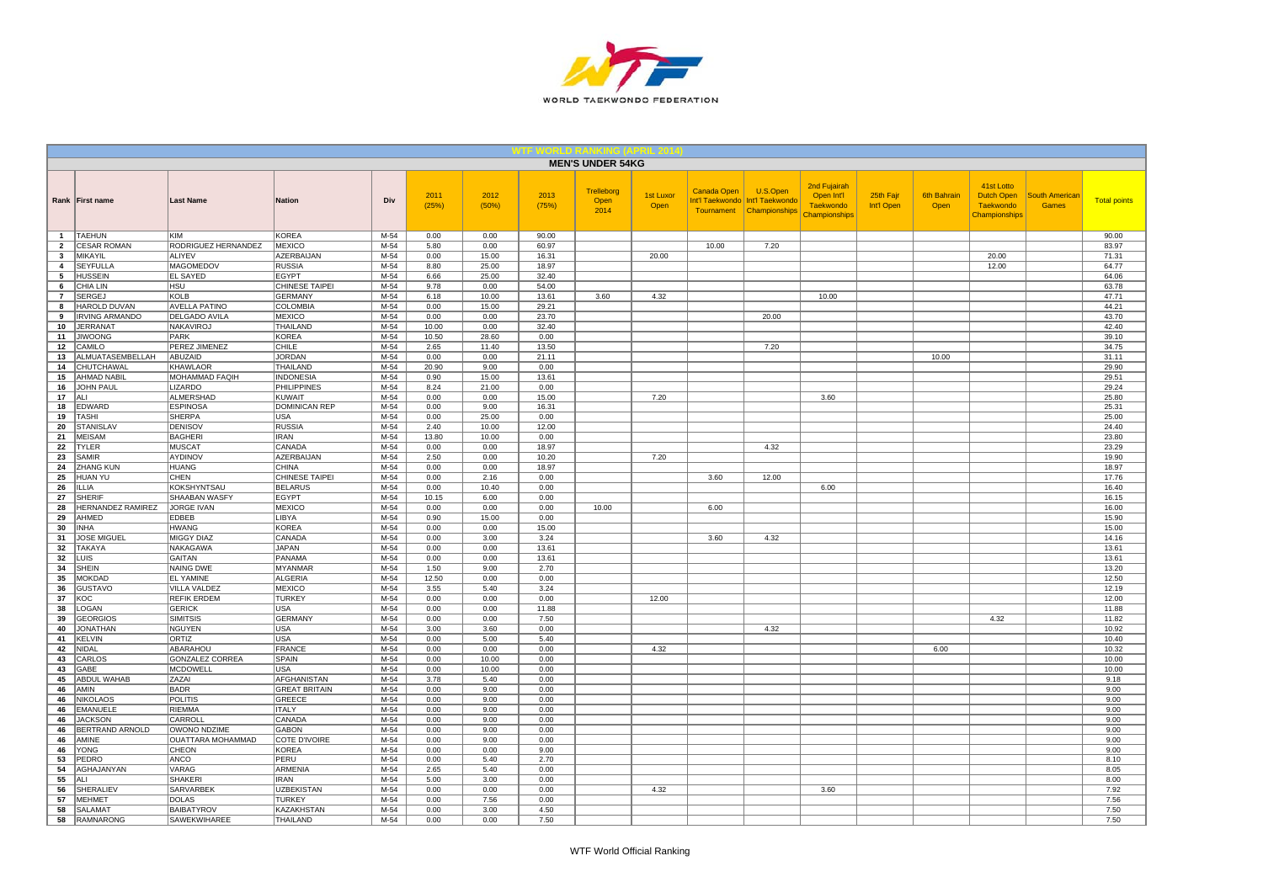

|                   |                                   |                                      |                                    |                  |                |                |                | <b>MEN'S UNDER 54KG</b>    |                   |                    |                                                                           |                                                                 |                         |                            |                                                               |                                       |                     |
|-------------------|-----------------------------------|--------------------------------------|------------------------------------|------------------|----------------|----------------|----------------|----------------------------|-------------------|--------------------|---------------------------------------------------------------------------|-----------------------------------------------------------------|-------------------------|----------------------------|---------------------------------------------------------------|---------------------------------------|---------------------|
|                   | Rank First name                   | <b>Last Name</b>                     | <b>Nation</b>                      | Div              | 2011<br>(25%)  | 2012<br>(50%)  | 2013<br>(75%)  | Trelleborg<br>Open<br>2014 | 1st Luxor<br>Open | <b>Canada Open</b> | U.S.Open<br>Int'l Taekwondo   Int'l Taekwondo<br>Tournament Championships | 2nd Fujairah<br>Open Int'l<br><b>Taekwondo</b><br>Championships | 25th Fajr<br>Int'l Open | <b>6th Bahrain</b><br>Open | 41st Lotto<br>Dutch Open<br><b>Taekwondo</b><br>Championships | <b>South American</b><br><b>Games</b> | <b>Total points</b> |
| $\overline{1}$    | <b>TAEHUN</b>                     | <b>KIM</b>                           | <b>KOREA</b>                       | M-54             | 0.00           | 0.00           | 90.00          |                            |                   |                    |                                                                           |                                                                 |                         |                            |                                                               |                                       | 90.00               |
| $\overline{2}$    | <b>CESAR ROMAN</b>                | RODRIGUEZ HERNANDEZ                  | <b>MEXICO</b>                      | $M-54$           | 5.80           | 0.00           | 60.97          |                            |                   | 10.00              | 7.20                                                                      |                                                                 |                         |                            |                                                               |                                       | 83.97               |
| $\mathbf{3}$<br>4 | MIKAYIL<br><b>SEYFULLA</b>        | ALIYEV<br><b>MAGOMEDOV</b>           | <b>AZERBAIJAN</b><br><b>RUSSIA</b> | $M-54$<br>$M-54$ | 0.00<br>8.80   | 15.00<br>25.00 | 16.31<br>18.97 |                            | 20.00             |                    |                                                                           |                                                                 |                         |                            | 20.00<br>12.00                                                |                                       | 71.31<br>64.77      |
| 5                 | <b>HUSSEIN</b>                    | <b>EL SAYED</b>                      | <b>EGYPT</b>                       | M-54             | 6.66           | 25.00          | 32.40          |                            |                   |                    |                                                                           |                                                                 |                         |                            |                                                               |                                       | 64.06               |
| 6                 | CHIA LIN                          | <b>HSU</b>                           | CHINESE TAIPEI                     | M-54             | 9.78           | 0.00           | 54.00          |                            |                   |                    |                                                                           |                                                                 |                         |                            |                                                               |                                       | 63.78               |
| $\overline{7}$    | <b>SERGEJ</b>                     | KOLB                                 | <b>GERMANY</b>                     | $M-54$           | 6.18           | 10.00          | 13.61          | 3.60                       | 4.32              |                    |                                                                           | 10.00                                                           |                         |                            |                                                               |                                       | 47.71               |
| 8                 | HAROLD DUVAN                      | <b>AVELLA PATINO</b>                 | COLOMBIA                           | M-54             | 0.00           | 15.00          | 29.21          |                            |                   |                    |                                                                           |                                                                 |                         |                            |                                                               |                                       | 44.21               |
| 9                 | <b>IRVING ARMANDO</b>             | <b>DELGADO AVILA</b>                 | <b>MEXICO</b>                      | M-54             | 0.00           | 0.00           | 23.70          |                            |                   |                    | 20.00                                                                     |                                                                 |                         |                            |                                                               |                                       | 43.70               |
| 10<br>11          | <b>JERRANAT</b><br><b>JIWOONG</b> | NAKAVIROJ<br>PARK                    | THAILAND<br><b>KOREA</b>           | M-54<br>M-54     | 10.00<br>10.50 | 0.00<br>28.60  | 32.40<br>0.00  |                            |                   |                    |                                                                           |                                                                 |                         |                            |                                                               |                                       | 42.40<br>39.10      |
| 12                | CAMILO                            | PEREZ JIMENEZ                        | CHILE                              | M-54             | 2.65           | 11.40          | 13.50          |                            |                   |                    | 7.20                                                                      |                                                                 |                         |                            |                                                               |                                       | 34.75               |
| 13                | ALMUATASEMBELLAH                  | ABUZAID                              | <b>JORDAN</b>                      | M-54             | 0.00           | 0.00           | 21.11          |                            |                   |                    |                                                                           |                                                                 |                         | 10.00                      |                                                               |                                       | 31.11               |
| 14                | <b>CHUTCHAWAL</b>                 | KHAWLAOR                             | THAILAND                           | M-54             | 20.90          | 9.00           | 0.00           |                            |                   |                    |                                                                           |                                                                 |                         |                            |                                                               |                                       | 29.90               |
| 15                | <b>AHMAD NABIL</b>                | MOHAMMAD FAQIH                       | <b>INDONESIA</b>                   | M-54             | 0.90           | 15.00          | 13.61          |                            |                   |                    |                                                                           |                                                                 |                         |                            |                                                               |                                       | 29.51               |
| 16                | <b>JOHN PAUL</b>                  | <b>LIZARDO</b>                       | <b>PHILIPPINES</b>                 | $M-54$           | 8.24           | 21.00          | 0.00           |                            |                   |                    |                                                                           |                                                                 |                         |                            |                                                               |                                       | 29.24               |
| 17<br>18          | ALI<br><b>EDWARD</b>              | ALMERSHAD<br><b>ESPINOSA</b>         | KUWAIT<br><b>DOMINICAN REP</b>     | M-54<br>$M-54$   | 0.00<br>0.00   | 0.00<br>9.00   | 15.00<br>16.31 |                            | 7.20              |                    |                                                                           | 3.60                                                            |                         |                            |                                                               |                                       | 25.80<br>25.31      |
| 19                | <b>TASHI</b>                      | SHERPA                               | <b>USA</b>                         | M-54             | 0.00           | 25.00          | 0.00           |                            |                   |                    |                                                                           |                                                                 |                         |                            |                                                               |                                       | 25.00               |
| 20                | <b>STANISLAV</b>                  | <b>DENISOV</b>                       | <b>RUSSIA</b>                      | M-54             | 2.40           | 10.00          | 12.00          |                            |                   |                    |                                                                           |                                                                 |                         |                            |                                                               |                                       | 24.40               |
| 21                | <b>MEISAM</b>                     | <b>BAGHERI</b>                       | IRAN                               | M-54             | 13.80          | 10.00          | 0.00           |                            |                   |                    |                                                                           |                                                                 |                         |                            |                                                               |                                       | 23.80               |
| 22                | <b>TYLER</b>                      | <b>MUSCAT</b>                        | CANADA                             | M-54             | 0.00           | 0.00           | 18.97          |                            |                   |                    | 4.32                                                                      |                                                                 |                         |                            |                                                               |                                       | 23.29               |
| 23                | SAMIR                             | AYDINOV                              | AZERBAIJAN                         | M-54             | 2.50           | 0.00           | 10.20          |                            | 7.20              |                    |                                                                           |                                                                 |                         |                            |                                                               |                                       | 19.90               |
| 24                | ZHANG KUN                         | HUANG                                | <b>CHINA</b>                       | M-54             | 0.00           | 0.00           | 18.97          |                            |                   |                    |                                                                           |                                                                 |                         |                            |                                                               |                                       | 18.97               |
| 25                | <b>HUAN YU</b>                    | CHEN                                 | CHINESE TAIPEI                     | M-54             | 0.00           | 2.16           | 0.00           |                            |                   | 3.60               | 12.00                                                                     |                                                                 |                         |                            |                                                               |                                       | 17.76               |
| 26<br>27          | <b>ILLIA</b><br><b>SHERIF</b>     | KOKSHYNTSAU<br>SHAABAN WASFY         | <b>BELARUS</b><br><b>EGYPT</b>     | M-54<br>M-54     | 0.00<br>10.15  | 10.40<br>6.00  | 0.00<br>0.00   |                            |                   |                    |                                                                           | 6.00                                                            |                         |                            |                                                               |                                       | 16.40<br>16.15      |
| 28                | HERNANDEZ RAMIREZ                 | JORGE IVAN                           | <b>MEXICO</b>                      | M-54             | 0.00           | 0.00           | 0.00           | 10.00                      |                   | 6.00               |                                                                           |                                                                 |                         |                            |                                                               |                                       | 16.00               |
| 29                | AHMED                             | EDBEB                                | LIBYA                              | M-54             | 0.90           | 15.00          | 0.00           |                            |                   |                    |                                                                           |                                                                 |                         |                            |                                                               |                                       | 15.90               |
| 30                | <b>INHA</b>                       | <b>HWANG</b>                         | <b>KOREA</b>                       | $M-54$           | 0.00           | 0.00           | 15.00          |                            |                   |                    |                                                                           |                                                                 |                         |                            |                                                               |                                       | 15.00               |
| 31                | <b>JOSE MIGUEL</b>                | <b>MIGGY DIAZ</b>                    | CANADA                             | $M-54$           | 0.00           | 3.00           | 3.24           |                            |                   | 3.60               | 4.32                                                                      |                                                                 |                         |                            |                                                               |                                       | 14.16               |
| 32                | TAKAYA                            | NAKAGAWA                             | <b>JAPAN</b>                       | M-54             | 0.00           | 0.00           | 13.61          |                            |                   |                    |                                                                           |                                                                 |                         |                            |                                                               |                                       | 13.61               |
| 32                | LUIS                              | GAITAN                               | PANAMA                             | M-54             | 0.00           | 0.00           | 13.61          |                            |                   |                    |                                                                           |                                                                 |                         |                            |                                                               |                                       | 13.61               |
| 34<br>35          | <b>SHEIN</b><br><b>MOKDAD</b>     | <b>NAING DWE</b><br><b>EL YAMINE</b> | <b>MYANMAR</b><br><b>ALGERIA</b>   | M-54<br>M-54     | 1.50<br>12.50  | 9.00<br>0.00   | 2.70<br>0.00   |                            |                   |                    |                                                                           |                                                                 |                         |                            |                                                               |                                       | 13.20<br>12.50      |
| 36                | <b>GUSTAVO</b>                    | VILLA VALDEZ                         | <b>MEXICO</b>                      | M-54             | 3.55           | 5.40           | 3.24           |                            |                   |                    |                                                                           |                                                                 |                         |                            |                                                               |                                       | 12.19               |
| 37                | KOC                               | <b>REFIK ERDEM</b>                   | <b>TURKEY</b>                      | $M-54$           | 0.00           | 0.00           | 0.00           |                            | 12.00             |                    |                                                                           |                                                                 |                         |                            |                                                               |                                       | 12.00               |
| 38                | LOGAN                             | <b>GERICK</b>                        | <b>USA</b>                         | M-54             | 0.00           | 0.00           | 11.88          |                            |                   |                    |                                                                           |                                                                 |                         |                            |                                                               |                                       | 11.88               |
| 39                | <b>GEORGIOS</b>                   | <b>SIMITSIS</b>                      | <b>GERMANY</b>                     | $M-54$           | 0.00           | 0.00           | 7.50           |                            |                   |                    |                                                                           |                                                                 |                         |                            | 4.32                                                          |                                       | 11.82               |
| 40                | <b>JONATHAN</b>                   | NGUYEN                               | <b>USA</b>                         | $M-54$           | 3.00           | 3.60           | 0.00           |                            |                   |                    | 4.32                                                                      |                                                                 |                         |                            |                                                               |                                       | 10.92               |
| 41<br>42          | KELVIN<br>NIDAL                   | ORTIZ<br>ABARAHOU                    | <b>USA</b><br><b>FRANCE</b>        | M-54<br>M-54     | 0.00<br>0.00   | 5.00<br>0.00   | 5.40<br>0.00   |                            | 4.32              |                    |                                                                           |                                                                 |                         | 6.00                       |                                                               |                                       | 10.40<br>10.32      |
| 43                | CARLOS                            | GONZALEZ CORREA                      | SPAIN                              | M-54             | 0.00           | 10.00          | 0.00           |                            |                   |                    |                                                                           |                                                                 |                         |                            |                                                               |                                       | 10.00               |
| 43                | GABE                              | MCDOWELL                             | USA                                | M-54             | 0.00           | 10.00          | 0.00           |                            |                   |                    |                                                                           |                                                                 |                         |                            |                                                               |                                       | 10.00               |
| 45                | <b>ABDUL WAHAB</b>                | ZAZAI                                | <b>AFGHANISTAN</b>                 | $M-54$           | 3.78           | 5.40           | 0.00           |                            |                   |                    |                                                                           |                                                                 |                         |                            |                                                               |                                       | 9.18                |
| 46                | AMIN                              | <b>BADR</b>                          | <b>GREAT BRITAIN</b>               | M-54             | 0.00           | 9.00           | 0.00           |                            |                   |                    |                                                                           |                                                                 |                         |                            |                                                               |                                       | 9.00                |
| 46                | <b>NIKOLAOS</b>                   | <b>POLITIS</b>                       | GREECE                             | M-54             | 0.00           | 9.00           | 0.00           |                            |                   |                    |                                                                           |                                                                 |                         |                            |                                                               |                                       | 9.00                |
| 46                | <b>EMANUELE</b>                   | <b>RIEMMA</b>                        | <b>ITALY</b>                       | M-54             | 0.00           | 9.00           | 0.00           |                            |                   |                    |                                                                           |                                                                 |                         |                            |                                                               |                                       | 9.00                |
| 46<br>46          | <b>JACKSON</b><br>BERTRAND ARNOLD | CARROLL<br>OWONO NDZIME              | CANADA<br><b>GABON</b>             | $M-54$<br>$M-54$ | 0.00<br>0.00   | 9.00<br>9.00   | 0.00<br>0.00   |                            |                   |                    |                                                                           |                                                                 |                         |                            |                                                               |                                       | 9.00<br>9.00        |
| 46                | AMINE                             | <b>OUATTARA MOHAMMAD</b>             | COTE D'IVOIRE                      | $M-54$           | 0.00           | 9.00           | 0.00           |                            |                   |                    |                                                                           |                                                                 |                         |                            |                                                               |                                       | 9.00                |
| 46                | YONG                              | CHEON                                | <b>KOREA</b>                       | M-54             | 0.00           | 0.00           | 9.00           |                            |                   |                    |                                                                           |                                                                 |                         |                            |                                                               |                                       | 9.00                |
| 53                | PEDRO                             | ANCO                                 | PERU                               | M-54             | 0.00           | 5.40           | 2.70           |                            |                   |                    |                                                                           |                                                                 |                         |                            |                                                               |                                       | 8.10                |
| 54                | AGHAJANYAN                        | VARAG                                | ARMENIA                            | M-54             | 2.65           | 5.40           | 0.00           |                            |                   |                    |                                                                           |                                                                 |                         |                            |                                                               |                                       | 8.05                |
| 55                | ALI                               | <b>SHAKERI</b>                       | <b>IRAN</b>                        | $M-54$           | 5.00           | 3.00           | 0.00           |                            |                   |                    |                                                                           |                                                                 |                         |                            |                                                               |                                       | 8.00                |
| 56                | SHERALIEV                         | SARVARBEK                            | <b>UZBEKISTAN</b>                  | M-54             | 0.00           | 0.00           | 0.00           |                            | 4.32              |                    |                                                                           | 3.60                                                            |                         |                            |                                                               |                                       | 7.92                |
| 57<br>58          | <b>MEHMET</b><br><b>SALAMAT</b>   | <b>DOLAS</b><br><b>BAIBATYROV</b>    | <b>TURKEY</b><br>KAZAKHSTAN        | M-54<br>M-54     | 0.00<br>0.00   | 7.56<br>3.00   | 0.00<br>4.50   |                            |                   |                    |                                                                           |                                                                 |                         |                            |                                                               |                                       | 7.56<br>7.50        |
| 58                | <b>RAMNARONG</b>                  | <b>SAWEKWIHAREE</b>                  | <b>THAILAND</b>                    | $M-54$           | 0.00           | 0.00           | 7.50           |                            |                   |                    |                                                                           |                                                                 |                         |                            |                                                               |                                       | 7.50                |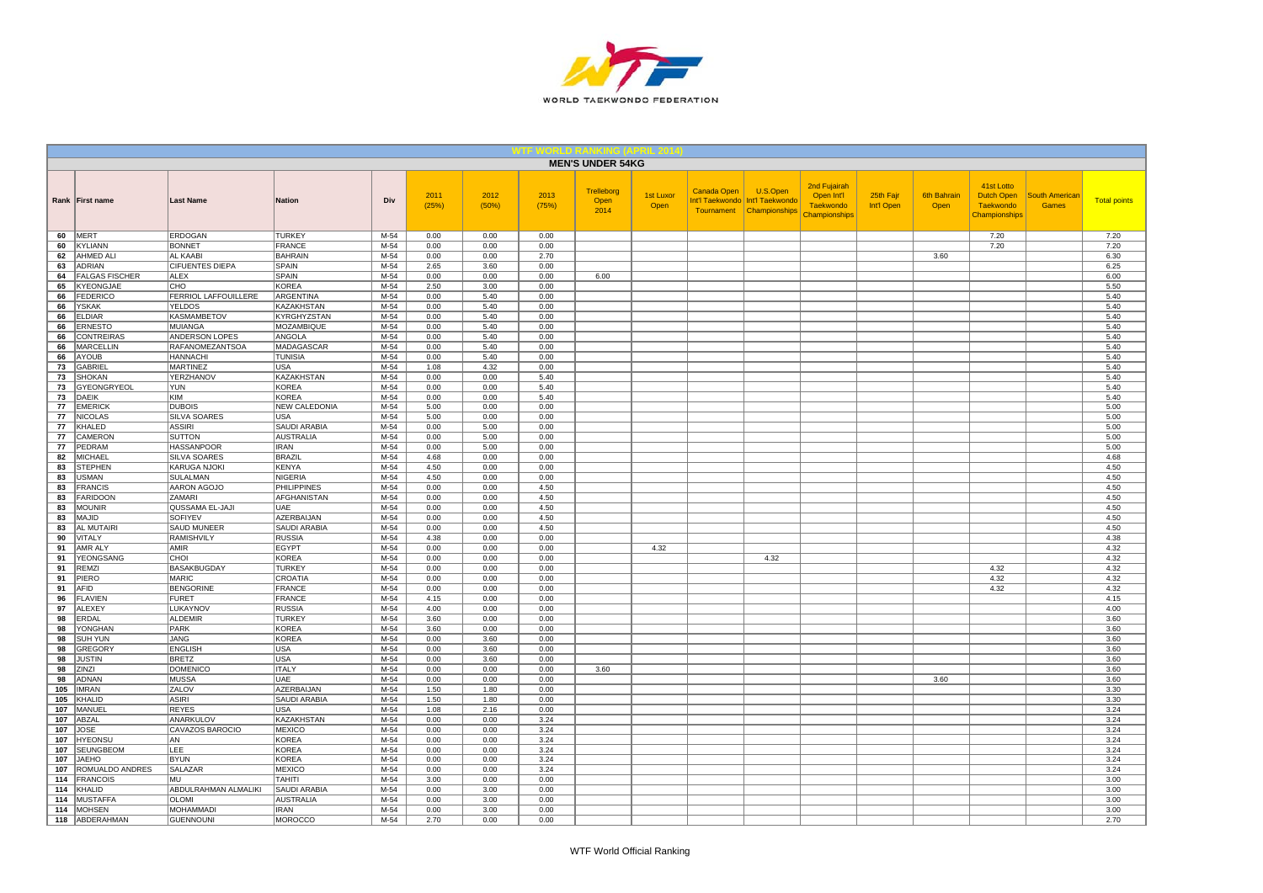

|            |                               |                                |                                  |                  |               |               |               | <b>MEN'S UNDER 54KG</b>    |                          |             |                                                                           |                                                                 |                         |                            |                                                               |                                       |                     |
|------------|-------------------------------|--------------------------------|----------------------------------|------------------|---------------|---------------|---------------|----------------------------|--------------------------|-------------|---------------------------------------------------------------------------|-----------------------------------------------------------------|-------------------------|----------------------------|---------------------------------------------------------------|---------------------------------------|---------------------|
|            | Rank First name               | <b>Last Name</b>               | <b>Nation</b>                    | Div              | 2011<br>(25%) | 2012<br>(50%) | 2013<br>(75%) | Trelleborg<br>Open<br>2014 | <b>1st Luxor</b><br>Open | Canada Open | U.S.Open<br>Int'l Taekwondo   Int'l Taekwondo<br>Tournament Championships | 2nd Fujairah<br>Open Int'l<br><b>Taekwondo</b><br>Championships | 25th Fajr<br>Int'l Open | <b>6th Bahrain</b><br>Open | 41st Lotto<br>Dutch Open<br><b>Taekwondo</b><br>Championships | <b>South American</b><br><b>Games</b> | <b>Total points</b> |
| 60         | MERT                          | ERDOGAN                        | <b>TURKEY</b>                    | M-54             | 0.00          | 0.00          | 0.00          |                            |                          |             |                                                                           |                                                                 |                         |                            | 7.20                                                          |                                       | 7.20                |
| 60         | KYLIANN                       | <b>BONNET</b>                  | <b>FRANCE</b>                    | $M-54$           | 0.00          | 0.00          | 0.00          |                            |                          |             |                                                                           |                                                                 |                         |                            | 7.20                                                          |                                       | 7.20                |
| 62         | <b>AHMED ALI</b>              | <b>AL KAABI</b>                | <b>BAHRAIN</b>                   | $M-54$           | 0.00          | 0.00          | 2.70          |                            |                          |             |                                                                           |                                                                 |                         | 3.60                       |                                                               |                                       | 6.30                |
| 63         | <b>ADRIAN</b>                 | <b>CIFUENTES DIEPA</b>         | <b>SPAIN</b>                     | $M-54$           | 2.65          | 3.60          | 0.00          |                            |                          |             |                                                                           |                                                                 |                         |                            |                                                               |                                       | 6.25                |
| 64         | <b>FALGAS FISCHER</b>         | <b>ALEX</b><br>CHO             | SPAIN<br>KOREA                   | M-54<br>M-54     | 0.00<br>2.50  | 0.00          | 0.00<br>0.00  | 6.00                       |                          |             |                                                                           |                                                                 |                         |                            |                                                               |                                       | 6.00                |
| 65<br>66   | KYEONGJAE<br><b>FEDERICO</b>  | FERRIOL LAFFOUILLERE           | ARGENTINA                        | M-54             | 0.00          | 3.00<br>5.40  | 0.00          |                            |                          |             |                                                                           |                                                                 |                         |                            |                                                               |                                       | 5.50<br>5.40        |
| 66         | YSKAK                         | <b>YELDOS</b>                  | KAZAKHSTAN                       | M-54             | 0.00          | 5.40          | 0.00          |                            |                          |             |                                                                           |                                                                 |                         |                            |                                                               |                                       | 5.40                |
| 66         | <b>ELDIAR</b>                 | KASMAMBETOV                    | KYRGHYZSTAN                      | M-54             | 0.00          | 5.40          | 0.00          |                            |                          |             |                                                                           |                                                                 |                         |                            |                                                               |                                       | 5.40                |
| 66         | <b>ERNESTO</b>                | <b>MUIANGA</b>                 | <b>MOZAMBIQUE</b>                | $M-54$           | 0.00          | 5.40          | 0.00          |                            |                          |             |                                                                           |                                                                 |                         |                            |                                                               |                                       | 5.40                |
| 66         | <b>CONTREIRAS</b>             | ANDERSON LOPES                 | ANGOLA                           | $M-54$           | 0.00          | 5.40          | 0.00          |                            |                          |             |                                                                           |                                                                 |                         |                            |                                                               |                                       | 5.40                |
| 66         | <b>MARCELLIN</b>              | RAFANOMEZANTSOA                | MADAGASCAR                       | M-54             | 0.00          | 5.40          | 0.00          |                            |                          |             |                                                                           |                                                                 |                         |                            |                                                               |                                       | 5.40                |
| 66         | <b>AYOUB</b>                  | <b>HANNACHI</b>                | <b>TUNISIA</b>                   | M-54             | 0.00          | 5.40          | 0.00          |                            |                          |             |                                                                           |                                                                 |                         |                            |                                                               |                                       | 5.40                |
| 73         | <b>GABRIE</b>                 | <b>MARTINEZ</b>                | USA                              | M-54             | 1.08          | 4.32          | 0.00          |                            |                          |             |                                                                           |                                                                 |                         |                            |                                                               |                                       | 5.40                |
| 73         | SHOKAN                        | YERZHANOV                      | KAZAKHSTAN                       | M-54             | 0.00          | 0.00          | 5.40          |                            |                          |             |                                                                           |                                                                 |                         |                            |                                                               |                                       | 5.40                |
| 73         | GYEONGRYEOL                   | YUN                            | <b>KOREA</b>                     | $M-54$           | 0.00          | 0.00          | 5.40          |                            |                          |             |                                                                           |                                                                 |                         |                            |                                                               |                                       | 5.40                |
| 73         | <b>DAEIK</b>                  | <b>KIM</b>                     | <b>KOREA</b>                     | M-54             | 0.00          | 0.00          | 5.40          |                            |                          |             |                                                                           |                                                                 |                         |                            |                                                               |                                       | 5.40                |
| 77         | <b>EMERICK</b>                | <b>DUBOIS</b>                  | <b>NEW CALEDONIA</b>             | $M-54$           | 5.00          | 0.00          | 0.00          |                            |                          |             |                                                                           |                                                                 |                         |                            |                                                               |                                       | 5.00                |
| 77         | <b>NICOLAS</b>                | SILVA SOARES                   | <b>USA</b>                       | M-54             | 5.00          | 0.00          | 0.00          |                            |                          |             |                                                                           |                                                                 |                         |                            |                                                               |                                       | 5.00                |
| 77<br>77   | KHALED<br><b>CAMERON</b>      | <b>ASSIRI</b><br><b>SUTTON</b> | SAUDI ARABIA<br><b>AUSTRALIA</b> | M-54<br>M-54     | 0.00<br>0.00  | 5.00<br>5.00  | 0.00<br>0.00  |                            |                          |             |                                                                           |                                                                 |                         |                            |                                                               |                                       | 5.00<br>5.00        |
| 77         | PEDRAM                        | <b>HASSANPOOR</b>              | <b>IRAN</b>                      | $M-54$           | 0.00          | 5.00          | 0.00          |                            |                          |             |                                                                           |                                                                 |                         |                            |                                                               |                                       | 5.00                |
| 82         | <b>MICHAEL</b>                | <b>SILVA SOARES</b>            | <b>BRAZIL</b>                    | M-54             | 4.68          | 0.00          | 0.00          |                            |                          |             |                                                                           |                                                                 |                         |                            |                                                               |                                       | 4.68                |
| 83         | <b>STEPHEN</b>                | KARUGA NJOKI                   | <b>KENYA</b>                     | M-54             | 4.50          | 0.00          | 0.00          |                            |                          |             |                                                                           |                                                                 |                         |                            |                                                               |                                       | 4.50                |
| 83         | <b>USMAN</b>                  | SULALMAN                       | NIGERIA                          | M-54             | 4.50          | 0.00          | 0.00          |                            |                          |             |                                                                           |                                                                 |                         |                            |                                                               |                                       | 4.50                |
| 83         | <b>FRANCIS</b>                | AARON AGOJO                    | <b>PHILIPPINES</b>               | M-54             | 0.00          | 0.00          | 4.50          |                            |                          |             |                                                                           |                                                                 |                         |                            |                                                               |                                       | 4.50                |
| 83         | <b>FARIDOON</b>               | ZAMARI                         | AFGHANISTAN                      | M-54             | 0.00          | 0.00          | 4.50          |                            |                          |             |                                                                           |                                                                 |                         |                            |                                                               |                                       | 4.50                |
| 83         | <b>MOUNIR</b>                 | QUSSAMA EL-JAJI                | <b>UAE</b>                       | M-54             | 0.00          | 0.00          | 4.50          |                            |                          |             |                                                                           |                                                                 |                         |                            |                                                               |                                       | 4.50                |
| 83         | <b>MAJID</b>                  | <b>SOFIYEV</b>                 | AZERBAIJAN                       | M-54             | 0.00          | 0.00          | 4.50          |                            |                          |             |                                                                           |                                                                 |                         |                            |                                                               |                                       | 4.50                |
| 83         | <b>AL MUTAIRI</b>             | <b>SAUD MUNEER</b>             | <b>SAUDI ARABIA</b>              | $M-54$           | 0.00          | 0.00          | 4.50          |                            |                          |             |                                                                           |                                                                 |                         |                            |                                                               |                                       | 4.50                |
| 90         | VITALY                        | <b>RAMISHVILY</b>              | <b>RUSSIA</b>                    | $M-54$           | 4.38          | 0.00          | 0.00          |                            |                          |             |                                                                           |                                                                 |                         |                            |                                                               |                                       | 4.38                |
| 91         | AMR ALY                       | <b>AMIR</b>                    | <b>EGYPT</b>                     | M-54             | 0.00          | 0.00          | 0.00          |                            | 4.32                     |             |                                                                           |                                                                 |                         |                            |                                                               |                                       | 4.32                |
| 91         | YEONGSANG                     | CHOI                           | <b>KOREA</b>                     | M-54             | 0.00          | 0.00          | 0.00          |                            |                          |             | 4.32                                                                      |                                                                 |                         |                            |                                                               |                                       | 4.32                |
| 91         | <b>REMZI</b>                  | <b>BASAKBUGDAY</b>             | <b>TURKEY</b><br>CROATIA         | $M-54$<br>$M-54$ | 0.00          | 0.00          | 0.00          |                            |                          |             |                                                                           |                                                                 |                         |                            | 4.32<br>4.32                                                  |                                       | 4.32<br>4.32        |
| 91<br>91   | PIERO<br>AFID                 | MARIC<br><b>BENGORINE</b>      | <b>FRANCE</b>                    | M-54             | 0.00<br>0.00  | 0.00<br>0.00  | 0.00<br>0.00  |                            |                          |             |                                                                           |                                                                 |                         |                            | 4.32                                                          |                                       | 4.32                |
| 96         | <b>FLAVIEN</b>                | <b>FURET</b>                   | <b>FRANCE</b>                    | M-54             | 4.15          | 0.00          | 0.00          |                            |                          |             |                                                                           |                                                                 |                         |                            |                                                               |                                       | 4.15                |
| 97         | <b>ALEXEY</b>                 | LUKAYNOV                       | <b>RUSSIA</b>                    | M-54             | 4.00          | 0.00          | 0.00          |                            |                          |             |                                                                           |                                                                 |                         |                            |                                                               |                                       | 4.00                |
| 98         | ERDAL                         | <b>ALDEMIR</b>                 | <b>TURKEY</b>                    | $M-54$           | 3.60          | 0.00          | 0.00          |                            |                          |             |                                                                           |                                                                 |                         |                            |                                                               |                                       | 3.60                |
| 98         | YONGHAN                       | PARK                           | <b>KOREA</b>                     | M-54             | 3.60          | 0.00          | 0.00          |                            |                          |             |                                                                           |                                                                 |                         |                            |                                                               |                                       | 3.60                |
| 98         | SUH YUN                       | <b>JANG</b>                    | <b>KOREA</b>                     | $M-54$           | 0.00          | 3.60          | 0.00          |                            |                          |             |                                                                           |                                                                 |                         |                            |                                                               |                                       | 3.60                |
| 98         | GREGORY                       | <b>ENGLISH</b>                 | <b>USA</b>                       | M-54             | 0.00          | 3.60          | 0.00          |                            |                          |             |                                                                           |                                                                 |                         |                            |                                                               |                                       | 3.60                |
| 98         | <b>JUSTIN</b>                 | <b>BRETZ</b>                   | <b>USA</b>                       | $M-54$           | 0.00          | 3.60          | 0.00          |                            |                          |             |                                                                           |                                                                 |                         |                            |                                                               |                                       | 3.60                |
| 98         | ZINZI                         | <b>DOMENICO</b>                | <b>ITALY</b>                     | M-54             | 0.00          | 0.00          | 0.00          | 3.60                       |                          |             |                                                                           |                                                                 |                         |                            |                                                               |                                       | 3.60                |
| 98         | ADNAN                         | MUSSA                          | <b>UAE</b>                       | $M-54$           | 0.00          | 0.00          | 0.00          |                            |                          |             |                                                                           |                                                                 |                         | 3.60                       |                                                               |                                       | 3.60                |
| 105        | <b>IMRAN</b>                  | ZALOV                          | <b>AZERBAIJAN</b>                | $M-54$           | 1.50          | 1.80          | 0.00          |                            |                          |             |                                                                           |                                                                 |                         |                            |                                                               |                                       | 3.30                |
| 105        | KHALID                        | <b>ASIRI</b>                   | <b>SAUDI ARABIA</b>              | M-54             | 1.50          | 1.80          | 0.00          |                            |                          |             |                                                                           |                                                                 |                         |                            |                                                               |                                       | 3.30                |
| 107        | MANUEL                        | <b>REYES</b>                   | USA                              | M-54             | 1.08          | 2.16          | 0.00          |                            |                          |             |                                                                           |                                                                 |                         |                            |                                                               |                                       | 3.24                |
| 107        | ABZAL                         | ANARKULOV                      | <b>KAZAKHSTAN</b>                | M-54             | 0.00          | 0.00          | 3.24          |                            |                          |             |                                                                           |                                                                 |                         |                            |                                                               |                                       | 3.24                |
| 107<br>107 | <b>JOSE</b><br><b>HYEONSU</b> | CAVAZOS BAROCIO<br>AN          | <b>MEXICO</b><br><b>KOREA</b>    | M-54<br>M-54     | 0.00<br>0.00  | 0.00<br>0.00  | 3.24<br>3.24  |                            |                          |             |                                                                           |                                                                 |                         |                            |                                                               |                                       | 3.24<br>3.24        |
| 107        | <b>SEUNGBEOM</b>              | LEE                            | <b>KOREA</b>                     | M-54             | 0.00          | 0.00          | 3.24          |                            |                          |             |                                                                           |                                                                 |                         |                            |                                                               |                                       | 3.24                |
| 107        | <b>JAEHO</b>                  | <b>BYUN</b>                    | <b>KOREA</b>                     | M-54             | 0.00          | 0.00          | 3.24          |                            |                          |             |                                                                           |                                                                 |                         |                            |                                                               |                                       | 3.24                |
| 107        | ROMUALDO ANDRES               | SALAZAR                        | <b>MEXICO</b>                    | M-54             | 0.00          | 0.00          | 3.24          |                            |                          |             |                                                                           |                                                                 |                         |                            |                                                               |                                       | 3.24                |
| 114        | <b>FRANCOIS</b>               | MU                             | <b>TAHITI</b>                    | $M-54$           | 3.00          | 0.00          | 0.00          |                            |                          |             |                                                                           |                                                                 |                         |                            |                                                               |                                       | 3.00                |
| 114        | KHALID                        | ABDULRAHMAN ALMALIKI           | SAUDI ARABIA                     | M-54             | 0.00          | 3.00          | 0.00          |                            |                          |             |                                                                           |                                                                 |                         |                            |                                                               |                                       | 3.00                |
| 114        | <b>MUSTAFFA</b>               | OLOMI                          | <b>AUSTRALIA</b>                 | M-54             | 0.00          | 3.00          | 0.00          |                            |                          |             |                                                                           |                                                                 |                         |                            |                                                               |                                       | 3.00                |
| 114        | <b>MOHSEN</b>                 | <b>MOHAMMADI</b>               | <b>IRAN</b>                      | M-54             | 0.00          | 3.00          | 0.00          |                            |                          |             |                                                                           |                                                                 |                         |                            |                                                               |                                       | 3.00                |
|            | 118 ABDERAHMAN                | GUENNOUNI                      | <b>MOROCCO</b>                   | $M-54$           | 2.70          | 0.00          | 0.00          |                            |                          |             |                                                                           |                                                                 |                         |                            |                                                               |                                       | 2.70                |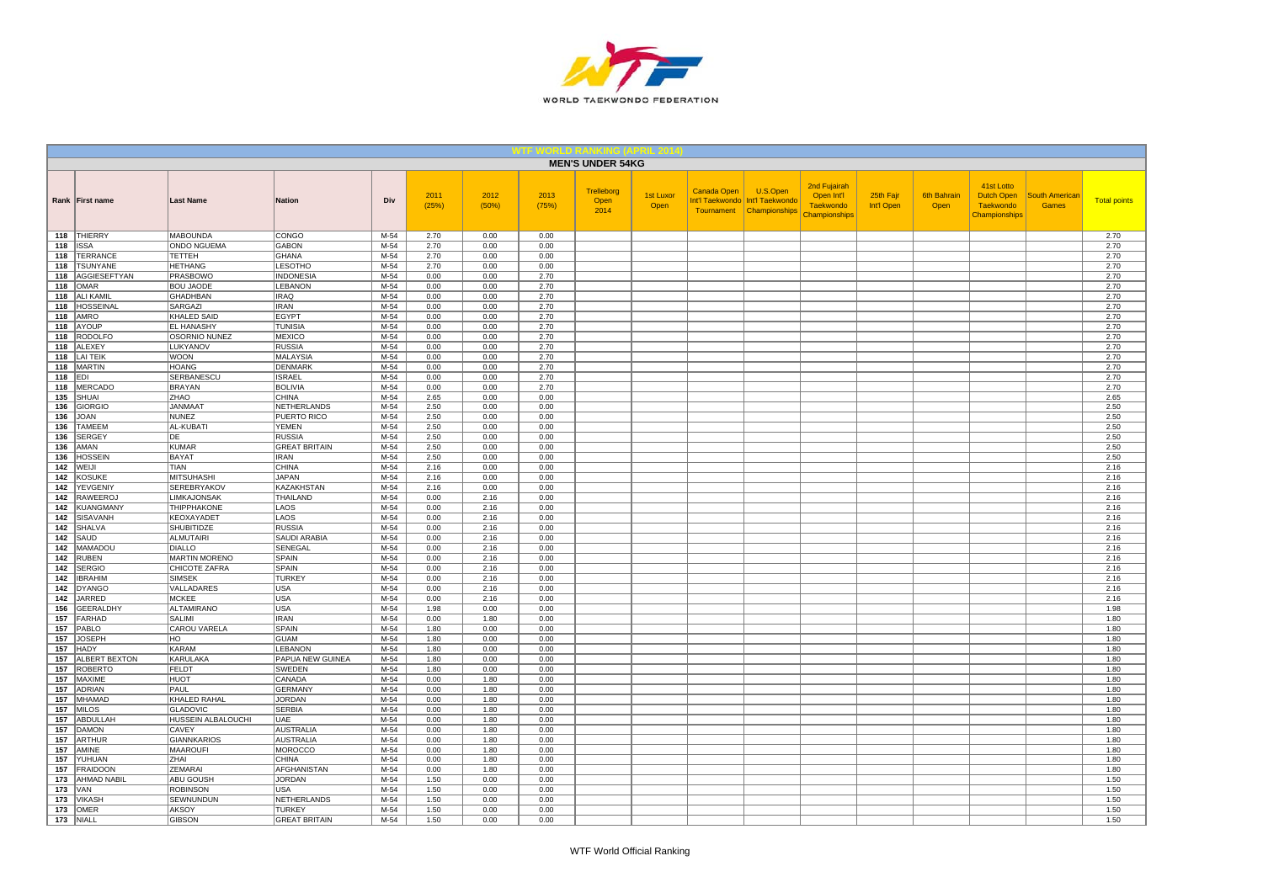

|            |                                        |                                  |                                    |                  |               |               |               | <b>MEN'S UNDER 54KG</b>    |                          |             |                                                                           |                                                                 |                         |                            |                                                               |                                       |                     |
|------------|----------------------------------------|----------------------------------|------------------------------------|------------------|---------------|---------------|---------------|----------------------------|--------------------------|-------------|---------------------------------------------------------------------------|-----------------------------------------------------------------|-------------------------|----------------------------|---------------------------------------------------------------|---------------------------------------|---------------------|
|            | Rank First name                        | <b>Last Name</b>                 | <b>Nation</b>                      | Div              | 2011<br>(25%) | 2012<br>(50%) | 2013<br>(75%) | Trelleborg<br>Open<br>2014 | <b>1st Luxor</b><br>Open | Canada Open | U.S.Open<br>Int'l Taekwondo   Int'l Taekwondo<br>Tournament Championships | 2nd Fujairah<br>Open Int'l<br><b>Taekwondo</b><br>Championships | 25th Fajr<br>Int'l Open | <b>6th Bahrain</b><br>Open | 41st Lotto<br>Dutch Open<br><b>Taekwondo</b><br>Championships | <b>South American</b><br><b>Games</b> | <b>Total points</b> |
|            | 118 THIERRY                            | <b>MABOUNDA</b>                  | CONGO                              | M-54             | 2.70          | 0.00          | 0.00          |                            |                          |             |                                                                           |                                                                 |                         |                            |                                                               |                                       | 2.70                |
| 118        | <b>ISSA</b>                            | <b>ONDO NGUEMA</b>               | <b>GABON</b>                       | $M-54$           | 2.70          | 0.00          | 0.00          |                            |                          |             |                                                                           |                                                                 |                         |                            |                                                               |                                       | 2.70                |
| 118        | <b>TERRANCE</b>                        | <b>TETTEH</b>                    | <b>GHANA</b>                       | $M-54$           | 2.70          | 0.00          | 0.00          |                            |                          |             |                                                                           |                                                                 |                         |                            |                                                               |                                       | 2.70                |
| 118<br>118 | <b>TSUNYANE</b><br><b>AGGIESEFTYAN</b> | <b>HETHANG</b><br>PRASBOWO       | <b>LESOTHO</b><br><b>INDONESIA</b> | $M-54$<br>M-54   | 2.70<br>0.00  | 0.00<br>0.00  | 0.00<br>2.70  |                            |                          |             |                                                                           |                                                                 |                         |                            |                                                               |                                       | 2.70<br>2.70        |
| 118        | <b>OMAR</b>                            | <b>BOU JAODE</b>                 | LEBANON                            | M-54             | 0.00          | 0.00          | 2.70          |                            |                          |             |                                                                           |                                                                 |                         |                            |                                                               |                                       | 2.70                |
| 118        | <b>ALI KAMIL</b>                       | GHADHBAN                         | <b>IRAQ</b>                        | M-54             | 0.00          | 0.00          | 2.70          |                            |                          |             |                                                                           |                                                                 |                         |                            |                                                               |                                       | 2.70                |
| 118        | HOSSEINAL                              | SARGAZI                          | <b>IRAN</b>                        | M-54             | 0.00          | 0.00          | 2.70          |                            |                          |             |                                                                           |                                                                 |                         |                            |                                                               |                                       | 2.70                |
| 118        | AMRO                                   | KHALED SAID                      | <b>EGYPT</b>                       | M-54             | 0.00          | 0.00          | 2.70          |                            |                          |             |                                                                           |                                                                 |                         |                            |                                                               |                                       | 2.70                |
| 118        | AYOUP                                  | <b>EL HANASHY</b>                | <b>TUNISIA</b>                     | $M-54$           | 0.00          | 0.00          | 2.70          |                            |                          |             |                                                                           |                                                                 |                         |                            |                                                               |                                       | 2.70                |
| 118        | <b>RODOLFO</b>                         | OSORNIO NUNEZ                    | <b>MEXICO</b>                      | $M-54$           | 0.00          | 0.00          | 2.70          |                            |                          |             |                                                                           |                                                                 |                         |                            |                                                               |                                       | 2.70                |
| 118        | <b>ALEXEY</b>                          | LUKYANOV                         | <b>RUSSIA</b>                      | M-54             | 0.00          | 0.00          | 2.70          |                            |                          |             |                                                                           |                                                                 |                         |                            |                                                               |                                       | 2.70                |
| 118        | <b>LAI TEIK</b>                        | <b>WOON</b>                      | <b>MALAYSIA</b>                    | M-54             | 0.00          | 0.00          | 2.70          |                            |                          |             |                                                                           |                                                                 |                         |                            |                                                               |                                       | 2.70                |
| 118        | <b>MARTIN</b>                          | <b>HOANG</b>                     | <b>DENMARK</b>                     | M-54             | 0.00          | 0.00          | 2.70          |                            |                          |             |                                                                           |                                                                 |                         |                            |                                                               |                                       | 2.70                |
| 118<br>118 | EDI<br>MERCADO                         | SERBANESCU<br><b>BRAYAN</b>      | <b>ISRAEL</b><br><b>BOLIVIA</b>    | M-54<br>$M-54$   | 0.00<br>0.00  | 0.00<br>0.00  | 2.70<br>2.70  |                            |                          |             |                                                                           |                                                                 |                         |                            |                                                               |                                       | 2.70<br>2.70        |
| 135        | SHUAI                                  | ZHAO                             | <b>CHINA</b>                       | M-54             | 2.65          | 0.00          | 0.00          |                            |                          |             |                                                                           |                                                                 |                         |                            |                                                               |                                       | 2.65                |
| 136        | <b>GIORGIO</b>                         | <b>JANMAAT</b>                   | <b>NETHERLANDS</b>                 | $M-54$           | 2.50          | 0.00          | 0.00          |                            |                          |             |                                                                           |                                                                 |                         |                            |                                                               |                                       | 2.50                |
| 136        | <b>JOAN</b>                            | <b>NUNEZ</b>                     | PUERTO RICO                        | M-54             | 2.50          | 0.00          | 0.00          |                            |                          |             |                                                                           |                                                                 |                         |                            |                                                               |                                       | 2.50                |
| 136        | <b>TAMEEM</b>                          | AL-KUBATI                        | <b>YEMEN</b>                       | M-54             | 2.50          | 0.00          | 0.00          |                            |                          |             |                                                                           |                                                                 |                         |                            |                                                               |                                       | 2.50                |
| 136        | <b>SERGEY</b>                          | DE                               | <b>RUSSIA</b>                      | M-54             | 2.50          | 0.00          | 0.00          |                            |                          |             |                                                                           |                                                                 |                         |                            |                                                               |                                       | 2.50                |
| 136        | AMAN                                   | <b>KUMAR</b>                     | <b>GREAT BRITAIN</b>               | $M-54$           | 2.50          | 0.00          | 0.00          |                            |                          |             |                                                                           |                                                                 |                         |                            |                                                               |                                       | 2.50                |
| 136        | <b>HOSSEIN</b>                         | <b>BAYAT</b>                     | <b>IRAN</b>                        | M-54             | 2.50          | 0.00          | 0.00          |                            |                          |             |                                                                           |                                                                 |                         |                            |                                                               |                                       | 2.50                |
| 142        | WEIJI                                  | TIAN                             | <b>CHINA</b><br><b>JAPAN</b>       | M-54<br>M-54     | 2.16          | 0.00          | 0.00          |                            |                          |             |                                                                           |                                                                 |                         |                            |                                                               |                                       | 2.16                |
| 142<br>142 | <b>KOSUKE</b><br>YEVGENIY              | <b>MITSUHASHI</b><br>SEREBRYAKOV | KAZAKHSTAN                         | M-54             | 2.16<br>2.16  | 0.00<br>0.00  | 0.00<br>0.00  |                            |                          |             |                                                                           |                                                                 |                         |                            |                                                               |                                       | 2.16<br>2.16        |
| 142        | <b>RAWEEROJ</b>                        | LIMKAJONSAK                      | THAILAND                           | $M-54$           | 0.00          | 2.16          | 0.00          |                            |                          |             |                                                                           |                                                                 |                         |                            |                                                               |                                       | 2.16                |
| 142        | <b>KUANGMANY</b>                       | THIPPHAKONE                      | LAOS                               | M-54             | 0.00          | 2.16          | 0.00          |                            |                          |             |                                                                           |                                                                 |                         |                            |                                                               |                                       | 2.16                |
| 142        | SISAVANH                               | KEOXAYADET                       | LAOS                               | $M-54$           | 0.00          | 2.16          | 0.00          |                            |                          |             |                                                                           |                                                                 |                         |                            |                                                               |                                       | 2.16                |
| 142        | SHALVA                                 | <b>SHUBITIDZE</b>                | <b>RUSSIA</b>                      | $M-54$           | 0.00          | 2.16          | 0.00          |                            |                          |             |                                                                           |                                                                 |                         |                            |                                                               |                                       | 2.16                |
| 142        | SAUD                                   | ALMUTAIRI                        | SAUDI ARABIA                       | $M-54$           | 0.00          | 2.16          | 0.00          |                            |                          |             |                                                                           |                                                                 |                         |                            |                                                               |                                       | 2.16                |
| 142        | MAMADOU                                | <b>DIALLO</b>                    | SENEGAL                            | M-54             | 0.00          | 2.16          | 0.00          |                            |                          |             |                                                                           |                                                                 |                         |                            |                                                               |                                       | 2.16                |
| 142        | <b>RUBEN</b>                           | <b>MARTIN MORENO</b>             | SPAIN                              | M-54             | 0.00          | 2.16          | 0.00          |                            |                          |             |                                                                           |                                                                 |                         |                            |                                                               |                                       | 2.16                |
| 142<br>142 | <b>SERGIO</b><br><b>IBRAHIM</b>        | CHICOTE ZAFRA<br><b>SIMSEK</b>   | <b>SPAIN</b><br><b>TURKEY</b>      | $M-54$<br>$M-54$ | 0.00<br>0.00  | 2.16<br>2.16  | 0.00<br>0.00  |                            |                          |             |                                                                           |                                                                 |                         |                            |                                                               |                                       | 2.16<br>2.16        |
| 142        | <b>DYANGO</b>                          | VALLADARES                       | USA                                | M-54             | 0.00          | 2.16          | 0.00          |                            |                          |             |                                                                           |                                                                 |                         |                            |                                                               |                                       | 2.16                |
| 142        | JARRED                                 | <b>MCKEE</b>                     | <b>USA</b>                         | M-54             | 0.00          | 2.16          | 0.00          |                            |                          |             |                                                                           |                                                                 |                         |                            |                                                               |                                       | 2.16                |
| 156        | <b>GEERALDHY</b>                       | <b>ALTAMIRANO</b>                | <b>USA</b>                         | M-54             | 1.98          | 0.00          | 0.00          |                            |                          |             |                                                                           |                                                                 |                         |                            |                                                               |                                       | 1.98                |
| 157        | FARHAD                                 | SALIMI                           | <b>IRAN</b>                        | $M-54$           | 0.00          | 1.80          | 0.00          |                            |                          |             |                                                                           |                                                                 |                         |                            |                                                               |                                       | 1.80                |
| 157        | PABLO                                  | CAROU VARELA                     | SPAIN                              | M-54             | 1.80          | 0.00          | 0.00          |                            |                          |             |                                                                           |                                                                 |                         |                            |                                                               |                                       | 1.80                |
| 157        | <b>JOSEPH</b>                          | HO                               | <b>GUAM</b>                        | $M-54$           | 1.80          | 0.00          | 0.00          |                            |                          |             |                                                                           |                                                                 |                         |                            |                                                               |                                       | 1.80                |
| 157        | <b>HADY</b>                            | <b>KARAM</b>                     | LEBANON                            | M-54             | 1.80          | 0.00          | 0.00          |                            |                          |             |                                                                           |                                                                 |                         |                            |                                                               |                                       | 1.80                |
| 157<br>157 | <b>ALBERT BEXTON</b>                   | KARULAKA                         | PAPUA NEW GUINEA                   | $M-54$           | 1.80          | 0.00          | 0.00          |                            |                          |             |                                                                           |                                                                 |                         |                            |                                                               |                                       | 1.80                |
| 157        | <b>ROBERTO</b><br>MAXIME               | FELDT<br><b>HUOT</b>             | SWEDEN<br>CANADA                   | M-54<br>M-54     | 1.80<br>0.00  | 0.00<br>1.80  | 0.00<br>0.00  |                            |                          |             |                                                                           |                                                                 |                         |                            |                                                               |                                       | 1.80<br>1.80        |
| 157        | <b>ADRIAN</b>                          | PAUL                             | <b>GERMANY</b>                     | $M-54$           | 0.00          | 1.80          | 0.00          |                            |                          |             |                                                                           |                                                                 |                         |                            |                                                               |                                       | 1.80                |
| 157        | MHAMAD                                 | KHALED RAHAL                     | <b>JORDAN</b>                      | M-54             | 0.00          | 1.80          | 0.00          |                            |                          |             |                                                                           |                                                                 |                         |                            |                                                               |                                       | 1.80                |
| 157        | <b>MILOS</b>                           | <b>GLADOVIC</b>                  | <b>SERBIA</b>                      | M-54             | 0.00          | 1.80          | 0.00          |                            |                          |             |                                                                           |                                                                 |                         |                            |                                                               |                                       | 1.80                |
| 157        | ABDULLAH                               | HUSSEIN ALBALOUCHI               | UAE                                | M-54             | 0.00          | 1.80          | 0.00          |                            |                          |             |                                                                           |                                                                 |                         |                            |                                                               |                                       | 1.80                |
| 157        | <b>DAMON</b>                           | CAVEY                            | <b>AUSTRALIA</b>                   | M-54             | 0.00          | 1.80          | 0.00          |                            |                          |             |                                                                           |                                                                 |                         |                            |                                                               |                                       | 1.80                |
|            | 157 ARTHUR                             | <b>GIANNKARIOS</b>               | <b>AUSTRALIA</b>                   | $M-54$           | 0.00          | 1.80          | 0.00          |                            |                          |             |                                                                           |                                                                 |                         |                            |                                                               |                                       | 1.80                |
| 157        | AMINE                                  | <b>MAAROUFI</b>                  | <b>MOROCCO</b>                     | M-54             | 0.00          | 1.80          | 0.00          |                            |                          |             |                                                                           |                                                                 |                         |                            |                                                               |                                       | 1.80                |
| 157<br>157 | YUHUAN<br>FRAIDOON                     | ZHAI<br>ZEMARAI                  | CHINA<br>AFGHANISTAN               | M-54<br>M-54     | 0.00<br>0.00  | 1.80<br>1.80  | 0.00<br>0.00  |                            |                          |             |                                                                           |                                                                 |                         |                            |                                                               |                                       | 1.80<br>1.80        |
| 173        | <b>AHMAD NABIL</b>                     | ABU GOUSH                        | <b>JORDAN</b>                      | $M-54$           | 1.50          | 0.00          | 0.00          |                            |                          |             |                                                                           |                                                                 |                         |                            |                                                               |                                       | 1.50                |
| 173        | VAN                                    | <b>ROBINSON</b>                  | <b>USA</b>                         | M-54             | 1.50          | 0.00          | 0.00          |                            |                          |             |                                                                           |                                                                 |                         |                            |                                                               |                                       | 1.50                |
| 173        | <b>VIKASH</b>                          | SEWNUNDUN                        | NETHERLANDS                        | M-54             | 1.50          | 0.00          | 0.00          |                            |                          |             |                                                                           |                                                                 |                         |                            |                                                               |                                       | 1.50                |
| 173        | <b>OMER</b>                            | AKSOY                            | <b>TURKEY</b>                      | M-54             | 1.50          | 0.00          | 0.00          |                            |                          |             |                                                                           |                                                                 |                         |                            |                                                               |                                       | 1.50                |
|            | 173 NIALL                              | <b>GIBSON</b>                    | <b>GREAT BRITAIN</b>               | $M-54$           | 1.50          | 0.00          | 0.00          |                            |                          |             |                                                                           |                                                                 |                         |                            |                                                               |                                       | 1.50                |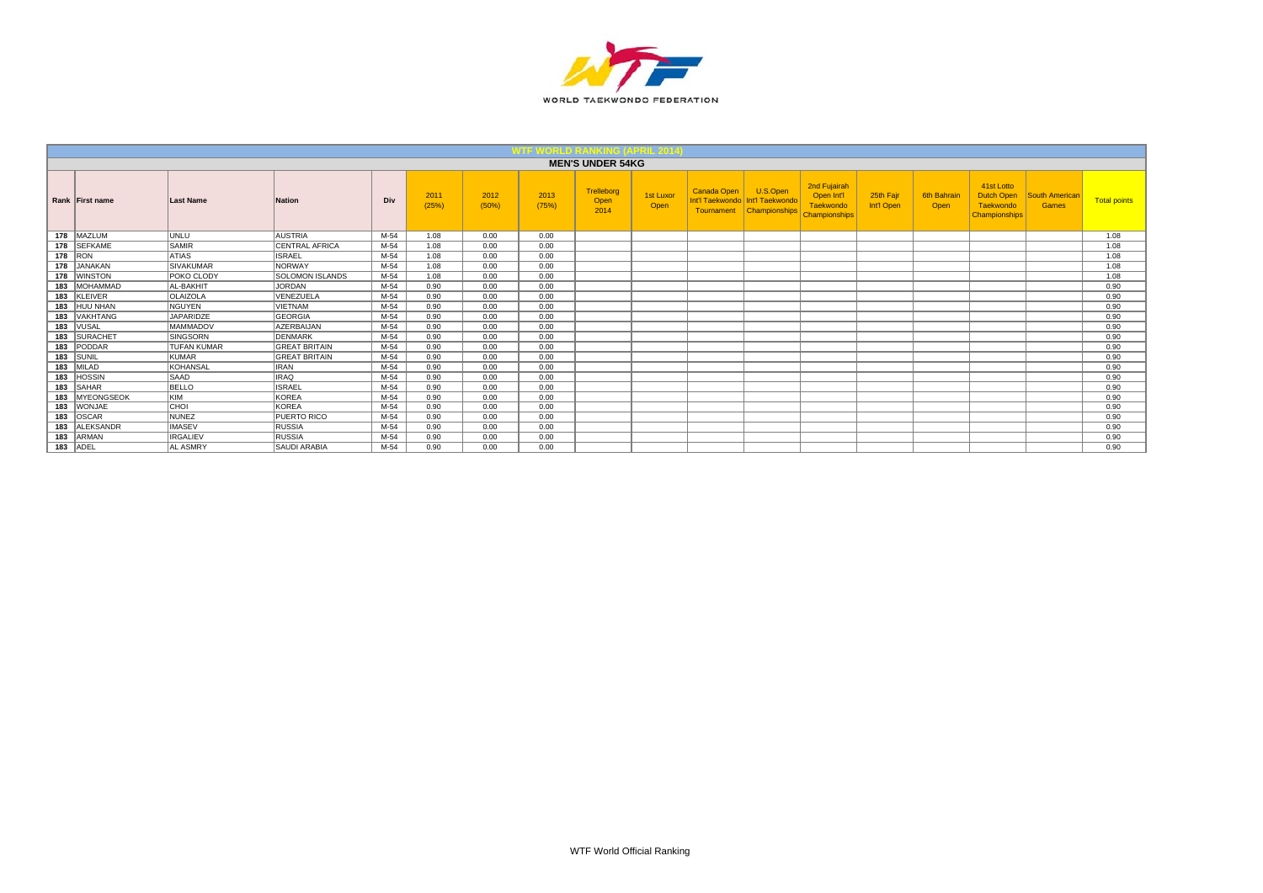

|     |                  |                    |                        |      |               |               |               | <b>MEN'S UNDER 54KG</b>    |                   |                                                     |                                              |                                                          |                         |                     |                                                                      |                         |                     |
|-----|------------------|--------------------|------------------------|------|---------------|---------------|---------------|----------------------------|-------------------|-----------------------------------------------------|----------------------------------------------|----------------------------------------------------------|-------------------------|---------------------|----------------------------------------------------------------------|-------------------------|---------------------|
|     | Rank First name  | <b>Last Name</b>   | <b>Nation</b>          | Div  | 2011<br>(25%) | 2012<br>(50%) | 2013<br>(75%) | Trelleborg<br>Open<br>2014 | 1st Luxor<br>Open | <b>Canada Open</b><br>Int'l Taekwondo<br>Tournament | U.S.Open<br>Int'l Taekwondo<br>Championships | 2nd Fujairah<br>Open Int'l<br>Taekwondo<br>Championships | 25th Fair<br>Int'l Open | 6th Bahrair<br>Open | 41st Lotto<br><b>Dutch Open</b><br>Taekwondo<br><b>Championships</b> | South American<br>Games | <b>Total points</b> |
|     | 178 MAZLUM       | UNLU               | <b>AUSTRIA</b>         | M-54 | 1.08          | 0.00          | 0.00          |                            |                   |                                                     |                                              |                                                          |                         |                     |                                                                      |                         | 1.08                |
|     | 178 SEFKAME      | <b>SAMIR</b>       | <b>CENTRAL AFRICA</b>  | M-54 | 1.08          | 0.00          | 0.00          |                            |                   |                                                     |                                              |                                                          |                         |                     |                                                                      |                         | 1.08                |
|     | 178 RON          | <b>ATIAS</b>       | <b>ISRAEL</b>          | M-54 | 1.08          | 0.00          | 0.00          |                            |                   |                                                     |                                              |                                                          |                         |                     |                                                                      |                         | 1.08                |
|     | 178 JANAKAN      | <b>SIVAKUMAR</b>   | <b>NORWAY</b>          | M-54 | 1.08          | 0.00          | 0.00          |                            |                   |                                                     |                                              |                                                          |                         |                     |                                                                      |                         | 1.08                |
| 178 | <b>WINSTON</b>   | POKO CLODY         | <b>SOLOMON ISLANDS</b> | M-54 | 1.08          | 0.00          | 0.00          |                            |                   |                                                     |                                              |                                                          |                         |                     |                                                                      |                         | 1.08                |
| 183 | <b>MOHAMMAD</b>  | AL-BAKHIT          | JORDAN                 | M-54 | 0.90          | 0.00          | 0.00          |                            |                   |                                                     |                                              |                                                          |                         |                     |                                                                      |                         | 0.90                |
|     | 183 KLEIVER      | <b>OLAIZOLA</b>    | VENEZUELA              | M-54 | 0.90          | 0.00          | 0.00          |                            |                   |                                                     |                                              |                                                          |                         |                     |                                                                      |                         | 0.90                |
| 183 | HUU NHAN         | <b>NGUYEN</b>      | <b>VIETNAM</b>         | M-54 | 0.90          | 0.00          | 0.00          |                            |                   |                                                     |                                              |                                                          |                         |                     |                                                                      |                         | 0.90                |
| 183 | VAKHTANG         | JAPARIDZE          | GEORGIA                | M-54 | 0.90          | 0.00          | 0.00          |                            |                   |                                                     |                                              |                                                          |                         |                     |                                                                      |                         | 0.90                |
| 183 | <b>VUSAL</b>     | <b>MAMMADOV</b>    | AZERBAIJAN             | M-54 | 0.90          | 0.00          | 0.00          |                            |                   |                                                     |                                              |                                                          |                         |                     |                                                                      |                         | 0.90                |
| 183 | SURACHET         | <b>SINGSORN</b>    | DENMARK                | M-54 | 0.90          | 0.00          | 0.00          |                            |                   |                                                     |                                              |                                                          |                         |                     |                                                                      |                         | 0.90                |
| 183 | PODDAR           | <b>TUFAN KUMAR</b> | <b>GREAT BRITAIN</b>   | M-54 | 0.90          | 0.00          | 0.00          |                            |                   |                                                     |                                              |                                                          |                         |                     |                                                                      |                         | 0.90                |
|     | $183$ SUNIL      | KUMAR              | <b>GREAT BRITAIN</b>   | M-54 | 0.90          | 0.00          | 0.00          |                            |                   |                                                     |                                              |                                                          |                         |                     |                                                                      |                         | 0.90                |
|     | 183 MILAD        | KOHANSAL           | <b>IRAN</b>            | M-54 | 0.90          | 0.00          | 0.00          |                            |                   |                                                     |                                              |                                                          |                         |                     |                                                                      |                         | 0.90                |
| 183 | <b>HOSSIN</b>    | <b>SAAD</b>        | <b>IRAQ</b>            | M-54 | 0.90          | 0.00          | 0.00          |                            |                   |                                                     |                                              |                                                          |                         |                     |                                                                      |                         | 0.90                |
|     | 183 SAHAR        | <b>BELLO</b>       | <b>ISRAEL</b>          | M-54 | 0.90          | 0.00          | 0.00          |                            |                   |                                                     |                                              |                                                          |                         |                     |                                                                      |                         | 0.90                |
|     | 183   MYEONGSEOK | <b>KIM</b>         | KOREA                  | M-54 | 0.90          | 0.00          | 0.00          |                            |                   |                                                     |                                              |                                                          |                         |                     |                                                                      |                         | 0.90                |
|     | 183 WONJAE       | <b>CHOL</b>        | KOREA                  | M-54 | 0.90          | 0.00          | 0.00          |                            |                   |                                                     |                                              |                                                          |                         |                     |                                                                      |                         | 0.90                |
| 183 | OSCAR            | <b>NUNEZ</b>       | <b>PUERTO RICO</b>     | M-54 | 0.90          | 0.00          | 0.00          |                            |                   |                                                     |                                              |                                                          |                         |                     |                                                                      |                         | 0.90                |
| 183 | <b>ALEKSANDR</b> | <b>IMASEV</b>      | RUSSIA                 | M-54 | 0.90          | 0.00          | 0.00          |                            |                   |                                                     |                                              |                                                          |                         |                     |                                                                      |                         | 0.90                |
| 183 | ARMAN            | <b>IRGALIEV</b>    | RUSSIA                 | M-54 | 0.90          | 0.00          | 0.00          |                            |                   |                                                     |                                              |                                                          |                         |                     |                                                                      |                         | 0.90                |
|     | 183 ADEL         | <b>AL ASMRY</b>    | <b>SAUDI ARABIA</b>    | M-54 | 0.90          | 0.00          | 0.00          |                            |                   |                                                     |                                              |                                                          |                         |                     |                                                                      |                         | 0.90                |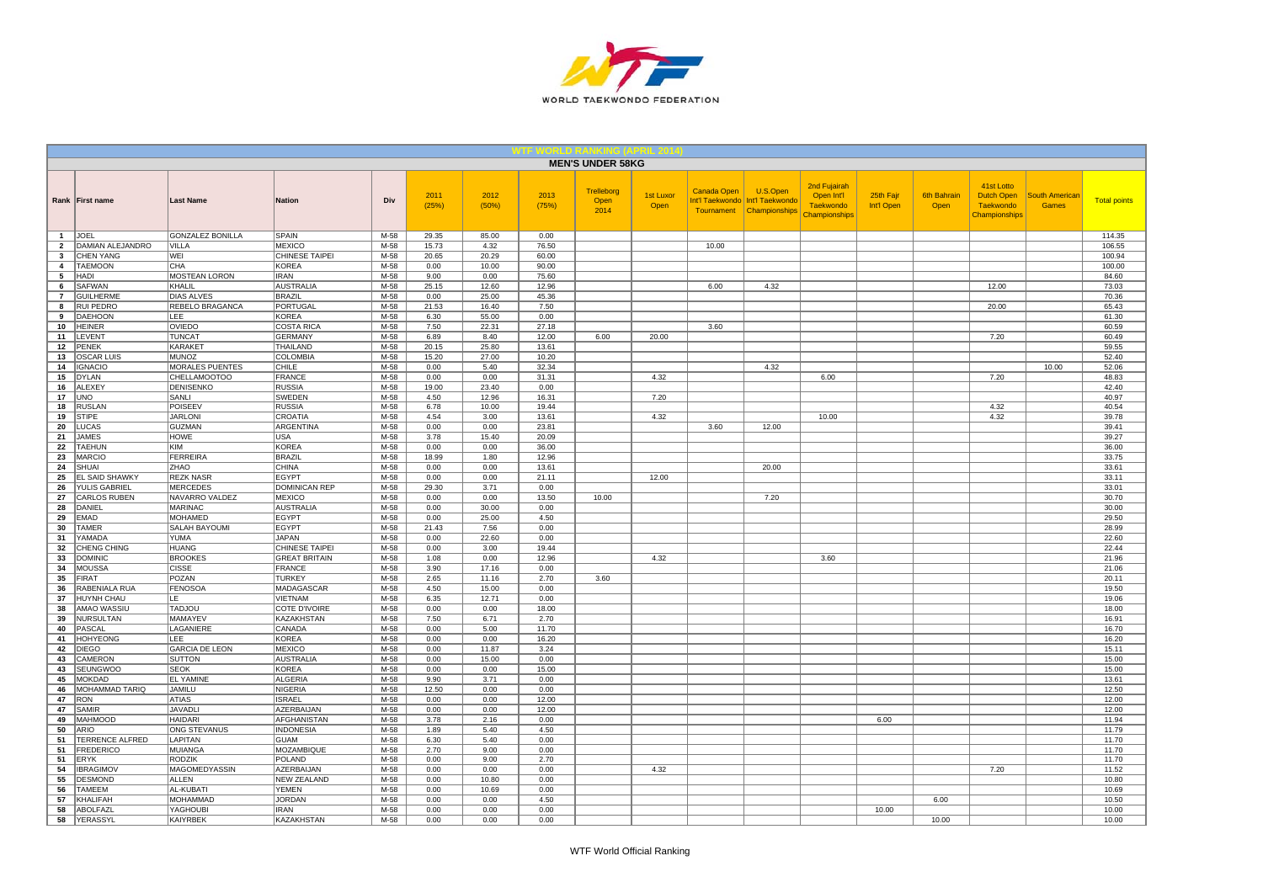

|                     |                                     |                                 |                                |                |               |                |                | <b>MEN'S UNDER 58KG</b>    |                          |             |                                                                         |                                                                 |                         |                            |                                                               |                                       |                     |
|---------------------|-------------------------------------|---------------------------------|--------------------------------|----------------|---------------|----------------|----------------|----------------------------|--------------------------|-------------|-------------------------------------------------------------------------|-----------------------------------------------------------------|-------------------------|----------------------------|---------------------------------------------------------------|---------------------------------------|---------------------|
|                     | Rank First name                     | <b>Last Name</b>                | <b>Nation</b>                  | Div            | 2011<br>(25%) | 2012<br>(50%)  | 2013<br>(75%)  | Trelleborg<br>Open<br>2014 | <b>1st Luxor</b><br>Open | Canada Open | U.S.Open<br>Int'l Taekwondo Int'l Taekwondo<br>Tournament Championships | 2nd Fujairah<br>Open Int'l<br><b>Taekwondo</b><br>Championships | 25th Fajr<br>Int'l Open | <b>6th Bahrain</b><br>Open | 41st Lotto<br>Dutch Open<br><b>Taekwondo</b><br>Championships | <b>South American</b><br><b>Games</b> | <b>Total points</b> |
| $\overline{1}$      | <b>JOEL</b>                         | <b>GONZALEZ BONILLA</b>         | <b>SPAIN</b>                   | M-58           | 29.35         | 85.00          | 0.00           |                            |                          |             |                                                                         |                                                                 |                         |                            |                                                               |                                       | 114.35              |
| $\overline{2}$      | DAMIAN ALEJANDRO                    | VILLA                           | <b>MEXICO</b>                  | $M-58$         | 15.73         | 4.32           | 76.50          |                            |                          | 10.00       |                                                                         |                                                                 |                         |                            |                                                               |                                       | 106.55              |
| $\mathbf{3}$        | <b>CHEN YANG</b>                    | WEI<br>CHA                      | <b>CHINESE TAIPEI</b>          | $M-58$         | 20.65         | 20.29          | 60.00          |                            |                          |             |                                                                         |                                                                 |                         |                            |                                                               |                                       | 100.94              |
| $\overline{4}$<br>5 | <b>TAEMOON</b><br>HADI              | MOSTEAN LORON                   | <b>KOREA</b><br><b>IRAN</b>    | $M-58$<br>M-58 | 0.00<br>9.00  | 10.00<br>0.00  | 90.00<br>75.60 |                            |                          |             |                                                                         |                                                                 |                         |                            |                                                               |                                       | 100.00<br>84.60     |
| 6                   | <b>SAFWAN</b>                       | KHALIL                          | <b>AUSTRALIA</b>               | M-58           | 25.15         | 12.60          | 12.96          |                            |                          | 6.00        | 4.32                                                                    |                                                                 |                         |                            | 12.00                                                         |                                       | 73.03               |
| $\overline{7}$      | <b>GUILHERME</b>                    | <b>DIAS ALVES</b>               | <b>BRAZIL</b>                  | M-58           | 0.00          | 25.00          | 45.36          |                            |                          |             |                                                                         |                                                                 |                         |                            |                                                               |                                       | 70.36               |
| 8                   | <b>RUI PEDRO</b>                    | REBELO BRAGANCA                 | PORTUGAL                       | M-58           | 21.53         | 16.40          | 7.50           |                            |                          |             |                                                                         |                                                                 |                         |                            | 20.00                                                         |                                       | 65.43               |
| 9                   | DAEHOON                             | LEE                             | <b>KOREA</b>                   | M-58           | 6.30          | 55.00          | 0.00           |                            |                          |             |                                                                         |                                                                 |                         |                            |                                                               |                                       | 61.30               |
| 10                  | <b>HEINER</b>                       | OVIEDO                          | <b>COSTA RICA</b>              | M-58           | 7.50          | 22.31          | 27.18          |                            |                          | 3.60        |                                                                         |                                                                 |                         |                            |                                                               |                                       | 60.59               |
| 11                  | LEVENT                              | <b>TUNCAT</b>                   | <b>GERMANY</b>                 | $M-58$         | 6.89          | 8.40           | 12.00          | 6.00                       | 20.00                    |             |                                                                         |                                                                 |                         |                            | 7.20                                                          |                                       | 60.49               |
| 12                  | <b>PENEK</b>                        | <b>KARAKET</b>                  | THAILAND                       | M-58           | 20.15         | 25.80          | 13.61          |                            |                          |             |                                                                         |                                                                 |                         |                            |                                                               |                                       | 59.55               |
| 13<br>14            | <b>OSCAR LUIS</b><br><b>IGNACIO</b> | <b>MUNOZ</b><br>MORALES PUENTES | COLOMBIA<br>CHILE              | M-58<br>M-58   | 15.20<br>0.00 | 27.00<br>5.40  | 10.20<br>32.34 |                            |                          |             | 4.32                                                                    |                                                                 |                         |                            |                                                               | 10.00                                 | 52.40<br>52.06      |
| 15                  | <b>DYLAN</b>                        | CHELLAMOOTOO                    | <b>FRANCE</b>                  | M-58           | 0.00          | 0.00           | 31.31          |                            | 4.32                     |             |                                                                         | 6.00                                                            |                         |                            | 7.20                                                          |                                       | 48.83               |
| 16                  | ALEXEY                              | <b>DENISENKO</b>                | <b>RUSSIA</b>                  | $M-58$         | 19.00         | 23.40          | 0.00           |                            |                          |             |                                                                         |                                                                 |                         |                            |                                                               |                                       | 42.40               |
| 17                  | <b>UNO</b>                          | SANLI                           | SWEDEN                         | M-58           | 4.50          | 12.96          | 16.31          |                            | 7.20                     |             |                                                                         |                                                                 |                         |                            |                                                               |                                       | 40.97               |
| 18                  | <b>RUSLAN</b>                       | <b>POISEEV</b>                  | <b>RUSSIA</b>                  | $M-58$         | 6.78          | 10.00          | 19.44          |                            |                          |             |                                                                         |                                                                 |                         |                            | 4.32                                                          |                                       | 40.54               |
| 19                  | <b>STIPE</b>                        | <b>JARLONI</b>                  | CROATIA                        | M-58           | 4.54          | 3.00           | 13.61          |                            | 4.32                     |             |                                                                         | 10.00                                                           |                         |                            | 4.32                                                          |                                       | 39.78               |
| 20                  | LUCAS                               | <b>GUZMAN</b>                   | ARGENTINA                      | M-58           | 0.00          | 0.00           | 23.81          |                            |                          | 3.60        | 12.00                                                                   |                                                                 |                         |                            |                                                               |                                       | 39.41               |
| 21                  | <b>JAMES</b>                        | <b>HOWE</b>                     | <b>USA</b>                     | M-58           | 3.78          | 15.40          | 20.09          |                            |                          |             |                                                                         |                                                                 |                         |                            |                                                               |                                       | 39.27               |
| 22                  | <b>TAEHUN</b>                       | KIM<br>FERREIRA                 | <b>KOREA</b><br><b>BRAZIL</b>  | M-58           | 0.00          | 0.00           | 36.00          |                            |                          |             |                                                                         |                                                                 |                         |                            |                                                               |                                       | 36.00               |
| 23                  | <b>MARCIO</b><br>SHUAI              | ZHAO                            | <b>CHINA</b>                   | $M-58$<br>M-58 | 18.99<br>0.00 | 1.80<br>0.00   | 12.96<br>13.61 |                            |                          |             | 20.00                                                                   |                                                                 |                         |                            |                                                               |                                       | 33.75<br>33.61      |
| 24<br>25            | EL SAID SHAWKY                      | <b>REZK NASR</b>                | EGYPT                          | M-58           | 0.00          | 0.00           | 21.11          |                            | 12.00                    |             |                                                                         |                                                                 |                         |                            |                                                               |                                       | 33.11               |
| 26                  | <b>YULIS GABRIEL</b>                | <b>MERCEDES</b>                 | <b>DOMINICAN REP</b>           | M-58           | 29.30         | 3.71           | 0.00           |                            |                          |             |                                                                         |                                                                 |                         |                            |                                                               |                                       | 33.01               |
| 27                  | CARLOS RUBEN                        | NAVARRO VALDEZ                  | <b>MEXICO</b>                  | M-58           | 0.00          | 0.00           | 13.50          | 10.00                      |                          |             | 7.20                                                                    |                                                                 |                         |                            |                                                               |                                       | 30.70               |
| 28                  | DANIEL                              | MARINAC                         | <b>AUSTRALIA</b>               | M-58           | 0.00          | 30.00          | 0.00           |                            |                          |             |                                                                         |                                                                 |                         |                            |                                                               |                                       | 30.00               |
| 29                  | <b>EMAD</b>                         | MOHAMED                         | <b>EGYPT</b>                   | M-58           | 0.00          | 25.00          | 4.50           |                            |                          |             |                                                                         |                                                                 |                         |                            |                                                               |                                       | 29.50               |
| 30                  | TAMER                               | <b>SALAH BAYOUMI</b>            | <b>EGYPT</b>                   | $M-58$         | 21.43         | 7.56           | 0.00           |                            |                          |             |                                                                         |                                                                 |                         |                            |                                                               |                                       | 28.99               |
| 31                  | YAMADA                              | <b>YUMA</b>                     | <b>JAPAN</b>                   | $M-58$         | 0.00          | 22.60          | 0.00           |                            |                          |             |                                                                         |                                                                 |                         |                            |                                                               |                                       | 22.60               |
| 32                  | CHENG CHING                         | <b>HUANG</b>                    | CHINESE TAIPEI                 | M-58           | 0.00          | 3.00           | 19.44          |                            |                          |             |                                                                         |                                                                 |                         |                            |                                                               |                                       | 22.44               |
| 33                  | <b>DOMINIC</b>                      | <b>BROOKES</b>                  | <b>GREAT BRITAIN</b>           | M-58           | 1.08          | 0.00           | 12.96          |                            | 4.32                     |             |                                                                         | 3.60                                                            |                         |                            |                                                               |                                       | 21.96               |
| 34<br>35            | <b>MOUSSA</b><br><b>FIRAT</b>       | <b>CISSE</b><br><b>POZAN</b>    | <b>FRANCE</b><br><b>TURKEY</b> | M-58<br>$M-58$ | 3.90<br>2.65  | 17.16<br>11.16 | 0.00<br>2.70   | 3.60                       |                          |             |                                                                         |                                                                 |                         |                            |                                                               |                                       | 21.06<br>20.11      |
| 36                  | RABENIALA RUA                       | <b>FENOSOA</b>                  | MADAGASCAR                     | M-58           | 4.50          | 15.00          | 0.00           |                            |                          |             |                                                                         |                                                                 |                         |                            |                                                               |                                       | 19.50               |
| 37                  | <b>HUYNH CHAU</b>                   | LE.                             | <b>VIETNAM</b>                 | M-58           | 6.35          | 12.71          | 0.00           |                            |                          |             |                                                                         |                                                                 |                         |                            |                                                               |                                       | 19.06               |
| 38                  | AMAO WASSIU                         | <b>TADJOU</b>                   | COTE D'IVOIRE                  | M-58           | 0.00          | 0.00           | 18.00          |                            |                          |             |                                                                         |                                                                 |                         |                            |                                                               |                                       | 18.00               |
| 39                  | <b>NURSULTAN</b>                    | <b>MAMAYEV</b>                  | KAZAKHSTAN                     | M-58           | 7.50          | 6.71           | 2.70           |                            |                          |             |                                                                         |                                                                 |                         |                            |                                                               |                                       | 16.91               |
| 40                  | PASCAL                              | LAGANIERE                       | CANADA                         | M-58           | 0.00          | 5.00           | 11.70          |                            |                          |             |                                                                         |                                                                 |                         |                            |                                                               |                                       | 16.70               |
| 41                  | <b>HOHYEONG</b>                     | <b>LEE</b>                      | <b>KOREA</b>                   | M-58           | 0.00          | 0.00           | 16.20          |                            |                          |             |                                                                         |                                                                 |                         |                            |                                                               |                                       | 16.20               |
| 42                  | <b>DIEGO</b>                        | <b>GARCIA DE LEON</b>           | <b>MEXICO</b>                  | M-58           | 0.00          | 11.87          | 3.24           |                            |                          |             |                                                                         |                                                                 |                         |                            |                                                               |                                       | 15.11               |
| 43                  | CAMERON                             | SUTTON                          | <b>AUSTRALIA</b>               | M-58           | 0.00          | 15.00          | 0.00           |                            |                          |             |                                                                         |                                                                 |                         |                            |                                                               |                                       | 15.00               |
| 43<br>45            | SEUNGWOO<br>MOKDAD                  | <b>SEOK</b><br><b>EL YAMINE</b> | KOREA<br><b>ALGERIA</b>        | M-58<br>$M-58$ | 0.00<br>9.90  | 0.00<br>3.71   | 15.00<br>0.00  |                            |                          |             |                                                                         |                                                                 |                         |                            |                                                               |                                       | 15.00<br>13.61      |
| 46                  | MOHAMMAD TARIQ                      | <b>JAMILU</b>                   | <b>NIGERIA</b>                 | $M-58$         | 12.50         | 0.00           | 0.00           |                            |                          |             |                                                                         |                                                                 |                         |                            |                                                               |                                       | 12.50               |
| 47                  | RON                                 | <b>ATIAS</b>                    | <b>ISRAEL</b>                  | M-58           | 0.00          | 0.00           | 12.00          |                            |                          |             |                                                                         |                                                                 |                         |                            |                                                               |                                       | 12.00               |
| 47                  | SAMIR                               | <b>JAVADLI</b>                  | AZERBAIJAN                     | M-58           | 0.00          | 0.00           | 12.00          |                            |                          |             |                                                                         |                                                                 |                         |                            |                                                               |                                       | 12.00               |
| 49                  | MAHMOOD                             | <b>HAIDARI</b>                  | AFGHANISTAN                    | M-58           | 3.78          | 2.16           | 0.00           |                            |                          |             |                                                                         |                                                                 | 6.00                    |                            |                                                               |                                       | 11.94               |
| 50                  | ARIO                                | ONG STEVANUS                    | <b>INDONESIA</b>               | M-58           | 1.89          | 5.40           | 4.50           |                            |                          |             |                                                                         |                                                                 |                         |                            |                                                               |                                       | 11.79               |
| 51                  | <b>TERRENCE ALFRED</b>              | LAPITAN                         | <b>GUAM</b>                    | M-58           | 6.30          | 5.40           | 0.00           |                            |                          |             |                                                                         |                                                                 |                         |                            |                                                               |                                       | 11.70               |
| 51                  | <b>FREDERICO</b>                    | MUIANGA                         | MOZAMBIQUE                     | M-58           | 2.70          | 9.00           | 0.00           |                            |                          |             |                                                                         |                                                                 |                         |                            |                                                               |                                       | 11.70               |
| 51                  | <b>ERYK</b>                         | <b>RODZIK</b>                   | <b>POLAND</b>                  | M-58           | 0.00          | 9.00           | 2.70           |                            |                          |             |                                                                         |                                                                 |                         |                            |                                                               |                                       | 11.70               |
| 54                  | <b>IBRAGIMOV</b>                    | MAGOMEDYASSIN                   | AZERBAIJAN                     | M-58           | 0.00          | 0.00           | 0.00           |                            | 4.32                     |             |                                                                         |                                                                 |                         |                            | 7.20                                                          |                                       | 11.52               |
| 55<br>56            | <b>DESMOND</b><br><b>TAMEEM</b>     | <b>ALLEN</b>                    | <b>NEW ZEALAND</b><br>YEMEN    | M-58<br>M-58   | 0.00<br>0.00  | 10.80          | 0.00<br>0.00   |                            |                          |             |                                                                         |                                                                 |                         |                            |                                                               |                                       | 10.80<br>10.69      |
| 57                  | KHALIFAH                            | AL-KUBATI<br><b>MOHAMMAD</b>    | <b>JORDAN</b>                  | M-58           | 0.00          | 10.69<br>0.00  | 4.50           |                            |                          |             |                                                                         |                                                                 |                         | 6.00                       |                                                               |                                       | 10.50               |
| 58                  | ABOLFAZL                            | YAGHOUBI                        | <b>IRAN</b>                    | M-58           | 0.00          | 0.00           | 0.00           |                            |                          |             |                                                                         |                                                                 | 10.00                   |                            |                                                               |                                       | 10.00               |
| 58                  | YERASSYL                            | KAIYRBEK                        | <b>KAZAKHSTAN</b>              | $M-58$         | 0.00          | 0.00           | 0.00           |                            |                          |             |                                                                         |                                                                 |                         | 10.00                      |                                                               |                                       | 10.00               |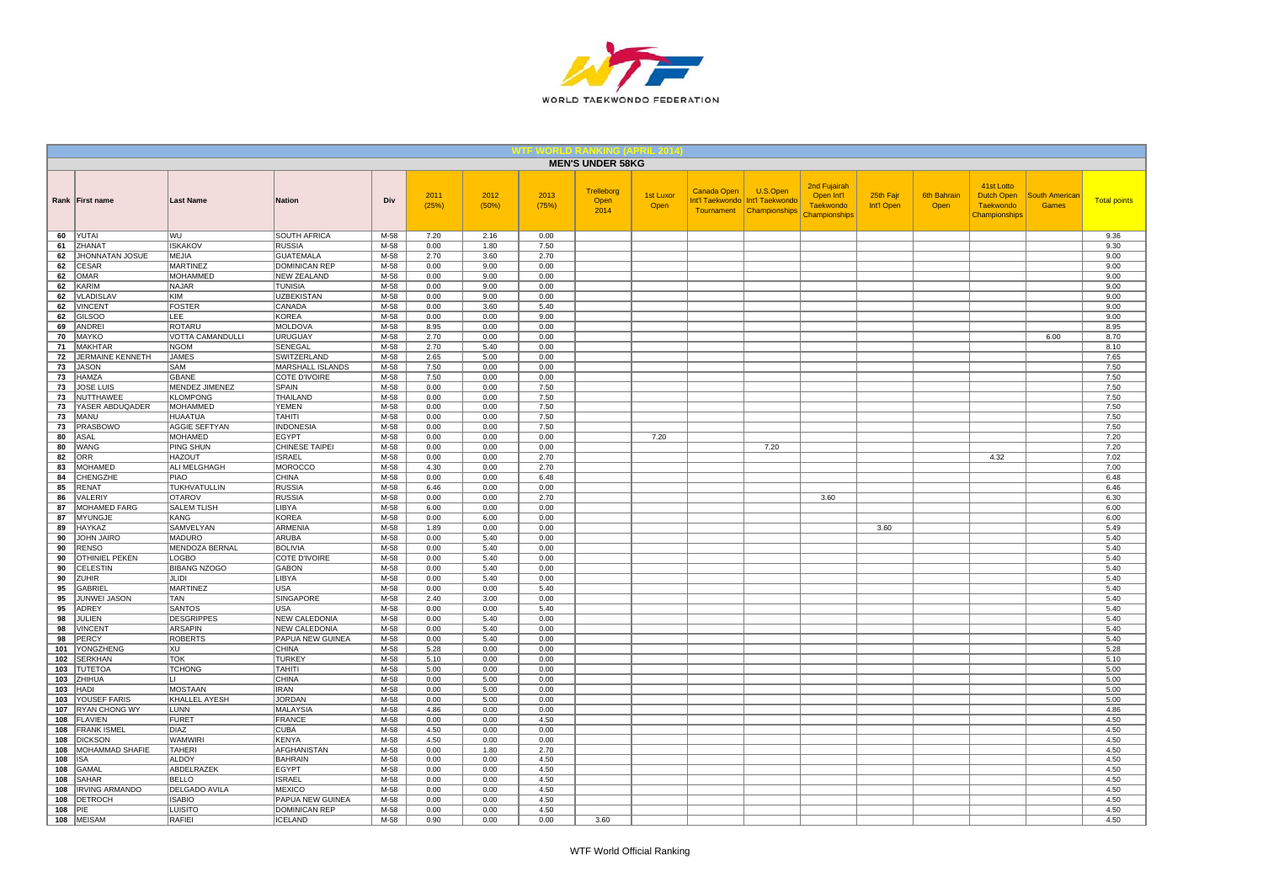

|            |                                        |                                          |                                          |                  |               |               |               | <b>MEN'S UNDER 58KG</b>    |                   |             |                                                                           |                                                                 |                         |                            |                                                                      |                                |                     |
|------------|----------------------------------------|------------------------------------------|------------------------------------------|------------------|---------------|---------------|---------------|----------------------------|-------------------|-------------|---------------------------------------------------------------------------|-----------------------------------------------------------------|-------------------------|----------------------------|----------------------------------------------------------------------|--------------------------------|---------------------|
|            | Rank First name                        | <b>Last Name</b>                         | Nation                                   | Div              | 2011<br>(25%) | 2012<br>(50%) | 2013<br>(75%) | Trelleborg<br>Open<br>2014 | 1st Luxor<br>Open | Canada Open | U.S.Open<br>Int'l Taekwondo   Int'l Taekwondo<br>Tournament Championships | 2nd Fujairah<br>Open Int'l<br><b>Taekwondo</b><br>Championships | 25th Fajr<br>Int'l Open | <b>6th Bahrain</b><br>Open | 41st Lotto<br><b>Dutch Open</b><br><b>Taekwondo</b><br>Championships | South American<br><b>Games</b> | <b>Total points</b> |
| 60         | YUTAI                                  | <b>WU</b>                                | SOUTH AFRICA                             | M-58             | 7.20          | 2.16          | 0.00          |                            |                   |             |                                                                           |                                                                 |                         |                            |                                                                      |                                | 9.36                |
| 61         | ZHANAT                                 | <b>ISKAKOV</b>                           | <b>RUSSIA</b>                            | $M-58$           | 0.00          | 1.80          | 7.50          |                            |                   |             |                                                                           |                                                                 |                         |                            |                                                                      |                                | 9.30                |
| 62<br>62   | <b>JHONNATAN JOSUE</b><br><b>CESAR</b> | <b>MEJIA</b><br><b>MARTINEZ</b>          | <b>GUATEMALA</b><br><b>DOMINICAN REP</b> | $M-58$<br>$M-58$ | 2.70<br>0.00  | 3.60<br>9.00  | 2.70<br>0.00  |                            |                   |             |                                                                           |                                                                 |                         |                            |                                                                      |                                | 9.00<br>9.00        |
| 62         | <b>OMAR</b>                            | <b>MOHAMMED</b>                          | <b>NEW ZEALAND</b>                       | M-58             | 0.00          | 9.00          | 0.00          |                            |                   |             |                                                                           |                                                                 |                         |                            |                                                                      |                                | 9.00                |
| 62         | KARIM                                  | <b>NAJAR</b>                             | <b>TUNISIA</b>                           | M-58             | 0.00          | 9.00          | 0.00          |                            |                   |             |                                                                           |                                                                 |                         |                            |                                                                      |                                | 9.00                |
| 62         | <b>VLADISLAV</b>                       | KIM                                      | <b>UZBEKISTAN</b>                        | $M-58$           | 0.00          | 9.00          | 0.00          |                            |                   |             |                                                                           |                                                                 |                         |                            |                                                                      |                                | 9.00                |
| 62         | <b>VINCENT</b>                         | <b>FOSTER</b>                            | CANADA                                   | M-58             | 0.00          | 3.60          | 5.40          |                            |                   |             |                                                                           |                                                                 |                         |                            |                                                                      |                                | 9.00                |
| 62         | GILSOO                                 | LEE<br><b>ROTARU</b>                     | <b>KOREA</b>                             | M-58             | 0.00          | 0.00          | 9.00          |                            |                   |             |                                                                           |                                                                 |                         |                            |                                                                      |                                | 9.00                |
| 69<br>70   | ANDREI<br>MAYKO                        | <b>VOTTA CAMANDULLI</b>                  | MOLDOVA<br><b>URUGUAY</b>                | M-58<br>M-58     | 8.95<br>2.70  | 0.00<br>0.00  | 0.00<br>0.00  |                            |                   |             |                                                                           |                                                                 |                         |                            |                                                                      | 6.00                           | 8.95<br>8.70        |
| 71         | <b>MAKHTAR</b>                         | <b>NGOM</b>                              | SENEGAL                                  | $M-58$           | 2.70          | 5.40          | 0.00          |                            |                   |             |                                                                           |                                                                 |                         |                            |                                                                      |                                | 8.10                |
| 72         | JERMAINE KENNETH                       | <b>JAMES</b>                             | SWITZERLAND                              | M-58             | 2.65          | 5.00          | 0.00          |                            |                   |             |                                                                           |                                                                 |                         |                            |                                                                      |                                | 7.65                |
| 73         | <b>JASON</b>                           | <b>SAM</b>                               | MARSHALL ISLANDS                         | M-58             | 7.50          | 0.00          | 0.00          |                            |                   |             |                                                                           |                                                                 |                         |                            |                                                                      |                                | 7.50                |
| 73         | <b>HAMZA</b>                           | <b>GBANE</b>                             | COTE D'IVOIRE                            | M-58             | 7.50          | 0.00          | 0.00          |                            |                   |             |                                                                           |                                                                 |                         |                            |                                                                      |                                | 7.50                |
| 73         | <b>JOSE LUIS</b>                       | <b>MENDEZ JIMENEZ</b><br><b>KLOMPONG</b> | <b>SPAIN</b>                             | $M-58$<br>$M-58$ | 0.00          | 0.00          | 7.50          |                            |                   |             |                                                                           |                                                                 |                         |                            |                                                                      |                                | 7.50                |
| 73<br>73   | <b>NUTTHAWEE</b><br>YASER ABDUQADER    | MOHAMMED                                 | THAILAND<br><b>YEMEN</b>                 | $M-58$           | 0.00<br>0.00  | 0.00<br>0.00  | 7.50<br>7.50  |                            |                   |             |                                                                           |                                                                 |                         |                            |                                                                      |                                | 7.50<br>7.50        |
| 73         | MANU                                   | HUAATUA                                  | <b>TAHITI</b>                            | M-58             | 0.00          | 0.00          | 7.50          |                            |                   |             |                                                                           |                                                                 |                         |                            |                                                                      |                                | 7.50                |
| 73         | <b>PRASBOWO</b>                        | AGGIE SEFTYAN                            | <b>INDONESIA</b>                         | M-58             | 0.00          | 0.00          | 7.50          |                            |                   |             |                                                                           |                                                                 |                         |                            |                                                                      |                                | 7.50                |
| 80         | <b>ASAL</b>                            | <b>MOHAMED</b>                           | <b>EGYPT</b>                             | M-58             | 0.00          | 0.00          | 0.00          |                            | 7.20              |             |                                                                           |                                                                 |                         |                            |                                                                      |                                | 7.20                |
| 80         | WANG                                   | <b>PING SHUN</b>                         | CHINESE TAIPEI                           | M-58             | 0.00          | 0.00          | 0.00          |                            |                   |             | 7.20                                                                      |                                                                 |                         |                            |                                                                      |                                | 7.20                |
| 82         | <b>ORR</b>                             | <b>HAZOUT</b>                            | <b>ISRAEL</b>                            | M-58             | 0.00          | 0.00          | 2.70          |                            |                   |             |                                                                           |                                                                 |                         |                            | 4.32                                                                 |                                | 7.02                |
| 83<br>84   | <b>MOHAMED</b><br>CHENGZHE             | ALI MELGHAGH<br>PIAO                     | <b>MOROCCO</b><br><b>CHINA</b>           | M-58<br>M-58     | 4.30<br>0.00  | 0.00<br>0.00  | 2.70<br>6.48  |                            |                   |             |                                                                           |                                                                 |                         |                            |                                                                      |                                | 7.00<br>6.48        |
| 85         | <b>RENAT</b>                           | TUKHVATULLIN                             | <b>RUSSIA</b>                            | $M-58$           | 6.46          | 0.00          | 0.00          |                            |                   |             |                                                                           |                                                                 |                         |                            |                                                                      |                                | 6.46                |
| 86         | VALERIY                                | <b>OTAROV</b>                            | <b>RUSSIA</b>                            | M-58             | 0.00          | 0.00          | 2.70          |                            |                   |             |                                                                           | 3.60                                                            |                         |                            |                                                                      |                                | 6.30                |
| 87         | MOHAMED FARG                           | <b>SALEM TLISH</b>                       | <b>LIBYA</b>                             | $M-58$           | 6.00          | 0.00          | 0.00          |                            |                   |             |                                                                           |                                                                 |                         |                            |                                                                      |                                | 6.00                |
| 87         | <b>MYUNGJE</b>                         | KANG                                     | <b>KOREA</b>                             | M-58             | 0.00          | 6.00          | 0.00          |                            |                   |             |                                                                           |                                                                 |                         |                            |                                                                      |                                | 6.00                |
| 89         | <b>HAYKAZ</b>                          | <b>SAMVELYAN</b>                         | <b>ARMENIA</b>                           | $M-58$           | 1.89          | 0.00          | 0.00          |                            |                   |             |                                                                           |                                                                 | 3.60                    |                            |                                                                      |                                | 5.49                |
| 90<br>90   | <b>JOHN JAIRO</b><br><b>RENSO</b>      | <b>MADURO</b><br>MENDOZA BERNAL          | <b>ARUBA</b><br><b>BOLIVIA</b>           | $M-58$<br>M-58   | 0.00<br>0.00  | 5.40<br>5.40  | 0.00<br>0.00  |                            |                   |             |                                                                           |                                                                 |                         |                            |                                                                      |                                | 5.40<br>5.40        |
| 90         | OTHINIEL PEKEN                         | LOGBO                                    | COTE D'IVOIRE                            | M-58             | 0.00          | 5.40          | 0.00          |                            |                   |             |                                                                           |                                                                 |                         |                            |                                                                      |                                | 5.40                |
| 90         | CELESTIN                               | <b>BIBANG NZOGO</b>                      | <b>GABON</b>                             | M-58             | 0.00          | 5.40          | 0.00          |                            |                   |             |                                                                           |                                                                 |                         |                            |                                                                      |                                | 5.40                |
| 90         | <b>ZUHIR</b>                           | <b>ICILI</b>                             | <b>LIBYA</b>                             | M-58             | 0.00          | 5.40          | 0.00          |                            |                   |             |                                                                           |                                                                 |                         |                            |                                                                      |                                | 5.40                |
| 95         | <b>GABRIEL</b>                         | <b>MARTINEZ</b>                          | <b>USA</b>                               | $M-58$           | 0.00          | 0.00          | 5.40          |                            |                   |             |                                                                           |                                                                 |                         |                            |                                                                      |                                | 5.40                |
| 95         | JUNWEI JASON                           | TAN                                      | SINGAPORE                                | M-58             | 2.40          | 3.00          | 0.00          |                            |                   |             |                                                                           |                                                                 |                         |                            |                                                                      |                                | 5.40                |
| 95<br>98   | ADREY<br>JULIEN                        | <b>SANTOS</b><br><b>DESGRIPPES</b>       | <b>USA</b><br><b>NEW CALEDONIA</b>       | M-58<br>M-58     | 0.00<br>0.00  | 0.00<br>5.40  | 5.40<br>0.00  |                            |                   |             |                                                                           |                                                                 |                         |                            |                                                                      |                                | 5.40<br>5.40        |
| 98         | <b>VINCENT</b>                         | <b>ARSAPIN</b>                           | <b>NEW CALEDONIA</b>                     | $M-58$           | 0.00          | 5.40          | 0.00          |                            |                   |             |                                                                           |                                                                 |                         |                            |                                                                      |                                | 5.40                |
| 98         | PERCY                                  | <b>ROBERTS</b>                           | PAPUA NEW GUINEA                         | M-58             | 0.00          | 5.40          | 0.00          |                            |                   |             |                                                                           |                                                                 |                         |                            |                                                                      |                                | 5.40                |
| 101        | YONGZHENG                              | XU                                       | <b>CHINA</b>                             | M-58             | 5.28          | 0.00          | 0.00          |                            |                   |             |                                                                           |                                                                 |                         |                            |                                                                      |                                | 5.28                |
| 102        | <b>SERKHAN</b>                         | <b>TOK</b>                               | <b>TURKEY</b>                            | M-58             | 5.10          | 0.00          | 0.00          |                            |                   |             |                                                                           |                                                                 |                         |                            |                                                                      |                                | 5.10                |
| 103        | TUTETOA<br>ZHIHUA                      | <b>TCHONG</b>                            | <b>TAHITI</b><br><b>CHINA</b>            | M-58<br>$M-58$   | 5.00          | 0.00          | 0.00          |                            |                   |             |                                                                           |                                                                 |                         |                            |                                                                      |                                | 5.00                |
| 103<br>103 | HADI                                   | MOSTAAN                                  | <b>IRAN</b>                              | $M-58$           | 0.00<br>0.00  | 5.00<br>5.00  | 0.00<br>0.00  |                            |                   |             |                                                                           |                                                                 |                         |                            |                                                                      |                                | 5.00<br>5.00        |
| 103        | YOUSEF FARIS                           | KHALLEL AYESH                            | <b>JORDAN</b>                            | M-58             | 0.00          | 5.00          | 0.00          |                            |                   |             |                                                                           |                                                                 |                         |                            |                                                                      |                                | 5.00                |
| 107        | <b>RYAN CHONG WY</b>                   | LUNN                                     | <b>MALAYSIA</b>                          | M-58             | 4.86          | 0.00          | 0.00          |                            |                   |             |                                                                           |                                                                 |                         |                            |                                                                      |                                | 4.86                |
| 108        | <b>FLAVIEN</b>                         | <b>FURET</b>                             | <b>FRANCE</b>                            | M-58             | 0.00          | 0.00          | 4.50          |                            |                   |             |                                                                           |                                                                 |                         |                            |                                                                      |                                | 4.50                |
| 108        | <b>FRANK ISMEL</b>                     | <b>DIAZ</b>                              | <b>CUBA</b>                              | $M-58$           | 4.50          | 0.00          | 0.00          |                            |                   |             |                                                                           |                                                                 |                         |                            |                                                                      |                                | 4.50                |
| 108        | <b>DICKSON</b>                         | <b>WAMWIRI</b>                           | <b>KENYA</b>                             | M-58             | 4.50          | 0.00          | 0.00          |                            |                   |             |                                                                           |                                                                 |                         |                            |                                                                      |                                | 4.50                |
| 108<br>108 | MOHAMMAD SHAFIE<br><b>ISA</b>          | <b>TAHERI</b><br>ALDOY                   | AFGHANISTAN<br><b>BAHRAIN</b>            | M-58<br>M-58     | 0.00<br>0.00  | 1.80<br>0.00  | 2.70<br>4.50  |                            |                   |             |                                                                           |                                                                 |                         |                            |                                                                      |                                | 4.50<br>4.50        |
| 108        | <b>GAMAL</b>                           | ABDELRAZEK                               | <b>EGYPT</b>                             | M-58             | 0.00          | 0.00          | 4.50          |                            |                   |             |                                                                           |                                                                 |                         |                            |                                                                      |                                | 4.50                |
| 108        | <b>SAHAR</b>                           | <b>BELLO</b>                             | <b>ISRAEL</b>                            | M-58             | 0.00          | 0.00          | 4.50          |                            |                   |             |                                                                           |                                                                 |                         |                            |                                                                      |                                | 4.50                |
| 108        | <b>IRVING ARMANDO</b>                  | DELGADO AVILA                            | <b>MEXICO</b>                            | M-58             | 0.00          | 0.00          | 4.50          |                            |                   |             |                                                                           |                                                                 |                         |                            |                                                                      |                                | 4.50                |
| 108        | <b>DETROCH</b>                         | <b>ISABIO</b>                            | PAPUA NEW GUINEA                         | M-58             | 0.00          | 0.00          | 4.50          |                            |                   |             |                                                                           |                                                                 |                         |                            |                                                                      |                                | 4.50                |
| 108        | <b>PIE</b>                             | LUISITO                                  | <b>DOMINICAN REP</b>                     | M-58             | 0.00          | 0.00          | 4.50          |                            |                   |             |                                                                           |                                                                 |                         |                            |                                                                      |                                | 4.50                |
|            | 108 MEISAM                             | <b>RAFIEI</b>                            | <b>ICELAND</b>                           | $M-58$           | 0.90          | 0.00          | 0.00          | 3.60                       |                   |             |                                                                           |                                                                 |                         |                            |                                                                      |                                | 4.50                |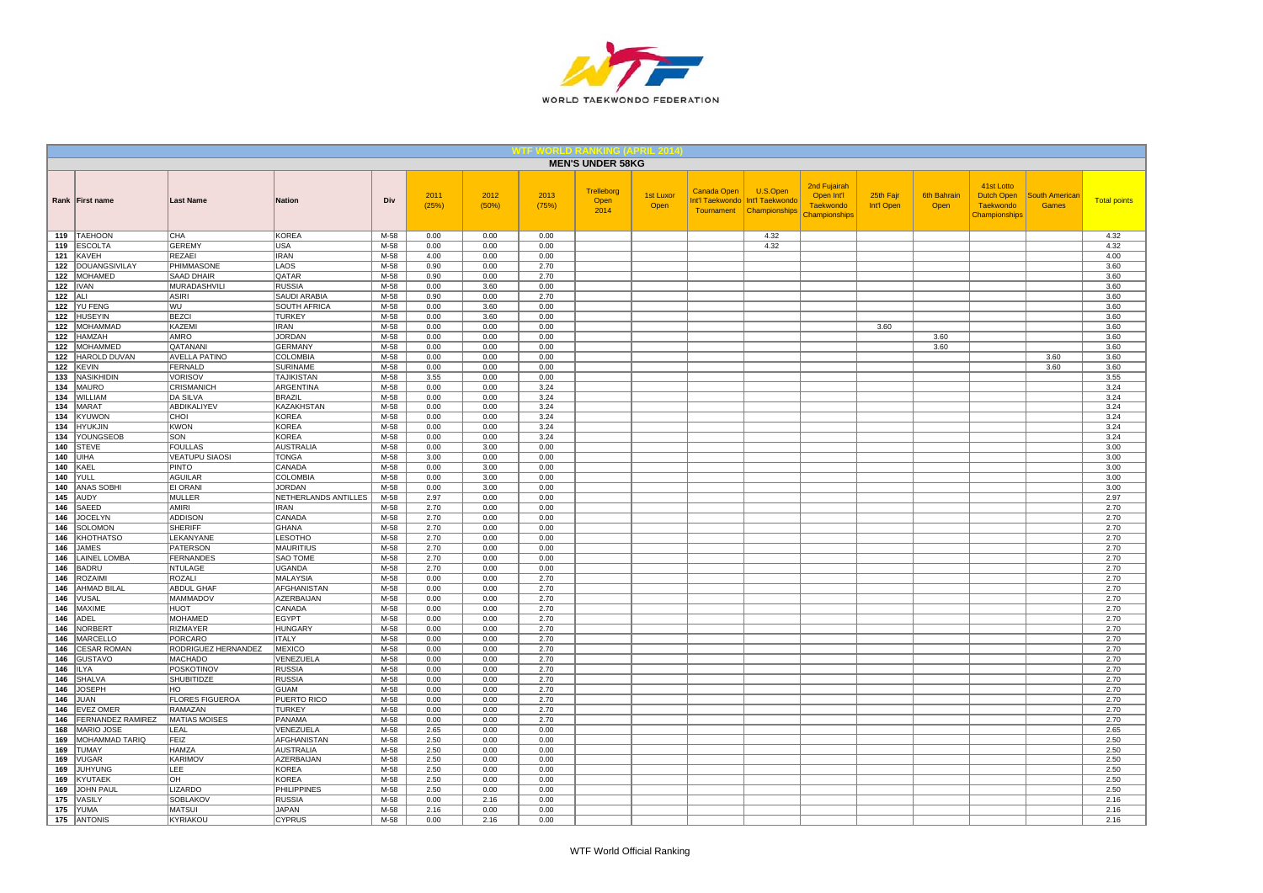

|            |                                    |                                         |                                     |                  |               |               |               | <b>MEN'S UNDER 58KG</b>    |                   |             |                                                                           |                                                                 |                         |                            |                                                                      |                                       |                     |
|------------|------------------------------------|-----------------------------------------|-------------------------------------|------------------|---------------|---------------|---------------|----------------------------|-------------------|-------------|---------------------------------------------------------------------------|-----------------------------------------------------------------|-------------------------|----------------------------|----------------------------------------------------------------------|---------------------------------------|---------------------|
|            | Rank First name                    | <b>Last Name</b>                        | <b>Nation</b>                       | Div              | 2011<br>(25%) | 2012<br>(50%) | 2013<br>(75%) | Trelleborg<br>Open<br>2014 | 1st Luxor<br>Open | Canada Open | U.S.Open<br>Int'l Taekwondo   Int'l Taekwondo<br>Tournament Championships | 2nd Fujairah<br>Open Int'l<br><b>Taekwondo</b><br>Championships | 25th Fajr<br>Int'l Open | <b>6th Bahrain</b><br>Open | 41st Lotto<br><b>Dutch Open</b><br><b>Taekwondo</b><br>Championships | <b>South American</b><br><b>Games</b> | <b>Total points</b> |
|            | 119 TAEHOON                        | CHA                                     | <b>KOREA</b>                        | M-58             | 0.00          | 0.00          | 0.00          |                            |                   |             | 4.32                                                                      |                                                                 |                         |                            |                                                                      |                                       | 4.32                |
|            | 119 ESCOLTA                        | <b>GEREMY</b>                           | <b>USA</b>                          | $M-58$           | 0.00          | 0.00          | 0.00          |                            |                   |             | 4.32                                                                      |                                                                 |                         |                            |                                                                      |                                       | 4.32                |
|            | 121 KAVEH<br>122 DOUANGSIVILAY     | <b>REZAEI</b><br>PHIMMASONE             | <b>IRAN</b><br>LAOS                 | $M-58$<br>$M-58$ | 4.00<br>0.90  | 0.00<br>0.00  | 0.00<br>2.70  |                            |                   |             |                                                                           |                                                                 |                         |                            |                                                                      |                                       | 4.00<br>3.60        |
|            | 122 MOHAMED                        | <b>SAAD DHAIR</b>                       | QATAR                               | M-58             | 0.90          | 0.00          | 2.70          |                            |                   |             |                                                                           |                                                                 |                         |                            |                                                                      |                                       | 3.60                |
|            | $122$ <b>IVAN</b>                  | MURADASHVIL                             | <b>RUSSIA</b>                       | M-58             | 0.00          | 3.60          | 0.00          |                            |                   |             |                                                                           |                                                                 |                         |                            |                                                                      |                                       | 3.60                |
| $122$ ALI  |                                    | <b>ASIRI</b>                            | <b>SAUDI ARABIA</b>                 | $M-58$           | 0.90          | 0.00          | 2.70          |                            |                   |             |                                                                           |                                                                 |                         |                            |                                                                      |                                       | 3.60                |
|            | 122 YU FENG                        | WU                                      | <b>SOUTH AFRICA</b>                 | M-58             | 0.00          | 3.60          | 0.00          |                            |                   |             |                                                                           |                                                                 |                         |                            |                                                                      |                                       | 3.60                |
|            | 122 HUSEYIN                        | <b>BEZCI</b>                            | <b>TURKEY</b>                       | M-58             | 0.00          | 3.60          | 0.00          |                            |                   |             |                                                                           |                                                                 |                         |                            |                                                                      |                                       | 3.60                |
| 122        | MOHAMMAD                           | KAZEMI                                  | <b>IRAN</b>                         | M-58             | 0.00          | 0.00          | 0.00          |                            |                   |             |                                                                           |                                                                 | 3.60                    |                            |                                                                      |                                       | 3.60                |
|            | 122 HAMZAH                         | <b>AMRO</b>                             | <b>JORDAN</b>                       | M-58             | 0.00          | 0.00          | 0.00          |                            |                   |             |                                                                           |                                                                 |                         | 3.60                       |                                                                      |                                       | 3.60                |
|            | 122   MOHAMMED<br>122 HAROLD DUVAN | QATANANI<br><b>AVELLA PATINO</b>        | GERMANY<br>COLOMBIA                 | $M-58$<br>M-58   | 0.00<br>0.00  | 0.00<br>0.00  | 0.00<br>0.00  |                            |                   |             |                                                                           |                                                                 |                         | 3.60                       |                                                                      | 3.60                                  | 3.60<br>3.60        |
|            | 122 KEVIN                          | <b>FERNALD</b>                          | <b>SURINAME</b>                     | M-58             | 0.00          | 0.00          | 0.00          |                            |                   |             |                                                                           |                                                                 |                         |                            |                                                                      | 3.60                                  | 3.60                |
| 133        | <b>NASIKHIDIN</b>                  | <b>VORISOV</b>                          | <b>TAJIKISTAN</b>                   | M-58             | 3.55          | 0.00          | 0.00          |                            |                   |             |                                                                           |                                                                 |                         |                            |                                                                      |                                       | 3.55                |
|            | 134   MAURO                        | <b>CRISMANICH</b>                       | <b>ARGENTINA</b>                    | $M-58$           | 0.00          | 0.00          | 3.24          |                            |                   |             |                                                                           |                                                                 |                         |                            |                                                                      |                                       | 3.24                |
|            | 134 WILLIAM                        | <b>DA SILVA</b>                         | <b>BRAZIL</b>                       | $M-58$           | 0.00          | 0.00          | 3.24          |                            |                   |             |                                                                           |                                                                 |                         |                            |                                                                      |                                       | 3.24                |
|            | 134 MARAT                          | <b>ABDIKALIYEV</b>                      | <b>KAZAKHSTAN</b>                   | $M-58$           | 0.00          | 0.00          | 3.24          |                            |                   |             |                                                                           |                                                                 |                         |                            |                                                                      |                                       | 3.24                |
|            | 134 KYUWON                         | CHOI                                    | <b>KOREA</b>                        | M-58             | 0.00          | 0.00          | 3.24          |                            |                   |             |                                                                           |                                                                 |                         |                            |                                                                      |                                       | 3.24                |
|            | 134 HYUKJIN                        | <b>KWON</b>                             | <b>KOREA</b>                        | M-58             | 0.00          | 0.00          | 3.24          |                            |                   |             |                                                                           |                                                                 |                         |                            |                                                                      |                                       | 3.24                |
|            | 134 YOUNGSEOB                      | SON                                     | <b>KOREA</b>                        | M-58             | 0.00          | 0.00          | 3.24          |                            |                   |             |                                                                           |                                                                 |                         |                            |                                                                      |                                       | 3.24                |
|            | 140 STEVE<br><b>140 JUIHA</b>      | <b>FOULLAS</b><br><b>VEATUPU SIAOSI</b> | AUSTRALIA<br><b>TONGA</b>           | M-58<br>M-58     | 0.00<br>3.00  | 3.00<br>0.00  | 0.00<br>0.00  |                            |                   |             |                                                                           |                                                                 |                         |                            |                                                                      |                                       | 3.00<br>3.00        |
|            | <b>140 KAEL</b>                    | PINTO                                   | CANADA                              | M-58             | 0.00          | 3.00          | 0.00          |                            |                   |             |                                                                           |                                                                 |                         |                            |                                                                      |                                       | 3.00                |
|            | <b>140 YULL</b>                    | <b>AGUILAR</b>                          | <b>COLOMBIA</b>                     | M-58             | 0.00          | 3.00          | 0.00          |                            |                   |             |                                                                           |                                                                 |                         |                            |                                                                      |                                       | 3.00                |
|            | 140 ANAS SOBHI                     | <b>EI ORANI</b>                         | <b>JORDAN</b>                       | M-58             | 0.00          | 3.00          | 0.00          |                            |                   |             |                                                                           |                                                                 |                         |                            |                                                                      |                                       | 3.00                |
|            | 145 AUDY                           | <b>MULLER</b>                           | NETHERLANDS ANTILLES                | M-58             | 2.97          | 0.00          | 0.00          |                            |                   |             |                                                                           |                                                                 |                         |                            |                                                                      |                                       | 2.97                |
|            | 146 SAEED                          | <b>AMIRI</b>                            | <b>IRAN</b>                         | M-58             | 2.70          | 0.00          | 0.00          |                            |                   |             |                                                                           |                                                                 |                         |                            |                                                                      |                                       | 2.70                |
| 146        | JOCELYN                            | <b>ADDISON</b>                          | CANADA                              | M-58             | 2.70          | 0.00          | 0.00          |                            |                   |             |                                                                           |                                                                 |                         |                            |                                                                      |                                       | 2.70                |
| 146        | SOLOMON                            | <b>SHERIFF</b>                          | <b>GHANA</b>                        | $M-58$           | 2.70          | 0.00          | 0.00          |                            |                   |             |                                                                           |                                                                 |                         |                            |                                                                      |                                       | 2.70                |
|            | 146 KHOTHATSO                      | LEKANYANE                               | <b>LESOTHO</b>                      | $M-58$           | 2.70          | 0.00          | 0.00          |                            |                   |             |                                                                           |                                                                 |                         |                            |                                                                      |                                       | 2.70                |
| 146        | 146 JAMES<br>LAINEL LOMBA          | <b>PATERSON</b><br><b>FERNANDES</b>     | <b>MAURITIUS</b><br><b>SAO TOME</b> | M-58<br>M-58     | 2.70<br>2.70  | 0.00<br>0.00  | 0.00<br>0.00  |                            |                   |             |                                                                           |                                                                 |                         |                            |                                                                      |                                       | 2.70<br>2.70        |
| 146        | BADRU                              | <b>NTULAGE</b>                          | UGANDA                              | M-58             | 2.70          | 0.00          | 0.00          |                            |                   |             |                                                                           |                                                                 |                         |                            |                                                                      |                                       | 2.70                |
| 146        | ROZAIMI                            | <b>ROZALI</b>                           | <b>MALAYSIA</b>                     | M-58             | 0.00          | 0.00          | 2.70          |                            |                   |             |                                                                           |                                                                 |                         |                            |                                                                      |                                       | 2.70                |
|            | 146 AHMAD BILAL                    | ABDUL GHAF                              | AFGHANISTAN                         | $M-58$           | 0.00          | 0.00          | 2.70          |                            |                   |             |                                                                           |                                                                 |                         |                            |                                                                      |                                       | 2.70                |
|            | 146 VUSAL                          | <b>MAMMADOV</b>                         | AZERBAIJAN                          | M-58             | 0.00          | 0.00          | 2.70          |                            |                   |             |                                                                           |                                                                 |                         |                            |                                                                      |                                       | 2.70                |
|            | 146   MAXIME                       | <b>HUOT</b>                             | CANADA                              | M-58             | 0.00          | 0.00          | 2.70          |                            |                   |             |                                                                           |                                                                 |                         |                            |                                                                      |                                       | 2.70                |
| 146        | <b>ADEL</b>                        | <b>MOHAMED</b>                          | EGYPT                               | M-58             | 0.00          | 0.00          | 2.70          |                            |                   |             |                                                                           |                                                                 |                         |                            |                                                                      |                                       | 2.70                |
|            | 146   NORBERT                      | <b>RIZMAYER</b>                         | <b>HUNGARY</b>                      | $M-58$           | 0.00          | 0.00          | 2.70          |                            |                   |             |                                                                           |                                                                 |                         |                            |                                                                      |                                       | 2.70                |
|            | 146   MARCELLO                     | <b>PORCARO</b>                          | <b>ITALY</b>                        | M-58             | 0.00          | 0.00          | 2.70          |                            |                   |             |                                                                           |                                                                 |                         |                            |                                                                      |                                       | 2.70                |
|            | 146 CESAR ROMAN<br>146 GUSTAVO     | RODRIGUEZ HERNANDEZ<br><b>MACHADO</b>   | MEXICO<br>VENEZUELA                 | M-58<br>M-58     | 0.00<br>0.00  | 0.00<br>0.00  | 2.70<br>2.70  |                            |                   |             |                                                                           |                                                                 |                         |                            |                                                                      |                                       | 2.70<br>2.70        |
|            | <b>146 ILYA</b>                    | POSKOTINOV                              | <b>RUSSIA</b>                       | M-58             | 0.00          | 0.00          | 2.70          |                            |                   |             |                                                                           |                                                                 |                         |                            |                                                                      |                                       | 2.70                |
|            | 146 SHALVA                         | <b>SHUBITIDZE</b>                       | <b>RUSSIA</b>                       | $M-58$           | 0.00          | 0.00          | 2.70          |                            |                   |             |                                                                           |                                                                 |                         |                            |                                                                      |                                       | 2.70                |
|            | 146 JOSEPH                         | HO                                      | <b>GUAM</b>                         | M-58             | 0.00          | 0.00          | 2.70          |                            |                   |             |                                                                           |                                                                 |                         |                            |                                                                      |                                       | 2.70                |
|            | $146$ JUAN                         | <b>FLORES FIGUEROA</b>                  | PUERTO RICO                         | M-58             | 0.00          | 0.00          | 2.70          |                            |                   |             |                                                                           |                                                                 |                         |                            |                                                                      |                                       | 2.70                |
|            | 146   EVEZ OMER                    | RAMAZAN                                 | <b>TURKEY</b>                       | M-58             | 0.00          | 0.00          | 2.70          |                            |                   |             |                                                                           |                                                                 |                         |                            |                                                                      |                                       | 2.70                |
|            | 146 FERNANDEZ RAMIREZ              | <b>MATIAS MOISES</b>                    | PANAMA                              | M-58             | 0.00          | 0.00          | 2.70          |                            |                   |             |                                                                           |                                                                 |                         |                            |                                                                      |                                       | 2.70                |
|            | 168   MARIO JOSE                   | LEAL                                    | VENEZUELA                           | $M-58$           | 2.65          | 0.00          | 0.00          |                            |                   |             |                                                                           |                                                                 |                         |                            |                                                                      |                                       | 2.65                |
|            | 169 MOHAMMAD TARIQ                 | FEIZ                                    | AFGHANISTAN                         | M-58             | 2.50          | 0.00          | 0.00          |                            |                   |             |                                                                           |                                                                 |                         |                            |                                                                      |                                       | 2.50                |
|            | 169 TUMAY                          | HAMZA                                   | <b>AUSTRALIA</b>                    | M-58             | 2.50          | 0.00          | 0.00          |                            |                   |             |                                                                           |                                                                 |                         |                            |                                                                      |                                       | 2.50                |
| 169<br>169 | <b>VUGAR</b><br>JUHYUNG            | KARIMOV<br><b>LEE</b>                   | AZERBAIJAN<br><b>KOREA</b>          | M-58<br>M-58     | 2.50<br>2.50  | 0.00<br>0.00  | 0.00<br>0.00  |                            |                   |             |                                                                           |                                                                 |                         |                            |                                                                      |                                       | 2.50<br>2.50        |
|            | 169 KYUTAEK                        | OH                                      | <b>KOREA</b>                        | M-58             | 2.50          | 0.00          | 0.00          |                            |                   |             |                                                                           |                                                                 |                         |                            |                                                                      |                                       | 2.50                |
|            | 169 JOHN PAUL                      | LIZARDO                                 | <b>PHILIPPINES</b>                  | M-58             | 2.50          | 0.00          | 0.00          |                            |                   |             |                                                                           |                                                                 |                         |                            |                                                                      |                                       | 2.50                |
|            | 175 VASILY                         | <b>SOBLAKOV</b>                         | <b>RUSSIA</b>                       | M-58             | 0.00          | 2.16          | 0.00          |                            |                   |             |                                                                           |                                                                 |                         |                            |                                                                      |                                       | 2.16                |
|            | <b>175</b> YUMA                    | <b>MATSUI</b>                           | <b>JAPAN</b>                        | M-58             | 2.16          | 0.00          | 0.00          |                            |                   |             |                                                                           |                                                                 |                         |                            |                                                                      |                                       | 2.16                |
|            | 175 ANTONIS                        | KYRIAKOU                                | <b>CYPRUS</b>                       | $M-58$           | 0.00          | 2.16          | 0.00          |                            |                   |             |                                                                           |                                                                 |                         |                            |                                                                      |                                       | 2.16                |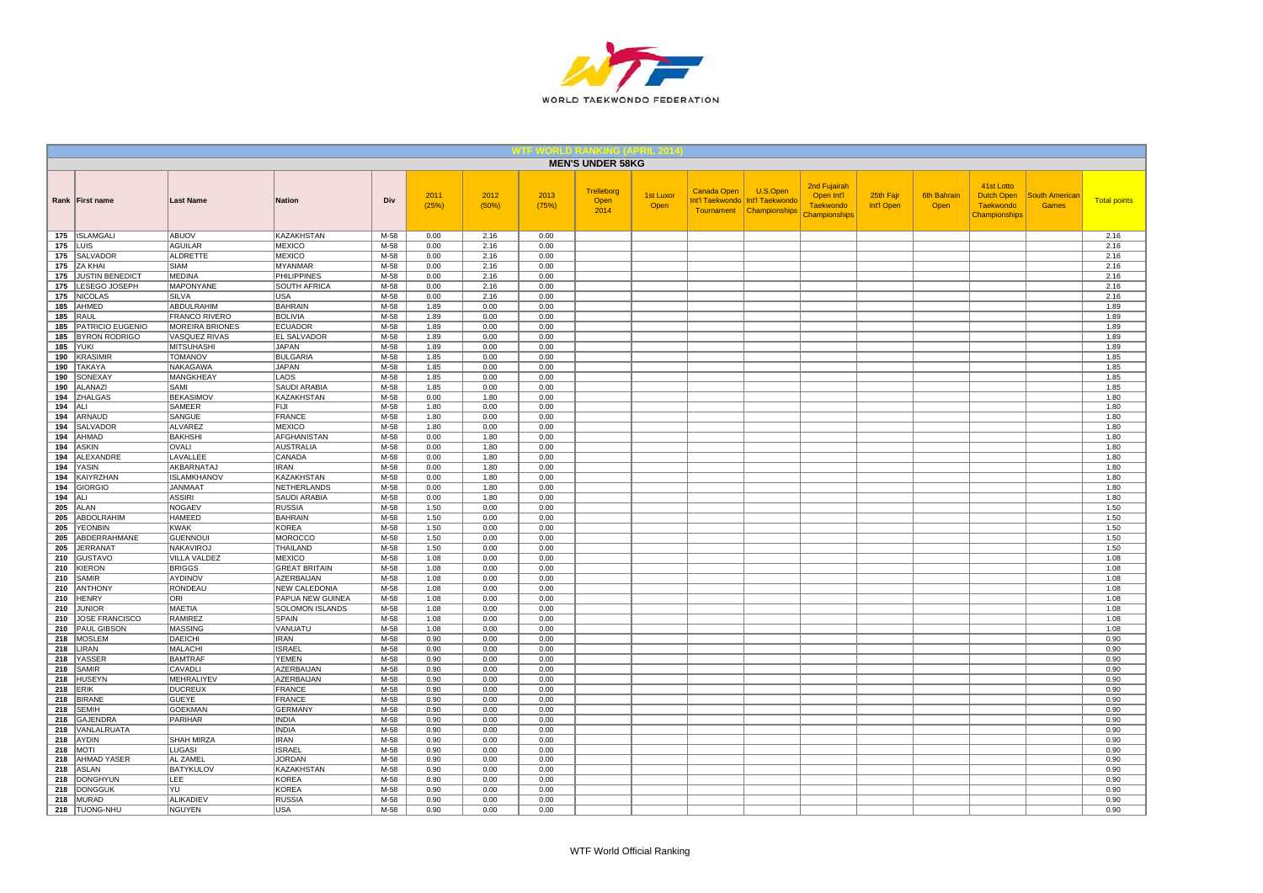

|            |                                   |                                  |                                   |              |               |               |               | <b>MEN'S UNDER 58KG</b>    |                   |                                  |                                                                |                                                                 |                         |                            |                                                               |                                       |                     |
|------------|-----------------------------------|----------------------------------|-----------------------------------|--------------|---------------|---------------|---------------|----------------------------|-------------------|----------------------------------|----------------------------------------------------------------|-----------------------------------------------------------------|-------------------------|----------------------------|---------------------------------------------------------------|---------------------------------------|---------------------|
|            | Rank   First name                 | <b>Last Name</b>                 | <b>Nation</b>                     | Div          | 2011<br>(25%) | 2012<br>(50%) | 2013<br>(75%) | Trelleborg<br>Open<br>2014 | 1st Luxor<br>Open | <b>Canada Open</b><br>Tournament | U.S.Open<br>Int'l Taekwondo   Int'l Taekwondo<br>Championships | 2nd Fujairah<br>Open Int'l<br><b>Taekwondo</b><br>Championships | 25th Fajr<br>Int'l Open | <b>6th Bahrain</b><br>Open | 41st Lotto<br>Dutch Open<br><b>Taekwondo</b><br>Championships | <b>South American</b><br><b>Games</b> | <b>Total points</b> |
|            | 175   ISLAMGALI                   | ABUOV                            | KAZAKHSTAN                        | M-58         | 0.00          | 2.16          | 0.00          |                            |                   |                                  |                                                                |                                                                 |                         |                            |                                                               |                                       | 2.16                |
|            | $175$ LUIS                        | <b>AGUILAR</b>                   | <b>MEXICO</b>                     | M-58         | 0.00          | 2.16          | 0.00          |                            |                   |                                  |                                                                |                                                                 |                         |                            |                                                               |                                       | 2.16                |
|            | 175 SALVADOR                      | <b>ALDRETTE</b>                  | <b>MEXICO</b>                     | M-58         | 0.00          | 2.16          | 0.00          |                            |                   |                                  |                                                                |                                                                 |                         |                            |                                                               |                                       | 2.16                |
|            | 175 ZA KHAI                       | SIAM                             | MYANMAR                           | M-58         | 0.00          | 2.16          | 0.00          |                            |                   |                                  |                                                                |                                                                 |                         |                            |                                                               |                                       | 2.16                |
| 175        | <b>JUSTIN BENEDICT</b>            | <b>MEDINA</b>                    | <b>PHILIPPINES</b>                | M-58         | 0.00          | 2.16          | 0.00          |                            |                   |                                  |                                                                |                                                                 |                         |                            |                                                               |                                       | 2.16                |
|            | 175   LESEGO JOSEPH               | MAPONYANE                        | <b>SOUTH AFRICA</b>               | M-58         | 0.00          | 2.16          | 0.00          |                            |                   |                                  |                                                                |                                                                 |                         |                            |                                                               |                                       | 2.16                |
|            | 175 NICOLAS                       | SILVA<br>ABDULRAHIM              | USA                               | M-58         | 0.00          | 2.16          | 0.00          |                            |                   |                                  |                                                                |                                                                 |                         |                            |                                                               |                                       | 2.16                |
| 185        | AHMED<br>RAUL                     | <b>FRANCO RIVERO</b>             | <b>BAHRAIN</b><br><b>BOLIVIA</b>  | M-58<br>M-58 | 1.89<br>1.89  | 0.00<br>0.00  | 0.00          |                            |                   |                                  |                                                                |                                                                 |                         |                            |                                                               |                                       | 1.89<br>1.89        |
| 185<br>185 | <b>PATRICIO EUGENIO</b>           | <b>MOREIRA BRIONES</b>           | <b>ECUADOR</b>                    | M-58         | 1.89          | 0.00          | 0.00<br>0.00  |                            |                   |                                  |                                                                |                                                                 |                         |                            |                                                               |                                       | 1.89                |
| 185        | <b>BYRON RODRIGO</b>              | VASQUEZ RIVAS                    | <b>EL SALVADOR</b>                | M-58         | 1.89          | 0.00          | 0.00          |                            |                   |                                  |                                                                |                                                                 |                         |                            |                                                               |                                       | 1.89                |
| 185        | <b>YUKI</b>                       | <b>MITSUHASHI</b>                | JAPAN                             | M-58         | 1.89          | 0.00          | 0.00          |                            |                   |                                  |                                                                |                                                                 |                         |                            |                                                               |                                       | 1.89                |
| 190        | KRASIMIR                          | <b>TOMANOV</b>                   | <b>BULGARIA</b>                   | M-58         | 1.85          | 0.00          | 0.00          |                            |                   |                                  |                                                                |                                                                 |                         |                            |                                                               |                                       | 1.85                |
| 190        | <b>TAKAYA</b>                     | NAKAGAWA                         | <b>JAPAN</b>                      | M-58         | 1.85          | 0.00          | 0.00          |                            |                   |                                  |                                                                |                                                                 |                         |                            |                                                               |                                       | 1.85                |
| 190        | SONEXAY                           | <b>MANGKHEAY</b>                 | LAOS                              | M-58         | 1.85          | 0.00          | 0.00          |                            |                   |                                  |                                                                |                                                                 |                         |                            |                                                               |                                       | 1.85                |
| 190        | ALANAZI                           | SAMI                             | SAUDI ARABIA                      | M-58         | 1.85          | 0.00          | 0.00          |                            |                   |                                  |                                                                |                                                                 |                         |                            |                                                               |                                       | 1.85                |
| 194        | <b>ZHALGAS</b>                    | <b>BEKASIMOV</b>                 | <b>KAZAKHSTAN</b>                 | M-58         | 0.00          | 1.80          | 0.00          |                            |                   |                                  |                                                                |                                                                 |                         |                            |                                                               |                                       | 1.80                |
| 194   ALI  |                                   | SAMEER                           | <b>FIJI</b>                       | M-58         | 1.80          | 0.00          | 0.00          |                            |                   |                                  |                                                                |                                                                 |                         |                            |                                                               |                                       | 1.80                |
|            | 194 ARNAUD                        | SANGUE                           | FRANCE                            | M-58         | 1.80          | 0.00          | 0.00          |                            |                   |                                  |                                                                |                                                                 |                         |                            |                                                               |                                       | 1.80                |
| 194        | <b>SALVADOR</b>                   | ALVAREZ                          | <b>MEXICO</b>                     | M-58         | 1.80          | 0.00          | 0.00          |                            |                   |                                  |                                                                |                                                                 |                         |                            |                                                               |                                       | 1.80                |
| 194        | AHMAD                             | <b>BAKHSHI</b>                   | AFGHANISTAN                       | M-58         | 0.00          | 1.80          | 0.00          |                            |                   |                                  |                                                                |                                                                 |                         |                            |                                                               |                                       | 1.80                |
| 194        | <b>ASKIN</b>                      | OVALI                            | <b>AUSTRALIA</b>                  | M-58         | 0.00          | 1.80          | 0.00          |                            |                   |                                  |                                                                |                                                                 |                         |                            |                                                               |                                       | 1.80                |
| 194        | ALEXANDRE                         | LAVALLEE                         | CANADA                            | M-58         | 0.00          | 1.80          | 0.00          |                            |                   |                                  |                                                                |                                                                 |                         |                            |                                                               |                                       | 1.80                |
| 194        | YASIN                             | AKBARNATAJ<br><b>ISLAMKHANOV</b> | <b>IRAN</b>                       | M-58         | 0.00          | 1.80          | 0.00          |                            |                   |                                  |                                                                |                                                                 |                         |                            |                                                               |                                       | 1.80                |
| 194<br>194 | KAIYRZHAN<br>GIORGIO              | <b>JANMAAT</b>                   | KAZAKHSTAN<br>NETHERLANDS         | M-58<br>M-58 | 0.00<br>0.00  | 1.80<br>1.80  | 0.00<br>0.00  |                            |                   |                                  |                                                                |                                                                 |                         |                            |                                                               |                                       | 1.80<br>1.80        |
| $194$ ALI  |                                   | <b>ASSIRI</b>                    | <b>SAUDI ARABIA</b>               | M-58         | 0.00          | 1.80          | 0.00          |                            |                   |                                  |                                                                |                                                                 |                         |                            |                                                               |                                       | 1.80                |
| 205        | <b>ALAN</b>                       | NOGAEV                           | <b>RUSSIA</b>                     | M-58         | 1.50          | 0.00          | 0.00          |                            |                   |                                  |                                                                |                                                                 |                         |                            |                                                               |                                       | 1.50                |
| 205        | ABDOLRAHIM                        | <b>HAMEED</b>                    | <b>BAHRAIN</b>                    | M-58         | 1.50          | 0.00          | 0.00          |                            |                   |                                  |                                                                |                                                                 |                         |                            |                                                               |                                       | 1.50                |
| 205        | <b>YEONBIN</b>                    | <b>KWAK</b>                      | <b>KOREA</b>                      | M-58         | 1.50          | 0.00          | 0.00          |                            |                   |                                  |                                                                |                                                                 |                         |                            |                                                               |                                       | 1.50                |
| 205        | ABDERRAHMANE                      | <b>GUENNOUI</b>                  | <b>MOROCCO</b>                    | M-58         | 1.50          | 0.00          | 0.00          |                            |                   |                                  |                                                                |                                                                 |                         |                            |                                                               |                                       | 1.50                |
| 205        | <b>JERRANAT</b>                   | <b>NAKAVIROJ</b>                 | <b>THAILAND</b>                   | M-58         | 1.50          | 0.00          | 0.00          |                            |                   |                                  |                                                                |                                                                 |                         |                            |                                                               |                                       | 1.50                |
| 210        | GUSTAVO                           | <b>VILLA VALDEZ</b>              | <b>MEXICO</b>                     | M-58         | 1.08          | 0.00          | 0.00          |                            |                   |                                  |                                                                |                                                                 |                         |                            |                                                               |                                       | 1.08                |
|            | 210 KIERON                        | <b>BRIGGS</b>                    | <b>GREAT BRITAIN</b>              | M-58         | 1.08          | 0.00          | 0.00          |                            |                   |                                  |                                                                |                                                                 |                         |                            |                                                               |                                       | 1.08                |
|            | 210 SAMIR                         | <b>AYDINOV</b>                   | AZERBAIJAN                        | M-58         | 1.08          | 0.00          | 0.00          |                            |                   |                                  |                                                                |                                                                 |                         |                            |                                                               |                                       | 1.08                |
|            | 210 ANTHONY                       | RONDEAU                          | NEW CALEDONIA                     | M-58         | 1.08          | 0.00          | 0.00          |                            |                   |                                  |                                                                |                                                                 |                         |                            |                                                               |                                       | 1.08                |
| 210        | <b>HENRY</b>                      | ORI                              | PAPUA NEW GUINEA                  | M-58         | 1.08          | 0.00          | 0.00          |                            |                   |                                  |                                                                |                                                                 |                         |                            |                                                               |                                       | 1.08                |
| 210        | JUNIOR                            | <b>MAETIA</b>                    | SOLOMON ISLANDS                   | M-58         | 1.08          | 0.00          | 0.00          |                            |                   |                                  |                                                                |                                                                 |                         |                            |                                                               |                                       | 1.08                |
|            | 210 JOSE FRANCISCO                | RAMIREZ                          | SPAIN                             | M-58         | 1.08          | 0.00          | 0.00          |                            |                   |                                  |                                                                |                                                                 |                         |                            |                                                               |                                       | 1.08                |
|            | 210   PAUL GIBSON<br>218   MOSLEM | MASSING<br>DAEICHI               | VANUATU<br><b>IRAN</b>            | M-58<br>M-58 | 1.08<br>0.90  | 0.00<br>0.00  | 0.00<br>0.00  |                            |                   |                                  |                                                                |                                                                 |                         |                            |                                                               |                                       | 1.08<br>0.90        |
|            | $218$ LIRAN                       | <b>MALACHI</b>                   | <b>ISRAEL</b>                     | M-58         | 0.90          | 0.00          | 0.00          |                            |                   |                                  |                                                                |                                                                 |                         |                            |                                                               |                                       | 0.90                |
|            | 218 YASSER                        | <b>BAMTRAF</b>                   | <b>YEMEN</b>                      | M-58         | 0.90          | 0.00          | 0.00          |                            |                   |                                  |                                                                |                                                                 |                         |                            |                                                               |                                       | 0.90                |
|            | 218 SAMIR                         | CAVADLI                          | AZERBAIJAN                        | M-58         | 0.90          | 0.00          | 0.00          |                            |                   |                                  |                                                                |                                                                 |                         |                            |                                                               |                                       | 0.90                |
|            | 218 HUSEYN                        | MEHRALIYEV                       | AZERBAIJAN                        | M-58         | 0.90          | 0.00          | 0.00          |                            |                   |                                  |                                                                |                                                                 |                         |                            |                                                               |                                       | 0.90                |
|            | <b>218 ERIK</b>                   | <b>DUCREUX</b>                   | <b>FRANCE</b>                     | M-58         | 0.90          | 0.00          | 0.00          |                            |                   |                                  |                                                                |                                                                 |                         |                            |                                                               |                                       | 0.90                |
|            | 218 BIRANE                        | <b>GUEYE</b>                     | <b>FRANCE</b>                     | M-58         | 0.90          | 0.00          | 0.00          |                            |                   |                                  |                                                                |                                                                 |                         |                            |                                                               |                                       | 0.90                |
|            | 218 SEMIH                         | <b>GOEKMAN</b>                   | <b>GERMANY</b>                    | M-58         | 0.90          | 0.00          | 0.00          |                            |                   |                                  |                                                                |                                                                 |                         |                            |                                                               |                                       | 0.90                |
|            | 218 GAJENDRA                      | PARIHAR                          | <b>INDIA</b>                      | M-58         | 0.90          | 0.00          | 0.00          |                            |                   |                                  |                                                                |                                                                 |                         |                            |                                                               |                                       | 0.90                |
|            | 218   VANLALRUATA                 |                                  | <b>INDIA</b>                      | M-58         | 0.90          | 0.00          | 0.00          |                            |                   |                                  |                                                                |                                                                 |                         |                            |                                                               |                                       | 0.90                |
|            | $218$   AYDIN                     | <b>SHAH MIRZA</b>                | <b>IRAN</b>                       | M-58         | 0.90          | 0.00          | 0.00          |                            |                   |                                  |                                                                |                                                                 |                         |                            |                                                               |                                       | 0.90                |
|            | 218   MOTI                        | LUGASI                           | <b>ISRAEL</b>                     | M-58         | 0.90          | 0.00          | 0.00          |                            |                   |                                  |                                                                |                                                                 |                         |                            |                                                               |                                       | 0.90                |
|            | 218 AHMAD YASER                   | AL ZAMEL                         | <b>JORDAN</b>                     | M-58         | 0.90          | 0.00          | 0.00          |                            |                   |                                  |                                                                |                                                                 |                         |                            |                                                               |                                       | 0.90                |
| 218        | $218$ ASLAN                       | <b>BATYKULOV</b><br>LEE          | <b>KAZAKHSTAN</b><br><b>KOREA</b> | M-58<br>M-58 | 0.90          | 0.00<br>0.00  | 0.00          |                            |                   |                                  |                                                                |                                                                 |                         |                            |                                                               |                                       | 0.90                |
|            | <b>DONGHYUN</b><br>218   DONGGUK  | YU                               | <b>KOREA</b>                      | M-58         | 0.90<br>0.90  | 0.00          | 0.00<br>0.00  |                            |                   |                                  |                                                                |                                                                 |                         |                            |                                                               |                                       | 0.90<br>0.90        |
|            | 218 MURAD                         | ALIKADIEV                        | <b>RUSSIA</b>                     | M-58         | 0.90          | 0.00          | 0.00          |                            |                   |                                  |                                                                |                                                                 |                         |                            |                                                               |                                       | 0.90                |
|            | 218   TUONG-NHU                   | <b>NGUYEN</b>                    | USA                               | M-58         | 0.90          | 0.00          | 0.00          |                            |                   |                                  |                                                                |                                                                 |                         |                            |                                                               |                                       | 0.90                |
|            |                                   |                                  |                                   |              |               |               |               |                            |                   |                                  |                                                                |                                                                 |                         |                            |                                                               |                                       |                     |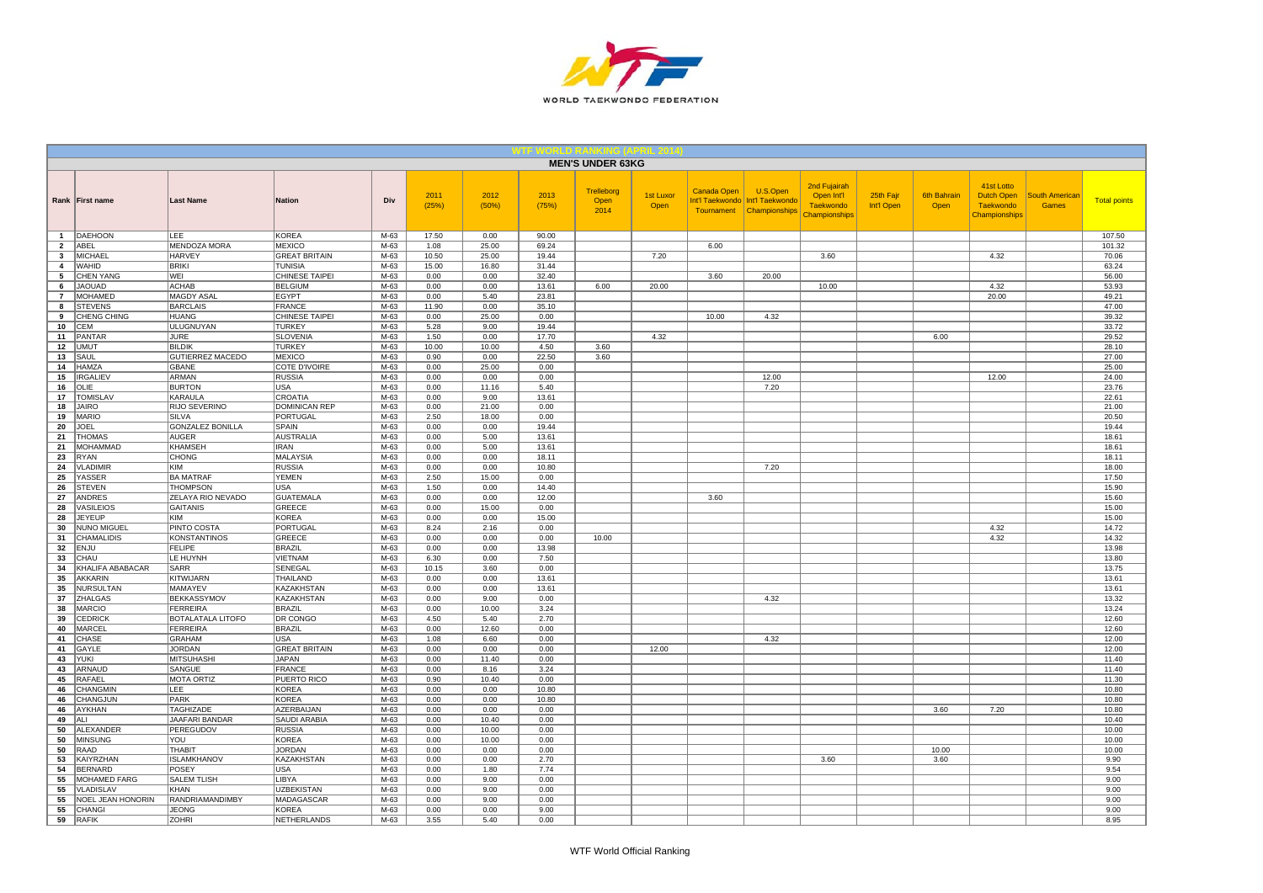

|                                |                                     |                                        |                                       |                  |               |                |                | <b>MEN'S UNDER 63KG</b>           |                          |             |                                                                         |                                                                        |                         |                            |                                                               |                                       |                     |
|--------------------------------|-------------------------------------|----------------------------------------|---------------------------------------|------------------|---------------|----------------|----------------|-----------------------------------|--------------------------|-------------|-------------------------------------------------------------------------|------------------------------------------------------------------------|-------------------------|----------------------------|---------------------------------------------------------------|---------------------------------------|---------------------|
|                                | Rank First name                     | <b>Last Name</b>                       | <b>Nation</b>                         | Div              | 2011<br>(25%) | 2012<br>(50%)  | 2013<br>(75%)  | <b>Trelleborg</b><br>Open<br>2014 | <b>1st Luxor</b><br>Open | Canada Open | U.S.Open<br>Int'l Taekwondo Int'l Taekwondo<br>Tournament Championships | 2nd Fujairah<br>Open Int'l<br><b>Taekwondo</b><br><b>Championships</b> | 25th Fajr<br>Int'l Open | <b>6th Bahrain</b><br>Open | 41st Lotto<br>Dutch Open<br><b>Taekwondo</b><br>Championships | <b>South American</b><br><b>Games</b> | <b>Total points</b> |
| $\overline{1}$                 | DAEHOON                             | LEE                                    | <b>KOREA</b>                          | M-63             | 17.50         | 0.00           | 90.00          |                                   |                          |             |                                                                         |                                                                        |                         |                            |                                                               |                                       | 107.50              |
| $\overline{2}$<br>$\mathbf{3}$ | ABEL<br><b>MICHAEL</b>              | <b>MENDOZA MORA</b><br><b>HARVEY</b>   | <b>MEXICO</b><br><b>GREAT BRITAIN</b> | $M-63$<br>$M-63$ | 1.08<br>10.50 | 25.00<br>25.00 | 69.24<br>19.44 |                                   | 7.20                     | 6.00        |                                                                         | 3.60                                                                   |                         |                            | 4.32                                                          |                                       | 101.32<br>70.06     |
| 4                              | <b>WAHID</b>                        | <b>BRIKI</b>                           | <b>TUNISIA</b>                        | $M-63$           | 15.00         | 16.80          | 31.44          |                                   |                          |             |                                                                         |                                                                        |                         |                            |                                                               |                                       | 63.24               |
| 5                              | <b>CHEN YANG</b>                    | WEI                                    | CHINESE TAIPEI                        | M-63             | 0.00          | 0.00           | 32.40          |                                   |                          | 3.60        | 20.00                                                                   |                                                                        |                         |                            |                                                               |                                       | 56.00               |
| 6                              | <b>JAOUAD</b>                       | <b>ACHAB</b>                           | <b>BELGIUM</b>                        | M-63             | 0.00          | 0.00           | 13.61          | 6.00                              | 20.00                    |             |                                                                         | 10.00                                                                  |                         |                            | 4.32                                                          |                                       | 53.93               |
| $\overline{7}$                 | <b>MOHAMED</b>                      | MAGDY ASAL                             | <b>EGYPT</b>                          | M-63             | 0.00          | 5.40           | 23.81          |                                   |                          |             |                                                                         |                                                                        |                         |                            | 20.00                                                         |                                       | 49.21               |
| 8                              | <b>STEVENS</b>                      | <b>BARCLAIS</b>                        | <b>FRANCE</b>                         | M-63             | 11.90         | 0.00           | 35.10          |                                   |                          |             |                                                                         |                                                                        |                         |                            |                                                               |                                       | 47.00<br>39.32      |
| 9<br>10                        | CHENG CHING<br>CEM                  | <b>HUANG</b><br>ULUGNUYAN              | CHINESE TAIPEI<br><b>TURKEY</b>       | M-63<br>M-63     | 0.00<br>5.28  | 25.00<br>9.00  | 0.00<br>19.44  |                                   |                          | 10.00       | 4.32                                                                    |                                                                        |                         |                            |                                                               |                                       | 33.72               |
| 11                             | PANTAR                              | <b>JURE</b>                            | <b>SLOVENIA</b>                       | $M-63$           | 1.50          | 0.00           | 17.70          |                                   | 4.32                     |             |                                                                         |                                                                        |                         | 6.00                       |                                                               |                                       | 29.52               |
| 12                             | <b>UMUT</b>                         | <b>BILDIK</b>                          | <b>TURKEY</b>                         | M-63             | 10.00         | 10.00          | 4.50           | 3.60                              |                          |             |                                                                         |                                                                        |                         |                            |                                                               |                                       | 28.10               |
| 13                             | SAUL                                | <b>GUTIERREZ MACEDO</b>                | <b>MEXICO</b>                         | M-63             | 0.90          | 0.00           | 22.50          | 3.60                              |                          |             |                                                                         |                                                                        |                         |                            |                                                               |                                       | 27.00               |
| 14                             | HAMZA                               | <b>GBANE</b><br><b>ARMAN</b>           | COTE D'IVOIRE                         | M-63             | 0.00          | 25.00          | 0.00           |                                   |                          |             |                                                                         |                                                                        |                         |                            |                                                               |                                       | 25.00               |
| 15<br>16                       | <b>IRGALIEV</b><br>OLIE             | <b>BURTON</b>                          | <b>RUSSIA</b><br><b>USA</b>           | M-63<br>$M-63$   | 0.00<br>0.00  | 0.00<br>11.16  | 0.00<br>5.40   |                                   |                          |             | 12.00<br>7.20                                                           |                                                                        |                         |                            | 12.00                                                         |                                       | 24.00<br>23.76      |
| 17                             | <b>TOMISLAV</b>                     | <b>KARAULA</b>                         | CROATIA                               | M-63             | 0.00          | 9.00           | 13.61          |                                   |                          |             |                                                                         |                                                                        |                         |                            |                                                               |                                       | 22.61               |
| 18                             | <b>JAIRO</b>                        | RIJO SEVERINO                          | <b>DOMINICAN REP</b>                  | $M-63$           | 0.00          | 21.00          | 0.00           |                                   |                          |             |                                                                         |                                                                        |                         |                            |                                                               |                                       | 21.00               |
| 19                             | <b>MARIO</b>                        | SILVA                                  | <b>PORTUGAL</b>                       | M-63             | 2.50          | 18.00          | 0.00           |                                   |                          |             |                                                                         |                                                                        |                         |                            |                                                               |                                       | 20.50               |
| 20                             | JOEL                                | <b>GONZALEZ BONILLA</b>                | SPAIN                                 | M-63             | 0.00          | 0.00           | 19.44          |                                   |                          |             |                                                                         |                                                                        |                         |                            |                                                               |                                       | 19.44               |
| 21                             | <b>THOMAS</b>                       | <b>AUGER</b>                           | <b>AUSTRALIA</b>                      | M-63             | 0.00          | 5.00           | 13.61          |                                   |                          |             |                                                                         |                                                                        |                         |                            |                                                               |                                       | 18.61               |
| 21<br>23                       | MOHAMMAD<br>RYAN                    | <b>KHAMSEH</b><br><b>CHONG</b>         | <b>IRAN</b><br><b>MALAYSIA</b>        | M-63<br>$M-63$   | 0.00<br>0.00  | 5.00<br>0.00   | 13.61<br>18.11 |                                   |                          |             |                                                                         |                                                                        |                         |                            |                                                               |                                       | 18.61<br>18.11      |
| 24                             | <b>VLADIMIR</b>                     | KIM                                    | <b>RUSSIA</b>                         | M-63             | 0.00          | 0.00           | 10.80          |                                   |                          |             | 7.20                                                                    |                                                                        |                         |                            |                                                               |                                       | 18.00               |
| 25                             | YASSER                              | <b>BA MATRAF</b>                       | <b>YEMEN</b>                          | M-63             | 2.50          | 15.00          | 0.00           |                                   |                          |             |                                                                         |                                                                        |                         |                            |                                                               |                                       | 17.50               |
| 26                             | <b>STEVEN</b>                       | <b>THOMPSON</b>                        | USA                                   | M-63             | 1.50          | 0.00           | 14.40          |                                   |                          |             |                                                                         |                                                                        |                         |                            |                                                               |                                       | 15.90               |
| 27                             | <b>ANDRES</b>                       | ZELAYA RIO NEVADO                      | <b>GUATEMALA</b>                      | M-63             | 0.00          | 0.00           | 12.00          |                                   |                          | 3.60        |                                                                         |                                                                        |                         |                            |                                                               |                                       | 15.60               |
| 28                             | VASILEIOS                           | GAITANIS                               | GREECE                                | M-63             | 0.00          | 15.00          | 0.00           |                                   |                          |             |                                                                         |                                                                        |                         |                            |                                                               |                                       | 15.00               |
| 28<br>30                       | <b>JEYEUP</b><br><b>NUNO MIGUEL</b> | KIM<br><b>PINTO COSTA</b>              | <b>KOREA</b><br><b>PORTUGAL</b>       | M-63<br>$M-63$   | 0.00<br>8.24  | 0.00<br>2.16   | 15.00<br>0.00  |                                   |                          |             |                                                                         |                                                                        |                         |                            | 4.32                                                          |                                       | 15.00<br>14.72      |
| 31                             | <b>CHAMALIDIS</b>                   | <b>KONSTANTINOS</b>                    | <b>GREECE</b>                         | $M-63$           | 0.00          | 0.00           | 0.00           | 10.00                             |                          |             |                                                                         |                                                                        |                         |                            | 4.32                                                          |                                       | 14.32               |
| 32                             | <b>ENJU</b>                         | <b>FELIPE</b>                          | <b>BRAZIL</b>                         | M-63             | 0.00          | 0.00           | 13.98          |                                   |                          |             |                                                                         |                                                                        |                         |                            |                                                               |                                       | 13.98               |
| 33                             | CHAU                                | LE HUYNH                               | VIETNAM                               | M-63             | 6.30          | 0.00           | 7.50           |                                   |                          |             |                                                                         |                                                                        |                         |                            |                                                               |                                       | 13.80               |
| 34                             | KHALIFA ABABACAR                    | SARR                                   | SENEGAL                               | M-63             | 10.15         | 3.60           | 0.00           |                                   |                          |             |                                                                         |                                                                        |                         |                            |                                                               |                                       | 13.75               |
| 35                             | <b>AKKARIN</b>                      | KITWIJARN                              | THAILAND                              | $M-63$           | 0.00          | 0.00           | 13.61          |                                   |                          |             |                                                                         |                                                                        |                         |                            |                                                               |                                       | 13.61               |
| 35<br>37                       | <b>NURSULTAN</b><br><b>ZHALGAS</b>  | MAMAYEV<br><b>BEKKASSYMOV</b>          | KAZAKHSTAN<br>KAZAKHSTAN              | M-63<br>M-63     | 0.00<br>0.00  | 0.00<br>9.00   | 13.61<br>0.00  |                                   |                          |             | 4.32                                                                    |                                                                        |                         |                            |                                                               |                                       | 13.61<br>13.32      |
| 38                             | <b>MARCIO</b>                       | <b>FERREIRA</b>                        | <b>BRAZIL</b>                         | M-63             | 0.00          | 10.00          | 3.24           |                                   |                          |             |                                                                         |                                                                        |                         |                            |                                                               |                                       | 13.24               |
| 39                             | CEDRICK                             | BOTALATALA LITOFO                      | DR CONGO                              | M-63             | 4.50          | 5.40           | 2.70           |                                   |                          |             |                                                                         |                                                                        |                         |                            |                                                               |                                       | 12.60               |
| 40                             | MARCEL                              | FERREIRA                               | <b>BRAZIL</b>                         | M-63             | 0.00          | 12.60          | 0.00           |                                   |                          |             |                                                                         |                                                                        |                         |                            |                                                               |                                       | 12.60               |
| 41                             | CHASE                               | <b>GRAHAM</b>                          | USA                                   | M-63             | 1.08          | 6.60           | 0.00           |                                   |                          |             | 4.32                                                                    |                                                                        |                         |                            |                                                               |                                       | 12.00               |
| 41                             | GAYLE<br>YUKI                       | <b>JORDAN</b><br>MITSUHASHI            | <b>GREAT BRITAIN</b><br><b>JAPAN</b>  | M-63<br>M-63     | 0.00<br>0.00  | 0.00<br>11.40  | 0.00<br>0.00   |                                   | 12.00                    |             |                                                                         |                                                                        |                         |                            |                                                               |                                       | 12.00<br>11.40      |
| 43<br>43                       | ARNAUD                              | SANGUE                                 | <b>FRANCE</b>                         | M-63             | 0.00          | 8.16           | 3.24           |                                   |                          |             |                                                                         |                                                                        |                         |                            |                                                               |                                       | 11.40               |
| 45                             | RAFAEL                              | <b>MOTA ORTIZ</b>                      | PUERTO RICO                           | M-63             | 0.90          | 10.40          | 0.00           |                                   |                          |             |                                                                         |                                                                        |                         |                            |                                                               |                                       | 11.30               |
| 46                             | <b>CHANGMIN</b>                     | <b>LEE</b>                             | <b>KOREA</b>                          | $M-63$           | 0.00          | 0.00           | 10.80          |                                   |                          |             |                                                                         |                                                                        |                         |                            |                                                               |                                       | 10.80               |
| 46                             | CHANGJUN                            | PARK                                   | <b>KOREA</b>                          | $M-63$           | 0.00          | 0.00           | 10.80          |                                   |                          |             |                                                                         |                                                                        |                         |                            |                                                               |                                       | 10.80               |
| 46                             | AYKHAN                              | TAGHIZADE                              | AZERBAIJAN                            | M-63             | 0.00          | 0.00           | 0.00           |                                   |                          |             |                                                                         |                                                                        |                         | 3.60                       | 7.20                                                          |                                       | 10.80               |
| 49                             | ALI                                 | JAAFARI BANDAR                         | SAUDI ARABIA                          | M-63             | 0.00          | 10.40          | 0.00           |                                   |                          |             |                                                                         |                                                                        |                         |                            |                                                               |                                       | 10.40               |
| 50<br>50                       | ALEXANDER<br><b>MINSUNG</b>         | PEREGUDOV<br>YOU                       | <b>RUSSIA</b><br><b>KOREA</b>         | M-63<br>M-63     | 0.00<br>0.00  | 10.00<br>10.00 | 0.00<br>0.00   |                                   |                          |             |                                                                         |                                                                        |                         |                            |                                                               |                                       | 10.00<br>10.00      |
| 50                             | RAAD                                | <b>THABIT</b>                          | <b>JORDAN</b>                         | M-63             | 0.00          | 0.00           | 0.00           |                                   |                          |             |                                                                         |                                                                        |                         | 10.00                      |                                                               |                                       | 10.00               |
| 53                             | KAIYRZHAN                           | <b>ISLAMKHANOV</b>                     | KAZAKHSTAN                            | M-63             | 0.00          | 0.00           | 2.70           |                                   |                          |             |                                                                         | 3.60                                                                   |                         | 3.60                       |                                                               |                                       | 9.90                |
| 54                             | <b>BERNARD</b>                      | POSEY                                  | <b>USA</b>                            | M-63             | 0.00          | 1.80           | 7.74           |                                   |                          |             |                                                                         |                                                                        |                         |                            |                                                               |                                       | 9.54                |
| 55                             | MOHAMED FARG                        | <b>SALEM TLISH</b>                     | LIBYA                                 | M-63             | 0.00          | 9.00           | 0.00           |                                   |                          |             |                                                                         |                                                                        |                         |                            |                                                               |                                       | 9.00                |
| 55                             | VLADISLAV                           | KHAN                                   | <b>UZBEKISTAN</b>                     | M-63             | 0.00          | 9.00           | 0.00           |                                   |                          |             |                                                                         |                                                                        |                         |                            |                                                               |                                       | 9.00                |
| 55<br>55                       | NOEL JEAN HONORIN<br><b>CHANGI</b>  | <b>RANDRIAMANDIMBY</b><br><b>JEONG</b> | MADAGASCAR<br><b>KOREA</b>            | M-63<br>M-63     | 0.00<br>0.00  | 9.00<br>0.00   | 0.00<br>9.00   |                                   |                          |             |                                                                         |                                                                        |                         |                            |                                                               |                                       | 9.00<br>9.00        |
| 59                             | RAFIK                               | <b>ZOHRI</b>                           | NETHERLANDS                           | $M-63$           | 3.55          | 5.40           | 0.00           |                                   |                          |             |                                                                         |                                                                        |                         |                            |                                                               |                                       | 8.95                |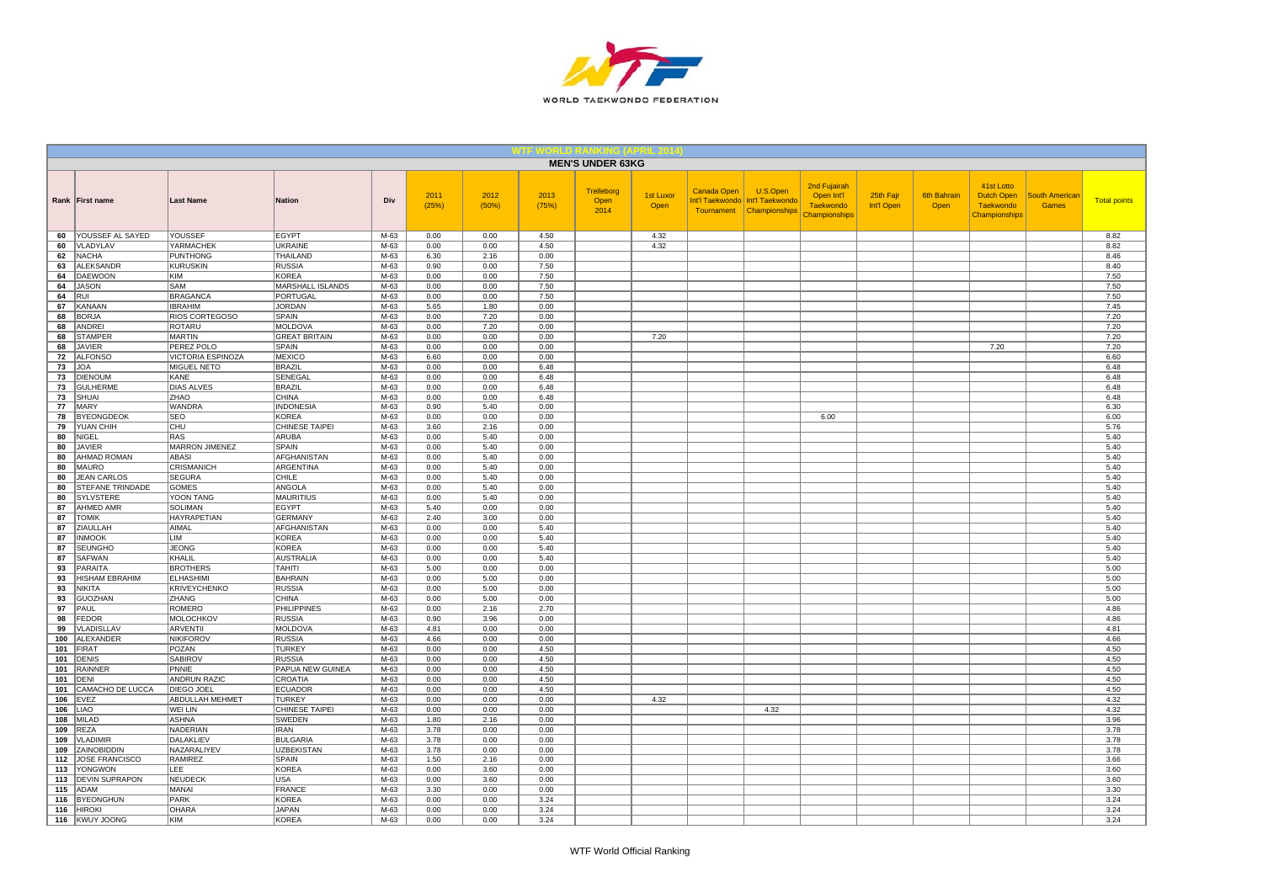

|            |                                    |                                      |                                     |                |               |               |               | <b>MEN'S UNDER 63KG</b>    |                   |                    |                                                                           |                                                                 |                         |                            |                                                               |                                       |                     |
|------------|------------------------------------|--------------------------------------|-------------------------------------|----------------|---------------|---------------|---------------|----------------------------|-------------------|--------------------|---------------------------------------------------------------------------|-----------------------------------------------------------------|-------------------------|----------------------------|---------------------------------------------------------------|---------------------------------------|---------------------|
|            | Rank First name                    | <b>Last Name</b>                     | <b>Nation</b>                       | Div            | 2011<br>(25%) | 2012<br>(50%) | 2013<br>(75%) | Trelleborg<br>Open<br>2014 | 1st Luxor<br>Open | <b>Canada Open</b> | U.S.Open<br>Int'l Taekwondo   Int'l Taekwondo<br>Tournament Championships | 2nd Fujairah<br>Open Int'l<br><b>Taekwondo</b><br>Championships | 25th Fajr<br>Int'l Open | <b>6th Bahrain</b><br>Open | 41st Lotto<br>Dutch Open<br><b>Taekwondo</b><br>Championships | <b>South American</b><br><b>Games</b> | <b>Total points</b> |
| 60         | YOUSSEF AL SAYED                   | YOUSSEF                              | <b>EGYPT</b>                        | M-63           | 0.00          | 0.00          | 4.50          |                            | 4.32              |                    |                                                                           |                                                                 |                         |                            |                                                               |                                       | 8.82                |
| 60         | VLADYLAV                           | <b>YARMACHEK</b>                     | <b>UKRAINE</b>                      | $M-63$         | 0.00          | 0.00          | 4.50          |                            | 4.32              |                    |                                                                           |                                                                 |                         |                            |                                                               |                                       | 8.82                |
| 62<br>63   | <b>NACHA</b><br><b>ALEKSANDR</b>   | PUNTHONG<br><b>KURUSKIN</b>          | THAILAND<br><b>RUSSIA</b>           | M-63<br>$M-63$ | 6.30<br>0.90  | 2.16<br>0.00  | 0.00<br>7.50  |                            |                   |                    |                                                                           |                                                                 |                         |                            |                                                               |                                       | 8.46<br>8.40        |
| 64         | DAEWOON                            | KIM                                  | <b>KOREA</b>                        | M-63           | 0.00          | 0.00          | 7.50          |                            |                   |                    |                                                                           |                                                                 |                         |                            |                                                               |                                       | 7.50                |
| 64         | <b>JASON</b>                       | SAM                                  | MARSHALL ISLANDS                    | M-63           | 0.00          | 0.00          | 7.50          |                            |                   |                    |                                                                           |                                                                 |                         |                            |                                                               |                                       | 7.50                |
| 64         | <b>RUI</b>                         | <b>BRAGANCA</b>                      | <b>PORTUGAL</b>                     | $M-63$         | 0.00          | 0.00          | 7.50          |                            |                   |                    |                                                                           |                                                                 |                         |                            |                                                               |                                       | 7.50                |
| 67         | KANAAN                             | <b>IBRAHIM</b>                       | <b>JORDAN</b>                       | M-63           | 5.65          | 1.80          | 0.00          |                            |                   |                    |                                                                           |                                                                 |                         |                            |                                                               |                                       | 7.45                |
| 68<br>68   | <b>BORJA</b><br>ANDREI             | RIOS CORTEGOSO<br>ROTARU             | SPAIN<br><b>MOLDOVA</b>             | M-63<br>M-63   | 0.00<br>0.00  | 7.20<br>7.20  | 0.00<br>0.00  |                            |                   |                    |                                                                           |                                                                 |                         |                            |                                                               |                                       | 7.20<br>7.20        |
| 68         | <b>STAMPER</b>                     | <b>MARTIN</b>                        | <b>GREAT BRITAIN</b>                | M-63           | 0.00          | 0.00          | 0.00          |                            | 7.20              |                    |                                                                           |                                                                 |                         |                            |                                                               |                                       | 7.20                |
| 68         | <b>JAVIER</b>                      | PEREZ POLO                           | SPAIN                               | M-63           | 0.00          | 0.00          | 0.00          |                            |                   |                    |                                                                           |                                                                 |                         |                            | 7.20                                                          |                                       | 7.20                |
| 72         | <b>ALFONSO</b>                     | VICTORIA ESPINOZA                    | <b>MEXICO</b>                       | M-63           | 6.60          | 0.00          | 0.00          |                            |                   |                    |                                                                           |                                                                 |                         |                            |                                                               |                                       | 6.60                |
| 73         | JOA                                | <b>MIGUEL NETO</b>                   | <b>BRAZIL</b>                       | M-63           | 0.00          | 0.00          | 6.48          |                            |                   |                    |                                                                           |                                                                 |                         |                            |                                                               |                                       | 6.48                |
| 73         | <b>DIENOUM</b>                     | KANE                                 | SENEGAL                             | M-63           | 0.00          | 0.00          | 6.48          |                            |                   |                    |                                                                           |                                                                 |                         |                            |                                                               |                                       | 6.48                |
| 73<br>73   | <b>GULHERME</b><br><b>SHUAI</b>    | <b>DIAS ALVES</b><br>ZHAO            | <b>BRAZIL</b><br><b>CHINA</b>       | $M-63$<br>M-63 | 0.00<br>0.00  | 0.00<br>0.00  | 6.48<br>6.48  |                            |                   |                    |                                                                           |                                                                 |                         |                            |                                                               |                                       | 6.48<br>6.48        |
| 77         | MARY                               | <b>WANDRA</b>                        | <b>INDONESIA</b>                    | $M-63$         | 0.90          | 5.40          | 0.00          |                            |                   |                    |                                                                           |                                                                 |                         |                            |                                                               |                                       | 6.30                |
| 78         | <b>BYEONGDEOK</b>                  | <b>SEO</b>                           | <b>KOREA</b>                        | M-63           | 0.00          | 0.00          | 0.00          |                            |                   |                    |                                                                           | 6.00                                                            |                         |                            |                                                               |                                       | 6.00                |
| 79         | YUAN CHIH                          | CHU                                  | CHINESE TAIPEI                      | M-63           | 3.60          | 2.16          | 0.00          |                            |                   |                    |                                                                           |                                                                 |                         |                            |                                                               |                                       | 5.76                |
| 80         | <b>NIGEL</b>                       | RAS                                  | ARUBA                               | M-63           | 0.00          | 5.40          | 0.00          |                            |                   |                    |                                                                           |                                                                 |                         |                            |                                                               |                                       | 5.40                |
| 80         | <b>JAVIER</b>                      | <b>MARRON JIMENEZ</b>                | SPAIN                               | M-63           | 0.00          | 5.40          | 0.00          |                            |                   |                    |                                                                           |                                                                 |                         |                            |                                                               |                                       | 5.40                |
| 80         | AHMAD ROMAN                        | ABASI                                | <b>AFGHANISTAN</b>                  | M-63           | 0.00          | 5.40          | 0.00          |                            |                   |                    |                                                                           |                                                                 |                         |                            |                                                               |                                       | 5.40                |
| 80<br>80   | <b>MAURO</b><br><b>JEAN CARLOS</b> | <b>CRISMANICH</b><br><b>SEGURA</b>   | ARGENTINA<br>CHILE                  | M-63<br>M-63   | 0.00<br>0.00  | 5.40<br>5.40  | 0.00<br>0.00  |                            |                   |                    |                                                                           |                                                                 |                         |                            |                                                               |                                       | 5.40<br>5.40        |
| 80         | STEFANE TRINDADE                   | <b>GOMES</b>                         | ANGOLA                              | M-63           | 0.00          | 5.40          | 0.00          |                            |                   |                    |                                                                           |                                                                 |                         |                            |                                                               |                                       | 5.40                |
| 80         | <b>SYLVSTERE</b>                   | YOON TANG                            | <b>MAURITIUS</b>                    | M-63           | 0.00          | 5.40          | 0.00          |                            |                   |                    |                                                                           |                                                                 |                         |                            |                                                               |                                       | 5.40                |
| 87         | AHMED AMR                          | <b>SOLIMAN</b>                       | <b>EGYPT</b>                        | M-63           | 5.40          | 0.00          | 0.00          |                            |                   |                    |                                                                           |                                                                 |                         |                            |                                                               |                                       | 5.40                |
| 87         | <b>TOMIK</b>                       | <b>HAYRAPETIAN</b>                   | <b>GERMANY</b>                      | M-63           | 2.40          | 3.00          | 0.00          |                            |                   |                    |                                                                           |                                                                 |                         |                            |                                                               |                                       | 5.40                |
| 87         | ZIAULLAH                           | <b>AIMAL</b>                         | <b>AFGHANISTAN</b>                  | M-63           | 0.00          | 0.00          | 5.40          |                            |                   |                    |                                                                           |                                                                 |                         |                            |                                                               |                                       | 5.40                |
| 87<br>87   | <b>INMOOK</b><br><b>SEUNGHO</b>    | <b>LIM</b><br><b>JEONG</b>           | <b>KOREA</b><br><b>KOREA</b>        | $M-63$<br>M-63 | 0.00<br>0.00  | 0.00<br>0.00  | 5.40<br>5.40  |                            |                   |                    |                                                                           |                                                                 |                         |                            |                                                               |                                       | 5.40<br>5.40        |
| 87         | <b>SAFWAN</b>                      | KHALIL                               | <b>AUSTRALIA</b>                    | M-63           | 0.00          | 0.00          | 5.40          |                            |                   |                    |                                                                           |                                                                 |                         |                            |                                                               |                                       | 5.40                |
| 93         | PARAITA                            | <b>BROTHERS</b>                      | <b>TAHITI</b>                       | M-63           | 5.00          | 0.00          | 0.00          |                            |                   |                    |                                                                           |                                                                 |                         |                            |                                                               |                                       | 5.00                |
| 93         | HISHAM EBRAHIM                     | <b>ELHASHIMI</b>                     | <b>BAHRAIN</b>                      | M-63           | 0.00          | 5.00          | 0.00          |                            |                   |                    |                                                                           |                                                                 |                         |                            |                                                               |                                       | 5.00                |
| 93         | NIKITA                             | KRIVEYCHENKO                         | <b>RUSSIA</b>                       | M-63           | 0.00          | 5.00          | 0.00          |                            |                   |                    |                                                                           |                                                                 |                         |                            |                                                               |                                       | 5.00                |
| 93         | <b>GUOZHAN</b>                     | ZHANG                                | <b>CHINA</b>                        | M-63           | 0.00          | 5.00          | 0.00          |                            |                   |                    |                                                                           |                                                                 |                         |                            |                                                               |                                       | 5.00                |
| 97<br>98   | PAUL<br><b>FEDOR</b>               | <b>ROMERO</b><br><b>MOLOCHKOV</b>    | <b>PHILIPPINES</b><br><b>RUSSIA</b> | M-63<br>M-63   | 0.00<br>0.90  | 2.16<br>3.96  | 2.70<br>0.00  |                            |                   |                    |                                                                           |                                                                 |                         |                            |                                                               |                                       | 4.86<br>4.86        |
| 99         | VLADISLLAV                         | <b>ARVENTII</b>                      | MOLDOVA                             | $M-63$         | 4.81          | 0.00          | 0.00          |                            |                   |                    |                                                                           |                                                                 |                         |                            |                                                               |                                       | 4.81                |
| 100        | ALEXANDER                          | <b>NIKIFOROV</b>                     | <b>RUSSIA</b>                       | M-63           | 4.66          | 0.00          | 0.00          |                            |                   |                    |                                                                           |                                                                 |                         |                            |                                                               |                                       | 4.66                |
| 101        | FIRAT                              | POZAN                                | <b>TURKEY</b>                       | M-63           | 0.00          | 0.00          | 4.50          |                            |                   |                    |                                                                           |                                                                 |                         |                            |                                                               |                                       | 4.50                |
| 101        | <b>DENIS</b>                       | <b>SABIROV</b>                       | <b>RUSSIA</b>                       | M-63           | 0.00          | 0.00          | 4.50          |                            |                   |                    |                                                                           |                                                                 |                         |                            |                                                               |                                       | 4.50                |
| 101        | <b>RAINNER</b>                     | PNNIE                                | PAPUA NEW GUINEA                    | M-63           | 0.00          | 0.00          | 4.50          |                            |                   |                    |                                                                           |                                                                 |                         |                            |                                                               |                                       | 4.50                |
| 101        | <b>DENI</b>                        | <b>ANDRUN RAZIC</b>                  | CROATIA                             | $M-63$         | 0.00          | 0.00          | 4.50          |                            |                   |                    |                                                                           |                                                                 |                         |                            |                                                               |                                       | 4.50                |
| 101<br>106 | CAMACHO DE LUCCA<br><b>EVEZ</b>    | <b>DIEGO JOEL</b><br>ABDULLAH MEHMET | <b>ECUADOR</b><br><b>TURKEY</b>     | M-63<br>M-63   | 0.00<br>0.00  | 0.00<br>0.00  | 4.50<br>0.00  |                            | 4.32              |                    |                                                                           |                                                                 |                         |                            |                                                               |                                       | 4.50<br>4.32        |
| 106        | <b>LIAO</b>                        | WEI LIN                              | CHINESE TAIPEI                      | M-63           | 0.00          | 0.00          | 0.00          |                            |                   |                    | 4.32                                                                      |                                                                 |                         |                            |                                                               |                                       | 4.32                |
| 108        | <b>MILAD</b>                       | <b>ASHNA</b>                         | SWEDEN                              | M-63           | 1.80          | 2.16          | 0.00          |                            |                   |                    |                                                                           |                                                                 |                         |                            |                                                               |                                       | 3.96                |
| 109        | <b>REZA</b>                        | NADERIAN                             | <b>IRAN</b>                         | M-63           | 3.78          | 0.00          | 0.00          |                            |                   |                    |                                                                           |                                                                 |                         |                            |                                                               |                                       | 3.78                |
| 109        | <b>VLADIMIR</b>                    | DALAKLIEV                            | <b>BULGARIA</b>                     | M-63           | 3.78          | 0.00          | 0.00          |                            |                   |                    |                                                                           |                                                                 |                         |                            |                                                               |                                       | 3.78                |
| 109        | ZAINOBIDDIN                        | NAZARALIYEV                          | <b>UZBEKISTAN</b>                   | M-63           | 3.78          | 0.00          | 0.00          |                            |                   |                    |                                                                           |                                                                 |                         |                            |                                                               |                                       | 3.78                |
| 112<br>113 | JOSE FRANCISCO<br>YONGWON          | RAMIREZ<br>LEE                       | SPAIN<br><b>KOREA</b>               | M-63<br>M-63   | 1.50<br>0.00  | 2.16<br>3.60  | 0.00<br>0.00  |                            |                   |                    |                                                                           |                                                                 |                         |                            |                                                               |                                       | 3.66<br>3.60        |
| 113        | <b>DEVIN SUPRAPON</b>              | NEUDECK                              | <b>USA</b>                          | M-63           | 0.00          | 3.60          | 0.00          |                            |                   |                    |                                                                           |                                                                 |                         |                            |                                                               |                                       | 3.60                |
| 115        | ADAM                               | <b>MANAI</b>                         | <b>FRANCE</b>                       | M-63           | 3.30          | 0.00          | 0.00          |                            |                   |                    |                                                                           |                                                                 |                         |                            |                                                               |                                       | 3.30                |
| 116        | <b>BYEONGHUN</b>                   | PARK                                 | <b>KOREA</b>                        | M-63           | 0.00          | 0.00          | 3.24          |                            |                   |                    |                                                                           |                                                                 |                         |                            |                                                               |                                       | 3.24                |
| 116        | <b>HIROKI</b>                      | <b>OHARA</b>                         | <b>JAPAN</b>                        | M-63           | 0.00          | 0.00          | 3.24          |                            |                   |                    |                                                                           |                                                                 |                         |                            |                                                               |                                       | 3.24                |
|            | 116 KWUY JOONG                     | KIM                                  | <b>KOREA</b>                        | $M-63$         | 0.00          | 0.00          | 3.24          |                            |                   |                    |                                                                           |                                                                 |                         |                            |                                                               |                                       | 3.24                |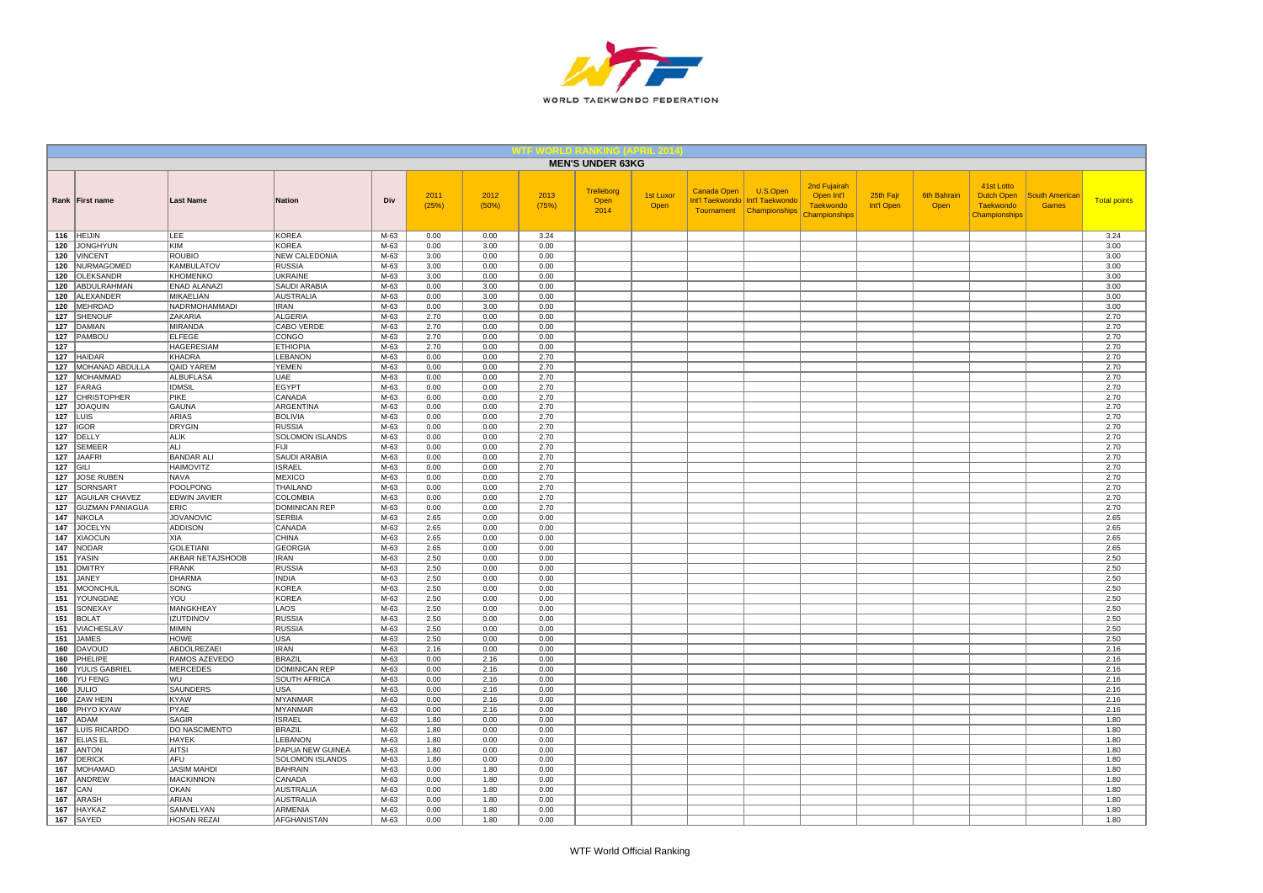

|            |                                   |                                       |                                             |                |               |               |               | <b>MEN'S UNDER 63KG</b>    |                   |             |                                                                         |                                                                        |                         |                            |                                                                      |                                       |                     |
|------------|-----------------------------------|---------------------------------------|---------------------------------------------|----------------|---------------|---------------|---------------|----------------------------|-------------------|-------------|-------------------------------------------------------------------------|------------------------------------------------------------------------|-------------------------|----------------------------|----------------------------------------------------------------------|---------------------------------------|---------------------|
|            | Rank First name                   | <b>Last Name</b>                      | <b>Nation</b>                               | Div            | 2011<br>(25%) | 2012<br>(50%) | 2013<br>(75%) | Trelleborg<br>Open<br>2014 | 1st Luxor<br>Open | Canada Open | U.S.Open<br>Int'l Taekwondo Int'l Taekwondo<br>Tournament Championships | 2nd Fujairah<br>Open Int'l<br><b>Taekwondo</b><br><b>Championships</b> | 25th Fajr<br>Int'l Open | <b>6th Bahrain</b><br>Open | 41st Lotto<br><b>Dutch Open</b><br><b>Taekwondo</b><br>Championships | <b>South American</b><br><b>Games</b> | <b>Total points</b> |
|            | 116 HEIJIN                        | LEE                                   | <b>KOREA</b>                                | M-63           | 0.00          | 0.00          | 3.24          |                            |                   |             |                                                                         |                                                                        |                         |                            |                                                                      |                                       | 3.24                |
| 120        | <b>JONGHYUN</b><br><b>VINCENT</b> | KIM<br><b>ROUBIO</b>                  | <b>KOREA</b><br><b>NEW CALEDONIA</b>        | M-63<br>$M-63$ | 0.00<br>3.00  | 3.00<br>0.00  | 0.00<br>0.00  |                            |                   |             |                                                                         |                                                                        |                         |                            |                                                                      |                                       | 3.00<br>3.00        |
| 120        | 120 NURMAGOMED                    | <b>KAMBULATOV</b>                     | <b>RUSSIA</b>                               | M-63           | 3.00          | 0.00          | 0.00          |                            |                   |             |                                                                         |                                                                        |                         |                            |                                                                      |                                       | 3.00                |
| 120        | <b>OLEKSANDR</b>                  | KHOMENKO                              | <b>UKRAINE</b>                              | M-63           | 3.00          | 0.00          | 0.00          |                            |                   |             |                                                                         |                                                                        |                         |                            |                                                                      |                                       | 3.00                |
| 120        | ABDULRAHMAN                       | <b>ENAD ALANAZI</b>                   | SAUDI ARABIA                                | M-63           | 0.00          | 3.00          | 0.00          |                            |                   |             |                                                                         |                                                                        |                         |                            |                                                                      |                                       | 3.00                |
| 120        | ALEXANDER                         | <b>MIKAELIAN</b>                      | <b>AUSTRALIA</b>                            | M-63           | 0.00          | 3.00          | 0.00          |                            |                   |             |                                                                         |                                                                        |                         |                            |                                                                      |                                       | 3.00                |
| 120        | MEHRDAD                           | NADRMOHAMMADI                         | <b>IRAN</b>                                 | M-63           | 0.00          | 3.00          | 0.00          |                            |                   |             |                                                                         |                                                                        |                         |                            |                                                                      |                                       | 3.00                |
| 127        | <b>SHENOUF</b>                    | ZAKARIA                               | <b>ALGERIA</b>                              | M-63           | 2.70          | 0.00          | 0.00          |                            |                   |             |                                                                         |                                                                        |                         |                            |                                                                      |                                       | 2.70                |
| 127        | DAMIAN                            | <b>MIRANDA</b>                        | CABO VERDE                                  | M-63           | 2.70          | 0.00          | 0.00          |                            |                   |             |                                                                         |                                                                        |                         |                            |                                                                      |                                       | 2.70                |
| 127        | PAMBOU                            | <b>ELFEGE</b>                         | CONGO                                       | M-63           | 2.70          | 0.00          | 0.00          |                            |                   |             |                                                                         |                                                                        |                         |                            |                                                                      |                                       | 2.70                |
| 127<br>127 | <b>HAIDAR</b>                     | <b>HAGERESIAM</b><br><b>KHADRA</b>    | <b>ETHIOPIA</b><br>LEBANON                  | M-63<br>M-63   | 2.70<br>0.00  | 0.00<br>0.00  | 0.00<br>2.70  |                            |                   |             |                                                                         |                                                                        |                         |                            |                                                                      |                                       | 2.70<br>2.70        |
| 127        | MOHANAD ABDULLA                   | <b>QAID YAREM</b>                     | YEMEN                                       | M-63           | 0.00          | 0.00          | 2.70          |                            |                   |             |                                                                         |                                                                        |                         |                            |                                                                      |                                       | 2.70                |
| 127        | MOHAMMAD                          | <b>ALBUFLASA</b>                      | UAE                                         | M-63           | 0.00          | 0.00          | 2.70          |                            |                   |             |                                                                         |                                                                        |                         |                            |                                                                      |                                       | 2.70                |
| 127        | FARAG                             | <b>IDMSIL</b>                         | <b>EGYPT</b>                                | $M-63$         | 0.00          | 0.00          | 2.70          |                            |                   |             |                                                                         |                                                                        |                         |                            |                                                                      |                                       | 2.70                |
| 127        | <b>CHRISTOPHER</b>                | PIKE                                  | CANADA                                      | $M-63$         | 0.00          | 0.00          | 2.70          |                            |                   |             |                                                                         |                                                                        |                         |                            |                                                                      |                                       | 2.70                |
|            | 127 JOAQUIN                       | GAUNA                                 | ARGENTINA                                   | M-63           | 0.00          | 0.00          | 2.70          |                            |                   |             |                                                                         |                                                                        |                         |                            |                                                                      |                                       | 2.70                |
|            | $127$ LUIS                        | ARIAS                                 | <b>BOLIVIA</b>                              | M-63           | 0.00          | 0.00          | 2.70          |                            |                   |             |                                                                         |                                                                        |                         |                            |                                                                      |                                       | 2.70                |
| 127        | <b>IGOR</b>                       | <b>DRYGIN</b>                         | <b>RUSSIA</b>                               | M-63           | 0.00          | 0.00          | 2.70          |                            |                   |             |                                                                         |                                                                        |                         |                            |                                                                      |                                       | 2.70                |
| 127        | DELLY                             | <b>ALIK</b>                           | SOLOMON ISLANDS                             | M-63           | 0.00          | 0.00          | 2.70          |                            |                   |             |                                                                         |                                                                        |                         |                            |                                                                      |                                       | 2.70                |
| 127        | <b>SEMEER</b><br>JAAFRI           | ALI                                   | FIJI                                        | $M-63$<br>M-63 | 0.00<br>0.00  | 0.00<br>0.00  | 2.70<br>2.70  |                            |                   |             |                                                                         |                                                                        |                         |                            |                                                                      |                                       | 2.70                |
| 127<br>127 | GILI                              | <b>BANDAR ALI</b><br><b>HAIMOVITZ</b> | <b>SAUDI ARABIA</b><br><b>ISRAEL</b>        | M-63           | 0.00          | 0.00          | 2.70          |                            |                   |             |                                                                         |                                                                        |                         |                            |                                                                      |                                       | 2.70<br>2.70        |
| 127        | <b>JOSE RUBEN</b>                 | <b>NAVA</b>                           | <b>MEXICO</b>                               | M-63           | 0.00          | 0.00          | 2.70          |                            |                   |             |                                                                         |                                                                        |                         |                            |                                                                      |                                       | 2.70                |
| 127        | SORNSART                          | <b>POOLPONG</b>                       | THAILAND                                    | $M-63$         | 0.00          | 0.00          | 2.70          |                            |                   |             |                                                                         |                                                                        |                         |                            |                                                                      |                                       | 2.70                |
| 127        | <b>AGUILAR CHAVEZ</b>             | EDWIN JAVIER                          | <b>COLOMBIA</b>                             | M-63           | 0.00          | 0.00          | 2.70          |                            |                   |             |                                                                         |                                                                        |                         |                            |                                                                      |                                       | 2.70                |
| 127        | <b>GUZMAN PANIAGUA</b>            | ERIC                                  | <b>DOMINICAN REP</b>                        | M-63           | 0.00          | 0.00          | 2.70          |                            |                   |             |                                                                         |                                                                        |                         |                            |                                                                      |                                       | 2.70                |
| 147        | NIKOLA                            | <b>JOVANOVIC</b>                      | <b>SERBIA</b>                               | M-63           | 2.65          | 0.00          | 0.00          |                            |                   |             |                                                                         |                                                                        |                         |                            |                                                                      |                                       | 2.65                |
| 147        | <b>JOCELYN</b>                    | <b>ADDISON</b>                        | CANADA                                      | $M-63$         | 2.65          | 0.00          | 0.00          |                            |                   |             |                                                                         |                                                                        |                         |                            |                                                                      |                                       | 2.65                |
| 147        | <b>XIAOCUN</b>                    | XIA                                   | CHINA                                       | $M-63$         | 2.65          | 0.00          | 0.00          |                            |                   |             |                                                                         |                                                                        |                         |                            |                                                                      |                                       | 2.65                |
|            | 147 NODAR                         | <b>GOLETIANI</b>                      | <b>GEORGIA</b>                              | M-63           | 2.65          | 0.00          | 0.00          |                            |                   |             |                                                                         |                                                                        |                         |                            |                                                                      |                                       | 2.65                |
|            | 151 YASIN                         | AKBAR NETAJSHOOB                      | <b>IRAN</b>                                 | M-63           | 2.50          | 0.00          | 0.00          |                            |                   |             |                                                                         |                                                                        |                         |                            |                                                                      |                                       | 2.50                |
| 151<br>151 | <b>DMITRY</b><br>JANEY            | FRANK<br><b>DHARMA</b>                | <b>RUSSIA</b><br><b>INDIA</b>               | M-63<br>M-63   | 2.50<br>2.50  | 0.00<br>0.00  | 0.00<br>0.00  |                            |                   |             |                                                                         |                                                                        |                         |                            |                                                                      |                                       | 2.50<br>2.50        |
| 151        | MOONCHUL                          | SONG                                  | <b>KOREA</b>                                | M-63           | 2.50          | 0.00          | 0.00          |                            |                   |             |                                                                         |                                                                        |                         |                            |                                                                      |                                       | 2.50                |
|            | 151 YOUNGDAE                      | YOU                                   | <b>KOREA</b>                                | M-63           | 2.50          | 0.00          | 0.00          |                            |                   |             |                                                                         |                                                                        |                         |                            |                                                                      |                                       | 2.50                |
|            | 151 SONEXAY                       | MANGKHEAY                             | LAOS                                        | M-63           | 2.50          | 0.00          | 0.00          |                            |                   |             |                                                                         |                                                                        |                         |                            |                                                                      |                                       | 2.50                |
| 151        | BOLAT                             | <b>IZUTDINOV</b>                      | <b>RUSSIA</b>                               | M-63           | 2.50          | 0.00          | 0.00          |                            |                   |             |                                                                         |                                                                        |                         |                            |                                                                      |                                       | 2.50                |
| 151        | <b>VIACHESLAV</b>                 | MIMIN                                 | <b>RUSSIA</b>                               | M-63           | 2.50          | 0.00          | 0.00          |                            |                   |             |                                                                         |                                                                        |                         |                            |                                                                      |                                       | 2.50                |
| 151        | <b>JAMES</b>                      | <b>HOWE</b>                           | <b>USA</b>                                  | M-63           | 2.50          | 0.00          | 0.00          |                            |                   |             |                                                                         |                                                                        |                         |                            |                                                                      |                                       | 2.50                |
| 160        | DAVOUD                            | ABDOLREZAEI                           | <b>IRAN</b>                                 | M-63           | 2.16          | 0.00          | 0.00          |                            |                   |             |                                                                         |                                                                        |                         |                            |                                                                      |                                       | 2.16                |
| 160        | PHELIPE<br><b>YULIS GABRIEL</b>   | RAMOS AZEVEDO<br><b>MERCEDES</b>      | <b>BRAZIL</b>                               | M-63           | 0.00          | 2.16          | 0.00          |                            |                   |             |                                                                         |                                                                        |                         |                            |                                                                      |                                       | 2.16                |
| 160<br>160 | <b>YU FENG</b>                    | WU                                    | <b>DOMINICAN REP</b><br><b>SOUTH AFRICA</b> | M-63<br>$M-63$ | 0.00<br>0.00  | 2.16<br>2.16  | 0.00<br>0.00  |                            |                   |             |                                                                         |                                                                        |                         |                            |                                                                      |                                       | 2.16<br>2.16        |
| 160        | JULIO                             | SAUNDERS                              | USA                                         | M-63           | 0.00          | 2.16          | 0.00          |                            |                   |             |                                                                         |                                                                        |                         |                            |                                                                      |                                       | 2.16                |
| 160        | ZAW HEIN                          | KYAW                                  | <b>MYANMAR</b>                              | M-63           | 0.00          | 2.16          | 0.00          |                            |                   |             |                                                                         |                                                                        |                         |                            |                                                                      |                                       | 2.16                |
| 160        | <b>PHYO KYAW</b>                  | PYAE                                  | MYANMAR                                     | M-63           | 0.00          | 2.16          | 0.00          |                            |                   |             |                                                                         |                                                                        |                         |                            |                                                                      |                                       | 2.16                |
| 167        | ADAM                              | SAGIR                                 | <b>ISRAEL</b>                               | M-63           | 1.80          | 0.00          | 0.00          |                            |                   |             |                                                                         |                                                                        |                         |                            |                                                                      |                                       | 1.80                |
| 167        | <b>LUIS RICARDO</b>               | DO NASCIMENTO                         | <b>BRAZIL</b>                               | M-63           | 1.80          | 0.00          | 0.00          |                            |                   |             |                                                                         |                                                                        |                         |                            |                                                                      |                                       | 1.80                |
|            | 167 ELIAS EL                      | <b>HAYEK</b>                          | <b>LEBANON</b>                              | M-63           | 1.80          | 0.00          | 0.00          |                            |                   |             |                                                                         |                                                                        |                         |                            |                                                                      |                                       | 1.80                |
| 167        | <b>ANTON</b>                      | <b>AITSI</b>                          | PAPUA NEW GUINEA                            | M-63           | 1.80          | 0.00          | 0.00          |                            |                   |             |                                                                         |                                                                        |                         |                            |                                                                      |                                       | 1.80                |
| 167        | DERICK                            | AFU                                   | SOLOMON ISLANDS                             | M-63           | 1.80          | 0.00          | 0.00          |                            |                   |             |                                                                         |                                                                        |                         |                            |                                                                      |                                       | 1.80                |
| 167        | MOHAMAD                           | <b>JASIM MAHDI</b>                    | <b>BAHRAIN</b>                              | M-63           | 0.00          | 1.80          | 0.00          |                            |                   |             |                                                                         |                                                                        |                         |                            |                                                                      |                                       | 1.80                |
| 167<br>167 | ANDREW<br>CAN                     | <b>MACKINNON</b><br>OKAN              | CANADA                                      | M-63<br>M-63   | 0.00<br>0.00  | 1.80          | 0.00<br>0.00  |                            |                   |             |                                                                         |                                                                        |                         |                            |                                                                      |                                       | 1.80                |
| 167        | <b>ARASH</b>                      | ARIAN                                 | <b>AUSTRALIA</b><br><b>AUSTRALIA</b>        | M-63           | 0.00          | 1.80<br>1.80  | 0.00          |                            |                   |             |                                                                         |                                                                        |                         |                            |                                                                      |                                       | 1.80<br>1.80        |
| 167        | HAYKAZ                            | <b>SAMVELYAN</b>                      | <b>ARMENIA</b>                              | M-63           | 0.00          | 1.80          | 0.00          |                            |                   |             |                                                                         |                                                                        |                         |                            |                                                                      |                                       | 1.80                |
|            | 167 SAYED                         | <b>HOSAN REZAI</b>                    | <b>AFGHANISTAN</b>                          | $M-63$         | 0.00          | 1.80          | 0.00          |                            |                   |             |                                                                         |                                                                        |                         |                            |                                                                      |                                       | 1.80                |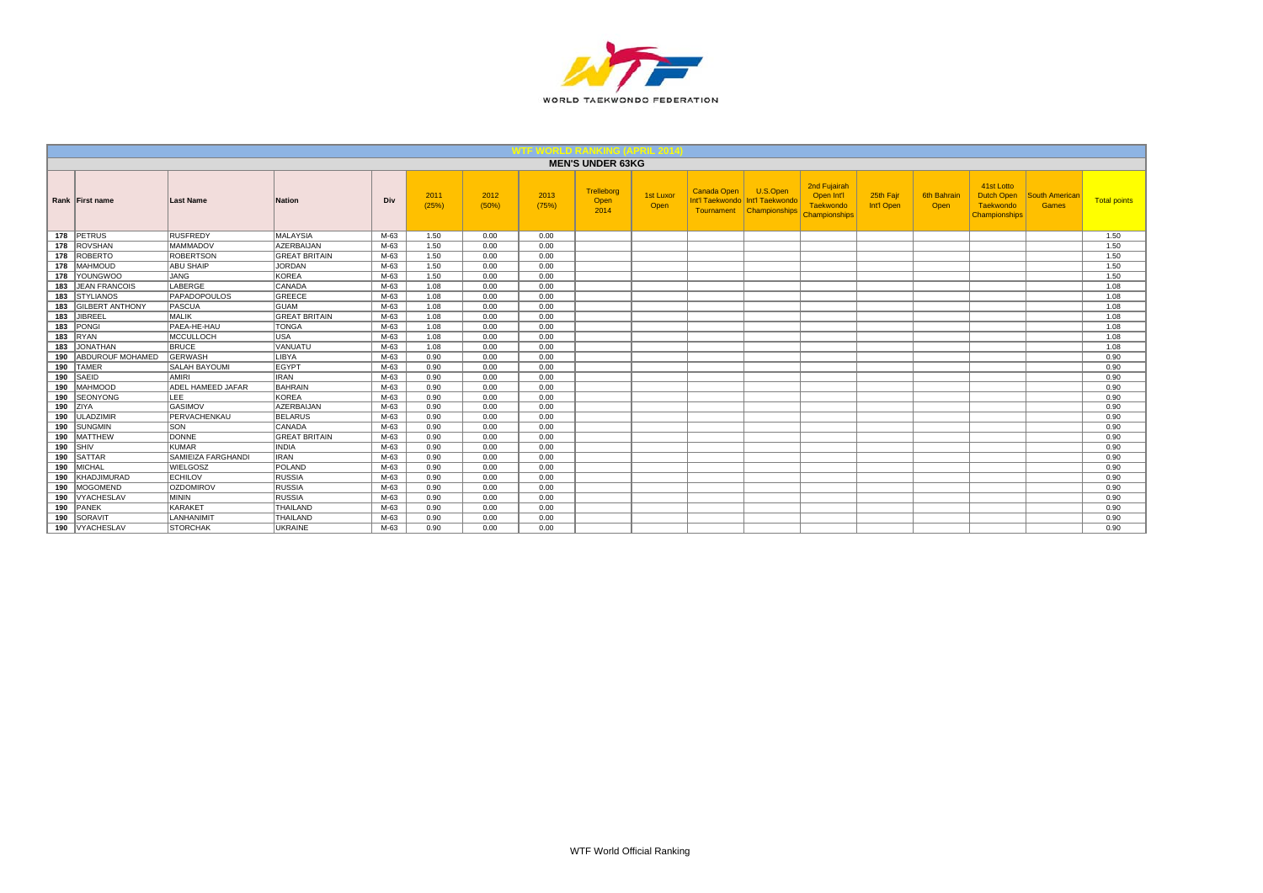

|     |                         |                          |                      |      |               |               |               | <b>MEN'S UNDER 63KG</b>    |                   |                           |                                                                |                                                          |                         |                     |                                                        |                         |                     |
|-----|-------------------------|--------------------------|----------------------|------|---------------|---------------|---------------|----------------------------|-------------------|---------------------------|----------------------------------------------------------------|----------------------------------------------------------|-------------------------|---------------------|--------------------------------------------------------|-------------------------|---------------------|
|     | Rank First name         | <b>Last Name</b>         | <b>Nation</b>        | Div  | 2011<br>(25%) | 2012<br>(50%) | 2013<br>(75%) | Trelleborg<br>Open<br>2014 | 1st Luxor<br>Open | Canada Open<br>Tournament | U.S.Open<br>Int'l Taekwondo   Int'l Taekwondo<br>Championships | 2nd Fujairah<br>Open Int'l<br>Taekwondo<br>Championships | 25th Fajr<br>Int'l Open | 6th Bahrair<br>Open | 41st Lotto<br>Dutch Open<br>Taekwondo<br>Championships | South American<br>Games | <b>Total points</b> |
|     | 178 PETRUS              | RUSFREDY                 | MALAYSIA             | M-63 | 1.50          | 0.00          | 0.00          |                            |                   |                           |                                                                |                                                          |                         |                     |                                                        |                         | 1.50                |
|     | 178 ROVSHAN             | <b>MAMMADOV</b>          | <b>AZERBAIJAN</b>    | M-63 | 1.50          | 0.00          | 0.00          |                            |                   |                           |                                                                |                                                          |                         |                     |                                                        |                         | 1.50                |
| 178 | ROBERTO                 | <b>ROBERTSON</b>         | <b>GREAT BRITAIN</b> | M-63 | 1.50          | 0.00          | 0.00          |                            |                   |                           |                                                                |                                                          |                         |                     |                                                        |                         | 1.50                |
|     | 178   MAHMOUD           | <b>ABU SHAIP</b>         | <b>JORDAN</b>        | M-63 | 1.50          | 0.00          | 0.00          |                            |                   |                           |                                                                |                                                          |                         |                     |                                                        |                         | 1.50                |
| 178 | <b>YOUNGWOO</b>         | <b>JANG</b>              | KOREA                | M-63 | 1.50          | 0.00          | 0.00          |                            |                   |                           |                                                                |                                                          |                         |                     |                                                        |                         | 1.50                |
| 183 | <b>JEAN FRANCOIS</b>    | LABERGE                  | CANADA               | M-63 | 1.08          | 0.00          | 0.00          |                            |                   |                           |                                                                |                                                          |                         |                     |                                                        |                         | 1.08                |
| 183 | <b>STYLIANOS</b>        | PAPADOPOULOS             | GREECE               | M-63 | 1.08          | 0.00          | 0.00          |                            |                   |                           |                                                                |                                                          |                         |                     |                                                        |                         | 1.08                |
| 183 | <b>GILBERT ANTHONY</b>  | PASCUA                   | <b>GUAM</b>          | M-63 | 1.08          | 0.00          | 0.00          |                            |                   |                           |                                                                |                                                          |                         |                     |                                                        |                         | 1.08                |
| 183 | JIBREEL                 | <b>MALIK</b>             | <b>GREAT BRITAIN</b> | M-63 | 1.08          | 0.00          | 0.00          |                            |                   |                           |                                                                |                                                          |                         |                     |                                                        |                         | 1.08                |
| 183 | PONGI                   | PAEA-HE-HAU              | <b>TONGA</b>         | M-63 | 1.08          | 0.00          | 0.00          |                            |                   |                           |                                                                |                                                          |                         |                     |                                                        |                         | 1.08                |
| 183 | RYAN                    | MCCULLOCH                | <b>USA</b>           | M-63 | 1.08          | 0.00          | 0.00          |                            |                   |                           |                                                                |                                                          |                         |                     |                                                        |                         | 1.08                |
| 183 | JONATHAN                | <b>BRUCE</b>             | <b>VANUATU</b>       | M-63 | 1.08          | 0.00          | 0.00          |                            |                   |                           |                                                                |                                                          |                         |                     |                                                        |                         | 1.08                |
| 190 | <b>ABDUROUF MOHAMED</b> | <b>GERWASH</b>           | LIBYA                | M-63 | 0.90          | 0.00          | 0.00          |                            |                   |                           |                                                                |                                                          |                         |                     |                                                        |                         | 0.90                |
| 190 | <b>TAMER</b>            | <b>SALAH BAYOUMI</b>     | EGYPT                | M-63 | 0.90          | 0.00          | 0.00          |                            |                   |                           |                                                                |                                                          |                         |                     |                                                        |                         | 0.90                |
| 190 | <b>SAEID</b>            | <b>AMIRI</b>             | <b>IRAN</b>          | M-63 | 0.90          | 0.00          | 0.00          |                            |                   |                           |                                                                |                                                          |                         |                     |                                                        |                         | 0.90                |
| 190 | <b>MAHMOOD</b>          | <b>ADEL HAMEED JAFAR</b> | <b>BAHRAIN</b>       | M-63 | 0.90          | 0.00          | 0.00          |                            |                   |                           |                                                                |                                                          |                         |                     |                                                        |                         | 0.90                |
| 190 | <b>SEONYONG</b>         | LEE <sup>-</sup>         | <b>KOREA</b>         | M-63 | 0.90          | 0.00          | 0.00          |                            |                   |                           |                                                                |                                                          |                         |                     |                                                        |                         | 0.90                |
|     | $190$ ZIYA              | <b>GASIMOV</b>           | <b>AZERBAIJAN</b>    | M-63 | 0.90          | 0.00          | 0.00          |                            |                   |                           |                                                                |                                                          |                         |                     |                                                        |                         | 0.90                |
| 190 | ULADZIMIR               | PERVACHENKAU             | <b>BELARUS</b>       | M-63 | 0.90          | 0.00          | 0.00          |                            |                   |                           |                                                                |                                                          |                         |                     |                                                        |                         | 0.90                |
| 190 | SUNGMIN                 | SON                      | CANADA               | M-63 | 0.90          | 0.00          | 0.00          |                            |                   |                           |                                                                |                                                          |                         |                     |                                                        |                         | 0.90                |
| 190 | <b>MATTHEW</b>          | <b>DONNE</b>             | <b>GREAT BRITAIN</b> | M-63 | 0.90          | 0.00          | 0.00          |                            |                   |                           |                                                                |                                                          |                         |                     |                                                        |                         | 0.90                |
|     | $190$ SHIV              | <b>KUMAR</b>             | <b>INDIA</b>         | M-63 | 0.90          | 0.00          | 0.00          |                            |                   |                           |                                                                |                                                          |                         |                     |                                                        |                         | 0.90                |
| 190 | SATTAR                  | SAMIEIZA FARGHANDI       | <b>IRAN</b>          | M-63 | 0.90          | 0.00          | 0.00          |                            |                   |                           |                                                                |                                                          |                         |                     |                                                        |                         | 0.90                |
| 190 | <b>MICHAL</b>           | WIELGOSZ                 | POLAND               | M-63 | 0.90          | 0.00          | 0.00          |                            |                   |                           |                                                                |                                                          |                         |                     |                                                        |                         | 0.90                |
| 190 | KHADJIMURAD             | <b>ECHILOV</b>           | RUSSIA               | M-63 | 0.90          | 0.00          | 0.00          |                            |                   |                           |                                                                |                                                          |                         |                     |                                                        |                         | 0.90                |
| 190 | MOGOMEND                | <b>OZDOMIROV</b>         | RUSSIA               | M-63 | 0.90          | 0.00          | 0.00          |                            |                   |                           |                                                                |                                                          |                         |                     |                                                        |                         | 0.90                |
| 190 | VYACHESLAV              | <b>MININ</b>             | RUSSIA               | M-63 | 0.90          | 0.00          | 0.00          |                            |                   |                           |                                                                |                                                          |                         |                     |                                                        |                         | 0.90                |
| 190 | PANEK                   | KARAKET                  | THAILAND             | M-63 | 0.90          | 0.00          | 0.00          |                            |                   |                           |                                                                |                                                          |                         |                     |                                                        |                         | 0.90                |
| 190 | SORAVIT                 | LANHANIMIT               | THAILAND             | M-63 | 0.90          | 0.00          | 0.00          |                            |                   |                           |                                                                |                                                          |                         |                     |                                                        |                         | 0.90                |
|     | 190   VYACHESLAV        | <b>STORCHAK</b>          | <b>UKRAINE</b>       | M-63 | 0.90          | 0.00          | 0.00          |                            |                   |                           |                                                                |                                                          |                         |                     |                                                        |                         | 0.90                |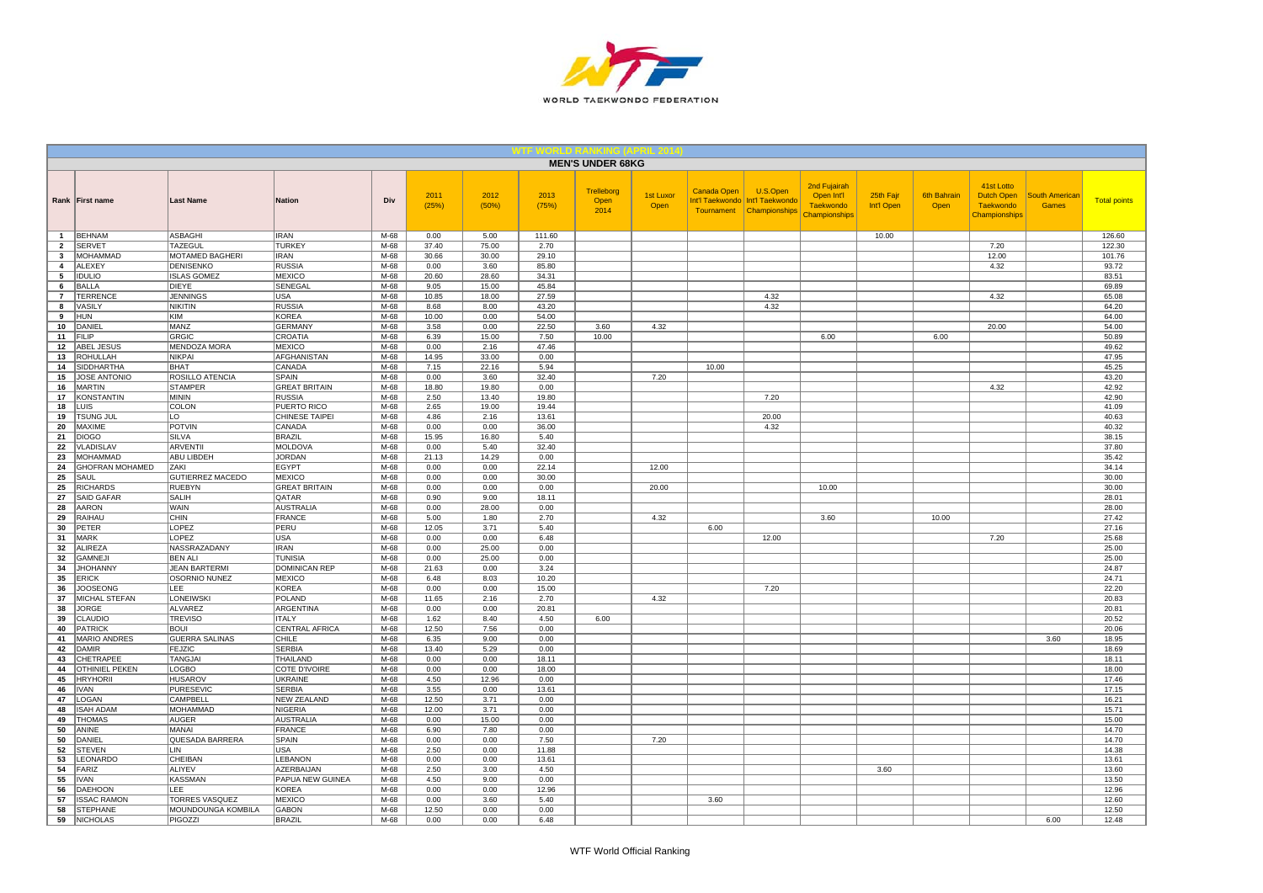

|                         |                                   |                                |                                       |                |               |                |                | <b>MEN'S UNDER 68KG</b>    |                   |             |                                                                           |                                                                 |                         |                            |                                                                      |                                       |                     |
|-------------------------|-----------------------------------|--------------------------------|---------------------------------------|----------------|---------------|----------------|----------------|----------------------------|-------------------|-------------|---------------------------------------------------------------------------|-----------------------------------------------------------------|-------------------------|----------------------------|----------------------------------------------------------------------|---------------------------------------|---------------------|
|                         | Rank First name                   | <b>Last Name</b>               | <b>Nation</b>                         | Div            | 2011<br>(25%) | 2012<br>(50%)  | 2013<br>(75%)  | Trelleborg<br>Open<br>2014 | 1st Luxor<br>Open | Canada Open | U.S.Open<br>Int'l Taekwondo   Int'l Taekwondo<br>Tournament Championships | 2nd Fujairah<br>Open Int'l<br><b>Taekwondo</b><br>Championships | 25th Fajr<br>Int'l Open | <b>6th Bahrain</b><br>Open | 41st Lotto<br><b>Dutch Open</b><br><b>Taekwondo</b><br>Championships | <b>South Americar</b><br><b>Games</b> | <b>Total points</b> |
| 1                       | <b>BEHNAM</b>                     | ASBAGHI                        | <b>IRAN</b>                           | M-68           | 0.00          | 5.00           | 111.60         |                            |                   |             |                                                                           |                                                                 | 10.00                   |                            |                                                                      |                                       | 126.60              |
| $\overline{2}$          | <b>SERVET</b>                     | <b>TAZEGUL</b>                 | <b>TURKEY</b>                         | M-68           | 37.40         | 75.00          | 2.70           |                            |                   |             |                                                                           |                                                                 |                         |                            | 7.20                                                                 |                                       | 122.30              |
| $\overline{\mathbf{3}}$ | MOHAMMAD                          | <b>MOTAMED BAGHERI</b>         | <b>IRAN</b>                           | $M-68$         | 30.66         | 30.00          | 29.10          |                            |                   |             |                                                                           |                                                                 |                         |                            | 12.00                                                                |                                       | 101.76              |
| $\overline{4}$          | <b>ALEXEY</b>                     | DENISENKO                      | <b>RUSSIA</b><br><b>MEXICO</b>        | $M-68$<br>M-68 | 0.00          | 3.60           | 85.80          |                            |                   |             |                                                                           |                                                                 |                         |                            | 4.32                                                                 |                                       | 93.72               |
| 5<br>6                  | <b>IDULIO</b><br><b>BALLA</b>     | <b>ISLAS GOMEZ</b><br>DIEYE    | SENEGAL                               | M-68           | 20.60<br>9.05 | 28.60<br>15.00 | 34.31<br>45.84 |                            |                   |             |                                                                           |                                                                 |                         |                            |                                                                      |                                       | 83.51<br>69.89      |
| $\overline{7}$          | <b>TERRENCE</b>                   | <b>JENNINGS</b>                | USA                                   | M-68           | 10.85         | 18.00          | 27.59          |                            |                   |             | 4.32                                                                      |                                                                 |                         |                            | 4.32                                                                 |                                       | 65.08               |
| 8                       | VASILY                            | NIKITIN                        | <b>RUSSIA</b>                         | M-68           | 8.68          | 8.00           | 43.20          |                            |                   |             | 4.32                                                                      |                                                                 |                         |                            |                                                                      |                                       | 64.20               |
| 9                       | <b>HUN</b>                        | KIM                            | <b>KOREA</b>                          | M-68           | 10.00         | 0.00           | 54.00          |                            |                   |             |                                                                           |                                                                 |                         |                            |                                                                      |                                       | 64.00               |
| 10                      | DANIEL                            | MANZ                           | <b>GERMANY</b>                        | M-68           | 3.58          | 0.00           | 22.50          | 3.60                       | 4.32              |             |                                                                           |                                                                 |                         |                            | 20.00                                                                |                                       | 54.00               |
| 11                      | FILIP                             | <b>GRGIC</b>                   | CROATIA                               | M-68           | 6.39          | 15.00          | 7.50           | 10.00                      |                   |             |                                                                           | 6.00                                                            |                         | 6.00                       |                                                                      |                                       | 50.89               |
| 12                      | ABEL JESUS                        | <b>MENDOZA MORA</b>            | <b>MEXICO</b>                         | M-68           | 0.00          | 2.16           | 47.46          |                            |                   |             |                                                                           |                                                                 |                         |                            |                                                                      |                                       | 49.62               |
| 13                      | ROHULLAH                          | NIKPAI                         | AFGHANISTAN                           | $M-68$         | 14.95         | 33.00          | 0.00           |                            |                   |             |                                                                           |                                                                 |                         |                            |                                                                      |                                       | 47.95               |
| 14                      | SIDDHARTHA                        | BHAT                           | CANADA                                | M-68           | 7.15          | 22.16          | 5.94           |                            |                   | 10.00       |                                                                           |                                                                 |                         |                            |                                                                      |                                       | 45.25               |
| 15                      | <b>JOSE ANTONIO</b>               | <b>ROSILLO ATENCIA</b>         | <b>SPAIN</b>                          | M-68           | 0.00          | 3.60           | 32.40          |                            | 7.20              |             |                                                                           |                                                                 |                         |                            |                                                                      |                                       | 43.20               |
| 16<br>17                | MARTIN<br><b>KONSTANTIN</b>       | <b>STAMPER</b><br><b>MININ</b> | <b>GREAT BRITAIN</b><br><b>RUSSIA</b> | M-68<br>$M-68$ | 18.80<br>2.50 | 19.80<br>13.40 | 0.00<br>19.80  |                            |                   |             | 7.20                                                                      |                                                                 |                         |                            | 4.32                                                                 |                                       | 42.92<br>42.90      |
| 18                      | LUIS                              | <b>COLON</b>                   | PUERTO RICO                           | M-68           | 2.65          | 19.00          | 19.44          |                            |                   |             |                                                                           |                                                                 |                         |                            |                                                                      |                                       | 41.09               |
| 19                      | <b>TSUNG JUL</b>                  | LO                             | CHINESE TAIPEI                        | M-68           | 4.86          | 2.16           | 13.61          |                            |                   |             | 20.00                                                                     |                                                                 |                         |                            |                                                                      |                                       | 40.63               |
| 20                      | MAXIME                            | POTVIN                         | CANADA                                | M-68           | 0.00          | 0.00           | 36.00          |                            |                   |             | 4.32                                                                      |                                                                 |                         |                            |                                                                      |                                       | 40.32               |
| 21                      | <b>DIOGO</b>                      | SILVA                          | <b>BRAZIL</b>                         | M-68           | 15.95         | 16.80          | 5.40           |                            |                   |             |                                                                           |                                                                 |                         |                            |                                                                      |                                       | 38.15               |
| 22                      | VLADISLAV                         | <b>ARVENTII</b>                | MOLDOVA                               | M-68           | 0.00          | 5.40           | 32.40          |                            |                   |             |                                                                           |                                                                 |                         |                            |                                                                      |                                       | 37.80               |
| 23                      | <b>MOHAMMAD</b>                   | ABU LIBDEH                     | <b>JORDAN</b>                         | M-68           | 21.13         | 14.29          | 0.00           |                            |                   |             |                                                                           |                                                                 |                         |                            |                                                                      |                                       | 35.42               |
| 24                      | GHOFRAN MOHAMED                   | ZAKI                           | <b>EGYPT</b>                          | M-68           | 0.00          | 0.00           | 22.14          |                            | 12.00             |             |                                                                           |                                                                 |                         |                            |                                                                      |                                       | 34.14               |
| 25                      | SAUL                              | <b>GUTIERREZ MACEDO</b>        | <b>MEXICO</b>                         | M-68           | 0.00          | 0.00           | 30.00          |                            |                   |             |                                                                           |                                                                 |                         |                            |                                                                      |                                       | 30.00               |
| 25                      | <b>RICHARDS</b>                   | <b>RUEBYN</b>                  | <b>GREAT BRITAIN</b>                  | M-68           | 0.00          | 0.00           | 0.00           |                            | 20.00             |             |                                                                           | 10.00                                                           |                         |                            |                                                                      |                                       | 30.00               |
| 27                      | SAID GAFAR                        | SALIH                          | QATAR                                 | M-68           | 0.90          | 9.00           | 18.11          |                            |                   |             |                                                                           |                                                                 |                         |                            |                                                                      |                                       | 28.01               |
| 28<br>29                | <b>AARON</b><br>RAIHAU            | <b>WAIN</b><br>CHIN            | <b>AUSTRALIA</b><br><b>FRANCE</b>     | M-68<br>$M-68$ | 0.00<br>5.00  | 28.00<br>1.80  | 0.00<br>2.70   |                            | 4.32              |             |                                                                           | 3.60                                                            |                         | 10.00                      |                                                                      |                                       | 28.00<br>27.42      |
| 30                      | PETER                             | LOPEZ                          | PERU                                  | $M-68$         | 12.05         | 3.71           | 5.40           |                            |                   | 6.00        |                                                                           |                                                                 |                         |                            |                                                                      |                                       | 27.16               |
| 31                      | <b>MARK</b>                       | LOPEZ                          | <b>USA</b>                            | $M-68$         | 0.00          | 0.00           | 6.48           |                            |                   |             | 12.00                                                                     |                                                                 |                         |                            | 7.20                                                                 |                                       | 25.68               |
| 32                      | <b>ALIREZA</b>                    | NASSRAZADANY                   | <b>IRAN</b>                           | $M-68$         | 0.00          | 25.00          | 0.00           |                            |                   |             |                                                                           |                                                                 |                         |                            |                                                                      |                                       | 25.00               |
| 32                      | <b>GAMNEJI</b>                    | <b>BEN ALI</b>                 | <b>TUNISIA</b>                        | M-68           | 0.00          | 25.00          | 0.00           |                            |                   |             |                                                                           |                                                                 |                         |                            |                                                                      |                                       | 25.00               |
| 34                      | <b>JHOHANNY</b>                   | <b>JEAN BARTERMI</b>           | <b>DOMINICAN REP</b>                  | $M-68$         | 21.63         | 0.00           | 3.24           |                            |                   |             |                                                                           |                                                                 |                         |                            |                                                                      |                                       | 24.87               |
| 35                      | <b>ERICK</b>                      | <b>OSORNIO NUNEZ</b>           | <b>MEXICO</b>                         | M-68           | 6.48          | 8.03           | 10.20          |                            |                   |             |                                                                           |                                                                 |                         |                            |                                                                      |                                       | 24.71               |
| 36                      | <b>JOOSEONG</b>                   | LEE                            | <b>KOREA</b>                          | M-68           | 0.00          | 0.00           | 15.00          |                            |                   |             | 7.20                                                                      |                                                                 |                         |                            |                                                                      |                                       | 22.20               |
| 37                      | MICHAL STEFAN                     | LONEIWSKI                      | <b>POLAND</b>                         | M-68           | 11.65         | 2.16           | 2.70           |                            | 4.32              |             |                                                                           |                                                                 |                         |                            |                                                                      |                                       | 20.83               |
| 38<br>39                | <b>JORGE</b><br>CLAUDIO           | ALVAREZ<br><b>TREVISO</b>      | <b>ARGENTINA</b><br><b>ITALY</b>      | M-68<br>M-68   | 0.00<br>1.62  | 0.00<br>8.40   | 20.81<br>4.50  | 6.00                       |                   |             |                                                                           |                                                                 |                         |                            |                                                                      |                                       | 20.81<br>20.52      |
| 40                      | <b>PATRICK</b>                    | <b>BOUL</b>                    | <b>CENTRAL AFRICA</b>                 | M-68           | 12.50         | 7.56           | 0.00           |                            |                   |             |                                                                           |                                                                 |                         |                            |                                                                      |                                       | 20.06               |
| 41                      | MARIO ANDRES                      | <b>GUERRA SALINAS</b>          | <b>CHILE</b>                          | $M-68$         | 6.35          | 9.00           | 0.00           |                            |                   |             |                                                                           |                                                                 |                         |                            |                                                                      | 3.60                                  | 18.95               |
| 42                      | <b>DAMIR</b>                      | FEJZIC                         | <b>SERBIA</b>                         | M-68           | 13.40         | 5.29           | 0.00           |                            |                   |             |                                                                           |                                                                 |                         |                            |                                                                      |                                       | 18.69               |
| 43                      | <b>CHETRAPEE</b>                  | TANGJAI                        | THAILAND                              | $M-68$         | 0.00          | 0.00           | 18.11          |                            |                   |             |                                                                           |                                                                 |                         |                            |                                                                      |                                       | 18.11               |
| 44                      | <b>OTHINIEL PEKEN</b>             | <b>LOGBO</b>                   | COTE D'IVOIRE                         | M-68           | 0.00          | 0.00           | 18.00          |                            |                   |             |                                                                           |                                                                 |                         |                            |                                                                      |                                       | 18.00               |
| 45                      | <b>HRYHORII</b>                   | <b>HUSAROV</b>                 | <b>UKRAINE</b>                        | M-68           | 4.50          | 12.96          | 0.00           |                            |                   |             |                                                                           |                                                                 |                         |                            |                                                                      |                                       | 17.46               |
| 46                      | <b>IVAN</b>                       | <b>PURESEVIC</b>               | <b>SERBIA</b>                         | $M-68$         | 3.55          | 0.00           | 13.61          |                            |                   |             |                                                                           |                                                                 |                         |                            |                                                                      |                                       | 17.15               |
| 47                      | LOGAN                             | CAMPBELL                       | <b>NEW ZEALAND</b>                    | M-68           | 12.50         | 3.71           | 0.00           |                            |                   |             |                                                                           |                                                                 |                         |                            |                                                                      |                                       | 16.21               |
| 48<br>49                | <b>ISAH ADAM</b><br><b>THOMAS</b> | MOHAMMAD<br><b>AUGER</b>       | NIGERIA<br><b>AUSTRALIA</b>           | M-68<br>M-68   | 12.00<br>0.00 | 3.71<br>15.00  | 0.00<br>0.00   |                            |                   |             |                                                                           |                                                                 |                         |                            |                                                                      |                                       | 15.71<br>15.00      |
| 50                      | ANINE                             | MANAI                          | <b>FRANCE</b>                         | M-68           | 6.90          | 7.80           | 0.00           |                            |                   |             |                                                                           |                                                                 |                         |                            |                                                                      |                                       | 14.70               |
| 50                      | DANIEL                            | QUESADA BARRERA                | SPAIN                                 | $M-68$         | 0.00          | 0.00           | 7.50           |                            | 7.20              |             |                                                                           |                                                                 |                         |                            |                                                                      |                                       | 14.70               |
| 52                      | <b>STEVEN</b>                     | <b>LIN</b>                     | USA                                   | M-68           | 2.50          | 0.00           | 11.88          |                            |                   |             |                                                                           |                                                                 |                         |                            |                                                                      |                                       | 14.38               |
| 53                      | LEONARDO                          | CHEIBAN                        | LEBANON                               | M-68           | 0.00          | 0.00           | 13.61          |                            |                   |             |                                                                           |                                                                 |                         |                            |                                                                      |                                       | 13.61               |
| 54                      | FARIZ                             | ALIYEV                         | <b>AZERBAIJAN</b>                     | M-68           | 2.50          | 3.00           | 4.50           |                            |                   |             |                                                                           |                                                                 | 3.60                    |                            |                                                                      |                                       | 13.60               |
| 55                      | <b>IVAN</b>                       | <b>KASSMAN</b>                 | PAPUA NEW GUINEA                      | M-68           | 4.50          | 9.00           | 0.00           |                            |                   |             |                                                                           |                                                                 |                         |                            |                                                                      |                                       | 13.50               |
| 56                      | <b>DAEHOON</b>                    | LEE                            | KOREA                                 | M-68           | 0.00          | 0.00           | 12.96          |                            |                   |             |                                                                           |                                                                 |                         |                            |                                                                      |                                       | 12.96               |
| 57                      | <b>ISSAC RAMON</b>                | <b>TORRES VASQUEZ</b>          | <b>MEXICO</b>                         | M-68           | 0.00          | 3.60           | 5.40           |                            |                   | 3.60        |                                                                           |                                                                 |                         |                            |                                                                      |                                       | 12.60               |
| 58                      | <b>STEPHANE</b>                   | MOUNDOUNGA KOMBILA             | <b>GABON</b>                          | $M-68$         | 12.50         | 0.00           | 0.00           |                            |                   |             |                                                                           |                                                                 |                         |                            |                                                                      |                                       | 12.50               |
| 59                      | <b>NICHOLAS</b>                   | <b>PIGOZZI</b>                 | <b>BRAZIL</b>                         | $M-68$         | 0.00          | 0.00           | 6.48           |                            |                   |             |                                                                           |                                                                 |                         |                            |                                                                      | 6.00                                  | 12.48               |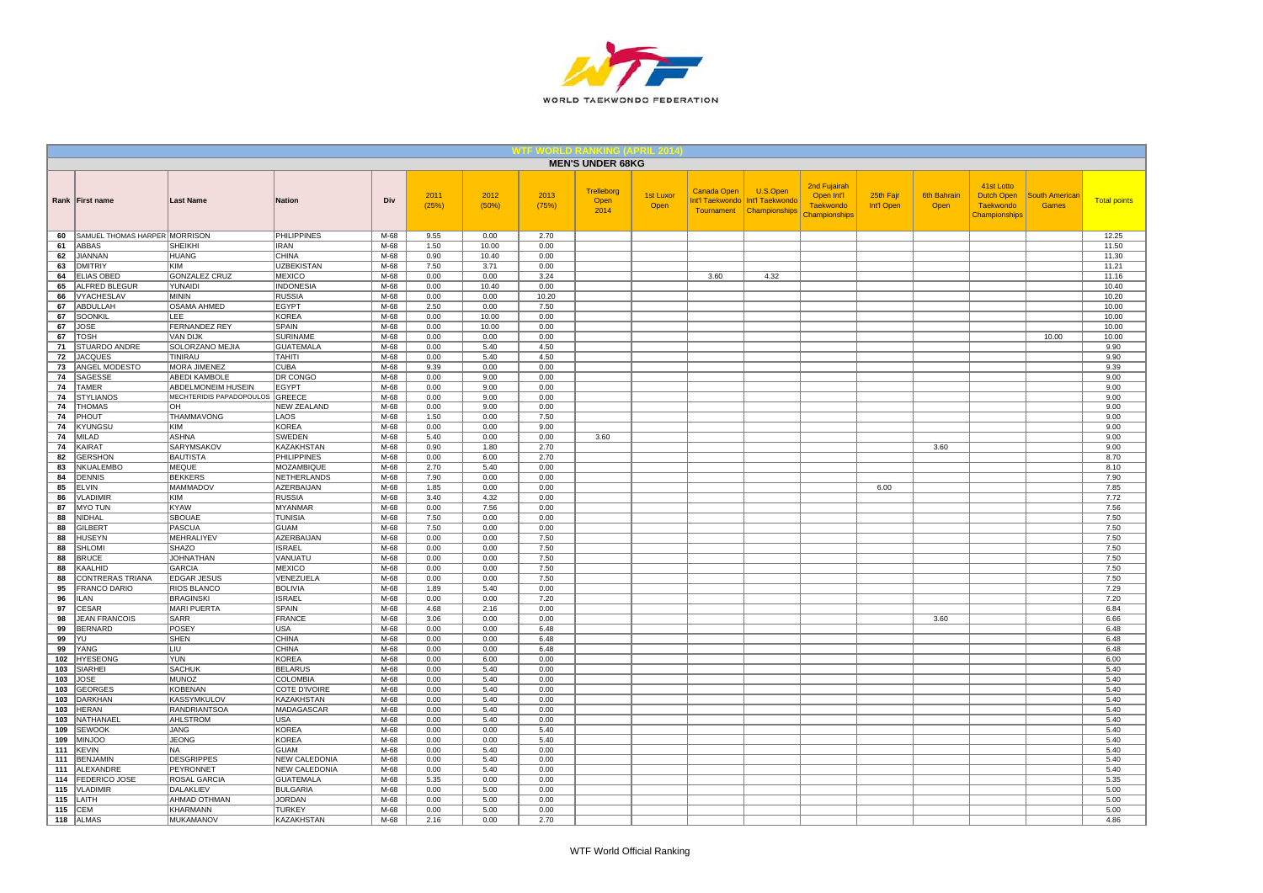

|            |                                         |                                   |                                     |                  |               |               |               | <b>MEN'S UNDER 68KG</b>    |                   |                    |                                                                           |                                                                        |                         |                            |                                                               |                                |                     |
|------------|-----------------------------------------|-----------------------------------|-------------------------------------|------------------|---------------|---------------|---------------|----------------------------|-------------------|--------------------|---------------------------------------------------------------------------|------------------------------------------------------------------------|-------------------------|----------------------------|---------------------------------------------------------------|--------------------------------|---------------------|
|            | Rank First name                         | <b>Last Name</b>                  | <b>Nation</b>                       | Div              | 2011<br>(25%) | 2012<br>(50%) | 2013<br>(75%) | Trelleborg<br>Open<br>2014 | 1st Luxor<br>Open | <b>Canada Open</b> | U.S.Open<br>Int'l Taekwondo   Int'l Taekwondo<br>Tournament Championships | 2nd Fujairah<br>Open Int'l<br><b>Taekwondo</b><br><b>Championships</b> | 25th Fajr<br>Int'l Open | <b>6th Bahrain</b><br>Open | 41st Lotto<br>Dutch Open<br><b>Taekwondo</b><br>Championships | South American<br><b>Games</b> | <b>Total points</b> |
| 60         | SAMUEL THOMAS HARPER MORRISON           |                                   | <b>PHILIPPINES</b>                  | M-68             | 9.55          | 0.00          | 2.70          |                            |                   |                    |                                                                           |                                                                        |                         |                            |                                                               |                                | 12.25               |
| 61         | <b>ABBAS</b>                            | <b>SHEIKHI</b>                    | <b>IRAN</b>                         | $M-68$           | 1.50          | 10.00         | 0.00          |                            |                   |                    |                                                                           |                                                                        |                         |                            |                                                               |                                | 11.50               |
| 62<br>63   | JIANNAN<br><b>DMITRIY</b>               | <b>HUANG</b><br><b>KIM</b>        | <b>CHINA</b><br><b>UZBEKISTAN</b>   | $M-68$<br>$M-68$ | 0.90<br>7.50  | 10.40<br>3.71 | 0.00<br>0.00  |                            |                   |                    |                                                                           |                                                                        |                         |                            |                                                               |                                | 11.30<br>11.21      |
| 64         | <b>ELIAS OBED</b>                       | <b>GONZALEZ CRUZ</b>              | <b>MEXICO</b>                       | M-68             | 0.00          | 0.00          | 3.24          |                            |                   | 3.60               | 4.32                                                                      |                                                                        |                         |                            |                                                               |                                | 11.16               |
| 65         | ALFRED BLEGUR                           | YUNAIDI                           | <b>INDONESIA</b>                    | M-68             | 0.00          | 10.40         | 0.00          |                            |                   |                    |                                                                           |                                                                        |                         |                            |                                                               |                                | 10.40               |
| 66         | VYACHESLAV                              | MININ                             | <b>RUSSIA</b>                       | $M-68$           | 0.00          | 0.00          | 10.20         |                            |                   |                    |                                                                           |                                                                        |                         |                            |                                                               |                                | 10.20               |
| 67         | ABDULLAH                                | OSAMA AHMED                       | EGYPT                               | M-68             | 2.50          | 0.00          | 7.50          |                            |                   |                    |                                                                           |                                                                        |                         |                            |                                                               |                                | 10.00               |
| 67         | SOONKIL                                 | <b>LEE</b>                        | <b>KOREA</b>                        | M-68             | 0.00          | 10.00         | 0.00          |                            |                   |                    |                                                                           |                                                                        |                         |                            |                                                               |                                | 10.00               |
| 67<br>67   | <b>JOSE</b><br><b>TOSH</b>              | FERNANDEZ REY<br><b>VAN DIJK</b>  | <b>SPAIN</b><br><b>SURINAME</b>     | M-68<br>M-68     | 0.00<br>0.00  | 10.00<br>0.00 | 0.00<br>0.00  |                            |                   |                    |                                                                           |                                                                        |                         |                            |                                                               | 10.00                          | 10.00<br>10.00      |
| 71         | STUARDO ANDRE                           | SOLORZANO MEJIA                   | <b>GUATEMALA</b>                    | M-68             | 0.00          | 5.40          | 4.50          |                            |                   |                    |                                                                           |                                                                        |                         |                            |                                                               |                                | 9.90                |
| 72         | <b>JACQUES</b>                          | TINIRAU                           | <b>TAHITI</b>                       | M-68             | 0.00          | 5.40          | 4.50          |                            |                   |                    |                                                                           |                                                                        |                         |                            |                                                               |                                | 9.90                |
| 73         | ANGEL MODESTO                           | MORA JIMENEZ                      | <b>CUBA</b>                         | M-68             | 9.39          | 0.00          | 0.00          |                            |                   |                    |                                                                           |                                                                        |                         |                            |                                                               |                                | 9.39                |
| 74         | SAGESSE                                 | <b>ABEDI KAMBOLE</b>              | DR CONGO                            | M-68             | 0.00          | 9.00          | 0.00          |                            |                   |                    |                                                                           |                                                                        |                         |                            |                                                               |                                | 9.00                |
| 74         | <b>TAMER</b>                            | ABDELMONEIM HUSEIN                | <b>EGYPT</b>                        | $M-68$           | 0.00          | 9.00          | 0.00          |                            |                   |                    |                                                                           |                                                                        |                         |                            |                                                               |                                | 9.00                |
| 74<br>74   | <b>STYLIANOS</b><br><b>THOMAS</b>       | MECHTERIDIS PAPADOPOULOS<br>OH    | GREECE<br><b>NEW ZEALAND</b>        | M-68<br>M-68     | 0.00<br>0.00  | 9.00<br>9.00  | 0.00<br>0.00  |                            |                   |                    |                                                                           |                                                                        |                         |                            |                                                               |                                | 9.00<br>9.00        |
| 74         | PHOUT                                   | THAMMAVONG                        | LAOS                                | M-68             | 1.50          | 0.00          | 7.50          |                            |                   |                    |                                                                           |                                                                        |                         |                            |                                                               |                                | 9.00                |
| 74         | <b>KYUNGSU</b>                          | KIM                               | <b>KOREA</b>                        | M-68             | 0.00          | 0.00          | 9.00          |                            |                   |                    |                                                                           |                                                                        |                         |                            |                                                               |                                | 9.00                |
| 74         | MILAD                                   | <b>ASHNA</b>                      | SWEDEN                              | M-68             | 5.40          | 0.00          | 0.00          | 3.60                       |                   |                    |                                                                           |                                                                        |                         |                            |                                                               |                                | 9.00                |
| 74         | <b>KAIRAT</b>                           | SARYMSAKOV                        | KAZAKHSTAN                          | M-68             | 0.90          | 1.80          | 2.70          |                            |                   |                    |                                                                           |                                                                        |                         | 3.60                       |                                                               |                                | 9.00                |
| 82         | <b>GERSHON</b>                          | <b>BAUTISTA</b>                   | <b>PHILIPPINES</b>                  | M-68             | 0.00          | 6.00          | 2.70          |                            |                   |                    |                                                                           |                                                                        |                         |                            |                                                               |                                | 8.70                |
| 83         | NKUALEMBO                               | <b>MEQUE</b>                      | MOZAMBIQUE                          | M-68             | 2.70          | 5.40          | 0.00          |                            |                   |                    |                                                                           |                                                                        |                         |                            |                                                               |                                | 8.10                |
| 84         | <b>DENNIS</b>                           | <b>BEKKERS</b><br><b>MAMMADOV</b> | NETHERLANDS                         | M-68<br>M-68     | 7.90          | 0.00<br>0.00  | 0.00          |                            |                   |                    |                                                                           |                                                                        |                         |                            |                                                               |                                | 7.90<br>7.85        |
| 85<br>86   | <b>ELVIN</b><br><b>VLADIMIR</b>         | KIM                               | AZERBAIJAN<br><b>RUSSIA</b>         | M-68             | 1.85<br>3.40  | 4.32          | 0.00<br>0.00  |                            |                   |                    |                                                                           |                                                                        | 6.00                    |                            |                                                               |                                | 7.72                |
| 87         | <b>MYO TUN</b>                          | KYAW                              | <b>MYANMAR</b>                      | M-68             | 0.00          | 7.56          | 0.00          |                            |                   |                    |                                                                           |                                                                        |                         |                            |                                                               |                                | 7.56                |
| 88         | NIDHAL                                  | <b>SBOUAE</b>                     | <b>TUNISIA</b>                      | M-68             | 7.50          | 0.00          | 0.00          |                            |                   |                    |                                                                           |                                                                        |                         |                            |                                                               |                                | 7.50                |
| 88         | <b>GILBERT</b>                          | <b>PASCUA</b>                     | <b>GUAM</b>                         | M-68             | 7.50          | 0.00          | 0.00          |                            |                   |                    |                                                                           |                                                                        |                         |                            |                                                               |                                | 7.50                |
| 88         | <b>HUSEYN</b>                           | <b>MEHRALIYEV</b>                 | AZERBAIJAN                          | $M-68$           | 0.00          | 0.00          | 7.50          |                            |                   |                    |                                                                           |                                                                        |                         |                            |                                                               |                                | 7.50                |
| 88         | <b>SHLOMI</b>                           | SHAZO                             | <b>ISRAEL</b>                       | M-68             | 0.00          | 0.00          | 7.50          |                            |                   |                    |                                                                           |                                                                        |                         |                            |                                                               |                                | 7.50                |
| 88<br>88   | <b>BRUCE</b><br>KAALHID                 | <b>JOHNATHAN</b><br><b>GARCIA</b> | VANUATU<br><b>MEXICO</b>            | M-68<br>M-68     | 0.00<br>0.00  | 0.00<br>0.00  | 7.50<br>7.50  |                            |                   |                    |                                                                           |                                                                        |                         |                            |                                                               |                                | 7.50<br>7.50        |
| 88         | CONTRERAS TRIANA                        | <b>EDGAR JESUS</b>                | VENEZUELA                           | M-68             | 0.00          | 0.00          | 7.50          |                            |                   |                    |                                                                           |                                                                        |                         |                            |                                                               |                                | 7.50                |
| 95         | <b>FRANCO DARIO</b>                     | RIOS BLANCO                       | <b>BOLIVIA</b>                      | M-68             | 1.89          | 5.40          | 0.00          |                            |                   |                    |                                                                           |                                                                        |                         |                            |                                                               |                                | 7.29                |
| 96         | <b>ILAN</b>                             | <b>BRAGINSKI</b>                  | <b>ISRAEL</b>                       | M-68             | 0.00          | 0.00          | 7.20          |                            |                   |                    |                                                                           |                                                                        |                         |                            |                                                               |                                | 7.20                |
| 97         | <b>CESAR</b>                            | MARI PUERTA                       | SPAIN                               | M-68             | 4.68          | 2.16          | 0.00          |                            |                   |                    |                                                                           |                                                                        |                         |                            |                                                               |                                | 6.84                |
| 98         | <b>JEAN FRANCOIS</b>                    | <b>SARR</b>                       | <b>FRANCE</b>                       | M-68             | 3.06          | 0.00          | 0.00          |                            |                   |                    |                                                                           |                                                                        |                         | 3.60                       |                                                               |                                | 6.66                |
| 99<br>99   | <b>BERNARD</b><br>YU                    | POSEY<br><b>SHEN</b>              | <b>USA</b><br><b>CHINA</b>          | $M-68$<br>M-68   | 0.00<br>0.00  | 0.00<br>0.00  | 6.48<br>6.48  |                            |                   |                    |                                                                           |                                                                        |                         |                            |                                                               |                                | 6.48<br>6.48        |
| 99         | YANG                                    | <b>LIU</b>                        | <b>CHINA</b>                        | M-68             | 0.00          | 0.00          | 6.48          |                            |                   |                    |                                                                           |                                                                        |                         |                            |                                                               |                                | 6.48                |
| 102        | <b>HYESEONG</b>                         | <b>YUN</b>                        | <b>KOREA</b>                        | M-68             | 0.00          | 6.00          | 0.00          |                            |                   |                    |                                                                           |                                                                        |                         |                            |                                                               |                                | 6.00                |
| 103        | <b>SIARHEI</b>                          | <b>SACHUK</b>                     | <b>BELARUS</b>                      | M-68             | 0.00          | 5.40          | 0.00          |                            |                   |                    |                                                                           |                                                                        |                         |                            |                                                               |                                | 5.40                |
| 103        | <b>JOSE</b>                             | MUNOZ                             | COLOMBIA                            | $M-68$           | 0.00          | 5.40          | 0.00          |                            |                   |                    |                                                                           |                                                                        |                         |                            |                                                               |                                | 5.40                |
| 103        | <b>GEORGES</b>                          | <b>KOBENAN</b>                    | <b>COTE D'IVOIRE</b>                | M-68             | 0.00          | 5.40          | 0.00          |                            |                   |                    |                                                                           |                                                                        |                         |                            |                                                               |                                | 5.40                |
| 103        | <b>DARKHAN</b>                          | <b>KASSYMKULOV</b>                | KAZAKHSTAN                          | M-68             | 0.00          | 5.40          | 0.00          |                            |                   |                    |                                                                           |                                                                        |                         |                            |                                                               |                                | 5.40                |
| 103<br>103 | <b>HERAN</b><br>NATHANAEL               | <b>RANDRIANTSOA</b><br>AHLSTROM   | MADAGASCAR<br>USA                   | M-68<br>M-68     | 0.00<br>0.00  | 5.40<br>5.40  | 0.00<br>0.00  |                            |                   |                    |                                                                           |                                                                        |                         |                            |                                                               |                                | 5.40<br>5.40        |
| 109        | SEWOOK                                  | <b>JANG</b>                       | <b>KOREA</b>                        | M-68             | 0.00          | 0.00          | 5.40          |                            |                   |                    |                                                                           |                                                                        |                         |                            |                                                               |                                | 5.40                |
| 109        | <b>MINJOO</b>                           | <b>JEONG</b>                      | <b>KOREA</b>                        | M-68             | 0.00          | 0.00          | 5.40          |                            |                   |                    |                                                                           |                                                                        |                         |                            |                                                               |                                | 5.40                |
| 111        | KEVIN                                   | INA.                              | <b>GUAM</b>                         | M-68             | 0.00          | 5.40          | 0.00          |                            |                   |                    |                                                                           |                                                                        |                         |                            |                                                               |                                | 5.40                |
| 111        | <b>BENJAMIN</b>                         | <b>DESGRIPPES</b>                 | <b>NEW CALEDONIA</b>                | M-68             | 0.00          | 5.40          | 0.00          |                            |                   |                    |                                                                           |                                                                        |                         |                            |                                                               |                                | 5.40                |
| 111        | ALEXANDRE                               | PEYRONNET                         | <b>NEW CALEDONIA</b>                | M-68             | 0.00          | 5.40          | 0.00          |                            |                   |                    |                                                                           |                                                                        |                         |                            |                                                               |                                | 5.40                |
| 114<br>115 | <b>FEDERICO JOSE</b><br><b>VLADIMIR</b> | <b>ROSAL GARCIA</b><br>DALAKLIEV  | <b>GUATEMALA</b><br><b>BULGARIA</b> | M-68<br>M-68     | 5.35<br>0.00  | 0.00<br>5.00  | 0.00<br>0.00  |                            |                   |                    |                                                                           |                                                                        |                         |                            |                                                               |                                | 5.35<br>5.00        |
| 115        | LAITH                                   | AHMAD OTHMAN                      | <b>JORDAN</b>                       | M-68             | 0.00          | 5.00          | 0.00          |                            |                   |                    |                                                                           |                                                                        |                         |                            |                                                               |                                | 5.00                |
| 115        | <b>CEM</b>                              | KHARMANN                          | <b>TURKEY</b>                       | M-68             | 0.00          | 5.00          | 0.00          |                            |                   |                    |                                                                           |                                                                        |                         |                            |                                                               |                                | 5.00                |
| 118        | <b>ALMAS</b>                            | <b>MUKAMANOV</b>                  | <b>KAZAKHSTAN</b>                   | $M-68$           | 2.16          | 0.00          | 2.70          |                            |                   |                    |                                                                           |                                                                        |                         |                            |                                                               |                                | 4.86                |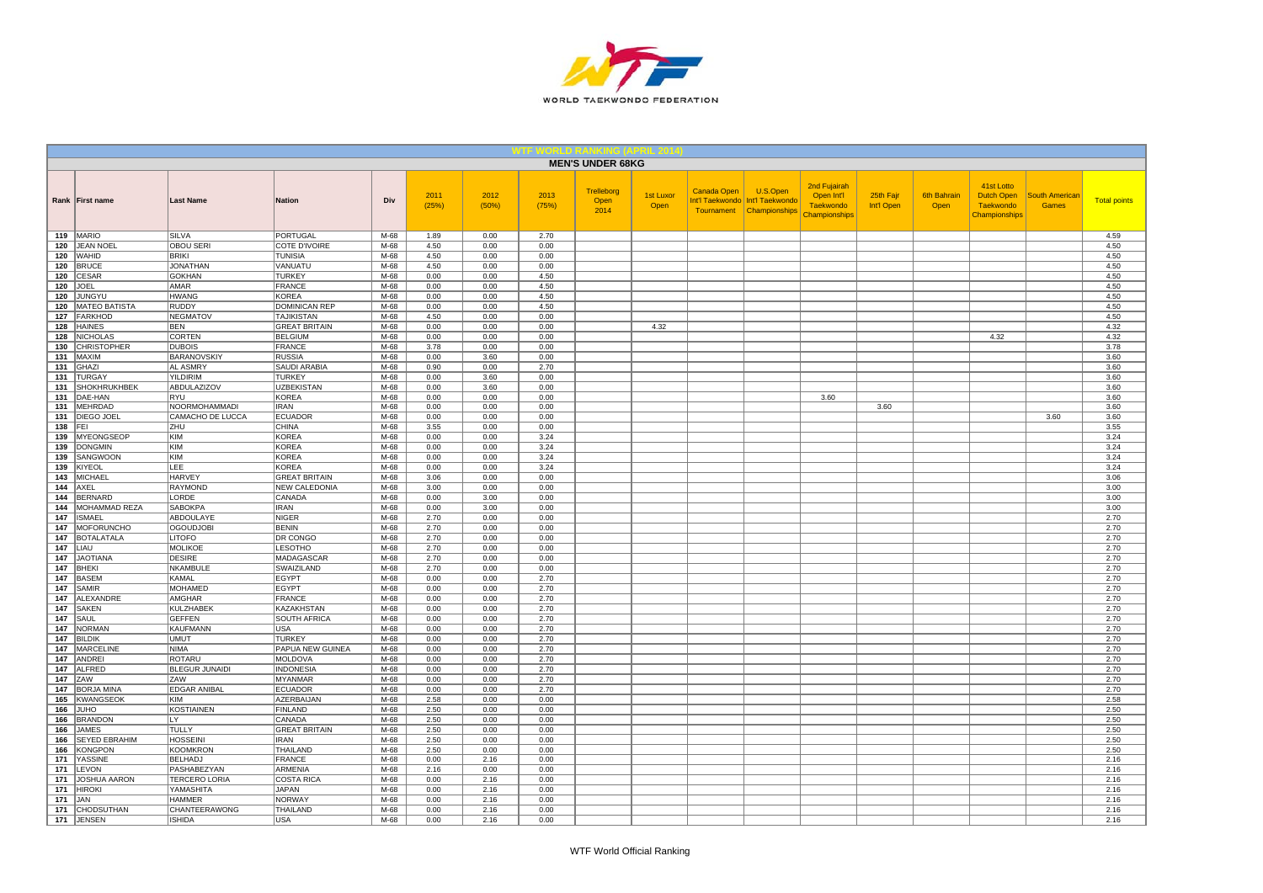

|            |                                 |                                     |                                    |                |               |               |               | <b>MEN'S UNDER 68KG</b>    |                          |                                                     |                                              |                                                                        |                         |                            |                                                                      |                                       |                     |
|------------|---------------------------------|-------------------------------------|------------------------------------|----------------|---------------|---------------|---------------|----------------------------|--------------------------|-----------------------------------------------------|----------------------------------------------|------------------------------------------------------------------------|-------------------------|----------------------------|----------------------------------------------------------------------|---------------------------------------|---------------------|
|            | Rank First name                 | <b>Last Name</b>                    | <b>Nation</b>                      | Div            | 2011<br>(25%) | 2012<br>(50%) | 2013<br>(75%) | Trelleborg<br>Open<br>2014 | <b>1st Luxor</b><br>Open | <b>Canada Open</b><br>Int'l Taekwondo<br>Tournament | U.S.Open<br>Int'l Taekwondo<br>Championships | 2nd Fujairah<br>Open Int'l<br><b>Taekwondo</b><br><b>Championships</b> | 25th Fajr<br>Int'l Open | <b>6th Bahrain</b><br>Open | 41st Lotto<br><b>Dutch Open</b><br><b>Taekwondo</b><br>Championships | <b>South Americar</b><br><b>Games</b> | <b>Total points</b> |
|            | 119 MARIO                       | SILVA                               | <b>PORTUGAL</b>                    | M-68           | 1.89          | 0.00          | 2.70          |                            |                          |                                                     |                                              |                                                                        |                         |                            |                                                                      |                                       | 4.59                |
| 120        | JEAN NOEL                       | <b>OBOU SERI</b>                    | COTE D'IVOIRE                      | M-68           | 4.50          | 0.00          | 0.00          |                            |                          |                                                     |                                              |                                                                        |                         |                            |                                                                      |                                       | 4.50                |
|            | 120 WAHID<br>120 BRUCE          | <b>BRIKI</b><br><b>JONATHAN</b>     | <b>TUNISIA</b><br>VANUATU          | $M-68$<br>M-68 | 4.50<br>4.50  | 0.00<br>0.00  | 0.00<br>0.00  |                            |                          |                                                     |                                              |                                                                        |                         |                            |                                                                      |                                       | 4.50<br>4.50        |
| 120        | CESAR                           | <b>GOKHAN</b>                       | <b>TURKEY</b>                      | M-68           | 0.00          | 0.00          | 4.50          |                            |                          |                                                     |                                              |                                                                        |                         |                            |                                                                      |                                       | 4.50                |
| 120        | JOEL                            | <b>AMAR</b>                         | <b>FRANCE</b>                      | M-68           | 0.00          | 0.00          | 4.50          |                            |                          |                                                     |                                              |                                                                        |                         |                            |                                                                      |                                       | 4.50                |
| 120        | JUNGYU                          | <b>HWANG</b>                        | KOREA                              | M-68           | 0.00          | 0.00          | 4.50          |                            |                          |                                                     |                                              |                                                                        |                         |                            |                                                                      |                                       | 4.50                |
| 120        | <b>MATEO BATISTA</b>            | <b>RUDDY</b>                        | <b>DOMINICAN REP</b>               | M-68           | 0.00          | 0.00          | 4.50          |                            |                          |                                                     |                                              |                                                                        |                         |                            |                                                                      |                                       | 4.50                |
| 127        | FARKHOD                         | <b>NEGMATOV</b>                     | <b>TAJIKISTAN</b>                  | M-68           | 4.50          | 0.00          | 0.00          |                            |                          |                                                     |                                              |                                                                        |                         |                            |                                                                      |                                       | 4.50                |
| 128        | <b>HAINES</b>                   | <b>BEN</b>                          | <b>GREAT BRITAIN</b>               | M-68           | 0.00          | 0.00          | 0.00          |                            | 4.32                     |                                                     |                                              |                                                                        |                         |                            |                                                                      |                                       | 4.32                |
| 128        | <b>NICHOLAS</b>                 | CORTEN                              | <b>BELGIUM</b>                     | M-68           | 0.00          | 0.00          | 0.00          |                            |                          |                                                     |                                              |                                                                        |                         |                            | 4.32                                                                 |                                       | 4.32                |
| 130        | <b>CHRISTOPHER</b>              | <b>DUBOIS</b>                       | <b>FRANCE</b>                      | M-68           | 3.78          | 0.00          | 0.00          |                            |                          |                                                     |                                              |                                                                        |                         |                            |                                                                      |                                       | 3.78                |
|            | $131$ MAXIM<br>131 $ GHAZ $     | <b>BARANOVSKIY</b><br>AL ASMRY      | <b>RUSSIA</b><br>SAUDI ARABIA      | M-68<br>M-68   | 0.00<br>0.90  | 3.60<br>0.00  | 0.00<br>2.70  |                            |                          |                                                     |                                              |                                                                        |                         |                            |                                                                      |                                       | 3.60<br>3.60        |
| 131        | <b>TURGAY</b>                   | <b>YILDIRIM</b>                     | <b>TURKEY</b>                      | M-68           | 0.00          | 3.60          | 0.00          |                            |                          |                                                     |                                              |                                                                        |                         |                            |                                                                      |                                       | 3.60                |
| 131        | <b>SHOKHRUKHBEK</b>             | <b>ABDULAZIZOV</b>                  | <b>UZBEKISTAN</b>                  | $M-68$         | 0.00          | 3.60          | 0.00          |                            |                          |                                                     |                                              |                                                                        |                         |                            |                                                                      |                                       | 3.60                |
| 131        | DAE-HAN                         | RYU                                 | KOREA                              | $M-68$         | 0.00          | 0.00          | 0.00          |                            |                          |                                                     |                                              | 3.60                                                                   |                         |                            |                                                                      |                                       | 3.60                |
| 131        | MEHRDAD                         | NOORMOHAMMADI                       | <b>IRAN</b>                        | M-68           | 0.00          | 0.00          | 0.00          |                            |                          |                                                     |                                              |                                                                        | 3.60                    |                            |                                                                      |                                       | 3.60                |
| 131        | <b>DIEGO JOEL</b>               | CAMACHO DE LUCCA                    | ECUADOR                            | M-68           | 0.00          | 0.00          | 0.00          |                            |                          |                                                     |                                              |                                                                        |                         |                            |                                                                      | 3.60                                  | 3.60                |
| 138        | <b>IFEI</b>                     | <b>ZHU</b>                          | <b>CHINA</b>                       | M-68           | 3.55          | 0.00          | 0.00          |                            |                          |                                                     |                                              |                                                                        |                         |                            |                                                                      |                                       | 3.55                |
|            | 139 MYEONGSEOP                  | KIM                                 | <b>KOREA</b>                       | M-68           | 0.00          | 0.00          | 3.24          |                            |                          |                                                     |                                              |                                                                        |                         |                            |                                                                      |                                       | 3.24                |
| 139        | <b>DONGMIN</b>                  | KIM                                 | KOREA                              | M-68           | 0.00          | 0.00          | 3.24          |                            |                          |                                                     |                                              |                                                                        |                         |                            |                                                                      |                                       | 3.24                |
|            | 139 SANGWOON<br>139 KIYEOL      | KIM<br>LEE                          | <b>KOREA</b><br>KOREA              | M-68<br>M-68   | 0.00<br>0.00  | 0.00<br>0.00  | 3.24<br>3.24  |                            |                          |                                                     |                                              |                                                                        |                         |                            |                                                                      |                                       | 3.24<br>3.24        |
| 143        | MICHAEL                         | <b>HARVEY</b>                       | <b>GREAT BRITAIN</b>               | M-68           | 3.06          | 0.00          | 0.00          |                            |                          |                                                     |                                              |                                                                        |                         |                            |                                                                      |                                       | 3.06                |
| 144        | AXEL                            | <b>RAYMOND</b>                      | NEW CALEDONIA                      | M-68           | 3.00          | 0.00          | 0.00          |                            |                          |                                                     |                                              |                                                                        |                         |                            |                                                                      |                                       | 3.00                |
| 144        | BERNARD                         | LORDE                               | CANADA                             | M-68           | 0.00          | 3.00          | 0.00          |                            |                          |                                                     |                                              |                                                                        |                         |                            |                                                                      |                                       | 3.00                |
| 144        | MOHAMMAD REZA                   | <b>SABOKPA</b>                      | <b>IRAN</b>                        | M-68           | 0.00          | 3.00          | 0.00          |                            |                          |                                                     |                                              |                                                                        |                         |                            |                                                                      |                                       | 3.00                |
| 147        | <b>ISMAEL</b>                   | ABDOULAYE                           | <b>NIGER</b>                       | M-68           | 2.70          | 0.00          | 0.00          |                            |                          |                                                     |                                              |                                                                        |                         |                            |                                                                      |                                       | 2.70                |
| 147        | <b>MOFORUNCHO</b>               | <b>OGOUDJOBI</b>                    | <b>BENIN</b>                       | $M-68$         | 2.70          | 0.00          | 0.00          |                            |                          |                                                     |                                              |                                                                        |                         |                            |                                                                      |                                       | 2.70                |
|            | 147   BOTALATALA                | <b>LITOFO</b>                       | DR CONGO                           | M-68           | 2.70          | 0.00          | 0.00          |                            |                          |                                                     |                                              |                                                                        |                         |                            |                                                                      |                                       | 2.70                |
| 147        | LIAU                            | <b>MOLIKOE</b>                      | <b>LESOTHO</b>                     | M-68           | 2.70          | 0.00          | 0.00          |                            |                          |                                                     |                                              |                                                                        |                         |                            |                                                                      |                                       | 2.70                |
| 147        | JAOTIANA                        | <b>DESIRE</b>                       | MADAGASCAR                         | M-68           | 2.70          | 0.00          | 0.00          |                            |                          |                                                     |                                              |                                                                        |                         |                            |                                                                      |                                       | 2.70                |
| 147<br>147 | <b>BHEKI</b><br><b>BASEM</b>    | NKAMBULE<br><b>KAMAL</b>            | SWAIZILAND<br>EGYPT                | M-68<br>M-68   | 2.70<br>0.00  | 0.00<br>0.00  | 0.00<br>2.70  |                            |                          |                                                     |                                              |                                                                        |                         |                            |                                                                      |                                       | 2.70<br>2.70        |
| 147        | SAMIR                           | <b>MOHAMED</b>                      | <b>EGYPT</b>                       | M-68           | 0.00          | 0.00          | 2.70          |                            |                          |                                                     |                                              |                                                                        |                         |                            |                                                                      |                                       | 2.70                |
| 147        | ALEXANDRE                       | <b>AMGHAR</b>                       | <b>FRANCE</b>                      | M-68           | 0.00          | 0.00          | 2.70          |                            |                          |                                                     |                                              |                                                                        |                         |                            |                                                                      |                                       | 2.70                |
| 147        | <b>SAKEN</b>                    | <b>KULZHABEK</b>                    | KAZAKHSTAN                         | M-68           | 0.00          | 0.00          | 2.70          |                            |                          |                                                     |                                              |                                                                        |                         |                            |                                                                      |                                       | 2.70                |
| 147        | SAUL                            | <b>GEFFEN</b>                       | <b>SOUTH AFRICA</b>                | M-68           | 0.00          | 0.00          | 2.70          |                            |                          |                                                     |                                              |                                                                        |                         |                            |                                                                      |                                       | 2.70                |
| 147        | NORMAN                          | <b>KAUFMANN</b>                     | <b>USA</b>                         | $M-68$         | 0.00          | 0.00          | 2.70          |                            |                          |                                                     |                                              |                                                                        |                         |                            |                                                                      |                                       | 2.70                |
|            | 147 BILDIK                      | <b>UMUT</b>                         | <b>TURKEY</b>                      | M-68           | 0.00          | 0.00          | 2.70          |                            |                          |                                                     |                                              |                                                                        |                         |                            |                                                                      |                                       | 2.70                |
| 147        | <b>MARCELINE</b>                | <b>NIMA</b>                         | PAPUA NEW GUINEA                   | M-68           | 0.00          | 0.00          | 2.70          |                            |                          |                                                     |                                              |                                                                        |                         |                            |                                                                      |                                       | 2.70                |
| 147        | ANDREI                          | <b>ROTARU</b>                       | <b>MOLDOVA</b>                     | M-68           | 0.00          | 0.00          | 2.70          |                            |                          |                                                     |                                              |                                                                        |                         |                            |                                                                      |                                       | 2.70                |
| 147        | <b>ALFRED</b>                   | <b>BLEGUR JUNAIDI</b><br><b>ZAW</b> | <b>INDONESIA</b><br><b>MYANMAR</b> | M-68           | 0.00          | 0.00          | 2.70          |                            |                          |                                                     |                                              |                                                                        |                         |                            |                                                                      |                                       | 2.70                |
| 147<br>147 | <b>ZAW</b><br><b>BORJA MINA</b> | EDGAR ANIBAL                        | <b>ECUADOR</b>                     | $M-68$<br>M-68 | 0.00<br>0.00  | 0.00<br>0.00  | 2.70<br>2.70  |                            |                          |                                                     |                                              |                                                                        |                         |                            |                                                                      |                                       | 2.70<br>2.70        |
| 165        | KWANGSEOK                       | KIM                                 | AZERBAIJAN                         | M-68           | 2.58          | 0.00          | 0.00          |                            |                          |                                                     |                                              |                                                                        |                         |                            |                                                                      |                                       | 2.58                |
| 166        | <b>OHUL</b>                     | <b>KOSTIAINEN</b>                   | <b>FINLAND</b>                     | M-68           | 2.50          | 0.00          | 0.00          |                            |                          |                                                     |                                              |                                                                        |                         |                            |                                                                      |                                       | 2.50                |
| 166        | <b>BRANDON</b>                  | LY                                  | CANADA                             | M-68           | 2.50          | 0.00          | 0.00          |                            |                          |                                                     |                                              |                                                                        |                         |                            |                                                                      |                                       | 2.50                |
| 166        | <b>JAMES</b>                    | <b>TULLY</b>                        | <b>GREAT BRITAIN</b>               | M-68           | 2.50          | 0.00          | 0.00          |                            |                          |                                                     |                                              |                                                                        |                         |                            |                                                                      |                                       | 2.50                |
| 166        | <b>SEYED EBRAHIM</b>            | <b>HOSSEINI</b>                     | <b>IRAN</b>                        | M-68           | 2.50          | 0.00          | 0.00          |                            |                          |                                                     |                                              |                                                                        |                         |                            |                                                                      |                                       | 2.50                |
| 166        | KONGPON                         | <b>KOOMKRON</b>                     | THAILAND                           | M-68           | 2.50          | 0.00          | 0.00          |                            |                          |                                                     |                                              |                                                                        |                         |                            |                                                                      |                                       | 2.50                |
| 171        | YASSINE                         | <b>BELHADJ</b>                      | <b>FRANCE</b>                      | M-68           | 0.00          | 2.16          | 0.00          |                            |                          |                                                     |                                              |                                                                        |                         |                            |                                                                      |                                       | 2.16                |
| 171        | LEVON                           | PASHABEZYAN                         | ARMENIA                            | M-68           | 2.16          | 0.00          | 0.00          |                            |                          |                                                     |                                              |                                                                        |                         |                            |                                                                      |                                       | 2.16                |
|            | 171 JOSHUA AARON                | TERCERO LORIA                       | <b>COSTA RICA</b>                  | M-68           | 0.00          | 2.16          | 0.00          |                            |                          |                                                     |                                              |                                                                        |                         |                            |                                                                      |                                       | 2.16                |
| 171<br>171 | <b>HIROKI</b><br><b>JAN</b>     | YAMASHITA<br><b>HAMMER</b>          | JAPAN<br><b>NORWAY</b>             | M-68<br>M-68   | 0.00<br>0.00  | 2.16<br>2.16  | 0.00<br>0.00  |                            |                          |                                                     |                                              |                                                                        |                         |                            |                                                                      |                                       | 2.16<br>2.16        |
|            | 171 CHODSUTHAN                  | CHANTEERAWONG                       | THAILAND                           | M-68           | 0.00          | 2.16          | 0.00          |                            |                          |                                                     |                                              |                                                                        |                         |                            |                                                                      |                                       | 2.16                |
|            | 171 JENSEN                      | <b>ISHIDA</b>                       | <b>USA</b>                         | $M-68$         | 0.00          | 2.16          | 0.00          |                            |                          |                                                     |                                              |                                                                        |                         |                            |                                                                      |                                       | 2.16                |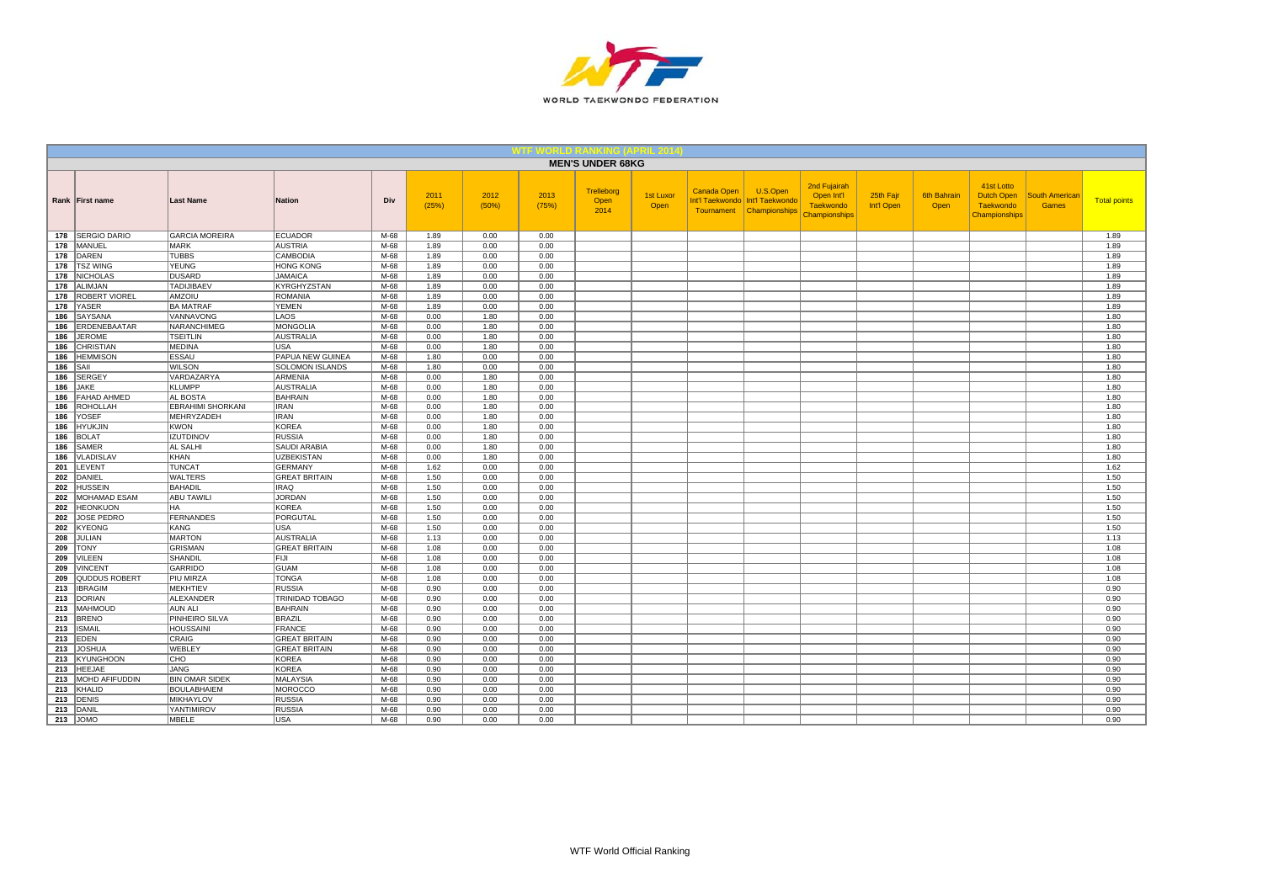

| <b>MEN'S UNDER 68KG</b><br>2nd Fujairah<br>41st Lotto<br>U.S.Open<br>Trelleborg<br><b>Canada Open</b><br>2011<br>2012<br>2013<br>1st Luxor<br>Open Int'l<br>25th Fajr<br>6th Bahrain<br>Dutch Open<br><b>South American</b><br>Div<br>Int'l Taekwondo   Int'l Taekwondo<br><b>Total points</b><br>Rank   First name<br><b>Last Name</b><br><b>Nation</b><br>Open<br>(25%)<br>(50%)<br>(75%)<br><b>Taekwondo</b><br>Int'l Open<br>Open<br><b>Taekwondo</b><br><b>Games</b><br>Open<br>2014<br>Tournament<br>Championships<br>Championships<br>Championships<br>178   SERGIO DARIO<br><b>GARCIA MOREIRA</b><br><b>ECUADOR</b><br>M-68<br>1.89<br>0.00<br>0.00<br>1.89<br><b>MANUEL</b><br><b>MARK</b><br><b>AUSTRIA</b><br>$M-68$<br>1.89<br>0.00<br>0.00<br>1.89<br>178<br>DAREN<br><b>TUBBS</b><br>CAMBODIA<br>$M-68$<br>1.89<br>0.00<br>0.00<br>1.89<br>178<br><b>TSZ WING</b><br><b>YEUNG</b><br>1.89<br><b>HONG KONG</b><br>M-68<br>1.89<br>0.00<br>0.00<br>178<br><b>NICHOLAS</b><br><b>DUSARD</b><br><b>JAMAICA</b><br>M-68<br>0.00<br>1.89<br>178<br>1.89<br>0.00<br>178<br>ALIMJAN<br><b>TADIJIBAEV</b><br>KYRGHYZSTAN<br>M-68<br>1.89<br>0.00<br>0.00<br>1.89<br>ROBERT VIOREL<br>AMZOIU<br><b>ROMANIA</b><br>M-68<br>1.89<br>0.00<br>0.00<br>1.89<br>178<br>YASER<br><b>BA MATRAF</b><br><b>YEMEN</b><br>M-68<br>0.00<br>0.00<br>1.89<br>178<br>1.89<br>LAOS<br>M-68<br>SAYSANA<br>VANNAVONG<br>0.00<br>1.80<br>0.00<br>1.80<br>186<br>1.80<br>1.80<br>ERDENEBAATAR<br>NARANCHIMEG<br><b>MONGOLIA</b><br>M-68<br>0.00<br>0.00<br>186<br><b>JEROME</b><br><b>TSEITLIN</b><br><b>AUSTRALIA</b><br>M-68<br>0.00<br>1.80<br>0.00<br>1.80<br>186<br>CHRISTIAN<br>MEDINA<br><b>USA</b><br>M-68<br>0.00<br>1.80<br>0.00<br>1.80<br>186<br><b>HEMMISON</b><br><b>ESSAU</b><br>PAPUA NEW GUINEA<br>M-68<br>0.00<br>0.00<br>1.80<br>186<br>1.80<br><b>WILSON</b><br>M-68<br>0.00<br>0.00<br>1.80<br>SAIL<br><b>SOLOMON ISLANDS</b><br>1.80<br>186<br><b>SERGEY</b><br>VARDAZARYA<br><b>ARMENIA</b><br>M-68<br>0.00<br>1.80<br>0.00<br>1.80<br>186<br><b>KLUMPP</b><br><b>AUSTRALIA</b><br>M-68<br>1.80<br>0.00<br>1.80<br>186<br><b>JAKE</b><br>0.00<br><b>FAHAD AHMED</b><br>AL BOSTA<br><b>BAHRAIN</b><br>M-68<br>0.00<br>1.80<br>0.00<br>1.80<br>186<br><b>ROHOLLAH</b><br><b>EBRAHIMI SHORKANI</b><br>186<br><b>IRAN</b><br>M-68<br>0.00<br>1.80<br>0.00<br>1.80<br>YOSEF<br>MEHRYZADEH<br><b>IRAN</b><br>M-68<br>1.80<br>0.00<br>1.80<br>186<br>0.00<br><b>KOREA</b><br>M-68<br>0.00<br>1.80<br>1.80<br><b>HYUKJIN</b><br><b>KWON</b><br>0.00<br>186<br><b>BOLAT</b><br><b>IZUTDINOV</b><br><b>RUSSIA</b><br>M-68<br>1.80<br>1.80<br>0.00<br>0.00<br>186<br>SAMER<br>AL SALHI<br>SAUDI ARABIA<br>M-68<br>0.00<br>1.80<br>0.00<br>1.80<br>186<br>VLADISLAV<br>KHAN<br><b>UZBEKISTAN</b><br>M-68<br>0.00<br>1.80<br>0.00<br>1.80<br>186<br>LEVENT<br><b>TUNCAT</b><br><b>GERMANY</b><br>1.62<br>M-68<br>1.62<br>0.00<br>0.00<br>201<br><b>WALTERS</b><br><b>GREAT BRITAIN</b><br>M-68<br>1.50<br>0.00<br>1.50<br>202<br>DANIEL<br>0.00<br><b>IRAQ</b><br>M-68<br>1.50<br><b>HUSSEIN</b><br><b>BAHADIL</b><br>1.50<br>0.00<br>0.00<br>202<br>MOHAMAD ESAM<br><b>ABU TAWILI</b><br><b>JORDAN</b><br>M-68<br>1.50<br>0.00<br>0.00<br>1.50<br>202<br><b>HEONKUON</b><br><b>HA</b><br><b>KOREA</b><br>M-68<br>1.50<br>0.00<br>0.00<br>1.50<br>202<br><b>JOSE PEDRO</b><br><b>FERNANDES</b><br>PORGUTAL<br>M-68<br>0.00<br>1.50<br>202<br>1.50<br>0.00<br>0.00<br>1.50<br>202<br>KYEONG<br>KANG<br>USA<br>M-68<br>1.50<br>0.00<br><b>MARTON</b><br>$M-68$<br>1.13<br><b>JULIAN</b><br><b>AUSTRALIA</b><br>0.00<br>0.00<br>208<br>1.13<br><b>GRISMAN</b><br><b>GREAT BRITAIN</b><br>$M-68$<br>1.08<br>0.00<br>1.08<br>209<br><b>TONY</b><br>0.00<br>VILEEN<br>SHANDIL<br><b>FIJI</b><br>M-68<br>0.00<br>0.00<br>1.08<br>209<br>1.08<br><b>VINCENT</b><br>GARRIDO<br><b>GUAM</b><br>M-68<br>1.08<br>0.00<br>0.00<br>1.08<br>209<br>QUDDUS ROBERT<br>PIU MIRZA<br><b>TONGA</b><br>M-68<br>0.00<br>1.08<br>209<br>1.08<br>0.00<br>M-68<br><b>IBRAGIM</b><br>MEKHTIEV<br><b>RUSSIA</b><br>0.90<br>0.00<br>0.00<br>0.90<br>213<br>213<br><b>DORIAN</b><br>ALEXANDER<br>TRINIDAD TOBAGO<br>M-68<br>0.90<br>0.00<br>0.00<br>0.90<br>213   MAHMOUD<br><b>BAHRAIN</b><br><b>AUN ALI</b><br>M-68<br>0.90<br>0.00<br>0.00<br>0.90<br><b>BRENO</b><br>PINHEIRO SILVA<br><b>BRAZIL</b><br>M-68<br>0.90<br>0.00<br>0.00<br>0.90<br>213<br><b>HOUSSAINI</b><br>M-68<br>0.00<br>0.00<br><b>ISMAIL</b><br><b>FRANCE</b><br>0.90<br>0.90<br>213<br>EDEN<br>CRAIG<br><b>GREAT BRITAIN</b><br>M-68<br>0.00<br>0.90<br>213<br>0.90<br>0.00<br>WEBLEY<br>213<br><b>JOSHUA</b><br><b>GREAT BRITAIN</b><br>M-68<br>0.90<br>0.00<br>0.00<br>0.90<br><b>KYUNGHOON</b><br>CHO<br><b>KOREA</b><br>M-68<br>0.90<br>0.00<br>0.00<br>0.90<br>213<br><b>HEEJAE</b><br>213<br><b>JANG</b><br><b>KOREA</b><br>M-68<br>0.90<br>0.00<br>0.00<br>0.90<br>213 MOHD AFIFUDDIN<br><b>BIN OMAR SIDEK</b><br><b>MALAYSIA</b><br>0.00<br>M-68<br>0.90<br>0.00<br>0.90<br>213<br>KHALID<br>BOULABHAIEM<br><b>MOROCCO</b><br>$M-68$<br>0.00<br>0.00<br>0.90<br>0.90<br><b>DENIS</b><br>MIKHAYLOV<br><b>RUSSIA</b><br>M-68<br>0.00<br>0.00<br>0.90<br>213<br>0.90<br>213 DANIL<br>YANTIMIROV<br><b>RUSSIA</b><br>M-68<br>0.00<br>0.00<br>0.90<br>0.90<br>$213$ JOMO |  |       |            |      |      |      |      |  |  |  |  |      |
|------------------------------------------------------------------------------------------------------------------------------------------------------------------------------------------------------------------------------------------------------------------------------------------------------------------------------------------------------------------------------------------------------------------------------------------------------------------------------------------------------------------------------------------------------------------------------------------------------------------------------------------------------------------------------------------------------------------------------------------------------------------------------------------------------------------------------------------------------------------------------------------------------------------------------------------------------------------------------------------------------------------------------------------------------------------------------------------------------------------------------------------------------------------------------------------------------------------------------------------------------------------------------------------------------------------------------------------------------------------------------------------------------------------------------------------------------------------------------------------------------------------------------------------------------------------------------------------------------------------------------------------------------------------------------------------------------------------------------------------------------------------------------------------------------------------------------------------------------------------------------------------------------------------------------------------------------------------------------------------------------------------------------------------------------------------------------------------------------------------------------------------------------------------------------------------------------------------------------------------------------------------------------------------------------------------------------------------------------------------------------------------------------------------------------------------------------------------------------------------------------------------------------------------------------------------------------------------------------------------------------------------------------------------------------------------------------------------------------------------------------------------------------------------------------------------------------------------------------------------------------------------------------------------------------------------------------------------------------------------------------------------------------------------------------------------------------------------------------------------------------------------------------------------------------------------------------------------------------------------------------------------------------------------------------------------------------------------------------------------------------------------------------------------------------------------------------------------------------------------------------------------------------------------------------------------------------------------------------------------------------------------------------------------------------------------------------------------------------------------------------------------------------------------------------------------------------------------------------------------------------------------------------------------------------------------------------------------------------------------------------------------------------------------------------------------------------------------------------------------------------------------------------------------------------------------------------------------------------------------------------------------------------------------------------------------------------------------------------------------------------------------------------------------------------------------------------------------------------------------------------------------------------------------------------------------------------------------------------------------------------------------------------------------------------------------------------------------------------------------------------------------------------------------------------------------------------------------------------------------------------------------------------------------------------------------------------------------------------------------------------------------------------------------------------------------------------------------------------------------------------------------------------------------------------------------------------------------------------------------------------------------------------------------------------------------|--|-------|------------|------|------|------|------|--|--|--|--|------|
|                                                                                                                                                                                                                                                                                                                                                                                                                                                                                                                                                                                                                                                                                                                                                                                                                                                                                                                                                                                                                                                                                                                                                                                                                                                                                                                                                                                                                                                                                                                                                                                                                                                                                                                                                                                                                                                                                                                                                                                                                                                                                                                                                                                                                                                                                                                                                                                                                                                                                                                                                                                                                                                                                                                                                                                                                                                                                                                                                                                                                                                                                                                                                                                                                                                                                                                                                                                                                                                                                                                                                                                                                                                                                                                                                                                                                                                                                                                                                                                                                                                                                                                                                                                                                                                                                                                                                                                                                                                                                                                                                                                                                                                                                                                                                                                                                                                                                                                                                                                                                                                                                                                                                                                                                                                                                                                  |  |       |            |      |      |      |      |  |  |  |  |      |
|                                                                                                                                                                                                                                                                                                                                                                                                                                                                                                                                                                                                                                                                                                                                                                                                                                                                                                                                                                                                                                                                                                                                                                                                                                                                                                                                                                                                                                                                                                                                                                                                                                                                                                                                                                                                                                                                                                                                                                                                                                                                                                                                                                                                                                                                                                                                                                                                                                                                                                                                                                                                                                                                                                                                                                                                                                                                                                                                                                                                                                                                                                                                                                                                                                                                                                                                                                                                                                                                                                                                                                                                                                                                                                                                                                                                                                                                                                                                                                                                                                                                                                                                                                                                                                                                                                                                                                                                                                                                                                                                                                                                                                                                                                                                                                                                                                                                                                                                                                                                                                                                                                                                                                                                                                                                                                                  |  |       |            |      |      |      |      |  |  |  |  |      |
|                                                                                                                                                                                                                                                                                                                                                                                                                                                                                                                                                                                                                                                                                                                                                                                                                                                                                                                                                                                                                                                                                                                                                                                                                                                                                                                                                                                                                                                                                                                                                                                                                                                                                                                                                                                                                                                                                                                                                                                                                                                                                                                                                                                                                                                                                                                                                                                                                                                                                                                                                                                                                                                                                                                                                                                                                                                                                                                                                                                                                                                                                                                                                                                                                                                                                                                                                                                                                                                                                                                                                                                                                                                                                                                                                                                                                                                                                                                                                                                                                                                                                                                                                                                                                                                                                                                                                                                                                                                                                                                                                                                                                                                                                                                                                                                                                                                                                                                                                                                                                                                                                                                                                                                                                                                                                                                  |  |       |            |      |      |      |      |  |  |  |  |      |
|                                                                                                                                                                                                                                                                                                                                                                                                                                                                                                                                                                                                                                                                                                                                                                                                                                                                                                                                                                                                                                                                                                                                                                                                                                                                                                                                                                                                                                                                                                                                                                                                                                                                                                                                                                                                                                                                                                                                                                                                                                                                                                                                                                                                                                                                                                                                                                                                                                                                                                                                                                                                                                                                                                                                                                                                                                                                                                                                                                                                                                                                                                                                                                                                                                                                                                                                                                                                                                                                                                                                                                                                                                                                                                                                                                                                                                                                                                                                                                                                                                                                                                                                                                                                                                                                                                                                                                                                                                                                                                                                                                                                                                                                                                                                                                                                                                                                                                                                                                                                                                                                                                                                                                                                                                                                                                                  |  |       |            |      |      |      |      |  |  |  |  |      |
|                                                                                                                                                                                                                                                                                                                                                                                                                                                                                                                                                                                                                                                                                                                                                                                                                                                                                                                                                                                                                                                                                                                                                                                                                                                                                                                                                                                                                                                                                                                                                                                                                                                                                                                                                                                                                                                                                                                                                                                                                                                                                                                                                                                                                                                                                                                                                                                                                                                                                                                                                                                                                                                                                                                                                                                                                                                                                                                                                                                                                                                                                                                                                                                                                                                                                                                                                                                                                                                                                                                                                                                                                                                                                                                                                                                                                                                                                                                                                                                                                                                                                                                                                                                                                                                                                                                                                                                                                                                                                                                                                                                                                                                                                                                                                                                                                                                                                                                                                                                                                                                                                                                                                                                                                                                                                                                  |  |       |            |      |      |      |      |  |  |  |  |      |
|                                                                                                                                                                                                                                                                                                                                                                                                                                                                                                                                                                                                                                                                                                                                                                                                                                                                                                                                                                                                                                                                                                                                                                                                                                                                                                                                                                                                                                                                                                                                                                                                                                                                                                                                                                                                                                                                                                                                                                                                                                                                                                                                                                                                                                                                                                                                                                                                                                                                                                                                                                                                                                                                                                                                                                                                                                                                                                                                                                                                                                                                                                                                                                                                                                                                                                                                                                                                                                                                                                                                                                                                                                                                                                                                                                                                                                                                                                                                                                                                                                                                                                                                                                                                                                                                                                                                                                                                                                                                                                                                                                                                                                                                                                                                                                                                                                                                                                                                                                                                                                                                                                                                                                                                                                                                                                                  |  |       |            |      |      |      |      |  |  |  |  |      |
|                                                                                                                                                                                                                                                                                                                                                                                                                                                                                                                                                                                                                                                                                                                                                                                                                                                                                                                                                                                                                                                                                                                                                                                                                                                                                                                                                                                                                                                                                                                                                                                                                                                                                                                                                                                                                                                                                                                                                                                                                                                                                                                                                                                                                                                                                                                                                                                                                                                                                                                                                                                                                                                                                                                                                                                                                                                                                                                                                                                                                                                                                                                                                                                                                                                                                                                                                                                                                                                                                                                                                                                                                                                                                                                                                                                                                                                                                                                                                                                                                                                                                                                                                                                                                                                                                                                                                                                                                                                                                                                                                                                                                                                                                                                                                                                                                                                                                                                                                                                                                                                                                                                                                                                                                                                                                                                  |  |       |            |      |      |      |      |  |  |  |  |      |
|                                                                                                                                                                                                                                                                                                                                                                                                                                                                                                                                                                                                                                                                                                                                                                                                                                                                                                                                                                                                                                                                                                                                                                                                                                                                                                                                                                                                                                                                                                                                                                                                                                                                                                                                                                                                                                                                                                                                                                                                                                                                                                                                                                                                                                                                                                                                                                                                                                                                                                                                                                                                                                                                                                                                                                                                                                                                                                                                                                                                                                                                                                                                                                                                                                                                                                                                                                                                                                                                                                                                                                                                                                                                                                                                                                                                                                                                                                                                                                                                                                                                                                                                                                                                                                                                                                                                                                                                                                                                                                                                                                                                                                                                                                                                                                                                                                                                                                                                                                                                                                                                                                                                                                                                                                                                                                                  |  |       |            |      |      |      |      |  |  |  |  |      |
|                                                                                                                                                                                                                                                                                                                                                                                                                                                                                                                                                                                                                                                                                                                                                                                                                                                                                                                                                                                                                                                                                                                                                                                                                                                                                                                                                                                                                                                                                                                                                                                                                                                                                                                                                                                                                                                                                                                                                                                                                                                                                                                                                                                                                                                                                                                                                                                                                                                                                                                                                                                                                                                                                                                                                                                                                                                                                                                                                                                                                                                                                                                                                                                                                                                                                                                                                                                                                                                                                                                                                                                                                                                                                                                                                                                                                                                                                                                                                                                                                                                                                                                                                                                                                                                                                                                                                                                                                                                                                                                                                                                                                                                                                                                                                                                                                                                                                                                                                                                                                                                                                                                                                                                                                                                                                                                  |  |       |            |      |      |      |      |  |  |  |  |      |
|                                                                                                                                                                                                                                                                                                                                                                                                                                                                                                                                                                                                                                                                                                                                                                                                                                                                                                                                                                                                                                                                                                                                                                                                                                                                                                                                                                                                                                                                                                                                                                                                                                                                                                                                                                                                                                                                                                                                                                                                                                                                                                                                                                                                                                                                                                                                                                                                                                                                                                                                                                                                                                                                                                                                                                                                                                                                                                                                                                                                                                                                                                                                                                                                                                                                                                                                                                                                                                                                                                                                                                                                                                                                                                                                                                                                                                                                                                                                                                                                                                                                                                                                                                                                                                                                                                                                                                                                                                                                                                                                                                                                                                                                                                                                                                                                                                                                                                                                                                                                                                                                                                                                                                                                                                                                                                                  |  |       |            |      |      |      |      |  |  |  |  |      |
|                                                                                                                                                                                                                                                                                                                                                                                                                                                                                                                                                                                                                                                                                                                                                                                                                                                                                                                                                                                                                                                                                                                                                                                                                                                                                                                                                                                                                                                                                                                                                                                                                                                                                                                                                                                                                                                                                                                                                                                                                                                                                                                                                                                                                                                                                                                                                                                                                                                                                                                                                                                                                                                                                                                                                                                                                                                                                                                                                                                                                                                                                                                                                                                                                                                                                                                                                                                                                                                                                                                                                                                                                                                                                                                                                                                                                                                                                                                                                                                                                                                                                                                                                                                                                                                                                                                                                                                                                                                                                                                                                                                                                                                                                                                                                                                                                                                                                                                                                                                                                                                                                                                                                                                                                                                                                                                  |  |       |            |      |      |      |      |  |  |  |  |      |
|                                                                                                                                                                                                                                                                                                                                                                                                                                                                                                                                                                                                                                                                                                                                                                                                                                                                                                                                                                                                                                                                                                                                                                                                                                                                                                                                                                                                                                                                                                                                                                                                                                                                                                                                                                                                                                                                                                                                                                                                                                                                                                                                                                                                                                                                                                                                                                                                                                                                                                                                                                                                                                                                                                                                                                                                                                                                                                                                                                                                                                                                                                                                                                                                                                                                                                                                                                                                                                                                                                                                                                                                                                                                                                                                                                                                                                                                                                                                                                                                                                                                                                                                                                                                                                                                                                                                                                                                                                                                                                                                                                                                                                                                                                                                                                                                                                                                                                                                                                                                                                                                                                                                                                                                                                                                                                                  |  |       |            |      |      |      |      |  |  |  |  |      |
|                                                                                                                                                                                                                                                                                                                                                                                                                                                                                                                                                                                                                                                                                                                                                                                                                                                                                                                                                                                                                                                                                                                                                                                                                                                                                                                                                                                                                                                                                                                                                                                                                                                                                                                                                                                                                                                                                                                                                                                                                                                                                                                                                                                                                                                                                                                                                                                                                                                                                                                                                                                                                                                                                                                                                                                                                                                                                                                                                                                                                                                                                                                                                                                                                                                                                                                                                                                                                                                                                                                                                                                                                                                                                                                                                                                                                                                                                                                                                                                                                                                                                                                                                                                                                                                                                                                                                                                                                                                                                                                                                                                                                                                                                                                                                                                                                                                                                                                                                                                                                                                                                                                                                                                                                                                                                                                  |  |       |            |      |      |      |      |  |  |  |  |      |
|                                                                                                                                                                                                                                                                                                                                                                                                                                                                                                                                                                                                                                                                                                                                                                                                                                                                                                                                                                                                                                                                                                                                                                                                                                                                                                                                                                                                                                                                                                                                                                                                                                                                                                                                                                                                                                                                                                                                                                                                                                                                                                                                                                                                                                                                                                                                                                                                                                                                                                                                                                                                                                                                                                                                                                                                                                                                                                                                                                                                                                                                                                                                                                                                                                                                                                                                                                                                                                                                                                                                                                                                                                                                                                                                                                                                                                                                                                                                                                                                                                                                                                                                                                                                                                                                                                                                                                                                                                                                                                                                                                                                                                                                                                                                                                                                                                                                                                                                                                                                                                                                                                                                                                                                                                                                                                                  |  |       |            |      |      |      |      |  |  |  |  |      |
|                                                                                                                                                                                                                                                                                                                                                                                                                                                                                                                                                                                                                                                                                                                                                                                                                                                                                                                                                                                                                                                                                                                                                                                                                                                                                                                                                                                                                                                                                                                                                                                                                                                                                                                                                                                                                                                                                                                                                                                                                                                                                                                                                                                                                                                                                                                                                                                                                                                                                                                                                                                                                                                                                                                                                                                                                                                                                                                                                                                                                                                                                                                                                                                                                                                                                                                                                                                                                                                                                                                                                                                                                                                                                                                                                                                                                                                                                                                                                                                                                                                                                                                                                                                                                                                                                                                                                                                                                                                                                                                                                                                                                                                                                                                                                                                                                                                                                                                                                                                                                                                                                                                                                                                                                                                                                                                  |  |       |            |      |      |      |      |  |  |  |  |      |
|                                                                                                                                                                                                                                                                                                                                                                                                                                                                                                                                                                                                                                                                                                                                                                                                                                                                                                                                                                                                                                                                                                                                                                                                                                                                                                                                                                                                                                                                                                                                                                                                                                                                                                                                                                                                                                                                                                                                                                                                                                                                                                                                                                                                                                                                                                                                                                                                                                                                                                                                                                                                                                                                                                                                                                                                                                                                                                                                                                                                                                                                                                                                                                                                                                                                                                                                                                                                                                                                                                                                                                                                                                                                                                                                                                                                                                                                                                                                                                                                                                                                                                                                                                                                                                                                                                                                                                                                                                                                                                                                                                                                                                                                                                                                                                                                                                                                                                                                                                                                                                                                                                                                                                                                                                                                                                                  |  |       |            |      |      |      |      |  |  |  |  |      |
|                                                                                                                                                                                                                                                                                                                                                                                                                                                                                                                                                                                                                                                                                                                                                                                                                                                                                                                                                                                                                                                                                                                                                                                                                                                                                                                                                                                                                                                                                                                                                                                                                                                                                                                                                                                                                                                                                                                                                                                                                                                                                                                                                                                                                                                                                                                                                                                                                                                                                                                                                                                                                                                                                                                                                                                                                                                                                                                                                                                                                                                                                                                                                                                                                                                                                                                                                                                                                                                                                                                                                                                                                                                                                                                                                                                                                                                                                                                                                                                                                                                                                                                                                                                                                                                                                                                                                                                                                                                                                                                                                                                                                                                                                                                                                                                                                                                                                                                                                                                                                                                                                                                                                                                                                                                                                                                  |  |       |            |      |      |      |      |  |  |  |  |      |
|                                                                                                                                                                                                                                                                                                                                                                                                                                                                                                                                                                                                                                                                                                                                                                                                                                                                                                                                                                                                                                                                                                                                                                                                                                                                                                                                                                                                                                                                                                                                                                                                                                                                                                                                                                                                                                                                                                                                                                                                                                                                                                                                                                                                                                                                                                                                                                                                                                                                                                                                                                                                                                                                                                                                                                                                                                                                                                                                                                                                                                                                                                                                                                                                                                                                                                                                                                                                                                                                                                                                                                                                                                                                                                                                                                                                                                                                                                                                                                                                                                                                                                                                                                                                                                                                                                                                                                                                                                                                                                                                                                                                                                                                                                                                                                                                                                                                                                                                                                                                                                                                                                                                                                                                                                                                                                                  |  |       |            |      |      |      |      |  |  |  |  |      |
|                                                                                                                                                                                                                                                                                                                                                                                                                                                                                                                                                                                                                                                                                                                                                                                                                                                                                                                                                                                                                                                                                                                                                                                                                                                                                                                                                                                                                                                                                                                                                                                                                                                                                                                                                                                                                                                                                                                                                                                                                                                                                                                                                                                                                                                                                                                                                                                                                                                                                                                                                                                                                                                                                                                                                                                                                                                                                                                                                                                                                                                                                                                                                                                                                                                                                                                                                                                                                                                                                                                                                                                                                                                                                                                                                                                                                                                                                                                                                                                                                                                                                                                                                                                                                                                                                                                                                                                                                                                                                                                                                                                                                                                                                                                                                                                                                                                                                                                                                                                                                                                                                                                                                                                                                                                                                                                  |  |       |            |      |      |      |      |  |  |  |  |      |
|                                                                                                                                                                                                                                                                                                                                                                                                                                                                                                                                                                                                                                                                                                                                                                                                                                                                                                                                                                                                                                                                                                                                                                                                                                                                                                                                                                                                                                                                                                                                                                                                                                                                                                                                                                                                                                                                                                                                                                                                                                                                                                                                                                                                                                                                                                                                                                                                                                                                                                                                                                                                                                                                                                                                                                                                                                                                                                                                                                                                                                                                                                                                                                                                                                                                                                                                                                                                                                                                                                                                                                                                                                                                                                                                                                                                                                                                                                                                                                                                                                                                                                                                                                                                                                                                                                                                                                                                                                                                                                                                                                                                                                                                                                                                                                                                                                                                                                                                                                                                                                                                                                                                                                                                                                                                                                                  |  |       |            |      |      |      |      |  |  |  |  |      |
|                                                                                                                                                                                                                                                                                                                                                                                                                                                                                                                                                                                                                                                                                                                                                                                                                                                                                                                                                                                                                                                                                                                                                                                                                                                                                                                                                                                                                                                                                                                                                                                                                                                                                                                                                                                                                                                                                                                                                                                                                                                                                                                                                                                                                                                                                                                                                                                                                                                                                                                                                                                                                                                                                                                                                                                                                                                                                                                                                                                                                                                                                                                                                                                                                                                                                                                                                                                                                                                                                                                                                                                                                                                                                                                                                                                                                                                                                                                                                                                                                                                                                                                                                                                                                                                                                                                                                                                                                                                                                                                                                                                                                                                                                                                                                                                                                                                                                                                                                                                                                                                                                                                                                                                                                                                                                                                  |  |       |            |      |      |      |      |  |  |  |  |      |
|                                                                                                                                                                                                                                                                                                                                                                                                                                                                                                                                                                                                                                                                                                                                                                                                                                                                                                                                                                                                                                                                                                                                                                                                                                                                                                                                                                                                                                                                                                                                                                                                                                                                                                                                                                                                                                                                                                                                                                                                                                                                                                                                                                                                                                                                                                                                                                                                                                                                                                                                                                                                                                                                                                                                                                                                                                                                                                                                                                                                                                                                                                                                                                                                                                                                                                                                                                                                                                                                                                                                                                                                                                                                                                                                                                                                                                                                                                                                                                                                                                                                                                                                                                                                                                                                                                                                                                                                                                                                                                                                                                                                                                                                                                                                                                                                                                                                                                                                                                                                                                                                                                                                                                                                                                                                                                                  |  |       |            |      |      |      |      |  |  |  |  |      |
|                                                                                                                                                                                                                                                                                                                                                                                                                                                                                                                                                                                                                                                                                                                                                                                                                                                                                                                                                                                                                                                                                                                                                                                                                                                                                                                                                                                                                                                                                                                                                                                                                                                                                                                                                                                                                                                                                                                                                                                                                                                                                                                                                                                                                                                                                                                                                                                                                                                                                                                                                                                                                                                                                                                                                                                                                                                                                                                                                                                                                                                                                                                                                                                                                                                                                                                                                                                                                                                                                                                                                                                                                                                                                                                                                                                                                                                                                                                                                                                                                                                                                                                                                                                                                                                                                                                                                                                                                                                                                                                                                                                                                                                                                                                                                                                                                                                                                                                                                                                                                                                                                                                                                                                                                                                                                                                  |  |       |            |      |      |      |      |  |  |  |  |      |
|                                                                                                                                                                                                                                                                                                                                                                                                                                                                                                                                                                                                                                                                                                                                                                                                                                                                                                                                                                                                                                                                                                                                                                                                                                                                                                                                                                                                                                                                                                                                                                                                                                                                                                                                                                                                                                                                                                                                                                                                                                                                                                                                                                                                                                                                                                                                                                                                                                                                                                                                                                                                                                                                                                                                                                                                                                                                                                                                                                                                                                                                                                                                                                                                                                                                                                                                                                                                                                                                                                                                                                                                                                                                                                                                                                                                                                                                                                                                                                                                                                                                                                                                                                                                                                                                                                                                                                                                                                                                                                                                                                                                                                                                                                                                                                                                                                                                                                                                                                                                                                                                                                                                                                                                                                                                                                                  |  |       |            |      |      |      |      |  |  |  |  |      |
|                                                                                                                                                                                                                                                                                                                                                                                                                                                                                                                                                                                                                                                                                                                                                                                                                                                                                                                                                                                                                                                                                                                                                                                                                                                                                                                                                                                                                                                                                                                                                                                                                                                                                                                                                                                                                                                                                                                                                                                                                                                                                                                                                                                                                                                                                                                                                                                                                                                                                                                                                                                                                                                                                                                                                                                                                                                                                                                                                                                                                                                                                                                                                                                                                                                                                                                                                                                                                                                                                                                                                                                                                                                                                                                                                                                                                                                                                                                                                                                                                                                                                                                                                                                                                                                                                                                                                                                                                                                                                                                                                                                                                                                                                                                                                                                                                                                                                                                                                                                                                                                                                                                                                                                                                                                                                                                  |  |       |            |      |      |      |      |  |  |  |  |      |
|                                                                                                                                                                                                                                                                                                                                                                                                                                                                                                                                                                                                                                                                                                                                                                                                                                                                                                                                                                                                                                                                                                                                                                                                                                                                                                                                                                                                                                                                                                                                                                                                                                                                                                                                                                                                                                                                                                                                                                                                                                                                                                                                                                                                                                                                                                                                                                                                                                                                                                                                                                                                                                                                                                                                                                                                                                                                                                                                                                                                                                                                                                                                                                                                                                                                                                                                                                                                                                                                                                                                                                                                                                                                                                                                                                                                                                                                                                                                                                                                                                                                                                                                                                                                                                                                                                                                                                                                                                                                                                                                                                                                                                                                                                                                                                                                                                                                                                                                                                                                                                                                                                                                                                                                                                                                                                                  |  |       |            |      |      |      |      |  |  |  |  |      |
|                                                                                                                                                                                                                                                                                                                                                                                                                                                                                                                                                                                                                                                                                                                                                                                                                                                                                                                                                                                                                                                                                                                                                                                                                                                                                                                                                                                                                                                                                                                                                                                                                                                                                                                                                                                                                                                                                                                                                                                                                                                                                                                                                                                                                                                                                                                                                                                                                                                                                                                                                                                                                                                                                                                                                                                                                                                                                                                                                                                                                                                                                                                                                                                                                                                                                                                                                                                                                                                                                                                                                                                                                                                                                                                                                                                                                                                                                                                                                                                                                                                                                                                                                                                                                                                                                                                                                                                                                                                                                                                                                                                                                                                                                                                                                                                                                                                                                                                                                                                                                                                                                                                                                                                                                                                                                                                  |  |       |            |      |      |      |      |  |  |  |  |      |
|                                                                                                                                                                                                                                                                                                                                                                                                                                                                                                                                                                                                                                                                                                                                                                                                                                                                                                                                                                                                                                                                                                                                                                                                                                                                                                                                                                                                                                                                                                                                                                                                                                                                                                                                                                                                                                                                                                                                                                                                                                                                                                                                                                                                                                                                                                                                                                                                                                                                                                                                                                                                                                                                                                                                                                                                                                                                                                                                                                                                                                                                                                                                                                                                                                                                                                                                                                                                                                                                                                                                                                                                                                                                                                                                                                                                                                                                                                                                                                                                                                                                                                                                                                                                                                                                                                                                                                                                                                                                                                                                                                                                                                                                                                                                                                                                                                                                                                                                                                                                                                                                                                                                                                                                                                                                                                                  |  |       |            |      |      |      |      |  |  |  |  |      |
|                                                                                                                                                                                                                                                                                                                                                                                                                                                                                                                                                                                                                                                                                                                                                                                                                                                                                                                                                                                                                                                                                                                                                                                                                                                                                                                                                                                                                                                                                                                                                                                                                                                                                                                                                                                                                                                                                                                                                                                                                                                                                                                                                                                                                                                                                                                                                                                                                                                                                                                                                                                                                                                                                                                                                                                                                                                                                                                                                                                                                                                                                                                                                                                                                                                                                                                                                                                                                                                                                                                                                                                                                                                                                                                                                                                                                                                                                                                                                                                                                                                                                                                                                                                                                                                                                                                                                                                                                                                                                                                                                                                                                                                                                                                                                                                                                                                                                                                                                                                                                                                                                                                                                                                                                                                                                                                  |  |       |            |      |      |      |      |  |  |  |  |      |
|                                                                                                                                                                                                                                                                                                                                                                                                                                                                                                                                                                                                                                                                                                                                                                                                                                                                                                                                                                                                                                                                                                                                                                                                                                                                                                                                                                                                                                                                                                                                                                                                                                                                                                                                                                                                                                                                                                                                                                                                                                                                                                                                                                                                                                                                                                                                                                                                                                                                                                                                                                                                                                                                                                                                                                                                                                                                                                                                                                                                                                                                                                                                                                                                                                                                                                                                                                                                                                                                                                                                                                                                                                                                                                                                                                                                                                                                                                                                                                                                                                                                                                                                                                                                                                                                                                                                                                                                                                                                                                                                                                                                                                                                                                                                                                                                                                                                                                                                                                                                                                                                                                                                                                                                                                                                                                                  |  |       |            |      |      |      |      |  |  |  |  |      |
|                                                                                                                                                                                                                                                                                                                                                                                                                                                                                                                                                                                                                                                                                                                                                                                                                                                                                                                                                                                                                                                                                                                                                                                                                                                                                                                                                                                                                                                                                                                                                                                                                                                                                                                                                                                                                                                                                                                                                                                                                                                                                                                                                                                                                                                                                                                                                                                                                                                                                                                                                                                                                                                                                                                                                                                                                                                                                                                                                                                                                                                                                                                                                                                                                                                                                                                                                                                                                                                                                                                                                                                                                                                                                                                                                                                                                                                                                                                                                                                                                                                                                                                                                                                                                                                                                                                                                                                                                                                                                                                                                                                                                                                                                                                                                                                                                                                                                                                                                                                                                                                                                                                                                                                                                                                                                                                  |  |       |            |      |      |      |      |  |  |  |  |      |
|                                                                                                                                                                                                                                                                                                                                                                                                                                                                                                                                                                                                                                                                                                                                                                                                                                                                                                                                                                                                                                                                                                                                                                                                                                                                                                                                                                                                                                                                                                                                                                                                                                                                                                                                                                                                                                                                                                                                                                                                                                                                                                                                                                                                                                                                                                                                                                                                                                                                                                                                                                                                                                                                                                                                                                                                                                                                                                                                                                                                                                                                                                                                                                                                                                                                                                                                                                                                                                                                                                                                                                                                                                                                                                                                                                                                                                                                                                                                                                                                                                                                                                                                                                                                                                                                                                                                                                                                                                                                                                                                                                                                                                                                                                                                                                                                                                                                                                                                                                                                                                                                                                                                                                                                                                                                                                                  |  |       |            |      |      |      |      |  |  |  |  |      |
|                                                                                                                                                                                                                                                                                                                                                                                                                                                                                                                                                                                                                                                                                                                                                                                                                                                                                                                                                                                                                                                                                                                                                                                                                                                                                                                                                                                                                                                                                                                                                                                                                                                                                                                                                                                                                                                                                                                                                                                                                                                                                                                                                                                                                                                                                                                                                                                                                                                                                                                                                                                                                                                                                                                                                                                                                                                                                                                                                                                                                                                                                                                                                                                                                                                                                                                                                                                                                                                                                                                                                                                                                                                                                                                                                                                                                                                                                                                                                                                                                                                                                                                                                                                                                                                                                                                                                                                                                                                                                                                                                                                                                                                                                                                                                                                                                                                                                                                                                                                                                                                                                                                                                                                                                                                                                                                  |  |       |            |      |      |      |      |  |  |  |  |      |
|                                                                                                                                                                                                                                                                                                                                                                                                                                                                                                                                                                                                                                                                                                                                                                                                                                                                                                                                                                                                                                                                                                                                                                                                                                                                                                                                                                                                                                                                                                                                                                                                                                                                                                                                                                                                                                                                                                                                                                                                                                                                                                                                                                                                                                                                                                                                                                                                                                                                                                                                                                                                                                                                                                                                                                                                                                                                                                                                                                                                                                                                                                                                                                                                                                                                                                                                                                                                                                                                                                                                                                                                                                                                                                                                                                                                                                                                                                                                                                                                                                                                                                                                                                                                                                                                                                                                                                                                                                                                                                                                                                                                                                                                                                                                                                                                                                                                                                                                                                                                                                                                                                                                                                                                                                                                                                                  |  |       |            |      |      |      |      |  |  |  |  |      |
|                                                                                                                                                                                                                                                                                                                                                                                                                                                                                                                                                                                                                                                                                                                                                                                                                                                                                                                                                                                                                                                                                                                                                                                                                                                                                                                                                                                                                                                                                                                                                                                                                                                                                                                                                                                                                                                                                                                                                                                                                                                                                                                                                                                                                                                                                                                                                                                                                                                                                                                                                                                                                                                                                                                                                                                                                                                                                                                                                                                                                                                                                                                                                                                                                                                                                                                                                                                                                                                                                                                                                                                                                                                                                                                                                                                                                                                                                                                                                                                                                                                                                                                                                                                                                                                                                                                                                                                                                                                                                                                                                                                                                                                                                                                                                                                                                                                                                                                                                                                                                                                                                                                                                                                                                                                                                                                  |  |       |            |      |      |      |      |  |  |  |  |      |
|                                                                                                                                                                                                                                                                                                                                                                                                                                                                                                                                                                                                                                                                                                                                                                                                                                                                                                                                                                                                                                                                                                                                                                                                                                                                                                                                                                                                                                                                                                                                                                                                                                                                                                                                                                                                                                                                                                                                                                                                                                                                                                                                                                                                                                                                                                                                                                                                                                                                                                                                                                                                                                                                                                                                                                                                                                                                                                                                                                                                                                                                                                                                                                                                                                                                                                                                                                                                                                                                                                                                                                                                                                                                                                                                                                                                                                                                                                                                                                                                                                                                                                                                                                                                                                                                                                                                                                                                                                                                                                                                                                                                                                                                                                                                                                                                                                                                                                                                                                                                                                                                                                                                                                                                                                                                                                                  |  |       |            |      |      |      |      |  |  |  |  |      |
|                                                                                                                                                                                                                                                                                                                                                                                                                                                                                                                                                                                                                                                                                                                                                                                                                                                                                                                                                                                                                                                                                                                                                                                                                                                                                                                                                                                                                                                                                                                                                                                                                                                                                                                                                                                                                                                                                                                                                                                                                                                                                                                                                                                                                                                                                                                                                                                                                                                                                                                                                                                                                                                                                                                                                                                                                                                                                                                                                                                                                                                                                                                                                                                                                                                                                                                                                                                                                                                                                                                                                                                                                                                                                                                                                                                                                                                                                                                                                                                                                                                                                                                                                                                                                                                                                                                                                                                                                                                                                                                                                                                                                                                                                                                                                                                                                                                                                                                                                                                                                                                                                                                                                                                                                                                                                                                  |  |       |            |      |      |      |      |  |  |  |  |      |
|                                                                                                                                                                                                                                                                                                                                                                                                                                                                                                                                                                                                                                                                                                                                                                                                                                                                                                                                                                                                                                                                                                                                                                                                                                                                                                                                                                                                                                                                                                                                                                                                                                                                                                                                                                                                                                                                                                                                                                                                                                                                                                                                                                                                                                                                                                                                                                                                                                                                                                                                                                                                                                                                                                                                                                                                                                                                                                                                                                                                                                                                                                                                                                                                                                                                                                                                                                                                                                                                                                                                                                                                                                                                                                                                                                                                                                                                                                                                                                                                                                                                                                                                                                                                                                                                                                                                                                                                                                                                                                                                                                                                                                                                                                                                                                                                                                                                                                                                                                                                                                                                                                                                                                                                                                                                                                                  |  |       |            |      |      |      |      |  |  |  |  |      |
|                                                                                                                                                                                                                                                                                                                                                                                                                                                                                                                                                                                                                                                                                                                                                                                                                                                                                                                                                                                                                                                                                                                                                                                                                                                                                                                                                                                                                                                                                                                                                                                                                                                                                                                                                                                                                                                                                                                                                                                                                                                                                                                                                                                                                                                                                                                                                                                                                                                                                                                                                                                                                                                                                                                                                                                                                                                                                                                                                                                                                                                                                                                                                                                                                                                                                                                                                                                                                                                                                                                                                                                                                                                                                                                                                                                                                                                                                                                                                                                                                                                                                                                                                                                                                                                                                                                                                                                                                                                                                                                                                                                                                                                                                                                                                                                                                                                                                                                                                                                                                                                                                                                                                                                                                                                                                                                  |  |       |            |      |      |      |      |  |  |  |  |      |
|                                                                                                                                                                                                                                                                                                                                                                                                                                                                                                                                                                                                                                                                                                                                                                                                                                                                                                                                                                                                                                                                                                                                                                                                                                                                                                                                                                                                                                                                                                                                                                                                                                                                                                                                                                                                                                                                                                                                                                                                                                                                                                                                                                                                                                                                                                                                                                                                                                                                                                                                                                                                                                                                                                                                                                                                                                                                                                                                                                                                                                                                                                                                                                                                                                                                                                                                                                                                                                                                                                                                                                                                                                                                                                                                                                                                                                                                                                                                                                                                                                                                                                                                                                                                                                                                                                                                                                                                                                                                                                                                                                                                                                                                                                                                                                                                                                                                                                                                                                                                                                                                                                                                                                                                                                                                                                                  |  |       |            |      |      |      |      |  |  |  |  |      |
|                                                                                                                                                                                                                                                                                                                                                                                                                                                                                                                                                                                                                                                                                                                                                                                                                                                                                                                                                                                                                                                                                                                                                                                                                                                                                                                                                                                                                                                                                                                                                                                                                                                                                                                                                                                                                                                                                                                                                                                                                                                                                                                                                                                                                                                                                                                                                                                                                                                                                                                                                                                                                                                                                                                                                                                                                                                                                                                                                                                                                                                                                                                                                                                                                                                                                                                                                                                                                                                                                                                                                                                                                                                                                                                                                                                                                                                                                                                                                                                                                                                                                                                                                                                                                                                                                                                                                                                                                                                                                                                                                                                                                                                                                                                                                                                                                                                                                                                                                                                                                                                                                                                                                                                                                                                                                                                  |  |       |            |      |      |      |      |  |  |  |  |      |
|                                                                                                                                                                                                                                                                                                                                                                                                                                                                                                                                                                                                                                                                                                                                                                                                                                                                                                                                                                                                                                                                                                                                                                                                                                                                                                                                                                                                                                                                                                                                                                                                                                                                                                                                                                                                                                                                                                                                                                                                                                                                                                                                                                                                                                                                                                                                                                                                                                                                                                                                                                                                                                                                                                                                                                                                                                                                                                                                                                                                                                                                                                                                                                                                                                                                                                                                                                                                                                                                                                                                                                                                                                                                                                                                                                                                                                                                                                                                                                                                                                                                                                                                                                                                                                                                                                                                                                                                                                                                                                                                                                                                                                                                                                                                                                                                                                                                                                                                                                                                                                                                                                                                                                                                                                                                                                                  |  |       |            |      |      |      |      |  |  |  |  |      |
|                                                                                                                                                                                                                                                                                                                                                                                                                                                                                                                                                                                                                                                                                                                                                                                                                                                                                                                                                                                                                                                                                                                                                                                                                                                                                                                                                                                                                                                                                                                                                                                                                                                                                                                                                                                                                                                                                                                                                                                                                                                                                                                                                                                                                                                                                                                                                                                                                                                                                                                                                                                                                                                                                                                                                                                                                                                                                                                                                                                                                                                                                                                                                                                                                                                                                                                                                                                                                                                                                                                                                                                                                                                                                                                                                                                                                                                                                                                                                                                                                                                                                                                                                                                                                                                                                                                                                                                                                                                                                                                                                                                                                                                                                                                                                                                                                                                                                                                                                                                                                                                                                                                                                                                                                                                                                                                  |  |       |            |      |      |      |      |  |  |  |  |      |
|                                                                                                                                                                                                                                                                                                                                                                                                                                                                                                                                                                                                                                                                                                                                                                                                                                                                                                                                                                                                                                                                                                                                                                                                                                                                                                                                                                                                                                                                                                                                                                                                                                                                                                                                                                                                                                                                                                                                                                                                                                                                                                                                                                                                                                                                                                                                                                                                                                                                                                                                                                                                                                                                                                                                                                                                                                                                                                                                                                                                                                                                                                                                                                                                                                                                                                                                                                                                                                                                                                                                                                                                                                                                                                                                                                                                                                                                                                                                                                                                                                                                                                                                                                                                                                                                                                                                                                                                                                                                                                                                                                                                                                                                                                                                                                                                                                                                                                                                                                                                                                                                                                                                                                                                                                                                                                                  |  |       |            |      |      |      |      |  |  |  |  |      |
|                                                                                                                                                                                                                                                                                                                                                                                                                                                                                                                                                                                                                                                                                                                                                                                                                                                                                                                                                                                                                                                                                                                                                                                                                                                                                                                                                                                                                                                                                                                                                                                                                                                                                                                                                                                                                                                                                                                                                                                                                                                                                                                                                                                                                                                                                                                                                                                                                                                                                                                                                                                                                                                                                                                                                                                                                                                                                                                                                                                                                                                                                                                                                                                                                                                                                                                                                                                                                                                                                                                                                                                                                                                                                                                                                                                                                                                                                                                                                                                                                                                                                                                                                                                                                                                                                                                                                                                                                                                                                                                                                                                                                                                                                                                                                                                                                                                                                                                                                                                                                                                                                                                                                                                                                                                                                                                  |  |       |            |      |      |      |      |  |  |  |  |      |
|                                                                                                                                                                                                                                                                                                                                                                                                                                                                                                                                                                                                                                                                                                                                                                                                                                                                                                                                                                                                                                                                                                                                                                                                                                                                                                                                                                                                                                                                                                                                                                                                                                                                                                                                                                                                                                                                                                                                                                                                                                                                                                                                                                                                                                                                                                                                                                                                                                                                                                                                                                                                                                                                                                                                                                                                                                                                                                                                                                                                                                                                                                                                                                                                                                                                                                                                                                                                                                                                                                                                                                                                                                                                                                                                                                                                                                                                                                                                                                                                                                                                                                                                                                                                                                                                                                                                                                                                                                                                                                                                                                                                                                                                                                                                                                                                                                                                                                                                                                                                                                                                                                                                                                                                                                                                                                                  |  |       |            |      |      |      |      |  |  |  |  |      |
|                                                                                                                                                                                                                                                                                                                                                                                                                                                                                                                                                                                                                                                                                                                                                                                                                                                                                                                                                                                                                                                                                                                                                                                                                                                                                                                                                                                                                                                                                                                                                                                                                                                                                                                                                                                                                                                                                                                                                                                                                                                                                                                                                                                                                                                                                                                                                                                                                                                                                                                                                                                                                                                                                                                                                                                                                                                                                                                                                                                                                                                                                                                                                                                                                                                                                                                                                                                                                                                                                                                                                                                                                                                                                                                                                                                                                                                                                                                                                                                                                                                                                                                                                                                                                                                                                                                                                                                                                                                                                                                                                                                                                                                                                                                                                                                                                                                                                                                                                                                                                                                                                                                                                                                                                                                                                                                  |  |       |            |      |      |      |      |  |  |  |  |      |
|                                                                                                                                                                                                                                                                                                                                                                                                                                                                                                                                                                                                                                                                                                                                                                                                                                                                                                                                                                                                                                                                                                                                                                                                                                                                                                                                                                                                                                                                                                                                                                                                                                                                                                                                                                                                                                                                                                                                                                                                                                                                                                                                                                                                                                                                                                                                                                                                                                                                                                                                                                                                                                                                                                                                                                                                                                                                                                                                                                                                                                                                                                                                                                                                                                                                                                                                                                                                                                                                                                                                                                                                                                                                                                                                                                                                                                                                                                                                                                                                                                                                                                                                                                                                                                                                                                                                                                                                                                                                                                                                                                                                                                                                                                                                                                                                                                                                                                                                                                                                                                                                                                                                                                                                                                                                                                                  |  |       |            |      |      |      |      |  |  |  |  |      |
|                                                                                                                                                                                                                                                                                                                                                                                                                                                                                                                                                                                                                                                                                                                                                                                                                                                                                                                                                                                                                                                                                                                                                                                                                                                                                                                                                                                                                                                                                                                                                                                                                                                                                                                                                                                                                                                                                                                                                                                                                                                                                                                                                                                                                                                                                                                                                                                                                                                                                                                                                                                                                                                                                                                                                                                                                                                                                                                                                                                                                                                                                                                                                                                                                                                                                                                                                                                                                                                                                                                                                                                                                                                                                                                                                                                                                                                                                                                                                                                                                                                                                                                                                                                                                                                                                                                                                                                                                                                                                                                                                                                                                                                                                                                                                                                                                                                                                                                                                                                                                                                                                                                                                                                                                                                                                                                  |  |       |            |      |      |      |      |  |  |  |  |      |
|                                                                                                                                                                                                                                                                                                                                                                                                                                                                                                                                                                                                                                                                                                                                                                                                                                                                                                                                                                                                                                                                                                                                                                                                                                                                                                                                                                                                                                                                                                                                                                                                                                                                                                                                                                                                                                                                                                                                                                                                                                                                                                                                                                                                                                                                                                                                                                                                                                                                                                                                                                                                                                                                                                                                                                                                                                                                                                                                                                                                                                                                                                                                                                                                                                                                                                                                                                                                                                                                                                                                                                                                                                                                                                                                                                                                                                                                                                                                                                                                                                                                                                                                                                                                                                                                                                                                                                                                                                                                                                                                                                                                                                                                                                                                                                                                                                                                                                                                                                                                                                                                                                                                                                                                                                                                                                                  |  | MBELE | <b>USA</b> | M-68 | 0.90 | 0.00 | 0.00 |  |  |  |  | 0.90 |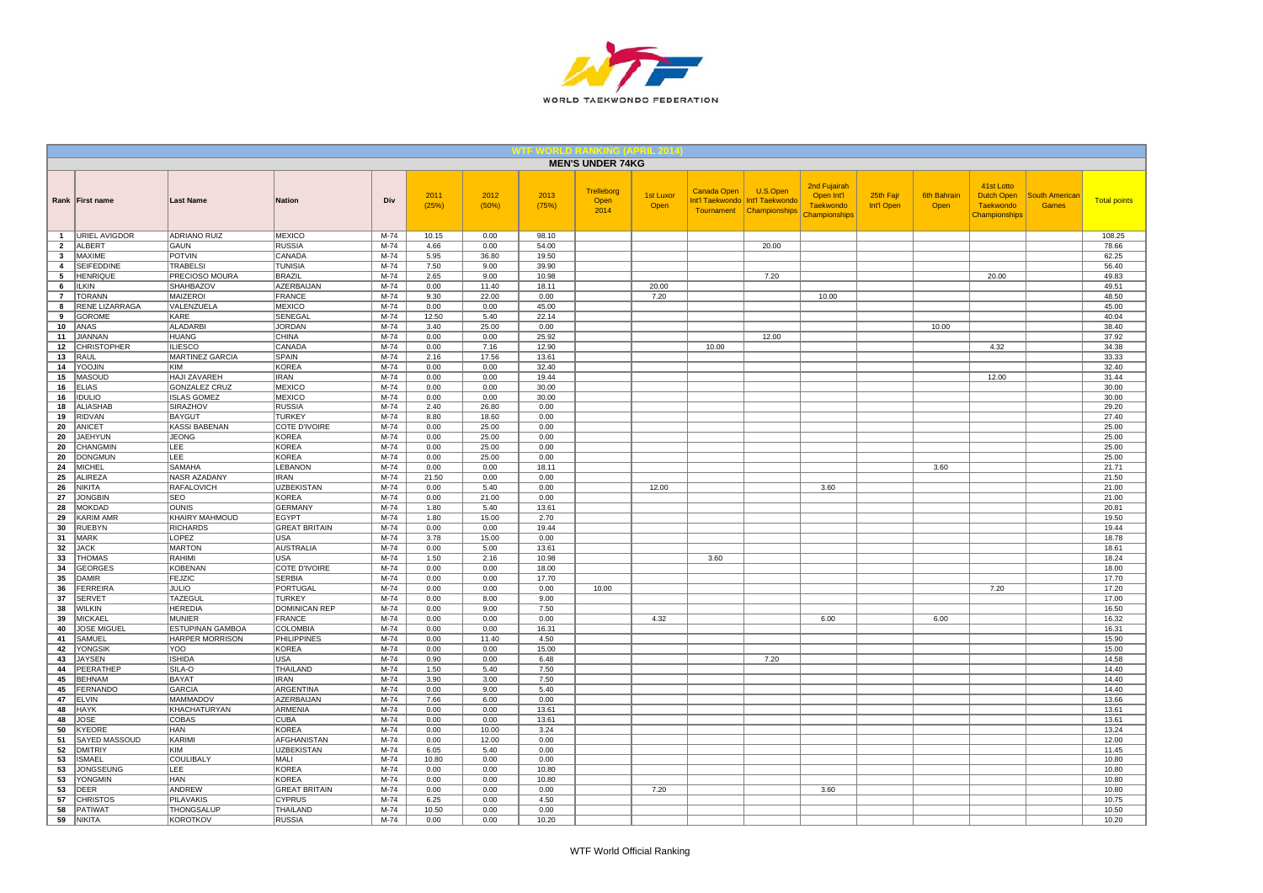

|                                |                                  |                                          |                                   |                  |               |               |                | <b>MEN'S UNDER 74KG</b>    |                   |                    |                                                                           |                                                                 |                         |                            |                                                                      |                                       |                     |
|--------------------------------|----------------------------------|------------------------------------------|-----------------------------------|------------------|---------------|---------------|----------------|----------------------------|-------------------|--------------------|---------------------------------------------------------------------------|-----------------------------------------------------------------|-------------------------|----------------------------|----------------------------------------------------------------------|---------------------------------------|---------------------|
|                                | Rank   First name                | <b>Last Name</b>                         | <b>Nation</b>                     | Div              | 2011<br>(25%) | 2012<br>(50%) | 2013<br>(75%)  | Trelleborg<br>Open<br>2014 | 1st Luxor<br>Open | <b>Canada Open</b> | U.S.Open<br>Int'l Taekwondo   Int'l Taekwondo<br>Tournament Championships | 2nd Fujairah<br>Open Int'l<br><b>Taekwondo</b><br>Championships | 25th Fajr<br>Int'l Open | <b>6th Bahrain</b><br>Open | 41st Lotto<br><b>Dutch Open</b><br><b>Taekwondo</b><br>Championships | <b>South American</b><br><b>Games</b> | <b>Total points</b> |
| $\mathbf{1}$                   | <b>URIEL AVIGDOR</b>             | ADRIANO RUIZ                             | <b>MEXICO</b>                     | M-74             | 10.15         | 0.00          | 98.10          |                            |                   |                    |                                                                           |                                                                 |                         |                            |                                                                      |                                       | 108.25              |
| $\overline{2}$<br>$\mathbf{3}$ | <b>ALBERT</b><br><b>MAXIME</b>   | <b>GAUN</b><br><b>POTVIN</b>             | <b>RUSSIA</b><br>CANADA           | $M-74$<br>$M-74$ | 4.66<br>5.95  | 0.00<br>36.80 | 54.00<br>19.50 |                            |                   |                    | 20.00                                                                     |                                                                 |                         |                            |                                                                      |                                       | 78.66<br>62.25      |
| $\overline{4}$                 | <b>SEIFEDDINE</b>                | <b>TRABELSI</b>                          | <b>TUNISIA</b>                    | $M-74$           | 7.50          | 9.00          | 39.90          |                            |                   |                    |                                                                           |                                                                 |                         |                            |                                                                      |                                       | 56.40               |
| 5                              | <b>HENRIQUE</b>                  | PRECIOSO MOURA                           | <b>BRAZIL</b>                     | M-74             | 2.65          | 9.00          | 10.98          |                            |                   |                    | 7.20                                                                      |                                                                 |                         |                            | 20.00                                                                |                                       | 49.83               |
| 6                              | <b>ILKIN</b>                     | <b>SHAHBAZOV</b>                         | AZERBAIJAN                        | M-74             | 0.00          | 11.40         | 18.11          |                            | 20.00             |                    |                                                                           |                                                                 |                         |                            |                                                                      |                                       | 49.51               |
| $\overline{7}$                 | <b>TORANN</b>                    | MAIZEROI                                 | <b>FRANCE</b>                     | M-74             | 9.30          | 22.00         | 0.00           |                            | 7.20              |                    |                                                                           | 10.00                                                           |                         |                            |                                                                      |                                       | 48.50               |
| 8                              | <b>RENE LIZARRAGA</b>            | VALENZUELA                               | <b>MEXICO</b>                     | $M-74$           | 0.00          | 0.00          | 45.00          |                            |                   |                    |                                                                           |                                                                 |                         |                            |                                                                      |                                       | 45.00               |
| 9                              | <b>GOROME</b>                    | KARE                                     | SENEGAL                           | $M-74$           | 12.50         | 5.40          | 22.14          |                            |                   |                    |                                                                           |                                                                 |                         |                            |                                                                      |                                       | 40.04               |
| 10                             | ANAS                             | <b>ALADARBI</b>                          | <b>JORDAN</b>                     | M-74             | 3.40          | 25.00         | 0.00           |                            |                   |                    |                                                                           |                                                                 |                         | 10.00                      |                                                                      |                                       | 38.40               |
| 11                             | <b>JIANNAN</b>                   | <b>HUANG</b>                             | <b>CHINA</b>                      | $M-74$           | 0.00          | 0.00          | 25.92          |                            |                   |                    | 12.00                                                                     |                                                                 |                         |                            |                                                                      |                                       | 37.92               |
| 12                             | <b>CHRISTOPHER</b>               | <b>ILIESCO</b>                           | CANADA                            | $M-74$           | 0.00          | 7.16          | 12.90          |                            |                   | 10.00              |                                                                           |                                                                 |                         |                            | 4.32                                                                 |                                       | 34.38               |
| 13                             | RAUL                             | <b>MARTINEZ GARCIA</b>                   | SPAIN                             | M-74             | 2.16          | 17.56         | 13.61          |                            |                   |                    |                                                                           |                                                                 |                         |                            |                                                                      |                                       | 33.33               |
| 14<br>15                       | YOOJIN<br>MASOUD                 | KIM<br>HAJI ZAVAREH                      | <b>KOREA</b><br><b>IRAN</b>       | M-74<br>M-74     | 0.00<br>0.00  | 0.00<br>0.00  | 32.40<br>19.44 |                            |                   |                    |                                                                           |                                                                 |                         |                            | 12.00                                                                |                                       | 32.40<br>31.44      |
| 16                             | <b>ELIAS</b>                     | <b>GONZALEZ CRUZ</b>                     | <b>MEXICO</b>                     | $M-74$           | 0.00          | 0.00          | 30.00          |                            |                   |                    |                                                                           |                                                                 |                         |                            |                                                                      |                                       | 30.00               |
| 16                             | <b>IDULIO</b>                    | <b>ISLAS GOMEZ</b>                       | <b>MEXICO</b>                     | $M-74$           | 0.00          | 0.00          | 30.00          |                            |                   |                    |                                                                           |                                                                 |                         |                            |                                                                      |                                       | 30.00               |
| 18                             | <b>ALIASHAB</b>                  | SIRAZHOV                                 | <b>RUSSIA</b>                     | M-74             | 2.40          | 26.80         | 0.00           |                            |                   |                    |                                                                           |                                                                 |                         |                            |                                                                      |                                       | 29.20               |
| 19                             | RIDVAN                           | <b>BAYGUT</b>                            | <b>TURKEY</b>                     | M-74             | 8.80          | 18.60         | 0.00           |                            |                   |                    |                                                                           |                                                                 |                         |                            |                                                                      |                                       | 27.40               |
| 20                             | ANICET                           | KASSI BABENAN                            | COTE D'IVOIRE                     | M-74             | 0.00          | 25.00         | 0.00           |                            |                   |                    |                                                                           |                                                                 |                         |                            |                                                                      |                                       | 25.00               |
| 20                             | <b>JAEHYUN</b>                   | <b>JEONG</b>                             | <b>KOREA</b>                      | $M-74$           | 0.00          | 25.00         | 0.00           |                            |                   |                    |                                                                           |                                                                 |                         |                            |                                                                      |                                       | 25.00               |
| 20                             | CHANGMIN                         | LEE                                      | KOREA                             | M-74             | 0.00          | 25.00         | 0.00           |                            |                   |                    |                                                                           |                                                                 |                         |                            |                                                                      |                                       | 25.00               |
| 20                             | <b>DONGMUN</b>                   | LEE                                      | <b>KOREA</b>                      | $M-74$           | 0.00          | 25.00         | 0.00           |                            |                   |                    |                                                                           |                                                                 |                         |                            |                                                                      |                                       | 25.00               |
| 24                             | <b>MICHEL</b>                    | SAMAHA                                   | LEBANON                           | $M-74$           | 0.00          | 0.00          | 18.11          |                            |                   |                    |                                                                           |                                                                 |                         | 3.60                       |                                                                      |                                       | 21.71               |
| 25                             | <b>ALIREZA</b>                   | <b>NASR AZADANY</b><br><b>RAFALOVICH</b> | <b>IRAN</b>                       | $M-74$<br>$M-74$ | 21.50         | 0.00<br>5.40  | 0.00           |                            |                   |                    |                                                                           |                                                                 |                         |                            |                                                                      |                                       | 21.50               |
| 26<br>27                       | NIKITA<br><b>JONGBIN</b>         | <b>SEO</b>                               | <b>UZBEKISTAN</b><br><b>KOREA</b> | M-74             | 0.00<br>0.00  | 21.00         | 0.00<br>0.00   |                            | 12.00             |                    |                                                                           | 3.60                                                            |                         |                            |                                                                      |                                       | 21.00<br>21.00      |
| 28                             | <b>MOKDAD</b>                    | <b>OUNIS</b>                             | <b>GERMANY</b>                    | $M-74$           | 1.80          | 5.40          | 13.61          |                            |                   |                    |                                                                           |                                                                 |                         |                            |                                                                      |                                       | 20.81               |
| 29                             | <b>KARIM AMR</b>                 | KHAIRY MAHMOUD                           | EGYPT                             | $M-74$           | 1.80          | 15.00         | 2.70           |                            |                   |                    |                                                                           |                                                                 |                         |                            |                                                                      |                                       | 19.50               |
| 30                             | <b>RUEBYN</b>                    | <b>RICHARDS</b>                          | <b>GREAT BRITAIN</b>              | $M-74$           | 0.00          | 0.00          | 19.44          |                            |                   |                    |                                                                           |                                                                 |                         |                            |                                                                      |                                       | 19.44               |
| 31                             | MARK                             | LOPEZ                                    | <b>USA</b>                        | $M-74$           | 3.78          | 15.00         | 0.00           |                            |                   |                    |                                                                           |                                                                 |                         |                            |                                                                      |                                       | 18.78               |
| 32                             | <b>JACK</b>                      | <b>MARTON</b>                            | <b>AUSTRALIA</b>                  | $M-74$           | 0.00          | 5.00          | 13.61          |                            |                   |                    |                                                                           |                                                                 |                         |                            |                                                                      |                                       | 18.61               |
| 33                             | <b>THOMAS</b>                    | RAHIMI                                   | <b>USA</b>                        | $M-74$           | 1.50          | 2.16          | 10.98          |                            |                   | 3.60               |                                                                           |                                                                 |                         |                            |                                                                      |                                       | 18.24               |
| 34                             | <b>GEORGES</b>                   | <b>KOBENAN</b>                           | COTE D'IVOIRE                     | M-74             | 0.00          | 0.00          | 18.00          |                            |                   |                    |                                                                           |                                                                 |                         |                            |                                                                      |                                       | 18.00               |
| 35                             | <b>DAMIR</b>                     | <b>FEJZIC</b>                            | <b>SERBIA</b>                     | $M-74$           | 0.00          | 0.00          | 17.70          |                            |                   |                    |                                                                           |                                                                 |                         |                            |                                                                      |                                       | 17.70               |
| 36<br>37                       | <b>FERREIRA</b><br><b>SERVET</b> | <b>JULIO</b><br>TAZEGUL                  | PORTUGAL<br><b>TURKEY</b>         | M-74<br>$M-74$   | 0.00<br>0.00  | 0.00<br>8.00  | 0.00<br>9.00   | 10.00                      |                   |                    |                                                                           |                                                                 |                         |                            | 7.20                                                                 |                                       | 17.20<br>17.00      |
| 38                             | <b>WILKIN</b>                    | <b>HEREDIA</b>                           | <b>DOMINICAN REP</b>              | $M-74$           | 0.00          | 9.00          | 7.50           |                            |                   |                    |                                                                           |                                                                 |                         |                            |                                                                      |                                       | 16.50               |
| 39                             | <b>MICKAEL</b>                   | <b>MUNIER</b>                            | FRANCE                            | M-74             | 0.00          | 0.00          | 0.00           |                            | 4.32              |                    |                                                                           | 6.00                                                            |                         | 6.00                       |                                                                      |                                       | 16.32               |
| 40                             | <b>JOSE MIGUEL</b>               | ESTUPINAN GAMBOA                         | <b>COLOMBIA</b>                   | M-74             | 0.00          | 0.00          | 16.31          |                            |                   |                    |                                                                           |                                                                 |                         |                            |                                                                      |                                       | 16.31               |
| 41                             | SAMUEL                           | <b>HARPER MORRISON</b>                   | PHILIPPINES                       | M-74             | 0.00          | 11.40         | 4.50           |                            |                   |                    |                                                                           |                                                                 |                         |                            |                                                                      |                                       | 15.90               |
| 42                             | YONGSIK                          | YOO                                      | <b>KOREA</b>                      | $M-74$           | 0.00          | 0.00          | 15.00          |                            |                   |                    |                                                                           |                                                                 |                         |                            |                                                                      |                                       | 15.00               |
| 43                             | <b>JAYSEN</b>                    | <b>ISHIDA</b>                            | <b>USA</b>                        | M-74             | 0.90          | 0.00          | 6.48           |                            |                   |                    | 7.20                                                                      |                                                                 |                         |                            |                                                                      |                                       | 14.58               |
| 44                             | PEERATHEP                        | SILA-O                                   | THAILAND                          | M-74             | 1.50          | 5.40          | 7.50           |                            |                   |                    |                                                                           |                                                                 |                         |                            |                                                                      |                                       | 14.40               |
| 45                             | <b>BEHNAM</b>                    | <b>BAYAT</b>                             | <b>IRAN</b>                       | $M-74$           | 3.90          | 3.00          | 7.50           |                            |                   |                    |                                                                           |                                                                 |                         |                            |                                                                      |                                       | 14.40               |
| 45<br>47                       | <b>FERNANDO</b><br><b>ELVIN</b>  | <b>GARCIA</b><br><b>MAMMADOV</b>         | ARGENTINA<br><b>AZERBAIJAN</b>    | $M-74$<br>$M-74$ | 0.00          | 9.00          | 5.40<br>0.00   |                            |                   |                    |                                                                           |                                                                 |                         |                            |                                                                      |                                       | 14.40               |
| 48                             | <b>HAYK</b>                      | KHACHATURYAN                             | ARMENIA                           | M-74             | 7.66<br>0.00  | 6.00<br>0.00  | 13.61          |                            |                   |                    |                                                                           |                                                                 |                         |                            |                                                                      |                                       | 13.66<br>13.61      |
| 48                             | <b>JOSE</b>                      | COBAS                                    | <b>CUBA</b>                       | $M-74$           | 0.00          | 0.00          | 13.61          |                            |                   |                    |                                                                           |                                                                 |                         |                            |                                                                      |                                       | 13.61               |
| 50                             | <b>KYEORE</b>                    | <b>HAN</b>                               | <b>KOREA</b>                      | $M-74$           | 0.00          | 10.00         | 3.24           |                            |                   |                    |                                                                           |                                                                 |                         |                            |                                                                      |                                       | 13.24               |
| 51                             | SAYED MASSOUD                    | KARIMI                                   | AFGHANISTAN                       | M-74             | 0.00          | 12.00         | 0.00           |                            |                   |                    |                                                                           |                                                                 |                         |                            |                                                                      |                                       | 12.00               |
| 52                             | <b>DMITRIY</b>                   | KIM                                      | <b>UZBEKISTAN</b>                 | M-74             | 6.05          | 5.40          | 0.00           |                            |                   |                    |                                                                           |                                                                 |                         |                            |                                                                      |                                       | 11.45               |
| 53                             | <b>ISMAEL</b>                    | <b>COULIBALY</b>                         | MALI                              | M-74             | 10.80         | 0.00          | 0.00           |                            |                   |                    |                                                                           |                                                                 |                         |                            |                                                                      |                                       | 10.80               |
| 53                             | <b>JONGSEUNG</b>                 | LEE                                      | <b>KOREA</b>                      | $M-74$           | 0.00          | 0.00          | 10.80          |                            |                   |                    |                                                                           |                                                                 |                         |                            |                                                                      |                                       | 10.80               |
| 53                             | YONGMIN                          | HAN                                      | <b>KOREA</b>                      | M-74             | 0.00          | 0.00          | 10.80          |                            |                   |                    |                                                                           |                                                                 |                         |                            |                                                                      |                                       | 10.80               |
| 53                             | <b>DEER</b>                      | <b>ANDREW</b>                            | <b>GREAT BRITAIN</b>              | $M-74$           | 0.00          | 0.00          | 0.00           |                            | 7.20              |                    |                                                                           | 3.60                                                            |                         |                            |                                                                      |                                       | 10.80               |
| 57                             | <b>CHRISTOS</b>                  | PILAVAKIS                                | <b>CYPRUS</b>                     | M-74             | 6.25          | 0.00          | 4.50           |                            |                   |                    |                                                                           |                                                                 |                         |                            |                                                                      |                                       | 10.75               |
| 58                             | PATIWAT                          | <b>THONGSALUF</b>                        | THAILAND                          | $M-74$           | 10.50         | 0.00          | 0.00           |                            |                   |                    |                                                                           |                                                                 |                         |                            |                                                                      |                                       | 10.50               |
| 59                             | <b>NIKITA</b>                    | <b>KOROTKOV</b>                          | <b>RUSSIA</b>                     | $M-74$           | 0.00          | 0.00          | 10.20          |                            |                   |                    |                                                                           |                                                                 |                         |                            |                                                                      |                                       | 10.20               |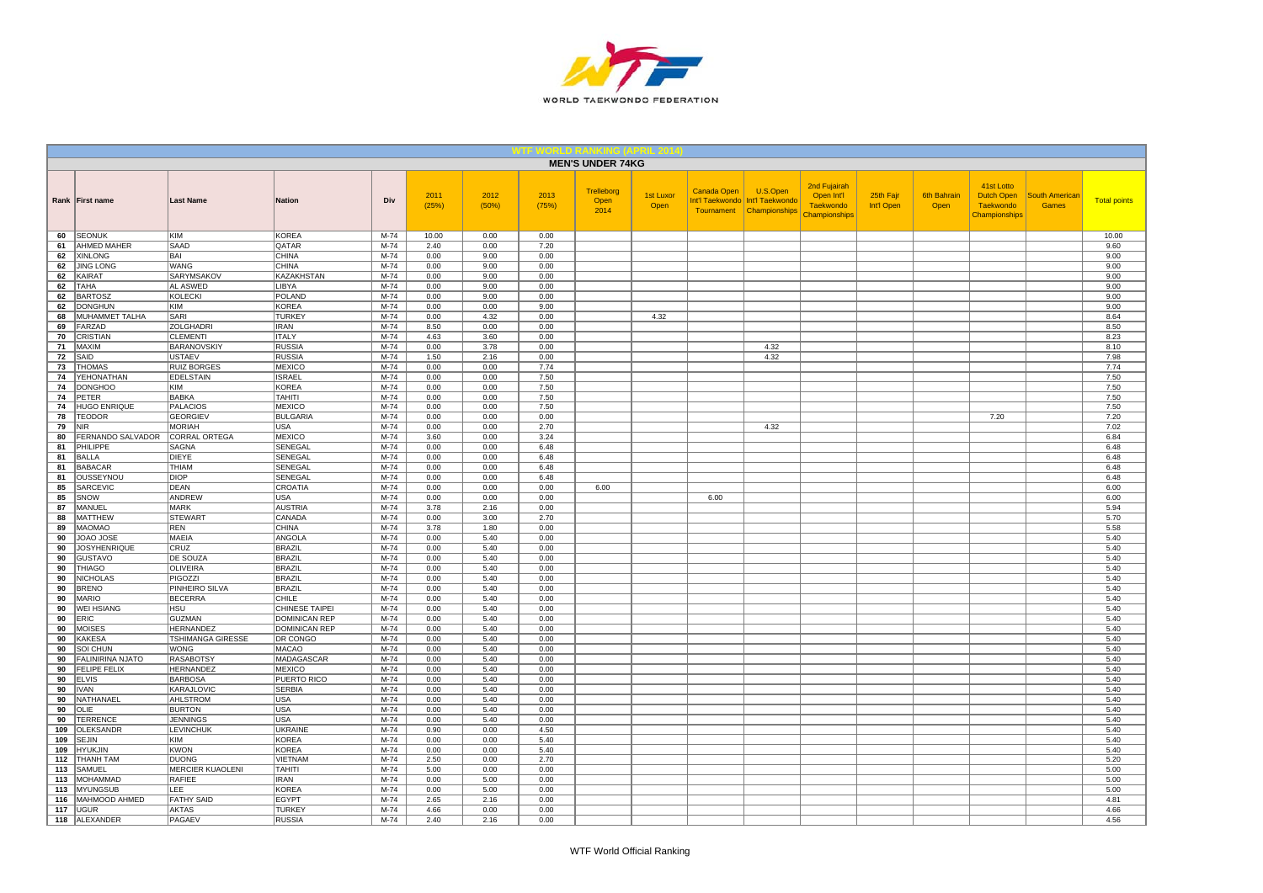

|            |                                                |                                       |                                  |                |               |               |               | <b>MEN'S UNDER 74KG</b>           |                   |             |                                                                           |                                                                 |                         |                            |                                                               |                                       |                     |
|------------|------------------------------------------------|---------------------------------------|----------------------------------|----------------|---------------|---------------|---------------|-----------------------------------|-------------------|-------------|---------------------------------------------------------------------------|-----------------------------------------------------------------|-------------------------|----------------------------|---------------------------------------------------------------|---------------------------------------|---------------------|
|            | Rank First name                                | <b>Last Name</b>                      | <b>Nation</b>                    | Div            | 2011<br>(25%) | 2012<br>(50%) | 2013<br>(75%) | <b>Trelleborg</b><br>Open<br>2014 | 1st Luxor<br>Open | Canada Open | U.S.Open<br>Int'l Taekwondo   Int'l Taekwondo<br>Tournament Championships | 2nd Fujairah<br>Open Int'l<br><b>Taekwondo</b><br>Championships | 25th Fajr<br>Int'l Open | <b>6th Bahrain</b><br>Open | 41st Lotto<br>Dutch Open<br><b>Taekwondo</b><br>Championships | <b>South American</b><br><b>Games</b> | <b>Total points</b> |
| 60         | <b>SEONUK</b>                                  | <b>KIM</b>                            | <b>KOREA</b>                     | $M-74$         | 10.00         | 0.00          | 0.00          |                                   |                   |             |                                                                           |                                                                 |                         |                            |                                                               |                                       | 10.00               |
| 61         | <b>AHMED MAHER</b>                             | <b>SAAD</b>                           | QATAR                            | $M-74$         | 2.40          | 0.00          | 7.20          |                                   |                   |             |                                                                           |                                                                 |                         |                            |                                                               |                                       | 9.60                |
| 62<br>62   | <b>XINLONG</b><br><b>JING LONG</b>             | <b>BAI</b><br><b>WANG</b>             | <b>CHINA</b><br><b>CHINA</b>     | M-74<br>$M-74$ | 0.00<br>0.00  | 9.00<br>9.00  | 0.00<br>0.00  |                                   |                   |             |                                                                           |                                                                 |                         |                            |                                                               |                                       | 9.00<br>9.00        |
| 62         | KAIRAT                                         | SARYMSAKOV                            | KAZAKHSTAN                       | M-74           | 0.00          | 9.00          | 0.00          |                                   |                   |             |                                                                           |                                                                 |                         |                            |                                                               |                                       | 9.00                |
| 62         | <b>TAHA</b>                                    | AL ASWED                              | LIBYA                            | $M-74$         | 0.00          | 9.00          | 0.00          |                                   |                   |             |                                                                           |                                                                 |                         |                            |                                                               |                                       | 9.00                |
| 62         | <b>BARTOSZ</b>                                 | KOLECKI                               | POLAND                           | $M-74$         | 0.00          | 9.00          | 0.00          |                                   |                   |             |                                                                           |                                                                 |                         |                            |                                                               |                                       | 9.00                |
| 62         | <b>DONGHUN</b>                                 | KIM                                   | <b>KOREA</b>                     | M-74           | 0.00          | 0.00          | 9.00          |                                   |                   |             |                                                                           |                                                                 |                         |                            |                                                               |                                       | 9.00                |
| 68         | MUHAMMET TALHA                                 | SARI                                  | <b>TURKEY</b>                    | M-74           | 0.00          | 4.32          | 0.00          |                                   | 4.32              |             |                                                                           |                                                                 |                         |                            |                                                               |                                       | 8.64                |
| 69<br>70   | FARZAD                                         | ZOLGHADRI                             | <b>IRAN</b><br><b>ITALY</b>      | M-74<br>$M-74$ | 8.50          | 0.00          | 0.00          |                                   |                   |             |                                                                           |                                                                 |                         |                            |                                                               |                                       | 8.50                |
| 71         | CRISTIAN<br>MAXIM                              | <b>CLEMENTI</b><br><b>BARANOVSKIY</b> | <b>RUSSIA</b>                    | $M-74$         | 4.63<br>0.00  | 3.60<br>3.78  | 0.00<br>0.00  |                                   |                   |             | 4.32                                                                      |                                                                 |                         |                            |                                                               |                                       | 8.23<br>8.10        |
| 72         | SAID                                           | <b>USTAEV</b>                         | <b>RUSSIA</b>                    | $M-74$         | 1.50          | 2.16          | 0.00          |                                   |                   |             | 4.32                                                                      |                                                                 |                         |                            |                                                               |                                       | 7.98                |
| 73         | <b>THOMAS</b>                                  | <b>RUIZ BORGES</b>                    | <b>MEXICO</b>                    | M-74           | 0.00          | 0.00          | 7.74          |                                   |                   |             |                                                                           |                                                                 |                         |                            |                                                               |                                       | 7.74                |
| 74         | YEHONATHAN                                     | EDELSTAIN                             | <b>ISRAEL</b>                    | $M-74$         | 0.00          | 0.00          | 7.50          |                                   |                   |             |                                                                           |                                                                 |                         |                            |                                                               |                                       | 7.50                |
| 74         | <b>DONGHOO</b>                                 | KIM                                   | <b>KOREA</b>                     | $M-74$         | 0.00          | 0.00          | 7.50          |                                   |                   |             |                                                                           |                                                                 |                         |                            |                                                               |                                       | 7.50                |
| 74         | PETER                                          | <b>BABKA</b>                          | <b>TAHITI</b>                    | M-74           | 0.00          | 0.00          | 7.50          |                                   |                   |             |                                                                           |                                                                 |                         |                            |                                                               |                                       | 7.50                |
| 74         | <b>HUGO ENRIQUE</b><br><b>TEODOR</b>           | <b>PALACIOS</b><br><b>GEORGIEV</b>    | <b>MEXICO</b><br><b>BULGARIA</b> | $M-74$<br>M-74 | 0.00<br>0.00  | 0.00<br>0.00  | 7.50<br>0.00  |                                   |                   |             |                                                                           |                                                                 |                         |                            |                                                               |                                       | 7.50<br>7.20        |
| 78<br>79   | <b>NIR</b>                                     | <b>MORIAH</b>                         | <b>USA</b>                       | M-74           | 0.00          | 0.00          | 2.70          |                                   |                   |             | 4.32                                                                      |                                                                 |                         |                            | 7.20                                                          |                                       | 7.02                |
| 80         | FERNANDO SALVADOR                              | CORRAL ORTEGA                         | MEXICO                           | M-74           | 3.60          | 0.00          | 3.24          |                                   |                   |             |                                                                           |                                                                 |                         |                            |                                                               |                                       | 6.84                |
| 81         | PHILIPPE                                       | SAGNA                                 | SENEGAL                          | M-74           | 0.00          | 0.00          | 6.48          |                                   |                   |             |                                                                           |                                                                 |                         |                            |                                                               |                                       | 6.48                |
| 81         | <b>BALLA</b>                                   | DIEYE                                 | SENEGAL                          | M-74           | 0.00          | 0.00          | 6.48          |                                   |                   |             |                                                                           |                                                                 |                         |                            |                                                               |                                       | 6.48                |
| 81         | <b>BABACAR</b>                                 | <b>THIAM</b>                          | SENEGAL                          | M-74           | 0.00          | 0.00          | 6.48          |                                   |                   |             |                                                                           |                                                                 |                         |                            |                                                               |                                       | 6.48                |
| 81         | OUSSEYNOU                                      | DIOP                                  | SENEGAL                          | $M-74$         | 0.00          | 0.00          | 6.48          |                                   |                   |             |                                                                           |                                                                 |                         |                            |                                                               |                                       | 6.48                |
| 85         | <b>SARCEVIC</b>                                | <b>DEAN</b>                           | CROATIA                          | M-74           | 0.00          | 0.00          | 0.00          | 6.00                              |                   |             |                                                                           |                                                                 |                         |                            |                                                               |                                       | 6.00                |
| 85<br>87   | SNOW<br>MANUEL                                 | ANDREW<br><b>MARK</b>                 | <b>USA</b><br><b>AUSTRIA</b>     | M-74<br>M-74   | 0.00<br>3.78  | 0.00<br>2.16  | 0.00<br>0.00  |                                   |                   | 6.00        |                                                                           |                                                                 |                         |                            |                                                               |                                       | 6.00<br>5.94        |
| 88         | <b>MATTHEW</b>                                 | <b>STEWART</b>                        | CANADA                           | M-74           | 0.00          | 3.00          | 2.70          |                                   |                   |             |                                                                           |                                                                 |                         |                            |                                                               |                                       | 5.70                |
| 89         | <b>MAOMAO</b>                                  | <b>REN</b>                            | <b>CHINA</b>                     | $M-74$         | 3.78          | 1.80          | 0.00          |                                   |                   |             |                                                                           |                                                                 |                         |                            |                                                               |                                       | 5.58                |
| 90         | <b>JOAO JOSE</b>                               | <b>MAEIA</b>                          | ANGOLA                           | $M-74$         | 0.00          | 5.40          | 0.00          |                                   |                   |             |                                                                           |                                                                 |                         |                            |                                                               |                                       | 5.40                |
| 90         | <b>JOSYHENRIQUE</b>                            | CRUZ                                  | <b>BRAZIL</b>                    | M-74           | 0.00          | 5.40          | 0.00          |                                   |                   |             |                                                                           |                                                                 |                         |                            |                                                               |                                       | 5.40                |
| 90         | GUSTAVO                                        | <b>DE SOUZA</b>                       | <b>BRAZIL</b>                    | M-74           | 0.00          | 5.40          | 0.00          |                                   |                   |             |                                                                           |                                                                 |                         |                            |                                                               |                                       | 5.40                |
| 90         | <b>THIAGO</b>                                  | <b>OLIVEIRA</b>                       | <b>BRAZIL</b>                    | M-74           | 0.00          | 5.40          | 0.00          |                                   |                   |             |                                                                           |                                                                 |                         |                            |                                                               |                                       | 5.40                |
| 90<br>90   | <b>NICHOLAS</b>                                | PIGOZZI<br>PINHEIRO SILVA             | <b>BRAZIL</b><br><b>BRAZIL</b>   | $M-74$<br>M-74 | 0.00          | 5.40<br>5.40  | 0.00<br>0.00  |                                   |                   |             |                                                                           |                                                                 |                         |                            |                                                               |                                       | 5.40<br>5.40        |
| 90         | <b>BRENO</b><br><b>MARIO</b>                   | <b>BECERRA</b>                        | <b>CHILE</b>                     | M-74           | 0.00<br>0.00  | 5.40          | 0.00          |                                   |                   |             |                                                                           |                                                                 |                         |                            |                                                               |                                       | 5.40                |
| 90         | <b>WEI HSIANG</b>                              | <b>HSU</b>                            | CHINESE TAIPEI                   | M-74           | 0.00          | 5.40          | 0.00          |                                   |                   |             |                                                                           |                                                                 |                         |                            |                                                               |                                       | 5.40                |
| 90         | ERIC                                           | <b>GUZMAN</b>                         | <b>DOMINICAN REP</b>             | $M-74$         | 0.00          | 5.40          | 0.00          |                                   |                   |             |                                                                           |                                                                 |                         |                            |                                                               |                                       | 5.40                |
| 90         | <b>MOISES</b>                                  | <b>HERNANDEZ</b>                      | <b>DOMINICAN REP</b>             | $M-74$         | 0.00          | 5.40          | 0.00          |                                   |                   |             |                                                                           |                                                                 |                         |                            |                                                               |                                       | 5.40                |
| 90         | <b>KAKESA</b>                                  | TSHIMANGA GIRESSE                     | DR CONGO                         | M-74           | 0.00          | 5.40          | 0.00          |                                   |                   |             |                                                                           |                                                                 |                         |                            |                                                               |                                       | 5.40                |
| 90         | SOI CHUN                                       | <b>WONG</b>                           | <b>MACAO</b>                     | M-74           | 0.00          | 5.40          | 0.00          |                                   |                   |             |                                                                           |                                                                 |                         |                            |                                                               |                                       | 5.40                |
| 90<br>90   | <b>FALINIRINA NJATO</b><br><b>FELIPE FELIX</b> | <b>RASABOTSY</b><br><b>HERNANDEZ</b>  | MADAGASCAR<br><b>MEXICO</b>      | M-74<br>M-74   | 0.00<br>0.00  | 5.40<br>5.40  | 0.00<br>0.00  |                                   |                   |             |                                                                           |                                                                 |                         |                            |                                                               |                                       | 5.40<br>5.40        |
| 90         | <b>ELVIS</b>                                   | <b>BARBOSA</b>                        | PUERTO RICO                      | $M-74$         | 0.00          | 5.40          | 0.00          |                                   |                   |             |                                                                           |                                                                 |                         |                            |                                                               |                                       | 5.40                |
| 90         | <b>IVAN</b>                                    | KARAJLOVIC                            | <b>SERBIA</b>                    | M-74           | 0.00          | 5.40          | 0.00          |                                   |                   |             |                                                                           |                                                                 |                         |                            |                                                               |                                       | 5.40                |
| 90         | NATHANAEL                                      | AHLSTROM                              | <b>USA</b>                       | M-74           | 0.00          | 5.40          | 0.00          |                                   |                   |             |                                                                           |                                                                 |                         |                            |                                                               |                                       | 5.40                |
| 90         | OLIE                                           | <b>BURTON</b>                         | <b>USA</b>                       | M-74           | 0.00          | 5.40          | 0.00          |                                   |                   |             |                                                                           |                                                                 |                         |                            |                                                               |                                       | 5.40                |
| 90         | <b>TERRENCE</b>                                | <b>JENNINGS</b>                       | USA                              | $M-74$         | 0.00          | 5.40          | 0.00          |                                   |                   |             |                                                                           |                                                                 |                         |                            |                                                               |                                       | 5.40                |
| 109        | OLEKSANDR                                      | LEVINCHUK                             | <b>UKRAINE</b>                   | $M-74$         | 0.90          | 0.00          | 4.50          |                                   |                   |             |                                                                           |                                                                 |                         |                            |                                                               |                                       | 5.40                |
| 109        | <b>SEJIN</b>                                   | KIM                                   | <b>KOREA</b><br><b>KOREA</b>     | $M-74$<br>M-74 | 0.00          | 0.00<br>0.00  | 5.40<br>5.40  |                                   |                   |             |                                                                           |                                                                 |                         |                            |                                                               |                                       | 5.40<br>5.40        |
| 109<br>112 | <b>HYUKJIN</b><br>THANH TAM                    | KWON<br><b>DUONG</b>                  | VIETNAM                          | M-74           | 0.00<br>2.50  | 0.00          | 2.70          |                                   |                   |             |                                                                           |                                                                 |                         |                            |                                                               |                                       | 5.20                |
| 113        | SAMUEL                                         | MERCIER KUAOLENI                      | <b>TAHITI</b>                    | $M-74$         | 5.00          | 0.00          | 0.00          |                                   |                   |             |                                                                           |                                                                 |                         |                            |                                                               |                                       | 5.00                |
| 113        | MOHAMMAD                                       | RAFIEE                                | <b>IRAN</b>                      | M-74           | 0.00          | 5.00          | 0.00          |                                   |                   |             |                                                                           |                                                                 |                         |                            |                                                               |                                       | 5.00                |
| 113        | MYUNGSUB                                       | LEE                                   | <b>KOREA</b>                     | M-74           | 0.00          | 5.00          | 0.00          |                                   |                   |             |                                                                           |                                                                 |                         |                            |                                                               |                                       | 5.00                |
| 116        | MAHMOOD AHMED                                  | <b>FATHY SAID</b>                     | <b>EGYPT</b>                     | M-74           | 2.65          | 2.16          | 0.00          |                                   |                   |             |                                                                           |                                                                 |                         |                            |                                                               |                                       | 4.81                |
| 117        | <b>UGUR</b>                                    | <b>AKTAS</b>                          | <b>TURKEY</b>                    | $M-74$         | 4.66          | 0.00          | 0.00          |                                   |                   |             |                                                                           |                                                                 |                         |                            |                                                               |                                       | 4.66                |
|            | 118 ALEXANDER                                  | PAGAEV                                | <b>RUSSIA</b>                    | $M-74$         | 2.40          | 2.16          | 0.00          |                                   |                   |             |                                                                           |                                                                 |                         |                            |                                                               |                                       | 4.56                |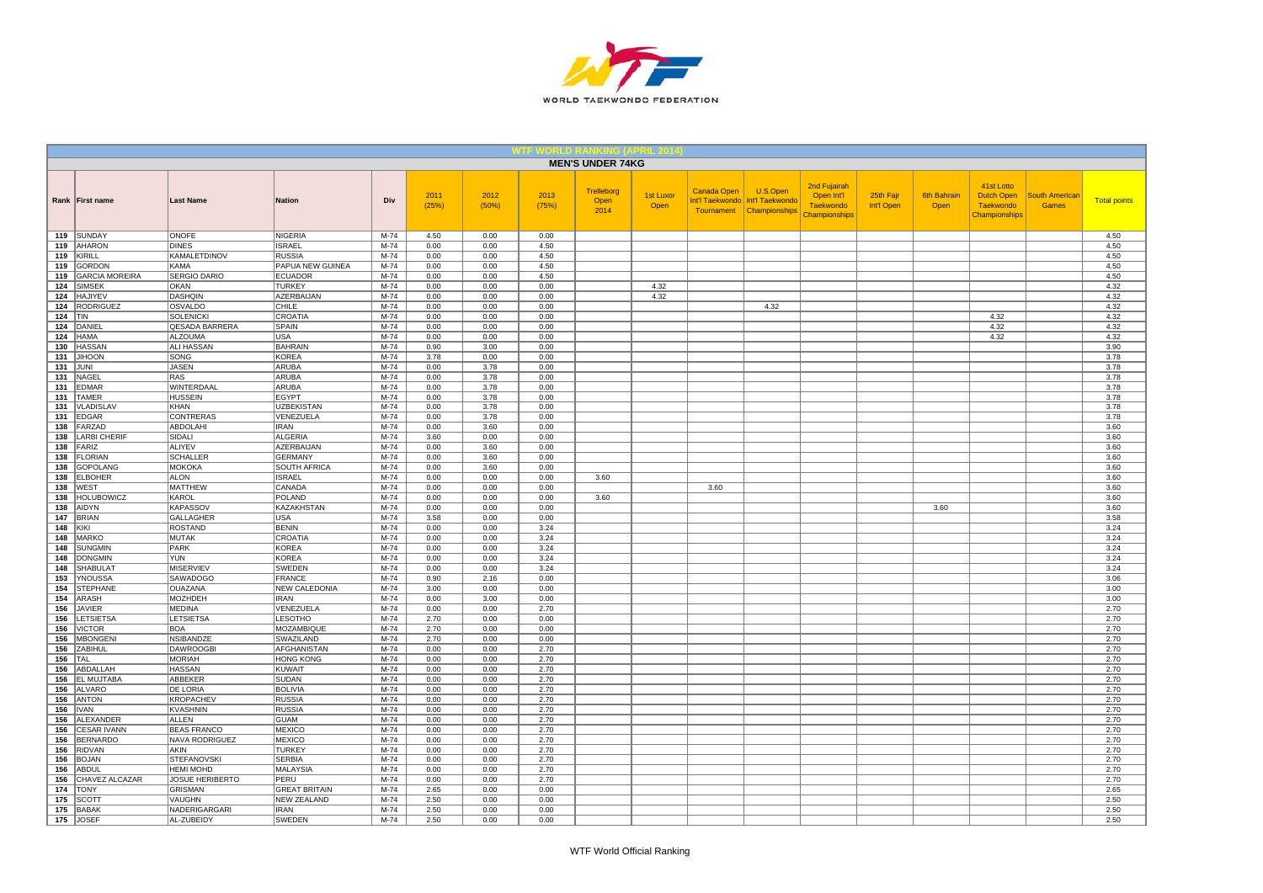

|            |                                  |                                   |                                 |                  |               |               |               | <b>MEN'S UNDER 74KG</b>    |                          |             |                                                                           |                                                                 |                         |                            |                                                               |                                       |                     |
|------------|----------------------------------|-----------------------------------|---------------------------------|------------------|---------------|---------------|---------------|----------------------------|--------------------------|-------------|---------------------------------------------------------------------------|-----------------------------------------------------------------|-------------------------|----------------------------|---------------------------------------------------------------|---------------------------------------|---------------------|
|            | Rank First name                  | <b>Last Name</b>                  | <b>Nation</b>                   | Div              | 2011<br>(25%) | 2012<br>(50%) | 2013<br>(75%) | Trelleborg<br>Open<br>2014 | <b>1st Luxor</b><br>Open | Canada Open | U.S.Open<br>Int'l Taekwondo   Int'l Taekwondo<br>Tournament Championships | 2nd Fujairah<br>Open Int'l<br><b>Taekwondo</b><br>Championships | 25th Fajr<br>Int'l Open | <b>6th Bahrain</b><br>Open | 41st Lotto<br>Dutch Open<br><b>Taekwondo</b><br>Championships | <b>South American</b><br><b>Games</b> | <b>Total points</b> |
| 119        | SUNDAY                           | ONOFE                             | <b>NIGERIA</b>                  | M-74             | 4.50          | 0.00          | 0.00          |                            |                          |             |                                                                           |                                                                 |                         |                            |                                                               |                                       | 4.50                |
| 119        | AHARON                           | <b>DINES</b>                      | <b>ISRAEL</b>                   | $M-74$           | 0.00          | 0.00          | 4.50          |                            |                          |             |                                                                           |                                                                 |                         |                            |                                                               |                                       | 4.50                |
| 119        | KIRILL                           | <b>KAMALETDINOV</b>               | <b>RUSSIA</b>                   | $M-74$           | 0.00          | 0.00          | 4.50          |                            |                          |             |                                                                           |                                                                 |                         |                            |                                                               |                                       | 4.50                |
| 119        | <b>GORDON</b>                    | KAMA                              | PAPUA NEW GUINEA                | M-74             | 0.00          | 0.00          | 4.50          |                            |                          |             |                                                                           |                                                                 |                         |                            |                                                               |                                       | 4.50                |
| 119        | <b>GARCIA MOREIRA</b>            | <b>SERGIO DARIO</b>               | <b>ECUADOR</b>                  | M-74             | 0.00          | 0.00          | 4.50          |                            |                          |             |                                                                           |                                                                 |                         |                            |                                                               |                                       | 4.50                |
| 124        | <b>SIMSEK</b>                    | <b>OKAN</b>                       | <b>TURKEY</b>                   | M-74             | 0.00          | 0.00          | 0.00          |                            | 4.32                     |             |                                                                           |                                                                 |                         |                            |                                                               |                                       | 4.32                |
| 124        | <b>HAJIYEV</b>                   | <b>DASHQIN</b>                    | AZERBAIJAN                      | M-74             | 0.00          | 0.00          | 0.00          |                            | 4.32                     |             |                                                                           |                                                                 |                         |                            |                                                               |                                       | 4.32                |
| 124<br>124 | <b>RODRIGUEZ</b>                 | OSVALDO<br><b>SOLENICKI</b>       | CHILE<br>CROATIA                | $M-74$<br>M-74   | 0.00<br>0.00  | 0.00<br>0.00  | 0.00          |                            |                          |             | 4.32                                                                      |                                                                 |                         |                            | 4.32                                                          |                                       | 4.32<br>4.32        |
| 124        | <b>TIN</b><br>DANIEL             | QESADA BARRERA                    | <b>SPAIN</b>                    | $M-74$           | 0.00          | 0.00          | 0.00<br>0.00  |                            |                          |             |                                                                           |                                                                 |                         |                            | 4.32                                                          |                                       | 4.32                |
| 124        | <b>HAMA</b>                      | <b>ALZOUMA</b>                    | <b>USA</b>                      | $M-74$           | 0.00          | 0.00          | 0.00          |                            |                          |             |                                                                           |                                                                 |                         |                            | 4.32                                                          |                                       | 4.32                |
| 130        | <b>HASSAN</b>                    | ALI HASSAN                        | <b>BAHRAIN</b>                  | M-74             | 0.90          | 3.00          | 0.00          |                            |                          |             |                                                                           |                                                                 |                         |                            |                                                               |                                       | 3.90                |
|            | 131 JIHOON                       | SONG                              | <b>KOREA</b>                    | M-74             | 3.78          | 0.00          | 0.00          |                            |                          |             |                                                                           |                                                                 |                         |                            |                                                               |                                       | 3.78                |
| 131        | JUNI                             | <b>JASEN</b>                      | ARUBA                           | M-74             | 0.00          | 3.78          | 0.00          |                            |                          |             |                                                                           |                                                                 |                         |                            |                                                               |                                       | 3.78                |
| 131        | NAGEL                            | <b>RAS</b>                        | ARUBA                           | $M-74$           | 0.00          | 3.78          | 0.00          |                            |                          |             |                                                                           |                                                                 |                         |                            |                                                               |                                       | 3.78                |
| 131        | <b>EDMAR</b>                     | WINTERDAAL                        | ARUBA                           | M-74             | 0.00          | 3.78          | 0.00          |                            |                          |             |                                                                           |                                                                 |                         |                            |                                                               |                                       | 3.78                |
| 131        | <b>TAMER</b>                     | <b>HUSSEIN</b>                    | <b>EGYPT</b>                    | M-74             | 0.00          | 3.78          | 0.00          |                            |                          |             |                                                                           |                                                                 |                         |                            |                                                               |                                       | 3.78                |
| 131        | <b>VLADISLAV</b>                 | <b>KHAN</b>                       | <b>UZBEKISTAN</b>               | $M-74$           | 0.00          | 3.78          | 0.00          |                            |                          |             |                                                                           |                                                                 |                         |                            |                                                               |                                       | 3.78                |
| 131        | <b>EDGAR</b>                     | CONTRERAS                         | VENEZUELA                       | M-74             | 0.00          | 3.78          | 0.00          |                            |                          |             |                                                                           |                                                                 |                         |                            |                                                               |                                       | 3.78                |
| 138        | FARZAD                           | ABDOLAHI                          | <b>IRAN</b>                     | $M-74$           | 0.00          | 3.60          | 0.00          |                            |                          |             |                                                                           |                                                                 |                         |                            |                                                               |                                       | 3.60                |
| 138        | <b>LARBI CHERIF</b>              | SIDALI                            | <b>ALGERIA</b>                  | M-74             | 3.60          | 0.00          | 0.00          |                            |                          |             |                                                                           |                                                                 |                         |                            |                                                               |                                       | 3.60                |
| 138        | FARIZ                            | <b>ALIYEV</b>                     | <b>AZERBAIJAN</b>               | $M-74$           | 0.00          | 3.60          | 0.00          |                            |                          |             |                                                                           |                                                                 |                         |                            |                                                               |                                       | 3.60                |
| 138        | <b>FLORIAN</b>                   | <b>SCHALLER</b>                   | <b>GERMANY</b>                  | M-74             | 0.00          | 3.60          | 0.00          |                            |                          |             |                                                                           |                                                                 |                         |                            |                                                               |                                       | 3.60                |
| 138        | <b>GOPOLANG</b>                  | <b>MOKOKA</b>                     | SOUTH AFRICA                    | M-74             | 0.00          | 3.60          | 0.00          |                            |                          |             |                                                                           |                                                                 |                         |                            |                                                               |                                       | 3.60                |
| 138        | <b>ELBOHER</b>                   | <b>ALON</b>                       | <b>ISRAEL</b>                   | M-74             | 0.00          | 0.00          | 0.00          | 3.60                       |                          |             |                                                                           |                                                                 |                         |                            |                                                               |                                       | 3.60                |
| 138<br>138 | <b>WEST</b><br><b>HOLUBOWICZ</b> | <b>MATTHEW</b><br>KAROL           | CANADA<br><b>POLAND</b>         | M-74<br>$M-74$   | 0.00<br>0.00  | 0.00<br>0.00  | 0.00<br>0.00  | 3.60                       |                          | 3.60        |                                                                           |                                                                 |                         |                            |                                                               |                                       | 3.60<br>3.60        |
| 138        | AIDYN                            | <b>KAPASSOV</b>                   | KAZAKHSTAN                      | M-74             | 0.00          | 0.00          | 0.00          |                            |                          |             |                                                                           |                                                                 |                         | 3.60                       |                                                               |                                       | 3.60                |
| 147        | <b>BRIAN</b>                     | <b>GALLAGHER</b>                  | USA                             | $M-74$           | 3.58          | 0.00          | 0.00          |                            |                          |             |                                                                           |                                                                 |                         |                            |                                                               |                                       | 3.58                |
| 148        | KIKI                             | <b>ROSTAND</b>                    | <b>BENIN</b>                    | $M-74$           | 0.00          | 0.00          | 3.24          |                            |                          |             |                                                                           |                                                                 |                         |                            |                                                               |                                       | 3.24                |
| 148        | <b>MARKO</b>                     | MUTAK                             | CROATIA                         | $M-74$           | 0.00          | 0.00          | 3.24          |                            |                          |             |                                                                           |                                                                 |                         |                            |                                                               |                                       | 3.24                |
| 148        | <b>SUNGMIN</b>                   | <b>PARK</b>                       | <b>KOREA</b>                    | M-74             | 0.00          | 0.00          | 3.24          |                            |                          |             |                                                                           |                                                                 |                         |                            |                                                               |                                       | 3.24                |
| 148        | <b>DONGMIN</b>                   | <b>YUN</b>                        | <b>KOREA</b>                    | M-74             | 0.00          | 0.00          | 3.24          |                            |                          |             |                                                                           |                                                                 |                         |                            |                                                               |                                       | 3.24                |
| 148        | <b>SHABULAT</b>                  | <b>MISERVIEV</b>                  | SWEDEN                          | $M-74$           | 0.00          | 0.00          | 3.24          |                            |                          |             |                                                                           |                                                                 |                         |                            |                                                               |                                       | 3.24                |
| 153        | YNOUSSA                          | <b>SAWADOGO</b>                   | <b>FRANCE</b>                   | $M-74$           | 0.90          | 2.16          | 0.00          |                            |                          |             |                                                                           |                                                                 |                         |                            |                                                               |                                       | 3.06                |
| 154        | <b>STEPHANE</b>                  | <b>OUAZANA</b>                    | <b>NEW CALEDONIA</b>            | M-74             | 3.00          | 0.00          | 0.00          |                            |                          |             |                                                                           |                                                                 |                         |                            |                                                               |                                       | 3.00                |
| 154        | ARASH                            | <b>MOZHDEH</b>                    | <b>IRAN</b>                     | M-74             | 0.00          | 3.00          | 0.00          |                            |                          |             |                                                                           |                                                                 |                         |                            |                                                               |                                       | 3.00                |
| 156        | <b>JAVIER</b>                    | <b>MEDINA</b>                     | VENEZUELA                       | M-74             | 0.00          | 0.00          | 2.70          |                            |                          |             |                                                                           |                                                                 |                         |                            |                                                               |                                       | 2.70                |
| 156        | LETSIETSA                        | <b>LETSIETSA</b>                  | <b>LESOTHO</b>                  | $M-74$           | 2.70          | 0.00          | 0.00          |                            |                          |             |                                                                           |                                                                 |                         |                            |                                                               |                                       | 2.70                |
| 156        | <b>VICTOR</b>                    | <b>BOA</b>                        | MOZAMBIQUE                      | M-74             | 2.70          | 0.00          | 0.00          |                            |                          |             |                                                                           |                                                                 |                         |                            |                                                               |                                       | 2.70                |
| 156        | <b>MBONGENI</b>                  | <b>NSIBANDZE</b>                  | SWAZILAND                       | $M-74$<br>M-74   | 2.70<br>0.00  | 0.00<br>0.00  | 0.00<br>2.70  |                            |                          |             |                                                                           |                                                                 |                         |                            |                                                               |                                       | 2.70<br>2.70        |
| 156<br>156 | ZABIHUL<br>TAL                   | <b>DAWROOGBI</b><br><b>MORIAH</b> | AFGHANISTAN<br><b>HONG KONG</b> | $M-74$           | 0.00          | 0.00          | 2.70          |                            |                          |             |                                                                           |                                                                 |                         |                            |                                                               |                                       | 2.70                |
| 156        | ABDALLAH                         | <b>HASSAN</b>                     | <b>KUWAIT</b>                   | M-74             | 0.00          | 0.00          | 2.70          |                            |                          |             |                                                                           |                                                                 |                         |                            |                                                               |                                       | 2.70                |
| 156        | <b>EL MUJTABA</b>                | ABBEKER                           | <b>SUDAN</b>                    | M-74             | 0.00          | 0.00          | 2.70          |                            |                          |             |                                                                           |                                                                 |                         |                            |                                                               |                                       | 2.70                |
| 156        | <b>ALVARO</b>                    | <b>DE LORIA</b>                   | <b>BOLIVIA</b>                  | $M-74$           | 0.00          | 0.00          | 2.70          |                            |                          |             |                                                                           |                                                                 |                         |                            |                                                               |                                       | 2.70                |
| 156        | <b>ANTON</b>                     | <b>KROPACHEV</b>                  | <b>RUSSIA</b>                   | M-74             | 0.00          | 0.00          | 2.70          |                            |                          |             |                                                                           |                                                                 |                         |                            |                                                               |                                       | 2.70                |
| 156        | IVAN                             | <b>KVASHNIN</b>                   | <b>RUSSIA</b>                   | M-74             | 0.00          | 0.00          | 2.70          |                            |                          |             |                                                                           |                                                                 |                         |                            |                                                               |                                       | 2.70                |
| 156        | ALEXANDER                        | ALLEN                             | <b>GUAM</b>                     | M-74             | 0.00          | 0.00          | 2.70          |                            |                          |             |                                                                           |                                                                 |                         |                            |                                                               |                                       | 2.70                |
| 156        | <b>CESAR IVANN</b>               | <b>BEAS FRANCO</b>                | <b>MEXICO</b>                   | M-74             | 0.00          | 0.00          | 2.70          |                            |                          |             |                                                                           |                                                                 |                         |                            |                                                               |                                       | 2.70                |
| 156        | <b>BERNARDO</b>                  | NAVA RODRIGUEZ                    | <b>MEXICO</b>                   | $M-74$           | 0.00          | 0.00          | 2.70          |                            |                          |             |                                                                           |                                                                 |                         |                            |                                                               |                                       | 2.70                |
| 156        | <b>RIDVAN</b>                    | AKIN                              | <b>TURKEY</b>                   | M-74             | 0.00          | 0.00          | 2.70          |                            |                          |             |                                                                           |                                                                 |                         |                            |                                                               |                                       | 2.70                |
| 156        | <b>BOJAN</b>                     | <b>STEFANOVSKI</b>                | <b>SERBIA</b>                   | $M-74$           | 0.00          | 0.00          | 2.70          |                            |                          |             |                                                                           |                                                                 |                         |                            |                                                               |                                       | 2.70                |
| 156        | ABDUL                            | <b>HEMI MOHD</b>                  | MALAYSIA                        | M-74             | 0.00          | 0.00          | 2.70          |                            |                          |             |                                                                           |                                                                 |                         |                            |                                                               |                                       | 2.70                |
| 156        | CHAVEZ ALCAZAR                   | <b>JOSUE HERIBERTO</b>            | PERU                            | $M-74$           | 0.00          | 0.00          | 2.70          |                            |                          |             |                                                                           |                                                                 |                         |                            |                                                               |                                       | 2.70                |
| 174        | <b>TONY</b>                      | <b>GRISMAN</b>                    | <b>GREAT BRITAIN</b>            | M-74             | 2.65          | 0.00          | 0.00          |                            |                          |             |                                                                           |                                                                 |                         |                            |                                                               |                                       | 2.65                |
| 175        | <b>SCOTT</b>                     | VAUGHN                            | <b>NEW ZEALAND</b>              | M-74             | 2.50          | 0.00          | 0.00          |                            |                          |             |                                                                           |                                                                 |                         |                            |                                                               |                                       | 2.50                |
| 175        | <b>BABAK</b><br>175 JOSEF        | NADERIGARGARI                     | <b>IRAN</b><br><b>SWEDEN</b>    | $M-74$<br>$M-74$ | 2.50<br>2.50  | 0.00<br>0.00  | 0.00<br>0.00  |                            |                          |             |                                                                           |                                                                 |                         |                            |                                                               |                                       | 2.50<br>2.50        |
|            |                                  | AL-ZUBEIDY                        |                                 |                  |               |               |               |                            |                          |             |                                                                           |                                                                 |                         |                            |                                                               |                                       |                     |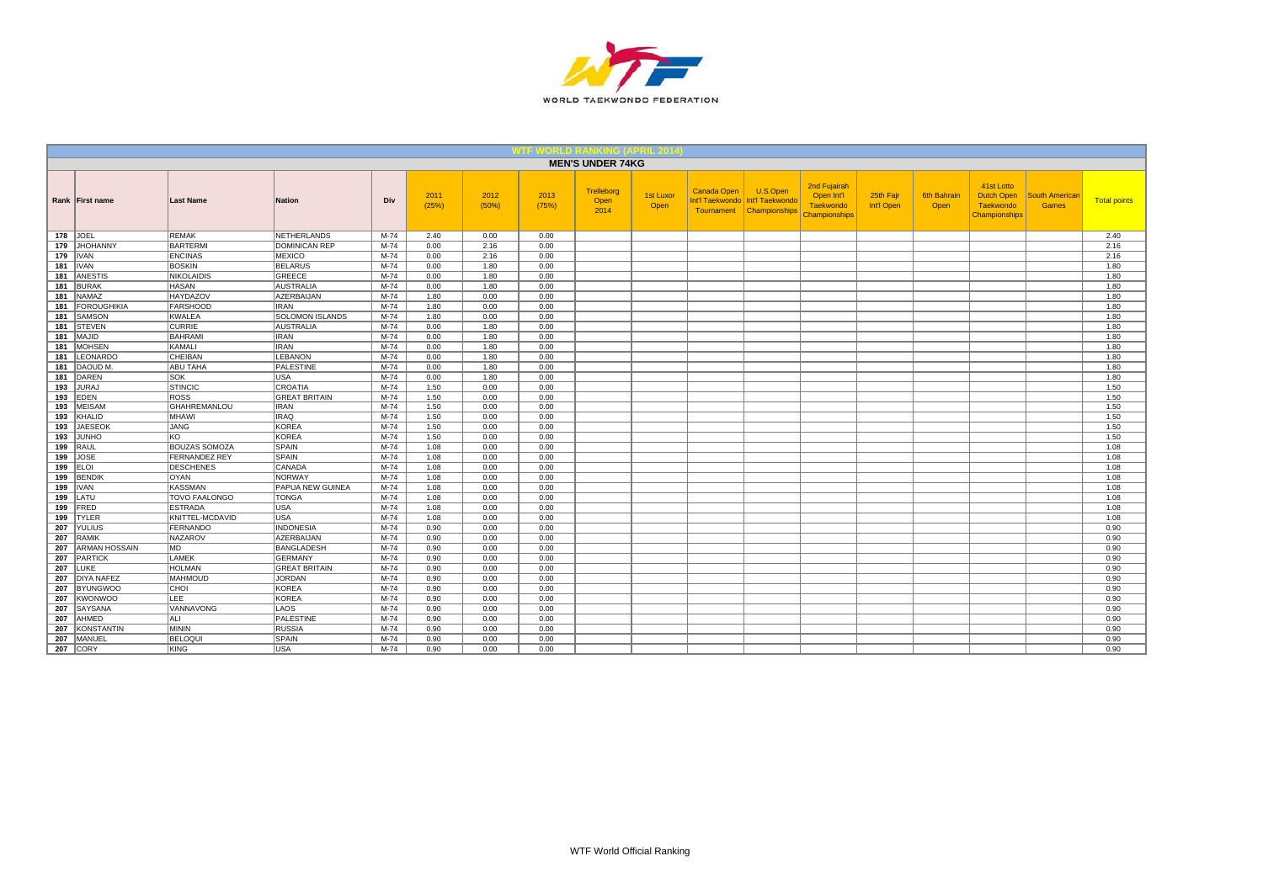

|                   |                      |                         |        |               |               |               | <b>MEN'S UNDER 74KG</b>           |                          |                           |                                                                |                                                                        |                         |                     |                                                                             |                                       |                     |
|-------------------|----------------------|-------------------------|--------|---------------|---------------|---------------|-----------------------------------|--------------------------|---------------------------|----------------------------------------------------------------|------------------------------------------------------------------------|-------------------------|---------------------|-----------------------------------------------------------------------------|---------------------------------------|---------------------|
| Rank First name   | <b>Last Name</b>     | <b>Nation</b>           | Div    | 2011<br>(25%) | 2012<br>(50%) | 2013<br>(75%) | <b>Trelleborg</b><br>Open<br>2014 | <b>1st Luxor</b><br>Open | Canada Open<br>Tournament | U.S.Open<br>Int'l Taekwondo   Int'l Taekwondo<br>Championships | 2nd Fujairah<br>Open Int'l<br><b>Taekwondo</b><br><b>Championships</b> | 25th Fajr<br>Int'l Open | 6th Bahrair<br>Open | 41st Lotto<br><b>Dutch Open</b><br><b>Taekwondo</b><br><b>Championships</b> | <b>South American</b><br><b>Games</b> | <b>Total points</b> |
| 178 JOEL          | <b>REMAK</b>         | NETHERLANDS             | M-74   | 2.40          | 0.00          | 0.00          |                                   |                          |                           |                                                                |                                                                        |                         |                     |                                                                             |                                       | 2.40                |
| 179 JHOHANNY      | <b>BARTERMI</b>      | DOMINICAN REP           | M-74   | 0.00          | 2.16          | 0.00          |                                   |                          |                           |                                                                |                                                                        |                         |                     |                                                                             |                                       | 2.16                |
| 179   IVAN        | <b>ENCINAS</b>       | MEXICO                  | M-74   | 0.00          | 2.16          | 0.00          |                                   |                          |                           |                                                                |                                                                        |                         |                     |                                                                             |                                       | 2.16                |
| <b>181   IVAN</b> | <b>BOSKIN</b>        | <b>BELARUS</b>          | M-74   | 0.00          | 1.80          | 0.00          |                                   |                          |                           |                                                                |                                                                        |                         |                     |                                                                             |                                       | 1.80                |
| 181 ANESTIS       | <b>NIKOLAIDIS</b>    | GREECE                  | M-74   | 0.00          | 1.80          | 0.00          |                                   |                          |                           |                                                                |                                                                        |                         |                     |                                                                             |                                       | 1.80                |
| 181 BURAK         | <b>HASAN</b>         | <b>AUSTRALIA</b>        | M-74   | 0.00          | 1.80          | 0.00          |                                   |                          |                           |                                                                |                                                                        |                         |                     |                                                                             |                                       | 1.80                |
| 181 NAMAZ         | HAYDAZOV             | AZERBAIJAN              | M-74   | 1.80          | 0.00          | 0.00          |                                   |                          |                           |                                                                |                                                                        |                         |                     |                                                                             |                                       | 1.80                |
| 181 FOROUGHIKIA   | <b>FARSHOOD</b>      | <b>IRAN</b>             | M-74   | 1.80          | 0.00          | 0.00          |                                   |                          |                           |                                                                |                                                                        |                         |                     |                                                                             |                                       | 1.80                |
| 181 SAMSON        | <b>KWALEA</b>        | <b>SOLOMON ISLANDS</b>  | M-74   | 1.80          | 0.00          | 0.00          |                                   |                          |                           |                                                                |                                                                        |                         |                     |                                                                             |                                       | 1.80                |
| 181 STEVEN        | <b>CURRIE</b>        | AUSTRALIA               | M-74   | 0.00          | 1.80          | 0.00          |                                   |                          |                           |                                                                |                                                                        |                         |                     |                                                                             |                                       | 1.80                |
| 181   MAJID       | <b>BAHRAMI</b>       | <b>IRAN</b>             | M-74   | 0.00          | 1.80          | 0.00          |                                   |                          |                           |                                                                |                                                                        |                         |                     |                                                                             |                                       | 1.80                |
| 181 MOHSEN        | KAMALI               | <b>IRAN</b>             | M-74   | 0.00          | 1.80          | 0.00          |                                   |                          |                           |                                                                |                                                                        |                         |                     |                                                                             |                                       | 1.80                |
| 181 LEONARDO      | CHEIBAN              | LEBANON                 | M-74   | 0.00          | 1.80          | 0.00          |                                   |                          |                           |                                                                |                                                                        |                         |                     |                                                                             |                                       | 1.80                |
| 181   DAOUD M.    | <b>ABU TAHA</b>      | PALESTINE               | M-74   | 0.00          | 1.80          | 0.00          |                                   |                          |                           |                                                                |                                                                        |                         |                     |                                                                             |                                       | 1.80                |
| 181 DAREN         | SOK                  | <b>USA</b>              | $M-74$ | 0.00          | 1.80          | 0.00          |                                   |                          |                           |                                                                |                                                                        |                         |                     |                                                                             |                                       | 1.80                |
| 193 JURAJ         | <b>STINCIC</b>       | <b>CROATIA</b>          | $M-74$ | 1.50          | 0.00          | 0.00          |                                   |                          |                           |                                                                |                                                                        |                         |                     |                                                                             |                                       | 1.50                |
| 193 EDEN          | <b>ROSS</b>          | <b>GREAT BRITAIN</b>    | $M-74$ | 1.50          | 0.00          | 0.00          |                                   |                          |                           |                                                                |                                                                        |                         |                     |                                                                             |                                       | 1.50                |
| 193 MEISAM        | <b>GHAHREMANLOU</b>  | <b>IRAN</b>             | $M-74$ | 1.50          | 0.00          | 0.00          |                                   |                          |                           |                                                                |                                                                        |                         |                     |                                                                             |                                       | 1.50                |
| 193 KHALID        | MHAWI                | <b>IRAQ</b>             | M-74   | 1.50          | 0.00          | 0.00          |                                   |                          |                           |                                                                |                                                                        |                         |                     |                                                                             |                                       | 1.50                |
| 193 JAESEOK       | <b>JANG</b>          | KOREA                   | M-74   | 1.50          | 0.00          | 0.00          |                                   |                          |                           |                                                                |                                                                        |                         |                     |                                                                             |                                       | 1.50                |
| 193 JUNHO         | KO                   | KOREA                   | $M-74$ | 1.50          | 0.00          | 0.00          |                                   |                          |                           |                                                                |                                                                        |                         |                     |                                                                             |                                       | 1.50                |
| 199 RAUL          | <b>BOUZAS SOMOZA</b> | SPAIN                   | $M-74$ | 1.08          | 0.00          | 0.00          |                                   |                          |                           |                                                                |                                                                        |                         |                     |                                                                             |                                       | 1.08                |
| 199 JOSE          | <b>FERNANDEZ REY</b> | <b>SPAIN</b>            | $M-74$ | 1.08          | 0.00          | 0.00          |                                   |                          |                           |                                                                |                                                                        |                         |                     |                                                                             |                                       | 1.08                |
| 199 ELOI          | <b>DESCHENES</b>     | CANADA                  | $M-74$ | 1.08          | 0.00          | 0.00          |                                   |                          |                           |                                                                |                                                                        |                         |                     |                                                                             |                                       | 1.08                |
| 199 BENDIK        | OYAN                 | NORWAY                  | $M-74$ | 1.08          | 0.00          | 0.00          |                                   |                          |                           |                                                                |                                                                        |                         |                     |                                                                             |                                       | 1.08                |
| <b>199 IIVAN</b>  | <b>KASSMAN</b>       | <b>PAPUA NEW GUINEA</b> | $M-74$ | 1.08          | 0.00          | 0.00          |                                   |                          |                           |                                                                |                                                                        |                         |                     |                                                                             |                                       | 1.08                |
| 199 LATU          | <b>TOVO FAALONGO</b> | <b>TONGA</b>            | $M-74$ | 1.08          | 0.00          | 0.00          |                                   |                          |                           |                                                                |                                                                        |                         |                     |                                                                             |                                       | 1.08                |
| $199$ FRED        | <b>ESTRADA</b>       | <b>USA</b>              | $M-74$ | 1.08          | 0.00          | 0.00          |                                   |                          |                           |                                                                |                                                                        |                         |                     |                                                                             |                                       | 1.08                |
| 199 TYLER         | KNITTEL-MCDAVID      | lusa.                   | $M-74$ | 1.08          | 0.00          | 0.00          |                                   |                          |                           |                                                                |                                                                        |                         |                     |                                                                             |                                       | 1.08                |
| 207 YULIUS        | FERNANDO             | <b>INDONESIA</b>        | $M-74$ | 0.90          | 0.00          | 0.00          |                                   |                          |                           |                                                                |                                                                        |                         |                     |                                                                             |                                       | 0.90                |
| 207 RAMIK         | <b>NAZAROV</b>       | <b>AZERBAIJAN</b>       | $M-74$ | 0.90          | 0.00          | 0.00          |                                   |                          |                           |                                                                |                                                                        |                         |                     |                                                                             |                                       | 0.90                |
| 207 ARMAN HOSSAIN | MD.                  | <b>BANGLADESH</b>       | M-74   | 0.90          | 0.00          | 0.00          |                                   |                          |                           |                                                                |                                                                        |                         |                     |                                                                             |                                       | 0.90                |
| 207 PARTICK       | LAMEK                | GERMANY                 | $M-74$ | 0.90          | 0.00          | 0.00          |                                   |                          |                           |                                                                |                                                                        |                         |                     |                                                                             |                                       | 0.90                |
| 207 LUKE          | <b>HOLMAN</b>        | <b>GREAT BRITAIN</b>    | M-74   | 0.90          | 0.00          | 0.00          |                                   |                          |                           |                                                                |                                                                        |                         |                     |                                                                             |                                       | 0.90                |
| 207 DIYA NAFEZ    | <b>MAHMOUD</b>       | <b>JORDAN</b>           | $M-74$ | 0.90          | 0.00          | 0.00          |                                   |                          |                           |                                                                |                                                                        |                         |                     |                                                                             |                                       | 0.90                |
| 207 BYUNGWOO      | CHOI                 | KOREA                   | M-74   | 0.90          | 0.00          | 0.00          |                                   |                          |                           |                                                                |                                                                        |                         |                     |                                                                             |                                       | 0.90                |
| 207 KWONWOO       | <b>LEE</b>           | KOREA                   | $M-74$ | 0.90          | 0.00          | 0.00          |                                   |                          |                           |                                                                |                                                                        |                         |                     |                                                                             |                                       | 0.90                |
| 207 SAYSANA       | VANNAVONG            | LAOS                    | $M-74$ | 0.90          | 0.00          | 0.00          |                                   |                          |                           |                                                                |                                                                        |                         |                     |                                                                             |                                       | 0.90                |
| 207 AHMED         | ALI                  | PALESTINE               | $M-74$ | 0.90          | 0.00          | 0.00          |                                   |                          |                           |                                                                |                                                                        |                         |                     |                                                                             |                                       | 0.90                |
| 207 KONSTANTIN    | <b>MININ</b>         | RUSSIA                  | $M-74$ | 0.90          | 0.00          | 0.00          |                                   |                          |                           |                                                                |                                                                        |                         |                     |                                                                             |                                       | 0.90                |
| 207 MANUEL        | <b>BELOQUI</b>       | SPAIN                   | $M-74$ | 0.90          | 0.00          | 0.00          |                                   |                          |                           |                                                                |                                                                        |                         |                     |                                                                             |                                       | 0.90                |
| <b>207 CORY</b>   | KING                 | <b>USA</b>              | $M-74$ | 0.90          | 0.00          | 0.00          |                                   |                          |                           |                                                                |                                                                        |                         |                     |                                                                             |                                       | 0.90                |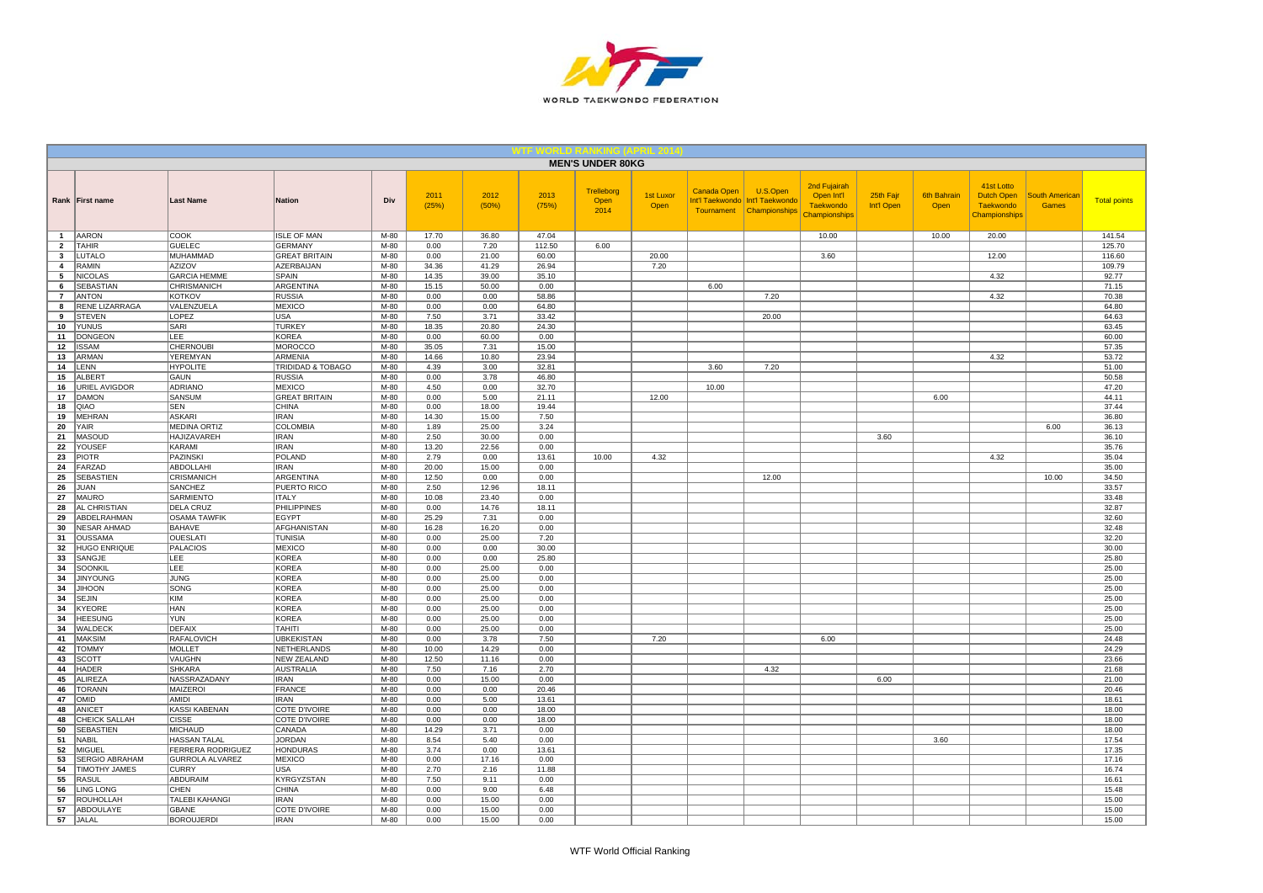

|                     |                                        |                                      |                                           |                |                |                |                | <b>MEN'S UNDER 80KG</b>    |                   |             |                                                                           |                                                                        |                         |                            |                                                               |                                       |                     |
|---------------------|----------------------------------------|--------------------------------------|-------------------------------------------|----------------|----------------|----------------|----------------|----------------------------|-------------------|-------------|---------------------------------------------------------------------------|------------------------------------------------------------------------|-------------------------|----------------------------|---------------------------------------------------------------|---------------------------------------|---------------------|
|                     | Rank First name                        | <b>Last Name</b>                     | Nation                                    | Div            | 2011<br>(25%)  | 2012<br>(50%)  | 2013<br>(75%)  | Trelleborg<br>Open<br>2014 | 1st Luxor<br>Open | Canada Open | U.S.Open<br>Int'l Taekwondo   Int'l Taekwondo<br>Tournament Championships | 2nd Fujairah<br>Open Int'l<br><b>Taekwondo</b><br><b>Championships</b> | 25th Fajr<br>Int'l Open | <b>6th Bahrain</b><br>Open | 41st Lotto<br>Dutch Open<br><b>Taekwondo</b><br>Championships | <b>South American</b><br><b>Games</b> | <b>Total points</b> |
| $\mathbf{1}$        | <b>AARON</b>                           | <b>COOK</b>                          | <b>ISLE OF MAN</b>                        | M-80           | 17.70          | 36.80          | 47.04          |                            |                   |             |                                                                           | 10.00                                                                  |                         | 10.00                      | 20.00                                                         |                                       | 141.54              |
| $\overline{2}$      | <b>TAHIR</b>                           | <b>GUELEC</b>                        | <b>GERMANY</b>                            | $M-80$         | 0.00           | 7.20           | 112.50         | 6.00                       |                   |             |                                                                           |                                                                        |                         |                            |                                                               |                                       | 125.70              |
| $\mathbf{3}$        | LUTALO<br><b>RAMIN</b>                 | <b>MUHAMMAD</b><br><b>AZIZOV</b>     | <b>GREAT BRITAIN</b><br><b>AZERBAIJAN</b> | M-80           | 0.00           | 21.00          | 60.00<br>26.94 |                            | 20.00             |             |                                                                           | 3.60                                                                   |                         |                            | 12.00                                                         |                                       | 116.60              |
| $\overline{4}$<br>5 | <b>NICOLAS</b>                         | <b>GARCIA HEMME</b>                  | SPAIN                                     | $M-80$<br>M-80 | 34.36<br>14.35 | 41.29<br>39.00 | 35.10          |                            | 7.20              |             |                                                                           |                                                                        |                         |                            | 4.32                                                          |                                       | 109.79<br>92.77     |
| 6                   | <b>SEBASTIAN</b>                       | <b>CHRISMANICH</b>                   | ARGENTINA                                 | M-80           | 15.15          | 50.00          | 0.00           |                            |                   | 6.00        |                                                                           |                                                                        |                         |                            |                                                               |                                       | 71.15               |
| $\overline{7}$      | <b>ANTON</b>                           | <b>KOTKOV</b>                        | <b>RUSSIA</b>                             | $M-80$         | 0.00           | 0.00           | 58.86          |                            |                   |             | 7.20                                                                      |                                                                        |                         |                            | 4.32                                                          |                                       | 70.38               |
| 8                   | RENE LIZARRAGA                         | VALENZUELA                           | <b>MEXICO</b>                             | M-80           | 0.00           | 0.00           | 64.80          |                            |                   |             |                                                                           |                                                                        |                         |                            |                                                               |                                       | 64.80               |
| 9                   | <b>STEVEN</b>                          | LOPEZ                                | <b>USA</b>                                | M-80           | 7.50           | 3.71           | 33.42          |                            |                   |             | 20.00                                                                     |                                                                        |                         |                            |                                                               |                                       | 64.63               |
| 10                  | <b>YUNUS</b>                           | SARI                                 | <b>TURKEY</b>                             | M-80           | 18.35          | 20.80          | 24.30          |                            |                   |             |                                                                           |                                                                        |                         |                            |                                                               |                                       | 63.45               |
| 11                  | <b>DONGEON</b>                         | LEE                                  | <b>KOREA</b>                              | M-80           | 0.00           | 60.00          | 0.00           |                            |                   |             |                                                                           |                                                                        |                         |                            |                                                               |                                       | 60.00               |
| 12<br>13            | <b>ISSAM</b><br><b>ARMAN</b>           | CHERNOUBI<br>YEREMYAN                | <b>MOROCCO</b><br><b>ARMENIA</b>          | M-80<br>M-80   | 35.05<br>14.66 | 7.31<br>10.80  | 15.00<br>23.94 |                            |                   |             |                                                                           |                                                                        |                         |                            | 4.32                                                          |                                       | 57.35<br>53.72      |
| 14                  | LENN                                   | <b>HYPOLITE</b>                      | TRIDIDAD & TOBAGO                         | M-80           | 4.39           | 3.00           | 32.81          |                            |                   | 3.60        | 7.20                                                                      |                                                                        |                         |                            |                                                               |                                       | 51.00               |
| 15                  | <b>ALBERT</b>                          | GAUN                                 | <b>RUSSIA</b>                             | M-80           | 0.00           | 3.78           | 46.80          |                            |                   |             |                                                                           |                                                                        |                         |                            |                                                               |                                       | 50.58               |
| 16                  | <b>URIEL AVIGDOR</b>                   | <b>ADRIANO</b>                       | <b>MEXICO</b>                             | $M-80$         | 4.50           | 0.00           | 32.70          |                            |                   | 10.00       |                                                                           |                                                                        |                         |                            |                                                               |                                       | 47.20               |
| 17                  | DAMON                                  | SANSUM                               | <b>GREAT BRITAIN</b>                      | M-80           | 0.00           | 5.00           | 21.11          |                            | 12.00             |             |                                                                           |                                                                        |                         | 6.00                       |                                                               |                                       | 44.11               |
| 18                  | QIAO                                   | SEN                                  | <b>CHINA</b>                              | $M-80$         | 0.00           | 18.00          | 19.44          |                            |                   |             |                                                                           |                                                                        |                         |                            |                                                               |                                       | 37.44               |
| 19                  | <b>MEHRAN</b>                          | <b>ASKARI</b>                        | <b>IRAN</b>                               | M-80           | 14.30          | 15.00          | 7.50           |                            |                   |             |                                                                           |                                                                        |                         |                            |                                                               |                                       | 36.80               |
| 20                  | YAIR                                   | <b>MEDINA ORTIZ</b>                  | <b>COLOMBIA</b>                           | M-80           | 1.89           | 25.00          | 3.24           |                            |                   |             |                                                                           |                                                                        |                         |                            |                                                               | 6.00                                  | 36.13               |
| 21<br>22            | <b>MASOUD</b><br>YOUSEF                | HAJIZAVAREH<br>KARAMI                | <b>IRAN</b><br><b>IRAN</b>                | M-80<br>M-80   | 2.50<br>13.20  | 30.00<br>22.56 | 0.00<br>0.00   |                            |                   |             |                                                                           |                                                                        | 3.60                    |                            |                                                               |                                       | 36.10<br>35.76      |
| 23                  | <b>PIOTR</b>                           | PAZINSKI                             | <b>POLAND</b>                             | M-80           | 2.79           | 0.00           | 13.61          | 10.00                      | 4.32              |             |                                                                           |                                                                        |                         |                            | 4.32                                                          |                                       | 35.04               |
| 24                  | FARZAD                                 | ABDOLLAHI                            | <b>IRAN</b>                               | M-80           | 20.00          | 15.00          | 0.00           |                            |                   |             |                                                                           |                                                                        |                         |                            |                                                               |                                       | 35.00               |
| 25                  | <b>SEBASTIEN</b>                       | CRISMANICH                           | ARGENTINA                                 | M-80           | 12.50          | 0.00           | 0.00           |                            |                   |             | 12.00                                                                     |                                                                        |                         |                            |                                                               | 10.00                                 | 34.50               |
| 26                  | JUAN                                   | <b>SANCHEZ</b>                       | PUERTO RICO                               | M-80           | 2.50           | 12.96          | 18.11          |                            |                   |             |                                                                           |                                                                        |                         |                            |                                                               |                                       | 33.57               |
| 27                  | <b>MAURO</b>                           | <b>SARMIENTO</b>                     | <b>ITALY</b>                              | M-80           | 10.08          | 23.40          | 0.00           |                            |                   |             |                                                                           |                                                                        |                         |                            |                                                               |                                       | 33.48               |
| 28                  | AL CHRISTIAN                           | <b>DELA CRUZ</b>                     | <b>PHILIPPINES</b>                        | $M-80$         | 0.00           | 14.76          | 18.11          |                            |                   |             |                                                                           |                                                                        |                         |                            |                                                               |                                       | 32.87               |
| 29<br>30            | ABDELRAHMAN<br><b>NESAR AHMAD</b>      | <b>OSAMA TAWFIK</b><br><b>BAHAVE</b> | <b>EGYPT</b><br>AFGHANISTAN               | M-80<br>$M-80$ | 25.29<br>16.28 | 7.31<br>16.20  | 0.00<br>0.00   |                            |                   |             |                                                                           |                                                                        |                         |                            |                                                               |                                       | 32.60<br>32.48      |
| 31                  | <b>OUSSAMA</b>                         | <b>OUESLATI</b>                      | <b>TUNISIA</b>                            | $M-80$         | 0.00           | 25.00          | 7.20           |                            |                   |             |                                                                           |                                                                        |                         |                            |                                                               |                                       | 32.20               |
| 32                  | <b>HUGO ENRIQUE</b>                    | <b>PALACIOS</b>                      | <b>MEXICO</b>                             | M-80           | 0.00           | 0.00           | 30.00          |                            |                   |             |                                                                           |                                                                        |                         |                            |                                                               |                                       | 30.00               |
| 33                  | SANGJE                                 | LEE                                  | <b>KOREA</b>                              | M-80           | 0.00           | 0.00           | 25.80          |                            |                   |             |                                                                           |                                                                        |                         |                            |                                                               |                                       | 25.80               |
| 34                  | SOONKIL                                | LEE                                  | <b>KOREA</b>                              | M-80           | 0.00           | 25.00          | 0.00           |                            |                   |             |                                                                           |                                                                        |                         |                            |                                                               |                                       | 25.00               |
| 34                  | <b>JINYOUNG</b>                        | <b>JUNG</b>                          | <b>KOREA</b>                              | M-80           | 0.00           | 25.00          | 0.00           |                            |                   |             |                                                                           |                                                                        |                         |                            |                                                               |                                       | 25.00               |
| 34                  | <b>JIHOON</b>                          | SONG                                 | <b>KOREA</b>                              | $M-80$         | 0.00           | 25.00          | 0.00           |                            |                   |             |                                                                           |                                                                        |                         |                            |                                                               |                                       | 25.00               |
| 34                  | <b>SEJIN</b><br><b>KYEORE</b>          | <b>KIM</b><br>HAN                    | <b>KOREA</b><br><b>KOREA</b>              | M-80<br>M-80   | 0.00<br>0.00   | 25.00<br>25.00 | 0.00<br>0.00   |                            |                   |             |                                                                           |                                                                        |                         |                            |                                                               |                                       | 25.00<br>25.00      |
| 34<br>34            | <b>HEESUNG</b>                         | <b>YUN</b>                           | <b>KOREA</b>                              | M-80           | 0.00           | 25.00          | 0.00           |                            |                   |             |                                                                           |                                                                        |                         |                            |                                                               |                                       | 25.00               |
| 34                  | WALDECK                                | <b>DEFAIX</b>                        | <b>TAHITI</b>                             | $M-80$         | 0.00           | 25.00          | 0.00           |                            |                   |             |                                                                           |                                                                        |                         |                            |                                                               |                                       | 25.00               |
| 41                  | <b>MAKSIM</b>                          | <b>RAFALOVICH</b>                    | <b>UBKEKISTAN</b>                         | M-80           | 0.00           | 3.78           | 7.50           |                            | 7.20              |             |                                                                           | 6.00                                                                   |                         |                            |                                                               |                                       | 24.48               |
| 42                  | <b>TOMMY</b>                           | <b>MOLLET</b>                        | NETHERLANDS                               | M-80           | 10.00          | 14.29          | 0.00           |                            |                   |             |                                                                           |                                                                        |                         |                            |                                                               |                                       | 24.29               |
| 43                  | <b>SCOTT</b>                           | VAUGHN                               | <b>NEW ZEALAND</b>                        | M-80           | 12.50          | 11.16          | 0.00           |                            |                   |             |                                                                           |                                                                        |                         |                            |                                                               |                                       | 23.66               |
| 44                  | <b>HADER</b>                           | <b>SHKARA</b>                        | <b>AUSTRALIA</b>                          | M-80           | 7.50           | 7.16           | 2.70           |                            |                   |             | 4.32                                                                      |                                                                        |                         |                            |                                                               |                                       | 21.68               |
| 45<br>46            | <b>ALIREZA</b><br><b>TORANN</b>        | NASSRAZADANY<br>MAIZEROI             | <b>IRAN</b><br><b>FRANCE</b>              | $M-80$<br>M-80 | 0.00<br>0.00   | 15.00<br>0.00  | 0.00<br>20.46  |                            |                   |             |                                                                           |                                                                        | 6.00                    |                            |                                                               |                                       | 21.00<br>20.46      |
| 47                  | <b>OMID</b>                            | <b>IGINA</b>                         | <b>IRAN</b>                               | M-80           | 0.00           | 5.00           | 13.61          |                            |                   |             |                                                                           |                                                                        |                         |                            |                                                               |                                       | 18.61               |
| 48                  | <b>ANICET</b>                          | KASSI KABENAN                        | COTE D'IVOIRE                             | M-80           | 0.00           | 0.00           | 18.00          |                            |                   |             |                                                                           |                                                                        |                         |                            |                                                               |                                       | 18.00               |
| 48                  | <b>CHEICK SALLAH</b>                   | <b>CISSE</b>                         | <b>COTE D'IVOIRE</b>                      | M-80           | 0.00           | 0.00           | 18.00          |                            |                   |             |                                                                           |                                                                        |                         |                            |                                                               |                                       | 18.00               |
| 50                  | <b>SEBASTIEN</b>                       | <b>MICHAUD</b>                       | CANADA                                    | $M-80$         | 14.29          | 3.71           | 0.00           |                            |                   |             |                                                                           |                                                                        |                         |                            |                                                               |                                       | 18.00               |
| 51                  | <b>NABIL</b>                           | <b>HASSAN TALAL</b>                  | <b>JORDAN</b>                             | M-80           | 8.54           | 5.40           | 0.00           |                            |                   |             |                                                                           |                                                                        |                         | 3.60                       |                                                               |                                       | 17.54               |
| 52                  | MIGUEL                                 | FERRERA RODRIGUEZ                    | <b>HONDURAS</b>                           | M-80           | 3.74           | 0.00           | 13.61          |                            |                   |             |                                                                           |                                                                        |                         |                            |                                                               |                                       | 17.35               |
| 53                  | SERGIO ABRAHAM<br><b>TIMOTHY JAMES</b> | GURROLA ALVAREZ<br><b>CURRY</b>      | <b>MEXICO</b><br>USA                      | M-80<br>M-80   | 0.00<br>2.70   | 17.16<br>2.16  | 0.00<br>11.88  |                            |                   |             |                                                                           |                                                                        |                         |                            |                                                               |                                       | 17.16<br>16.74      |
| 54<br>55            | <b>RASUL</b>                           | ABDURAIM                             | <b>KYRGYZSTAN</b>                         | M-80           | 7.50           | 9.11           | 0.00           |                            |                   |             |                                                                           |                                                                        |                         |                            |                                                               |                                       | 16.61               |
| 56                  | <b>LING LONG</b>                       | CHEN                                 | <b>CHINA</b>                              | M-80           | 0.00           | 9.00           | 6.48           |                            |                   |             |                                                                           |                                                                        |                         |                            |                                                               |                                       | 15.48               |
| 57                  | <b>ROUHOLLAH</b>                       | TALEBI KAHANGI                       | <b>IRAN</b>                               | M-80           | 0.00           | 15.00          | 0.00           |                            |                   |             |                                                                           |                                                                        |                         |                            |                                                               |                                       | 15.00               |
| 57                  | ABDOULAYE                              | GBANE                                | COTE D'IVOIRE                             | M-80           | 0.00           | 15.00          | 0.00           |                            |                   |             |                                                                           |                                                                        |                         |                            |                                                               |                                       | 15.00               |
|                     | 57 JALAL                               | <b>BOROUJERDI</b>                    | <b>IRAN</b>                               | $M-80$         | 0.00           | 15.00          | 0.00           |                            |                   |             |                                                                           |                                                                        |                         |                            |                                                               |                                       | 15.00               |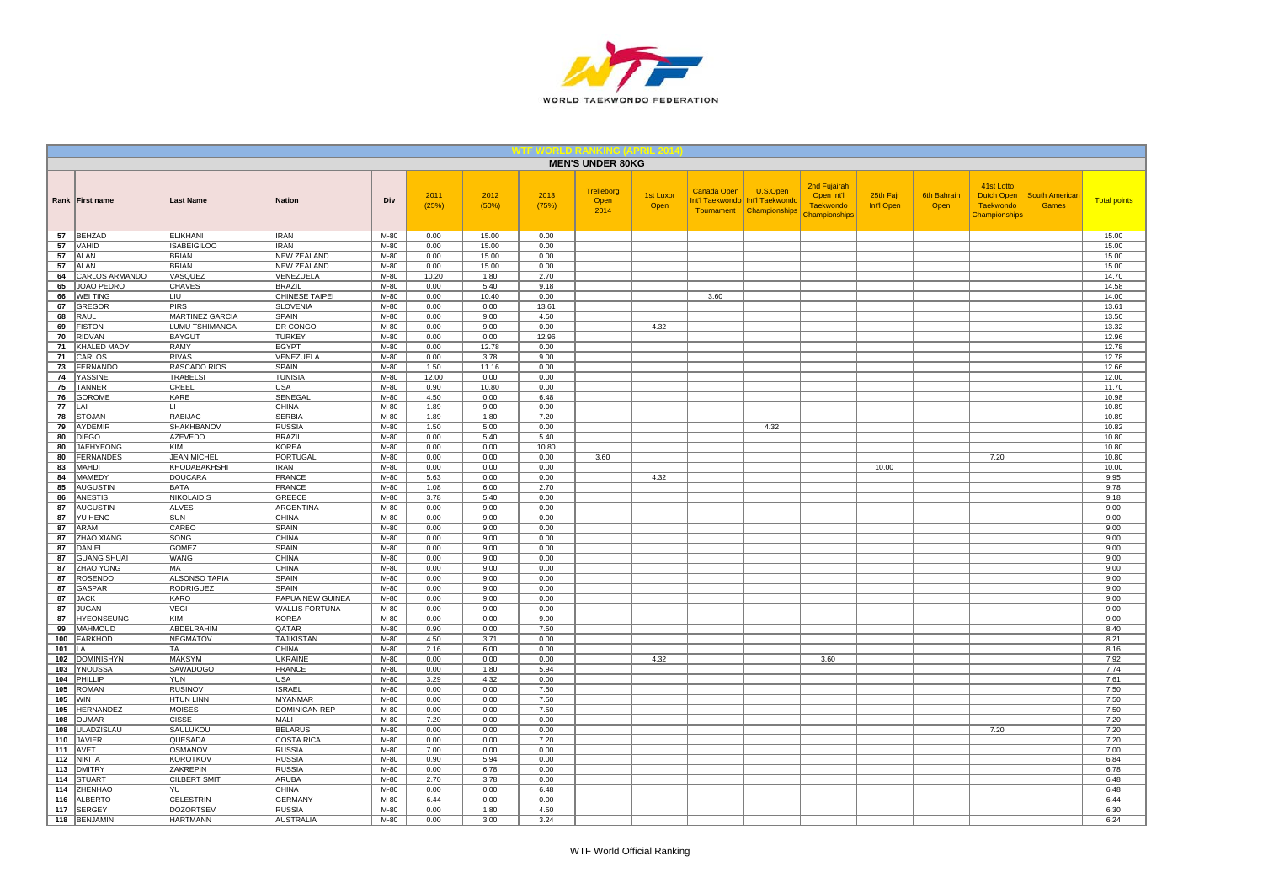

|                                              |                                    |                                 |                  |               |               |               | <b>MEN'S UNDER 80KG</b>           |                          |             |                                                                           |                                                                 |                         |                            |                                                               |                                |                     |
|----------------------------------------------|------------------------------------|---------------------------------|------------------|---------------|---------------|---------------|-----------------------------------|--------------------------|-------------|---------------------------------------------------------------------------|-----------------------------------------------------------------|-------------------------|----------------------------|---------------------------------------------------------------|--------------------------------|---------------------|
| Rank First name                              | <b>Last Name</b>                   | <b>Nation</b>                   | Div              | 2011<br>(25%) | 2012<br>(50%) | 2013<br>(75%) | <b>Trelleborg</b><br>Open<br>2014 | <b>1st Luxor</b><br>Open | Canada Open | U.S.Open<br>Int'l Taekwondo   Int'l Taekwondo<br>Tournament Championships | 2nd Fujairah<br>Open Int'l<br><b>Taekwondo</b><br>Championships | 25th Fajr<br>Int'l Open | <b>6th Bahrain</b><br>Open | 41st Lotto<br>Dutch Open<br><b>Taekwondo</b><br>Championships | <b>South American</b><br>Games | <b>Total points</b> |
| BEHZAD<br>57                                 | <b>ELIKHANI</b>                    | <b>IRAN</b>                     | M-80             | 0.00          | 15.00         | 0.00          |                                   |                          |             |                                                                           |                                                                 |                         |                            |                                                               |                                | 15.00               |
| 57<br>VAHID                                  | <b>ISABEIGILOO</b>                 | <b>IRAN</b>                     | $M-80$           | 0.00          | 15.00         | 0.00          |                                   |                          |             |                                                                           |                                                                 |                         |                            |                                                               |                                | 15.00               |
| 57<br><b>ALAN</b>                            | <b>BRIAN</b><br><b>BRIAN</b>       | <b>NEW ZEALAND</b>              | $M-80$<br>$M-80$ | 0.00          | 15.00         | 0.00          |                                   |                          |             |                                                                           |                                                                 |                         |                            |                                                               |                                | 15.00               |
| <b>ALAN</b><br>57<br>CARLOS ARMANDO<br>64    | VASQUEZ                            | <b>NEW ZEALAND</b><br>VENEZUELA | M-80             | 0.00<br>10.20 | 15.00<br>1.80 | 0.00<br>2.70  |                                   |                          |             |                                                                           |                                                                 |                         |                            |                                                               |                                | 15.00<br>14.70      |
| JOAO PEDRO<br>65                             | <b>CHAVES</b>                      | <b>BRAZIL</b>                   | M-80             | 0.00          | 5.40          | 9.18          |                                   |                          |             |                                                                           |                                                                 |                         |                            |                                                               |                                | 14.58               |
| <b>WEI TING</b><br>66                        | LIU                                | CHINESE TAIPEI                  | M-80             | 0.00          | 10.40         | 0.00          |                                   |                          | 3.60        |                                                                           |                                                                 |                         |                            |                                                               |                                | 14.00               |
| 67<br><b>GREGOR</b>                          | <b>PIRS</b>                        | <b>SLOVENIA</b>                 | M-80             | 0.00          | 0.00          | 13.61         |                                   |                          |             |                                                                           |                                                                 |                         |                            |                                                               |                                | 13.61               |
| 68<br>RAUL                                   | <b>MARTINEZ GARCIA</b>             | SPAIN                           | M-80             | 0.00          | 9.00          | 4.50          |                                   |                          |             |                                                                           |                                                                 |                         |                            |                                                               |                                | 13.50               |
| <b>FISTON</b><br>69                          | <b>LUMU TSHIMANGA</b>              | DR CONGO                        | M-80             | 0.00          | 9.00          | 0.00          |                                   | 4.32                     |             |                                                                           |                                                                 |                         |                            |                                                               |                                | 13.32               |
| <b>RIDVAN</b><br>70                          | <b>BAYGUT</b>                      | <b>TURKEY</b>                   | M-80             | 0.00          | 0.00          | 12.96         |                                   |                          |             |                                                                           |                                                                 |                         |                            |                                                               |                                | 12.96               |
| KHALED MADY<br>71                            | <b>RAMY</b>                        | <b>EGYPT</b>                    | M-80             | 0.00          | 12.78         | 0.00          |                                   |                          |             |                                                                           |                                                                 |                         |                            |                                                               |                                | 12.78               |
| 71<br>CARLOS<br><b>FERNANDO</b><br>73        | <b>RIVAS</b><br>RASCADO RIOS       | VENEZUELA<br>SPAIN              | M-80<br>M-80     | 0.00<br>1.50  | 3.78<br>11.16 | 9.00<br>0.00  |                                   |                          |             |                                                                           |                                                                 |                         |                            |                                                               |                                | 12.78<br>12.66      |
| <b>YASSINE</b><br>74                         | <b>TRABELSI</b>                    | <b>TUNISIA</b>                  | M-80             | 12.00         | 0.00          | 0.00          |                                   |                          |             |                                                                           |                                                                 |                         |                            |                                                               |                                | 12.00               |
| <b>TANNER</b><br>75                          | CREEL                              | USA                             | $M-80$           | 0.90          | 10.80         | 0.00          |                                   |                          |             |                                                                           |                                                                 |                         |                            |                                                               |                                | 11.70               |
| 76<br><b>GOROME</b>                          | KARE                               | SENEGAL                         | M-80             | 4.50          | 0.00          | 6.48          |                                   |                          |             |                                                                           |                                                                 |                         |                            |                                                               |                                | 10.98               |
| 77<br>I AI                                   | $\mathbf{L}$                       | CHINA                           | $M-80$           | 1.89          | 9.00          | 0.00          |                                   |                          |             |                                                                           |                                                                 |                         |                            |                                                               |                                | 10.89               |
| 78<br><b>STOJAN</b>                          | <b>RABIJAC</b>                     | <b>SERBIA</b>                   | M-80             | 1.89          | 1.80          | 7.20          |                                   |                          |             |                                                                           |                                                                 |                         |                            |                                                               |                                | 10.89               |
| AYDEMIR<br>79                                | <b>SHAKHBANOV</b>                  | <b>RUSSIA</b>                   | M-80             | 1.50          | 5.00          | 0.00          |                                   |                          |             | 4.32                                                                      |                                                                 |                         |                            |                                                               |                                | 10.82               |
| 80<br><b>DIEGO</b>                           | AZEVEDO                            | <b>BRAZIL</b>                   | M-80             | 0.00          | 5.40          | 5.40          |                                   |                          |             |                                                                           |                                                                 |                         |                            |                                                               |                                | 10.80               |
| <b>JAEHYEONG</b><br>80                       | KIM                                | <b>KOREA</b>                    | M-80             | 0.00          | 0.00          | 10.80         |                                   |                          |             |                                                                           |                                                                 |                         |                            |                                                               |                                | 10.80               |
| <b>FERNANDES</b><br>80<br>83<br>MAHDI        | <b>JEAN MICHEL</b><br>KHODABAKHSHI | <b>PORTUGAL</b><br><b>IRAN</b>  | $M-80$<br>M-80   | 0.00<br>0.00  | 0.00<br>0.00  | 0.00<br>0.00  | 3.60                              |                          |             |                                                                           |                                                                 | 10.00                   |                            | 7.20                                                          |                                | 10.80<br>10.00      |
| <b>MAMEDY</b><br>84                          | <b>DOUCARA</b>                     | <b>FRANCE</b>                   | M-80             | 5.63          | 0.00          | 0.00          |                                   | 4.32                     |             |                                                                           |                                                                 |                         |                            |                                                               |                                | 9.95                |
| 85<br><b>AUGUSTIN</b>                        | <b>BATA</b>                        | <b>FRANCE</b>                   | M-80             | 1.08          | 6.00          | 2.70          |                                   |                          |             |                                                                           |                                                                 |                         |                            |                                                               |                                | 9.78                |
| 86<br><b>ANESTIS</b>                         | <b>NIKOLAIDIS</b>                  | <b>GREECE</b>                   | M-80             | 3.78          | 5.40          | 0.00          |                                   |                          |             |                                                                           |                                                                 |                         |                            |                                                               |                                | 9.18                |
| 87<br><b>AUGUSTIN</b>                        | <b>ALVES</b>                       | ARGENTINA                       | M-80             | 0.00          | 9.00          | 0.00          |                                   |                          |             |                                                                           |                                                                 |                         |                            |                                                               |                                | 9.00                |
| YU HENG<br>87                                | SUN                                | <b>CHINA</b>                    | M-80             | 0.00          | 9.00          | 0.00          |                                   |                          |             |                                                                           |                                                                 |                         |                            |                                                               |                                | 9.00                |
| 87<br><b>ARAM</b>                            | <b>CARBO</b>                       | <b>SPAIN</b>                    | $M-80$           | 0.00          | 9.00          | 0.00          |                                   |                          |             |                                                                           |                                                                 |                         |                            |                                                               |                                | 9.00                |
| 87<br>ZHAO XIANG                             | <b>SONG</b>                        | <b>CHINA</b>                    | $M-80$           | 0.00          | 9.00          | 0.00          |                                   |                          |             |                                                                           |                                                                 |                         |                            |                                                               |                                | 9.00                |
| 87<br>DANIEL                                 | <b>GOMEZ</b>                       | <b>SPAIN</b>                    | M-80             | 0.00          | 9.00          | 0.00          |                                   |                          |             |                                                                           |                                                                 |                         |                            |                                                               |                                | 9.00                |
| <b>GUANG SHUAI</b><br>87                     | <b>WANG</b><br>MA                  | CHINA<br><b>CHINA</b>           | M-80<br>M-80     | 0.00          | 9.00          | 0.00<br>0.00  |                                   |                          |             |                                                                           |                                                                 |                         |                            |                                                               |                                | 9.00                |
| ZHAO YONG<br>87<br><b>ROSENDO</b><br>87      | <b>ALSONSO TAPIA</b>               | <b>SPAIN</b>                    | $M-80$           | 0.00<br>0.00  | 9.00<br>9.00  | 0.00          |                                   |                          |             |                                                                           |                                                                 |                         |                            |                                                               |                                | 9.00<br>9.00        |
| 87<br>GASPAR                                 | <b>RODRIGUEZ</b>                   | SPAIN                           | M-80             | 0.00          | 9.00          | 0.00          |                                   |                          |             |                                                                           |                                                                 |                         |                            |                                                               |                                | 9.00                |
| 87<br><b>JACK</b>                            | KARO                               | PAPUA NEW GUINEA                | M-80             | 0.00          | 9.00          | 0.00          |                                   |                          |             |                                                                           |                                                                 |                         |                            |                                                               |                                | 9.00                |
| <b>JUGAN</b><br>87                           | VEGI                               | <b>WALLIS FORTUNA</b>           | M-80             | 0.00          | 9.00          | 0.00          |                                   |                          |             |                                                                           |                                                                 |                         |                            |                                                               |                                | 9.00                |
| 87<br><b>HYEONSEUNG</b>                      | <b>KIM</b>                         | KOREA                           | M-80             | 0.00          | 0.00          | 9.00          |                                   |                          |             |                                                                           |                                                                 |                         |                            |                                                               |                                | 9.00                |
| <b>MAHMOUD</b><br>99                         | ABDELRAHIM                         | QATAR                           | $M-80$           | 0.90          | 0.00          | 7.50          |                                   |                          |             |                                                                           |                                                                 |                         |                            |                                                               |                                | 8.40                |
| <b>FARKHOD</b><br>100                        | <b>NEGMATOV</b>                    | <b>TAJIKISTAN</b>               | M-80             | 4.50          | 3.71          | 0.00          |                                   |                          |             |                                                                           |                                                                 |                         |                            |                                                               |                                | 8.21                |
| 101<br>LA                                    | TA                                 | <b>CHINA</b>                    | $M-80$           | 2.16          | 6.00          | 0.00          |                                   |                          |             |                                                                           |                                                                 |                         |                            |                                                               |                                | 8.16                |
| 102<br><b>DOMINISHYN</b><br>103<br>YNOUSSA   | <b>MAKSYM</b><br><b>SAWADOGO</b>   | <b>UKRAINE</b><br><b>FRANCE</b> | M-80<br>M-80     | 0.00<br>0.00  | 0.00<br>1.80  | 0.00<br>5.94  |                                   | 4.32                     |             |                                                                           | 3.60                                                            |                         |                            |                                                               |                                | 7.92<br>7.74        |
| PHILLIP<br>104                               | YUN                                | <b>USA</b>                      | $M-80$           | 3.29          | 4.32          | 0.00          |                                   |                          |             |                                                                           |                                                                 |                         |                            |                                                               |                                | 7.61                |
| <b>ROMAN</b><br>105                          | <b>RUSINOV</b>                     | <b>ISRAEL</b>                   | $M-80$           | 0.00          | 0.00          | 7.50          |                                   |                          |             |                                                                           |                                                                 |                         |                            |                                                               |                                | 7.50                |
| 105<br><b>WIN</b>                            | <b>HTUN LINN</b>                   | <b>MYANMAR</b>                  | $M-80$           | 0.00          | 0.00          | 7.50          |                                   |                          |             |                                                                           |                                                                 |                         |                            |                                                               |                                | 7.50                |
| 105<br>HERNANDEZ                             | <b>MOISES</b>                      | <b>DOMINICAN REP</b>            | M-80             | 0.00          | 0.00          | 7.50          |                                   |                          |             |                                                                           |                                                                 |                         |                            |                                                               |                                | 7.50                |
| <b>OUMAR</b><br>108                          | <b>CISSE</b>                       | MALI                            | M-80             | 7.20          | 0.00          | 0.00          |                                   |                          |             |                                                                           |                                                                 |                         |                            |                                                               |                                | 7.20                |
| 108<br><b>ULADZISLAU</b>                     | SAULUKOU                           | <b>BELARUS</b>                  | M-80             | 0.00          | 0.00          | 0.00          |                                   |                          |             |                                                                           |                                                                 |                         |                            | 7.20                                                          |                                | 7.20                |
| 110<br>JAVIER                                | <b>QUESADA</b>                     | <b>COSTA RICA</b>               | M-80             | 0.00          | 0.00          | 7.20          |                                   |                          |             |                                                                           |                                                                 |                         |                            |                                                               |                                | 7.20                |
| 111<br><b>AVET</b>                           | OSMANOV                            | <b>RUSSIA</b>                   | M-80             | 7.00          | 0.00          | 0.00          |                                   |                          |             |                                                                           |                                                                 |                         |                            |                                                               |                                | 7.00                |
| NIKITA<br>112                                | <b>KOROTKOV</b>                    | <b>RUSSIA</b>                   | M-80             | 0.90          | 5.94<br>6.78  | 0.00          |                                   |                          |             |                                                                           |                                                                 |                         |                            |                                                               |                                | 6.84                |
| <b>DMITRY</b><br>113<br><b>STUART</b><br>114 | ZAKREPIN<br><b>CILBERT SMIT</b>    | <b>RUSSIA</b><br><b>ARUBA</b>   | M-80<br>M-80     | 0.00<br>2.70  | 3.78          | 0.00<br>0.00  |                                   |                          |             |                                                                           |                                                                 |                         |                            |                                                               |                                | 6.78<br>6.48        |
| ZHENHAO<br>114                               | YU                                 | <b>CHINA</b>                    | M-80             | 0.00          | 0.00          | 6.48          |                                   |                          |             |                                                                           |                                                                 |                         |                            |                                                               |                                | 6.48                |
| <b>ALBERTO</b><br>116                        | <b>CELESTRIN</b>                   | <b>GERMANY</b>                  | M-80             | 6.44          | 0.00          | 0.00          |                                   |                          |             |                                                                           |                                                                 |                         |                            |                                                               |                                | 6.44                |
| 117<br>SERGEY                                | <b>DOZORTSEV</b>                   | <b>RUSSIA</b>                   | M-80             | 0.00          | 1.80          | 4.50          |                                   |                          |             |                                                                           |                                                                 |                         |                            |                                                               |                                | 6.30                |
| 118 BENJAMIN                                 | <b>HARTMANN</b>                    | <b>AUSTRALIA</b>                | $M-80$           | 0.00          | 3.00          | 3.24          |                                   |                          |             |                                                                           |                                                                 |                         |                            |                                                               |                                | 6.24                |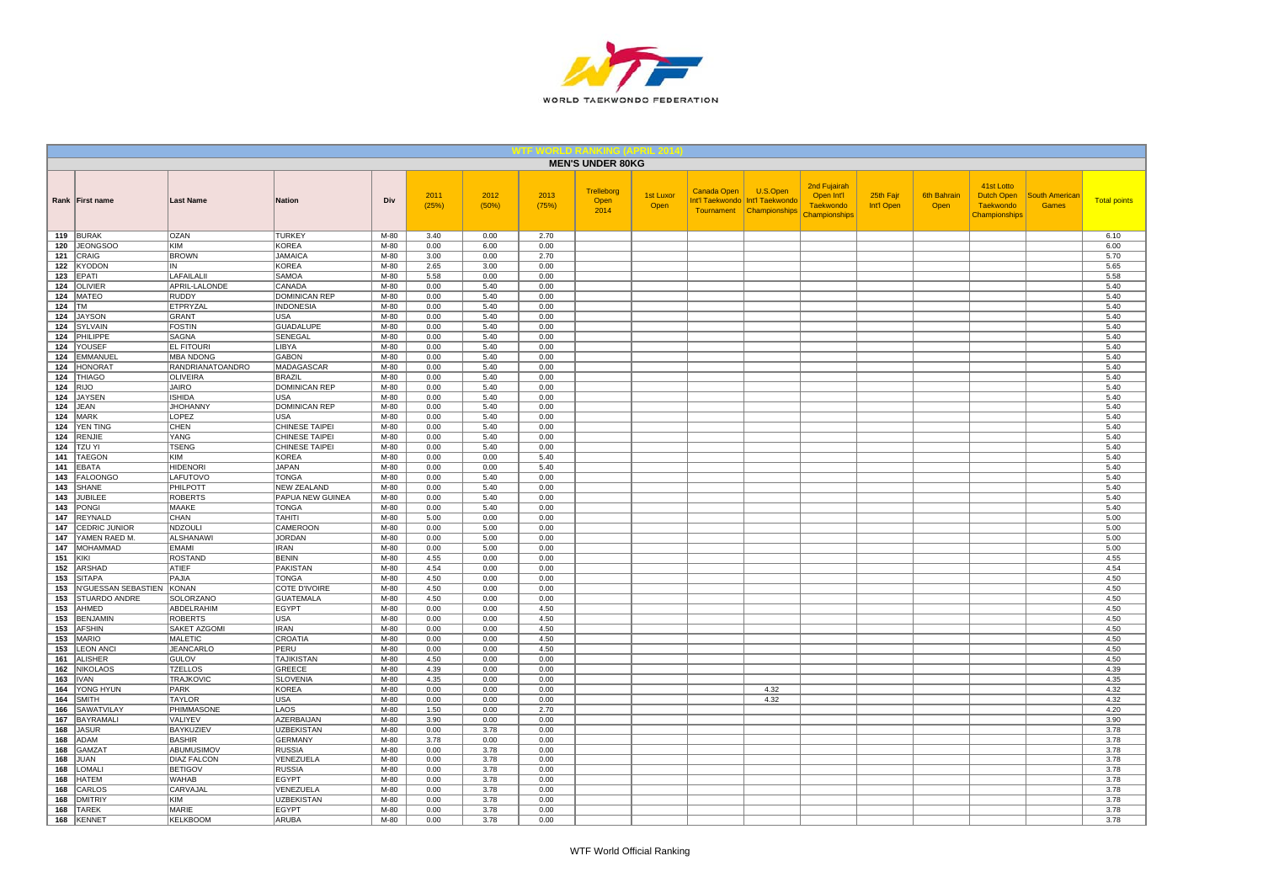

|                |                             |                                      |                                    |                  |               |               |               | <b>MEN'S UNDER 80KG</b>    |                          |             |                                                                           |                                                                 |                         |                            |                                                               |                                       |                     |
|----------------|-----------------------------|--------------------------------------|------------------------------------|------------------|---------------|---------------|---------------|----------------------------|--------------------------|-------------|---------------------------------------------------------------------------|-----------------------------------------------------------------|-------------------------|----------------------------|---------------------------------------------------------------|---------------------------------------|---------------------|
|                | Rank First name             | <b>Last Name</b>                     | <b>Nation</b>                      | Div              | 2011<br>(25%) | 2012<br>(50%) | 2013<br>(75%) | Trelleborg<br>Open<br>2014 | <b>1st Luxor</b><br>Open | Canada Open | U.S.Open<br>Int'l Taekwondo   Int'l Taekwondo<br>Tournament Championships | 2nd Fujairah<br>Open Int'l<br><b>Taekwondo</b><br>Championships | 25th Fajr<br>Int'l Open | <b>6th Bahrain</b><br>Open | 41st Lotto<br>Dutch Open<br><b>Taekwondo</b><br>Championships | <b>South American</b><br><b>Games</b> | <b>Total points</b> |
|                | 119 BURAK                   | <b>OZAN</b>                          | <b>TURKEY</b>                      | M-80             | 3.40          | 0.00          | 2.70          |                            |                          |             |                                                                           |                                                                 |                         |                            |                                                               |                                       | 6.10                |
|                | 120 JEONGSOO                | KIM                                  | <b>KOREA</b>                       | $M-80$           | 0.00          | 6.00          | 0.00          |                            |                          |             |                                                                           |                                                                 |                         |                            |                                                               |                                       | 6.00                |
|                | 121 CRAIG                   | <b>BROWN</b>                         | <b>JAMAICA</b><br><b>KOREA</b>     | $M-80$<br>$M-80$ | 3.00<br>2.65  | 0.00<br>3.00  | 2.70<br>0.00  |                            |                          |             |                                                                           |                                                                 |                         |                            |                                                               |                                       | 5.70<br>5.65        |
|                | 122 KYODON<br>$123$ EPATI   | IN<br>LAFAILALII                     | <b>SAMOA</b>                       | M-80             | 5.58          | 0.00          | 0.00          |                            |                          |             |                                                                           |                                                                 |                         |                            |                                                               |                                       | 5.58                |
|                | 124 OLIVIER                 | APRIL-LALONDE                        | CANADA                             | M-80             | 0.00          | 5.40          | 0.00          |                            |                          |             |                                                                           |                                                                 |                         |                            |                                                               |                                       | 5.40                |
|                | 124   MATEO                 | <b>RUDDY</b>                         | <b>DOMINICAN REP</b>               | M-80             | 0.00          | 5.40          | 0.00          |                            |                          |             |                                                                           |                                                                 |                         |                            |                                                               |                                       | 5.40                |
| 124 $\vert$ TM |                             | ETPRYZAL                             | <b>INDONESIA</b>                   | M-80             | 0.00          | 5.40          | 0.00          |                            |                          |             |                                                                           |                                                                 |                         |                            |                                                               |                                       | 5.40                |
|                | 124 JAYSON                  | <b>GRANT</b>                         | <b>USA</b>                         | M-80             | 0.00          | 5.40          | 0.00          |                            |                          |             |                                                                           |                                                                 |                         |                            |                                                               |                                       | 5.40                |
|                | 124 SYLVAIN                 | <b>FOSTIN</b>                        | <b>GUADALUPE</b>                   | M-80             | 0.00          | 5.40          | 0.00          |                            |                          |             |                                                                           |                                                                 |                         |                            |                                                               |                                       | 5.40                |
|                | 124 PHILIPPE                | SAGNA                                | SENEGAL                            | $M-80$           | 0.00          | 5.40          | 0.00          |                            |                          |             |                                                                           |                                                                 |                         |                            |                                                               |                                       | 5.40                |
|                | 124 YOUSEF                  | <b>EL FITOURI</b>                    | LIBYA                              | M-80             | 0.00          | 5.40          | 0.00          |                            |                          |             |                                                                           |                                                                 |                         |                            |                                                               |                                       | 5.40                |
|                | 124 EMMANUEL<br>124 HONORAT | <b>MBA NDONG</b><br>RANDRIANATOANDRO | <b>GABON</b><br>MADAGASCAR         | M-80<br>M-80     | 0.00<br>0.00  | 5.40<br>5.40  | 0.00<br>0.00  |                            |                          |             |                                                                           |                                                                 |                         |                            |                                                               |                                       | 5.40<br>5.40        |
|                | 124 THIAGO                  | <b>OLIVEIRA</b>                      | BRAZIL                             | M-80             | 0.00          | 5.40          | 0.00          |                            |                          |             |                                                                           |                                                                 |                         |                            |                                                               |                                       | 5.40                |
| 124 $ RJO$     |                             | <b>JAIRO</b>                         | DOMINICAN REP                      | M-80             | 0.00          | 5.40          | 0.00          |                            |                          |             |                                                                           |                                                                 |                         |                            |                                                               |                                       | 5.40                |
|                | 124 JAYSEN                  | <b>ISHIDA</b>                        | USA                                | M-80             | 0.00          | 5.40          | 0.00          |                            |                          |             |                                                                           |                                                                 |                         |                            |                                                               |                                       | 5.40                |
|                | $124$ JEAN                  | <b>JHOHANNY</b>                      | <b>DOMINICAN REP</b>               | $M-80$           | 0.00          | 5.40          | 0.00          |                            |                          |             |                                                                           |                                                                 |                         |                            |                                                               |                                       | 5.40                |
|                | <b>124 MARK</b>             | LOPEZ                                | <b>USA</b>                         | M-80             | 0.00          | 5.40          | 0.00          |                            |                          |             |                                                                           |                                                                 |                         |                            |                                                               |                                       | 5.40                |
|                | 124 YEN TING                | CHEN                                 | CHINESE TAIPEI                     | M-80             | 0.00          | 5.40          | 0.00          |                            |                          |             |                                                                           |                                                                 |                         |                            |                                                               |                                       | 5.40                |
|                | 124 RENJIE                  | YANG                                 | <b>CHINESE TAIPEI</b>              | M-80             | 0.00          | 5.40          | 0.00          |                            |                          |             |                                                                           |                                                                 |                         |                            |                                                               |                                       | 5.40                |
|                | <b>124 TZU YI</b>           | <b>TSENG</b>                         | <b>CHINESE TAIPEI</b>              | M-80             | 0.00          | 5.40          | 0.00          |                            |                          |             |                                                                           |                                                                 |                         |                            |                                                               |                                       | 5.40                |
|                | 141   TAEGON<br>141 EBATA   | KIM<br><b>HIDENORI</b>               | <b>KOREA</b><br><b>JAPAN</b>       | M-80<br>M-80     | 0.00<br>0.00  | 0.00<br>0.00  | 5.40<br>5.40  |                            |                          |             |                                                                           |                                                                 |                         |                            |                                                               |                                       | 5.40<br>5.40        |
| 143            | FALOONGO                    | LAFUTOVO                             | <b>TONGA</b>                       | M-80             | 0.00          | 5.40          | 0.00          |                            |                          |             |                                                                           |                                                                 |                         |                            |                                                               |                                       | 5.40                |
|                | 143 SHANE                   | PHILPOTT                             | <b>NEW ZEALAND</b>                 | M-80             | 0.00          | 5.40          | 0.00          |                            |                          |             |                                                                           |                                                                 |                         |                            |                                                               |                                       | 5.40                |
|                | 143 JUBILEE                 | <b>ROBERTS</b>                       | PAPUA NEW GUINEA                   | M-80             | 0.00          | 5.40          | 0.00          |                            |                          |             |                                                                           |                                                                 |                         |                            |                                                               |                                       | 5.40                |
|                | 143 PONGI                   | MAAKE                                | <b>TONGA</b>                       | M-80             | 0.00          | 5.40          | 0.00          |                            |                          |             |                                                                           |                                                                 |                         |                            |                                                               |                                       | 5.40                |
|                | 147 REYNALD                 | CHAN                                 | <b>TAHITI</b>                      | M-80             | 5.00          | 0.00          | 0.00          |                            |                          |             |                                                                           |                                                                 |                         |                            |                                                               |                                       | 5.00                |
|                | 147 CEDRIC JUNIOR           | <b>NDZOULI</b>                       | CAMEROON                           | $M-80$           | 0.00          | 5.00          | 0.00          |                            |                          |             |                                                                           |                                                                 |                         |                            |                                                               |                                       | 5.00                |
|                | 147 YAMEN RAED M.           | ALSHANAWI                            | <b>JORDAN</b>                      | $M-80$           | 0.00          | 5.00          | 0.00          |                            |                          |             |                                                                           |                                                                 |                         |                            |                                                               |                                       | 5.00                |
|                | 147   MOHAMMAD              | <b>EMAMI</b>                         | <b>IRAN</b>                        | M-80             | 0.00          | 5.00          | 0.00          |                            |                          |             |                                                                           |                                                                 |                         |                            |                                                               |                                       | 5.00                |
| 151 KIKI       |                             | <b>ROSTAND</b><br><b>ATIEF</b>       | <b>BENIN</b>                       | M-80<br>M-80     | 4.55<br>4.54  | 0.00          | 0.00          |                            |                          |             |                                                                           |                                                                 |                         |                            |                                                               |                                       | 4.55<br>4.54        |
|                | 152 ARSHAD<br>153 SITAPA    | PAJIA                                | PAKISTAN<br><b>TONGA</b>           | $M-80$           | 4.50          | 0.00<br>0.00  | 0.00<br>0.00  |                            |                          |             |                                                                           |                                                                 |                         |                            |                                                               |                                       | 4.50                |
|                | 153   N'GUESSAN SEBASTIEN   | KONAN                                | <b>COTE D'IVOIRE</b>               | M-80             | 4.50          | 0.00          | 0.00          |                            |                          |             |                                                                           |                                                                 |                         |                            |                                                               |                                       | 4.50                |
|                | 153 STUARDO ANDRE           | SOLORZANO                            | <b>GUATEMALA</b>                   | M-80             | 4.50          | 0.00          | 0.00          |                            |                          |             |                                                                           |                                                                 |                         |                            |                                                               |                                       | 4.50                |
|                | 153 AHMED                   | ABDELRAHIM                           | <b>EGYPT</b>                       | M-80             | 0.00          | 0.00          | 4.50          |                            |                          |             |                                                                           |                                                                 |                         |                            |                                                               |                                       | 4.50                |
|                | 153 BENJAMIN                | <b>ROBERTS</b>                       | <b>USA</b>                         | M-80             | 0.00          | 0.00          | 4.50          |                            |                          |             |                                                                           |                                                                 |                         |                            |                                                               |                                       | 4.50                |
|                | 153 AFSHIN                  | SAKET AZGOMI                         | IRAN                               | M-80             | 0.00          | 0.00          | 4.50          |                            |                          |             |                                                                           |                                                                 |                         |                            |                                                               |                                       | 4.50                |
|                | 153 MARIO                   | <b>MALETIC</b>                       | <b>CROATIA</b>                     | M-80             | 0.00          | 0.00          | 4.50          |                            |                          |             |                                                                           |                                                                 |                         |                            |                                                               |                                       | 4.50                |
|                | 153   LEON ANCI             | <b>JEANCARLO</b>                     | PERU                               | M-80             | 0.00          | 0.00          | 4.50          |                            |                          |             |                                                                           |                                                                 |                         |                            |                                                               |                                       | 4.50                |
|                | 161 ALISHER<br>162 NIKOLAOS | GULOV<br><b>TZELLOS</b>              | <b>TAJIKISTAN</b><br><b>GREECE</b> | M-80<br>M-80     | 4.50<br>4.39  | 0.00<br>0.00  | 0.00<br>0.00  |                            |                          |             |                                                                           |                                                                 |                         |                            |                                                               |                                       | 4.50<br>4.39        |
|                | <b>163 IVAN</b>             | <b>TRAJKOVIC</b>                     | <b>SLOVENIA</b>                    | $M-80$           | 4.35          | 0.00          | 0.00          |                            |                          |             |                                                                           |                                                                 |                         |                            |                                                               |                                       | 4.35                |
|                | 164 YONG HYUN               | <b>PARK</b>                          | <b>KOREA</b>                       | $M-80$           | 0.00          | 0.00          | 0.00          |                            |                          |             | 4.32                                                                      |                                                                 |                         |                            |                                                               |                                       | 4.32                |
|                | 164 SMITH                   | <b>TAYLOR</b>                        | <b>USA</b>                         | M-80             | 0.00          | 0.00          | 0.00          |                            |                          |             | 4.32                                                                      |                                                                 |                         |                            |                                                               |                                       | 4.32                |
| 166            | SAWATVILAY                  | PHIMMASONE                           | LAOS                               | M-80             | 1.50          | 0.00          | 2.70          |                            |                          |             |                                                                           |                                                                 |                         |                            |                                                               |                                       | 4.20                |
|                | 167 BAYRAMALI               | VALIYEV                              | <b>AZERBAIJAN</b>                  | M-80             | 3.90          | 0.00          | 0.00          |                            |                          |             |                                                                           |                                                                 |                         |                            |                                                               |                                       | 3.90                |
|                | 168 JASUR                   | <b>BAYKUZIEV</b>                     | <b>UZBEKISTAN</b>                  | M-80             | 0.00          | 3.78          | 0.00          |                            |                          |             |                                                                           |                                                                 |                         |                            |                                                               |                                       | 3.78                |
|                | 168 ADAM                    | <b>BASHIR</b>                        | <b>GERMANY</b>                     | M-80             | 3.78          | 0.00          | 0.00          |                            |                          |             |                                                                           |                                                                 |                         |                            |                                                               |                                       | 3.78                |
| 168            | GAMZA <sup>®</sup>          | ABUMUSIMOV                           | <b>RUSSIA</b>                      | M-80             | 0.00          | 3.78          | 0.00          |                            |                          |             |                                                                           |                                                                 |                         |                            |                                                               |                                       | 3.78                |
|                | 168 JUAN                    | <b>DIAZ FALCON</b>                   | VENEZUELA                          | M-80             | 0.00          | 3.78          | 0.00          |                            |                          |             |                                                                           |                                                                 |                         |                            |                                                               |                                       | 3.78                |
|                | 168   LOMAL<br>168 HATEM    | <b>BETIGOV</b><br><b>WAHAB</b>       | <b>RUSSIA</b><br><b>EGYPT</b>      | M-80<br>M-80     | 0.00<br>0.00  | 3.78<br>3.78  | 0.00<br>0.00  |                            |                          |             |                                                                           |                                                                 |                         |                            |                                                               |                                       | 3.78<br>3.78        |
| 168            | CARLOS                      | CARVAJAL                             | VENEZUELA                          | M-80             | 0.00          | 3.78          | 0.00          |                            |                          |             |                                                                           |                                                                 |                         |                            |                                                               |                                       | 3.78                |
| 168            | DMITRIY                     | KIM                                  | <b>UZBEKISTAN</b>                  | M-80             | 0.00          | 3.78          | 0.00          |                            |                          |             |                                                                           |                                                                 |                         |                            |                                                               |                                       | 3.78                |
|                | 168 TAREK                   | <b>MARIE</b>                         | EGYPT                              | M-80             | 0.00          | 3.78          | 0.00          |                            |                          |             |                                                                           |                                                                 |                         |                            |                                                               |                                       | 3.78                |
|                | <b>168 KENNET</b>           | <b>KELKBOOM</b>                      | <b>ARUBA</b>                       | $M-80$           | 0.00          | 3.78          | 0.00          |                            |                          |             |                                                                           |                                                                 |                         |                            |                                                               |                                       | 3.78                |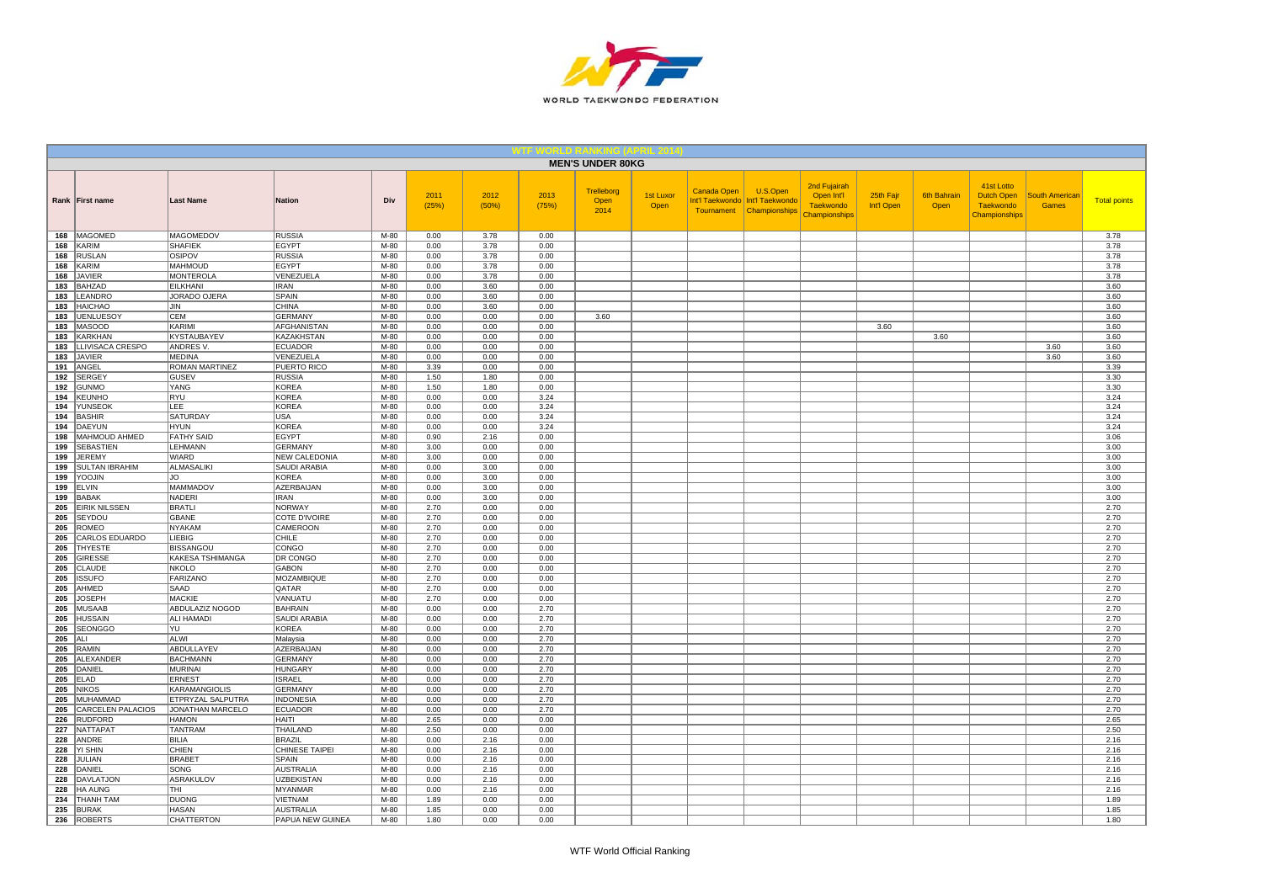

|            |                                   |                                 |                                        |              |               |               |               | <b>MEN'S UNDER 80KG</b>    |                   |                    |                                                                           |                                                                 |                         |                            |                                                                      |                                       |                     |
|------------|-----------------------------------|---------------------------------|----------------------------------------|--------------|---------------|---------------|---------------|----------------------------|-------------------|--------------------|---------------------------------------------------------------------------|-----------------------------------------------------------------|-------------------------|----------------------------|----------------------------------------------------------------------|---------------------------------------|---------------------|
|            | Rank First name                   | <b>Last Name</b>                | <b>Nation</b>                          | Div          | 2011<br>(25%) | 2012<br>(50%) | 2013<br>(75%) | Trelleborg<br>Open<br>2014 | 1st Luxor<br>Open | <b>Canada Open</b> | U.S.Open<br>Int'l Taekwondo   Int'l Taekwondo<br>Tournament Championships | 2nd Fujairah<br>Open Int'l<br><b>Taekwondo</b><br>Championships | 25th Fajr<br>Int'l Open | <b>6th Bahrain</b><br>Open | 41st Lotto<br><b>Dutch Open</b><br><b>Taekwondo</b><br>Championships | <b>South Americar</b><br><b>Games</b> | <b>Total points</b> |
| 168        | MAGOMED                           | MAGOMEDOV                       | <b>RUSSIA</b>                          | M-80         | 0.00          | 3.78          | 0.00          |                            |                   |                    |                                                                           |                                                                 |                         |                            |                                                                      |                                       | 3.78                |
| 168        | KARIM                             | <b>SHAFIEK</b>                  | <b>EGYPT</b>                           | $M-80$       | 0.00          | 3.78          | 0.00          |                            |                   |                    |                                                                           |                                                                 |                         |                            |                                                                      |                                       | 3.78                |
| 168        | <b>RUSLAN</b>                     | OSIPOV                          | <b>RUSSIA</b>                          | $M-80$       | 0.00          | 3.78          | 0.00          |                            |                   |                    |                                                                           |                                                                 |                         |                            |                                                                      |                                       | 3.78                |
| 168        | <b>KARIM</b>                      | <b>MAHMOUD</b>                  | <b>EGYPT</b>                           | $M-80$       | 0.00          | 3.78          | 0.00          |                            |                   |                    |                                                                           |                                                                 |                         |                            |                                                                      |                                       | 3.78                |
| 168        | <b>JAVIER</b>                     | <b>MONTEROLA</b>                | VENEZUELA                              | M-80         | 0.00          | 3.78          | 0.00          |                            |                   |                    |                                                                           |                                                                 |                         |                            |                                                                      |                                       | 3.78                |
| 183<br>183 | <b>BAHZAD</b><br>LEANDRO          | <b>EILKHANI</b><br>JORADO OJERA | <b>IRAN</b><br><b>SPAIN</b>            | M-80<br>M-80 | 0.00<br>0.00  | 3.60<br>3.60  | 0.00<br>0.00  |                            |                   |                    |                                                                           |                                                                 |                         |                            |                                                                      |                                       | 3.60<br>3.60        |
| 183        | <b>HAICHAO</b>                    | JIN                             | <b>CHINA</b>                           | M-80         | 0.00          | 3.60          | 0.00          |                            |                   |                    |                                                                           |                                                                 |                         |                            |                                                                      |                                       | 3.60                |
| 183        | <b>UENLUESOY</b>                  | <b>CEM</b>                      | <b>GERMANY</b>                         | $M-80$       | 0.00          | 0.00          | 0.00          | 3.60                       |                   |                    |                                                                           |                                                                 |                         |                            |                                                                      |                                       | 3.60                |
| 183        | <b>MASOOD</b>                     | KARIMI                          | AFGHANISTAN                            | M-80         | 0.00          | 0.00          | 0.00          |                            |                   |                    |                                                                           |                                                                 | 3.60                    |                            |                                                                      |                                       | 3.60                |
| 183        | <b>KARKHAN</b>                    | KYSTAUBAYEV                     | <b>KAZAKHSTAN</b>                      | M-80         | 0.00          | 0.00          | 0.00          |                            |                   |                    |                                                                           |                                                                 |                         | 3.60                       |                                                                      |                                       | 3.60                |
| 183        | LLIVISACA CRESPO                  | ANDRES V.                       | <b>ECUADOR</b>                         | $M-80$       | 0.00          | 0.00          | 0.00          |                            |                   |                    |                                                                           |                                                                 |                         |                            |                                                                      | 3.60                                  | 3.60                |
| 183        | JAVIER                            | <b>MEDINA</b>                   | VENEZUELA                              | M-80         | 0.00          | 0.00          | 0.00          |                            |                   |                    |                                                                           |                                                                 |                         |                            |                                                                      | 3.60                                  | 3.60                |
| 191        | ANGEL                             | ROMAN MARTINEZ                  | PUERTO RICO                            | M-80         | 3.39          | 0.00          | 0.00          |                            |                   |                    |                                                                           |                                                                 |                         |                            |                                                                      |                                       | 3.39                |
| 192        | <b>SERGEY</b>                     | <b>GUSEV</b>                    | <b>RUSSIA</b>                          | M-80         | 1.50          | 1.80          | 0.00          |                            |                   |                    |                                                                           |                                                                 |                         |                            |                                                                      |                                       | 3.30                |
| 192        | <b>GUNMO</b>                      | YANG                            | <b>KOREA</b>                           | $M-80$       | 1.50          | 1.80          | 0.00          |                            |                   |                    |                                                                           |                                                                 |                         |                            |                                                                      |                                       | 3.30                |
| 194        | <b>KEUNHO</b>                     | <b>RYU</b>                      | KOREA                                  | $M-80$       | 0.00          | 0.00          | 3.24          |                            |                   |                    |                                                                           |                                                                 |                         |                            |                                                                      |                                       | 3.24                |
| 194        | YUNSEOK                           | LEE                             | <b>KOREA</b>                           | M-80         | 0.00          | 0.00          | 3.24          |                            |                   |                    |                                                                           |                                                                 |                         |                            |                                                                      |                                       | 3.24                |
| 194        | <b>BASHIR</b>                     | SATURDAY                        | <b>USA</b>                             | M-80         | 0.00          | 0.00          | 3.24          |                            |                   |                    |                                                                           |                                                                 |                         |                            |                                                                      |                                       | 3.24                |
| 194        | DAEYUN                            | <b>HYUN</b>                     | <b>KOREA</b>                           | M-80         | 0.00          | 0.00          | 3.24          |                            |                   |                    |                                                                           |                                                                 |                         |                            |                                                                      |                                       | 3.24                |
| 198        | MAHMOUD AHMED                     | <b>FATHY SAID</b>               | <b>EGYPT</b>                           | M-80         | 0.90          | 2.16          | 0.00          |                            |                   |                    |                                                                           |                                                                 |                         |                            |                                                                      |                                       | 3.06                |
| 199<br>199 | <b>SEBASTIEN</b><br><b>JEREMY</b> | LEHMANN<br>WIARD                | <b>GERMANY</b><br><b>NEW CALEDONIA</b> | M-80<br>M-80 | 3.00<br>3.00  | 0.00<br>0.00  | 0.00<br>0.00  |                            |                   |                    |                                                                           |                                                                 |                         |                            |                                                                      |                                       | 3.00<br>3.00        |
| 199        | <b>SULTAN IBRAHIM</b>             | ALMASALIKI                      | SAUDI ARABIA                           | M-80         | 0.00          | 3.00          | 0.00          |                            |                   |                    |                                                                           |                                                                 |                         |                            |                                                                      |                                       | 3.00                |
| 199        | YOOJIN                            | JO.                             | <b>KOREA</b>                           | M-80         | 0.00          | 3.00          | 0.00          |                            |                   |                    |                                                                           |                                                                 |                         |                            |                                                                      |                                       | 3.00                |
| 199        | <b>ELVIN</b>                      | <b>MAMMADOV</b>                 | <b>AZERBAIJAN</b>                      | $M-80$       | 0.00          | 3.00          | 0.00          |                            |                   |                    |                                                                           |                                                                 |                         |                            |                                                                      |                                       | 3.00                |
| 199        | <b>BABAK</b>                      | <b>NADERI</b>                   | <b>IRAN</b>                            | M-80         | 0.00          | 3.00          | 0.00          |                            |                   |                    |                                                                           |                                                                 |                         |                            |                                                                      |                                       | 3.00                |
| 205        | <b>EIRIK NILSSEN</b>              | <b>BRATLI</b>                   | <b>NORWAY</b>                          | M-80         | 2.70          | 0.00          | 0.00          |                            |                   |                    |                                                                           |                                                                 |                         |                            |                                                                      |                                       | 2.70                |
| 205        | SEYDOU                            | <b>GBANE</b>                    | COTE D'IVOIRE                          | $M-80$       | 2.70          | 0.00          | 0.00          |                            |                   |                    |                                                                           |                                                                 |                         |                            |                                                                      |                                       | 2.70                |
| 205        | <b>ROMEO</b>                      | <b>NYAKAM</b>                   | <b>CAMEROON</b>                        | $M-80$       | 2.70          | 0.00          | 0.00          |                            |                   |                    |                                                                           |                                                                 |                         |                            |                                                                      |                                       | 2.70                |
| 205        | <b>CARLOS EDUARDO</b>             | <b>LIEBIG</b>                   | <b>CHILE</b>                           | $M-80$       | 2.70          | 0.00          | 0.00          |                            |                   |                    |                                                                           |                                                                 |                         |                            |                                                                      |                                       | 2.70                |
| 205        | <b>THYESTE</b>                    | <b>BISSANGOU</b>                | CONGO                                  | M-80         | 2.70          | 0.00          | 0.00          |                            |                   |                    |                                                                           |                                                                 |                         |                            |                                                                      |                                       | 2.70                |
| 205        | <b>GIRESSE</b>                    | KAKESA TSHIMANGA                | DR CONGO                               | M-80         | 2.70          | 0.00          | 0.00          |                            |                   |                    |                                                                           |                                                                 |                         |                            |                                                                      |                                       | 2.70                |
| 205        | CLAUDE                            | <b>NKOLO</b>                    | <b>GABON</b>                           | M-80         | 2.70          | 0.00          | 0.00          |                            |                   |                    |                                                                           |                                                                 |                         |                            |                                                                      |                                       | 2.70                |
| 205        | <b>ISSUFO</b>                     | <b>FARIZANO</b>                 | MOZAMBIQUE                             | M-80         | 2.70          | 0.00          | 0.00          |                            |                   |                    |                                                                           |                                                                 |                         |                            |                                                                      |                                       | 2.70                |
| 205<br>205 | AHMED<br><b>JOSEPH</b>            | SAAD<br><b>MACKIE</b>           | QATAR<br>VANUATU                       | M-80<br>M-80 | 2.70<br>2.70  | 0.00<br>0.00  | 0.00<br>0.00  |                            |                   |                    |                                                                           |                                                                 |                         |                            |                                                                      |                                       | 2.70<br>2.70        |
| 205        | <b>MUSAAB</b>                     | <b>ABDULAZIZ NOGOD</b>          | <b>BAHRAIN</b>                         | $M-80$       | 0.00          | 0.00          | 2.70          |                            |                   |                    |                                                                           |                                                                 |                         |                            |                                                                      |                                       | 2.70                |
| 205        | <b>HUSSAIN</b>                    | ALI HAMADI                      | SAUDI ARABIA                           | M-80         | 0.00          | 0.00          | 2.70          |                            |                   |                    |                                                                           |                                                                 |                         |                            |                                                                      |                                       | 2.70                |
| 205        | <b>SEONGGO</b>                    | YU                              | <b>KOREA</b>                           | M-80         | 0.00          | 0.00          | 2.70          |                            |                   |                    |                                                                           |                                                                 |                         |                            |                                                                      |                                       | 2.70                |
| 205        | ALI                               | ALWI                            | Malaysia                               | M-80         | 0.00          | 0.00          | 2.70          |                            |                   |                    |                                                                           |                                                                 |                         |                            |                                                                      |                                       | 2.70                |
| 205        | RAMIN                             | ABDULLAYEV                      | <b>AZERBAIJAN</b>                      | $M-80$       | 0.00          | 0.00          | 2.70          |                            |                   |                    |                                                                           |                                                                 |                         |                            |                                                                      |                                       | 2.70                |
| 205        | <b>ALEXANDER</b>                  | <b>BACHMANN</b>                 | <b>GERMANY</b>                         | M-80         | 0.00          | 0.00          | 2.70          |                            |                   |                    |                                                                           |                                                                 |                         |                            |                                                                      |                                       | 2.70                |
| 205        | DANIEL                            | MURINAI                         | <b>HUNGARY</b>                         | M-80         | 0.00          | 0.00          | 2.70          |                            |                   |                    |                                                                           |                                                                 |                         |                            |                                                                      |                                       | 2.70                |
| 205        | <b>ELAD</b>                       | <b>ERNEST</b>                   | <b>ISRAEL</b>                          | $M-80$       | 0.00          | 0.00          | 2.70          |                            |                   |                    |                                                                           |                                                                 |                         |                            |                                                                      |                                       | 2.70                |
| 205        | <b>NIKOS</b>                      | <b>KARAMANGIOLIS</b>            | <b>GERMANY</b>                         | $M-80$       | 0.00          | 0.00          | 2.70          |                            |                   |                    |                                                                           |                                                                 |                         |                            |                                                                      |                                       | 2.70                |
| 205        | MUHAMMAD                          | ETPRYZAL SALPUTRA               | <b>INDONESIA</b>                       | M-80         | 0.00          | 0.00          | 2.70          |                            |                   |                    |                                                                           |                                                                 |                         |                            |                                                                      |                                       | 2.70                |
| 205        | <b>CARCELEN PALACIOS</b>          | JONATHAN MARCELO                | <b>ECUADOR</b>                         | M-80         | 0.00          | 0.00          | 2.70          |                            |                   |                    |                                                                           |                                                                 |                         |                            |                                                                      |                                       | 2.70                |
| 226        | <b>RUDFORD</b>                    | <b>HAMON</b>                    | <b>HAITI</b>                           | M-80         | 2.65          | 0.00          | 0.00          |                            |                   |                    |                                                                           |                                                                 |                         |                            |                                                                      |                                       | 2.65                |
| 227        | <b>NATTAPAT</b>                   | <b>TANTRAM</b>                  | THAILAND                               | $M-80$       | 2.50          | 0.00          | 0.00          |                            |                   |                    |                                                                           |                                                                 |                         |                            |                                                                      |                                       | 2.50                |
| 228        | ANDRE                             | <b>BILIA</b>                    | <b>BRAZIL</b>                          | M-80         | 0.00          | 2.16          | 0.00          |                            |                   |                    |                                                                           |                                                                 |                         |                            |                                                                      |                                       | 2.16                |
| 228<br>228 | YI SHIN<br>JULIAN                 | CHIEN<br><b>BRABET</b>          | CHINESE TAIPEI<br>SPAIN                | M-80<br>M-80 | 0.00<br>0.00  | 2.16<br>2.16  | 0.00<br>0.00  |                            |                   |                    |                                                                           |                                                                 |                         |                            |                                                                      |                                       | 2.16<br>2.16        |
| 228        | DANIEL                            | SONG                            | <b>AUSTRALIA</b>                       | M-80         | 0.00          | 2.16          | 0.00          |                            |                   |                    |                                                                           |                                                                 |                         |                            |                                                                      |                                       | 2.16                |
| 228        | <b>DAVLATJON</b>                  | ASRAKULOV                       | <b>UZBEKISTAN</b>                      | M-80         | 0.00          | 2.16          | 0.00          |                            |                   |                    |                                                                           |                                                                 |                         |                            |                                                                      |                                       | 2.16                |
| 228        | <b>HA AUNG</b>                    | THI                             | <b>MYANMAR</b>                         | M-80         | 0.00          | 2.16          | 0.00          |                            |                   |                    |                                                                           |                                                                 |                         |                            |                                                                      |                                       | 2.16                |
| 234        | <b>THANH TAM</b>                  | <b>DUONG</b>                    | VIETNAM                                | M-80         | 1.89          | 0.00          | 0.00          |                            |                   |                    |                                                                           |                                                                 |                         |                            |                                                                      |                                       | 1.89                |
| 235        | <b>BURAK</b>                      | <b>HASAN</b>                    | AUSTRALIA                              | M-80         | 1.85          | 0.00          | 0.00          |                            |                   |                    |                                                                           |                                                                 |                         |                            |                                                                      |                                       | 1.85                |
| 236        | <b>ROBERTS</b>                    | <b>CHATTERTON</b>               | <b>PAPUA NEW GUINEA</b>                | $M-80$       | 1.80          | 0.00          | 0.00          |                            |                   |                    |                                                                           |                                                                 |                         |                            |                                                                      |                                       | 1.80                |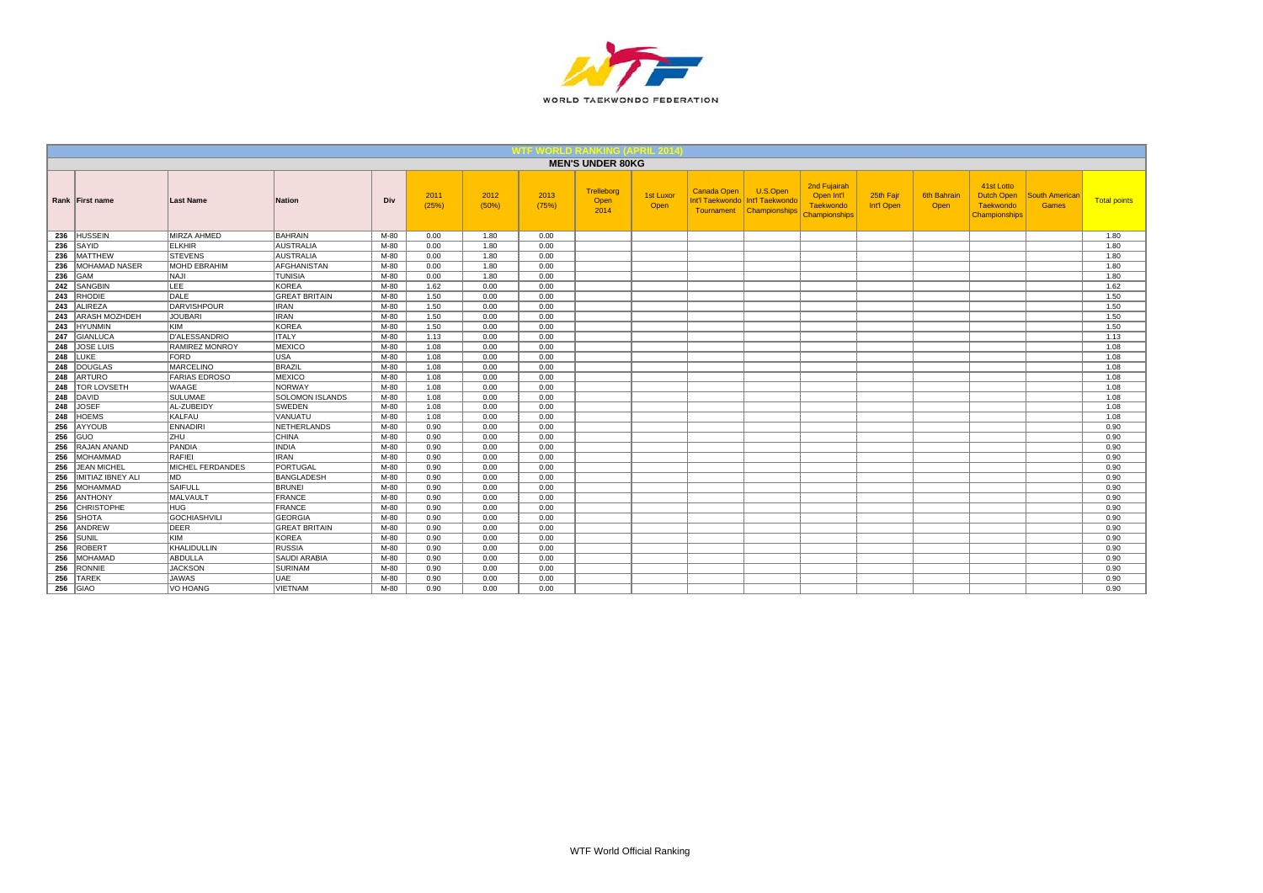

|     |                       |                         |                        |      |               |               |               | <b>MEN'S UNDER 80KG</b>    |                   |                           |                                                                |                                                                 |                         |                     |                                                                      |                                       |                     |
|-----|-----------------------|-------------------------|------------------------|------|---------------|---------------|---------------|----------------------------|-------------------|---------------------------|----------------------------------------------------------------|-----------------------------------------------------------------|-------------------------|---------------------|----------------------------------------------------------------------|---------------------------------------|---------------------|
|     | Rank First name       | <b>Last Name</b>        | <b>Nation</b>          | Div  | 2011<br>(25%) | 2012<br>(50%) | 2013<br>(75%) | Trelleborg<br>Open<br>2014 | 1st Luxor<br>Open | Canada Open<br>Tournament | U.S.Open<br>Int'l Taekwondo   Int'l Taekwondo<br>Championships | 2nd Fujairah<br>Open Int'l<br>Taekwondo<br><b>Championships</b> | 25th Fajr<br>Int'l Open | 6th Bahrain<br>Open | 41st Lotto<br><b>Dutch Open</b><br>Taekwondo<br><b>Championships</b> | <b>South American</b><br><b>Games</b> | <b>Total points</b> |
|     | 236 HUSSEIN           | MIRZA AHMED             | <b>BAHRAIN</b>         | M-80 | 0.00          | 1.80          | 0.00          |                            |                   |                           |                                                                |                                                                 |                         |                     |                                                                      |                                       | 1.80                |
|     | $236$ SAYID           | <b>ELKHIR</b>           | <b>AUSTRALIA</b>       | M-80 | 0.00          | 1.80          | 0.00          |                            |                   |                           |                                                                |                                                                 |                         |                     |                                                                      |                                       | 1.80                |
|     | 236 MATTHEW           | <b>STEVENS</b>          | <b>AUSTRALIA</b>       | M-80 | 0.00          | 1.80          | 0.00          |                            |                   |                           |                                                                |                                                                 |                         |                     |                                                                      |                                       | 1.80                |
|     | 236 MOHAMAD NASER     | <b>MOHD EBRAHIM</b>     | AFGHANISTAN            | M-80 | 0.00          | 1.80          | 0.00          |                            |                   |                           |                                                                |                                                                 |                         |                     |                                                                      |                                       | 1.80                |
|     | $236$ GAM             | <b>INAJI</b>            | <b>TUNISIA</b>         | M-80 | 0.00          | 1.80          | 0.00          |                            |                   |                           |                                                                |                                                                 |                         |                     |                                                                      |                                       | 1.80                |
|     | 242 SANGBIN           | <b>LEE</b>              | KOREA                  | M-80 | 1.62          | 0.00          | 0.00          |                            |                   |                           |                                                                |                                                                 |                         |                     |                                                                      |                                       | 1.62                |
|     | 243 RHODIE            | DALE                    | <b>GREAT BRITAIN</b>   | M-80 | 1.50          | 0.00          | 0.00          |                            |                   |                           |                                                                |                                                                 |                         |                     |                                                                      |                                       | 1.50                |
|     | 243 ALIREZA           | DARVISHPOUR             | <b>IRAN</b>            | M-80 | 1.50          | 0.00          | 0.00          |                            |                   |                           |                                                                |                                                                 |                         |                     |                                                                      |                                       | 1.50                |
|     | 243 ARASH MOZHDEH     | <b>JOUBARI</b>          | <b>IRAN</b>            | M-80 | 1.50          | 0.00          | 0.00          |                            |                   |                           |                                                                |                                                                 |                         |                     |                                                                      |                                       | 1.50                |
|     | 243 HYUNMIN           | <b>KIM</b>              | KOREA                  | M-80 | 1.50          | 0.00          | 0.00          |                            |                   |                           |                                                                |                                                                 |                         |                     |                                                                      |                                       | 1.50                |
|     | 247 GIANLUCA          | D'ALESSANDRIO           | <b>ITALY</b>           | M-80 | 1.13          | 0.00          | 0.00          |                            |                   |                           |                                                                |                                                                 |                         |                     |                                                                      |                                       | 1.13                |
|     | 248 JOSE LUIS         | <b>RAMIREZ MONROY</b>   | <b>MEXICO</b>          | M-80 | 1.08          | 0.00          | 0.00          |                            |                   |                           |                                                                |                                                                 |                         |                     |                                                                      |                                       | 1.08                |
|     | <b>248 LUKE</b>       | FORD                    | lusa.                  | M-80 | 1.08          | 0.00          | 0.00          |                            |                   |                           |                                                                |                                                                 |                         |                     |                                                                      |                                       | 1.08                |
|     | 248 DOUGLAS           | <b>MARCELINO</b>        | BRAZIL                 | M-80 | 1.08          | 0.00          | 0.00          |                            |                   |                           |                                                                |                                                                 |                         |                     |                                                                      |                                       | 1.08                |
|     | 248 ARTURO            | <b>FARIAS EDROSO</b>    | MEXICO                 | M-80 | 1.08          | 0.00          | 0.00          |                            |                   |                           |                                                                |                                                                 |                         |                     |                                                                      |                                       | 1.08                |
|     | 248   TOR LOVSETH     | <b>WAAGE</b>            | NORWAY                 | M-80 | 1.08          | 0.00          | 0.00          |                            |                   |                           |                                                                |                                                                 |                         |                     |                                                                      |                                       | 1.08                |
|     | 248 DAVID             | <b>SULUMAE</b>          | <b>SOLOMON ISLANDS</b> | M-80 | 1.08          | 0.00          | 0.00          |                            |                   |                           |                                                                |                                                                 |                         |                     |                                                                      |                                       | 1.08                |
|     | 248 JOSEF             | AL-ZUBEIDY              | <b>SWEDEN</b>          | M-80 | 1.08          | 0.00          | 0.00          |                            |                   |                           |                                                                |                                                                 |                         |                     |                                                                      |                                       | 1.08                |
|     | 248 HOEMS             | KALFAU                  | VANUATU                | M-80 | 1.08          | 0.00          | 0.00          |                            |                   |                           |                                                                |                                                                 |                         |                     |                                                                      |                                       | 1.08                |
|     | 256 AYYOUB            | <b>ENNADIRI</b>         | NETHERLANDS            | M-80 | 0.90          | 0.00          | 0.00          |                            |                   |                           |                                                                |                                                                 |                         |                     |                                                                      |                                       | 0.90                |
|     | $256$ GUO             | ZHU                     | <b>CHINA</b>           | M-80 | 0.90          | 0.00          | 0.00          |                            |                   |                           |                                                                |                                                                 |                         |                     |                                                                      |                                       | 0.90                |
|     | 256 RAJAN ANAND       | PANDIA                  | <b>INDIA</b>           | M-80 | 0.90          | 0.00          | 0.00          |                            |                   |                           |                                                                |                                                                 |                         |                     |                                                                      |                                       | 0.90                |
|     | 256 MOHAMMAD          | RAFIEL                  | <b>IRAN</b>            | M-80 | 0.90          | 0.00          | 0.00          |                            |                   |                           |                                                                |                                                                 |                         |                     |                                                                      |                                       | 0.90                |
|     | 256 JEAN MICHEL       | <b>MICHEL FERDANDES</b> | PORTUGAL               | M-80 | 0.90          | 0.00          | 0.00          |                            |                   |                           |                                                                |                                                                 |                         |                     |                                                                      |                                       | 0.90                |
|     | 256 IMITIAZ IBNEY ALI | IMD.                    | BANGLADESH             | M-80 | 0.90          | 0.00          | 0.00          |                            |                   |                           |                                                                |                                                                 |                         |                     |                                                                      |                                       | 0.90                |
|     | 256 MOHAMMAD          | <b>SAIFULL</b>          | <b>BRUNEI</b>          | M-80 | 0.90          | 0.00          | 0.00          |                            |                   |                           |                                                                |                                                                 |                         |                     |                                                                      |                                       | 0.90                |
|     | 256 ANTHONY           | MALVAULT                | FRANCE                 | M-80 | 0.90          | 0.00          | 0.00          |                            |                   |                           |                                                                |                                                                 |                         |                     |                                                                      |                                       | 0.90                |
|     | 256 CHRISTOPHE        | HUG.                    | FRANCE                 | M-80 | 0.90          | 0.00          | 0.00          |                            |                   |                           |                                                                |                                                                 |                         |                     |                                                                      |                                       | 0.90                |
|     | 256 SHOTA             | GOCHIASHVILI            | <b>GEORGIA</b>         | M-80 | 0.90          | 0.00          | 0.00          |                            |                   |                           |                                                                |                                                                 |                         |                     |                                                                      |                                       | 0.90                |
|     | 256 ANDREW            | DEER                    | <b>GREAT BRITAIN</b>   | M-80 | 0.90          | 0.00          | 0.00          |                            |                   |                           |                                                                |                                                                 |                         |                     |                                                                      |                                       | 0.90                |
|     | $256$ SUNIL           | KIM                     | KOREA                  | M-80 | 0.90          | 0.00          | 0.00          |                            |                   |                           |                                                                |                                                                 |                         |                     |                                                                      |                                       | 0.90                |
|     | 256 ROBERT            | KHALIDULLIN             | <b>RUSSIA</b>          | M-80 | 0.90          | 0.00          | 0.00          |                            |                   |                           |                                                                |                                                                 |                         |                     |                                                                      |                                       | 0.90                |
|     | 256 MOHAMAD           | ABDULLA                 | <b>SAUDI ARABIA</b>    | M-80 | 0.90          | 0.00          | 0.00          |                            |                   |                           |                                                                |                                                                 |                         |                     |                                                                      |                                       | 0.90                |
|     | 256 RONNIE            | <b>JACKSON</b>          | SURINAM                | M-80 | 0.90          | 0.00          | 0.00          |                            |                   |                           |                                                                |                                                                 |                         |                     |                                                                      |                                       | 0.90                |
| 256 | <b>TAREK</b>          | <b>JAWAS</b>            | UAE                    | M-80 | 0.90          | 0.00          | 0.00          |                            |                   |                           |                                                                |                                                                 |                         |                     |                                                                      |                                       | 0.90                |
|     | <b>256 GIAO</b>       | VO HOANG                | <b>VIETNAM</b>         | M-80 | 0.90          | 0.00          | 0.00          |                            |                   |                           |                                                                |                                                                 |                         |                     |                                                                      |                                       | 0.90                |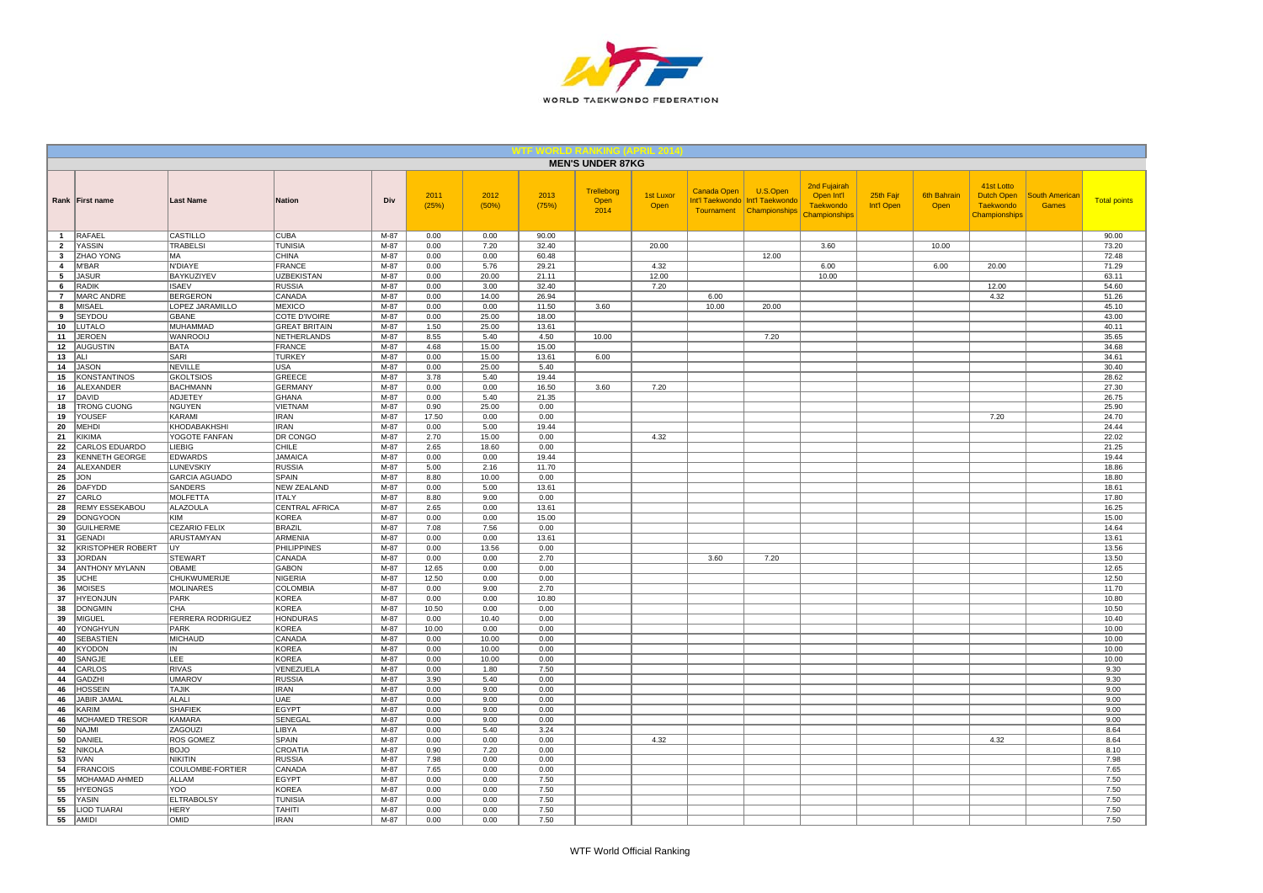

|                                |                                      |                                |                                |                  |               |               |                | <b>MEN'S UNDER 87KG</b>    |                   |             |                                                                           |                                                                 |                         |                            |                                                                      |                                       |                     |
|--------------------------------|--------------------------------------|--------------------------------|--------------------------------|------------------|---------------|---------------|----------------|----------------------------|-------------------|-------------|---------------------------------------------------------------------------|-----------------------------------------------------------------|-------------------------|----------------------------|----------------------------------------------------------------------|---------------------------------------|---------------------|
|                                | Rank First name                      | <b>Last Name</b>               | <b>Nation</b>                  | Div              | 2011<br>(25%) | 2012<br>(50%) | 2013<br>(75%)  | Trelleborg<br>Open<br>2014 | 1st Luxor<br>Open | Canada Open | U.S.Open<br>Int'l Taekwondo   Int'l Taekwondo<br>Tournament Championships | 2nd Fujairah<br>Open Int'l<br><b>Taekwondo</b><br>Championships | 25th Fajr<br>Int'l Open | <b>6th Bahrain</b><br>Open | 41st Lotto<br><b>Dutch Open</b><br><b>Taekwondo</b><br>Championships | <b>South Americar</b><br><b>Games</b> | <b>Total points</b> |
| $\mathbf{1}$                   | RAFAEL                               | CASTILLO                       | <b>CUBA</b>                    | M-87             | 0.00          | 0.00          | 90.00          |                            |                   |             |                                                                           |                                                                 |                         |                            |                                                                      |                                       | 90.00               |
| $\overline{2}$<br>$\mathbf{3}$ | <b>YASSIN</b><br><b>ZHAO YONG</b>    | <b>TRABELSI</b><br>MA          | <b>TUNISIA</b><br><b>CHINA</b> | M-87<br>$M-87$   | 0.00<br>0.00  | 7.20<br>0.00  | 32.40<br>60.48 |                            | 20.00             |             | 12.00                                                                     | 3.60                                                            |                         | 10.00                      |                                                                      |                                       | 73.20               |
| $\overline{4}$                 | <b>M'BAR</b>                         | N'DIAYE                        | <b>FRANCE</b>                  | $M-87$           | 0.00          | 5.76          | 29.21          |                            | 4.32              |             |                                                                           | 6.00                                                            |                         | 6.00                       | 20.00                                                                |                                       | 72.48<br>71.29      |
| 5                              | <b>JASUR</b>                         | BAYKUZIYEV                     | <b>UZBEKISTAN</b>              | M-87             | 0.00          | 20.00         | 21.11          |                            | 12.00             |             |                                                                           | 10.00                                                           |                         |                            |                                                                      |                                       | 63.11               |
| 6                              | <b>RADIK</b>                         | <b>ISAEV</b>                   | <b>RUSSIA</b>                  | M-87             | 0.00          | 3.00          | 32.40          |                            | 7.20              |             |                                                                           |                                                                 |                         |                            | 12.00                                                                |                                       | 54.60               |
| $\overline{7}$                 | <b>MARC ANDRE</b>                    | <b>BERGERON</b>                | CANADA                         | M-87             | 0.00          | 14.00         | 26.94          |                            |                   | 6.00        |                                                                           |                                                                 |                         |                            | 4.32                                                                 |                                       | 51.26               |
| 8                              | <b>MISAEL</b>                        | LOPEZ JARAMILLO                | MEXICO                         | M-87             | 0.00          | 0.00          | 11.50          | 3.60                       |                   | 10.00       | 20.00                                                                     |                                                                 |                         |                            |                                                                      |                                       | 45.10               |
| 9                              | SEYDOU                               | GBANE                          | COTE D'IVOIRE                  | M-87             | 0.00          | 25.00         | 18.00          |                            |                   |             |                                                                           |                                                                 |                         |                            |                                                                      |                                       | 43.00               |
| 10                             | LUTALO                               | MUHAMMAD                       | <b>GREAT BRITAIN</b>           | M-87             | 1.50          | 25.00         | 13.61          |                            |                   |             |                                                                           |                                                                 |                         |                            |                                                                      |                                       | 40.11               |
| 11                             | <b>JEROEN</b>                        | <b>WANROOIJ</b>                | NETHERLANDS                    | M-87             | 8.55          | 5.40          | 4.50           | 10.00                      |                   |             | 7.20                                                                      |                                                                 |                         |                            |                                                                      |                                       | 35.65               |
| 12                             | <b>AUGUSTIN</b>                      | <b>BATA</b>                    | <b>FRANCE</b>                  | M-87             | 4.68          | 15.00         | 15.00          |                            |                   |             |                                                                           |                                                                 |                         |                            |                                                                      |                                       | 34.68               |
| 13                             | ALI                                  | SARI                           | <b>TURKEY</b>                  | M-87             | 0.00          | 15.00         | 13.61          | 6.00                       |                   |             |                                                                           |                                                                 |                         |                            |                                                                      |                                       | 34.61               |
| 14                             | <b>JASON</b>                         | <b>NEVILLE</b>                 | <b>USA</b>                     | $M-87$           | 0.00          | 25.00         | 5.40           |                            |                   |             |                                                                           |                                                                 |                         |                            |                                                                      |                                       | 30.40               |
| 15                             | <b>KONSTANTINOS</b>                  | <b>GKOLTSIOS</b>               | GREECE                         | M-87             | 3.78          | 5.40          | 19.44          |                            |                   |             |                                                                           |                                                                 |                         |                            |                                                                      |                                       | 28.62               |
| 16                             | ALEXANDER                            | <b>BACHMANN</b>                | <b>GERMANY</b>                 | M-87             | 0.00          | 0.00          | 16.50          | 3.60                       | 7.20              |             |                                                                           |                                                                 |                         |                            |                                                                      |                                       | 27.30               |
| 17                             | DAVID                                | <b>ADJETEY</b>                 | <b>GHANA</b>                   | $M-87$           | 0.00          | 5.40          | 21.35          |                            |                   |             |                                                                           |                                                                 |                         |                            |                                                                      |                                       | 26.75               |
| 18<br>19                       | <b>TRONG CUONG</b><br>YOUSEF         | <b>NGUYEN</b><br>KARAMI        | VIETNAM<br><b>IRAN</b>         | $M-87$<br>M-87   | 0.90<br>17.50 | 25.00<br>0.00 | 0.00<br>0.00   |                            |                   |             |                                                                           |                                                                 |                         |                            | 7.20                                                                 |                                       | 25.90<br>24.70      |
| 20                             | <b>MEHDI</b>                         | KHODABAKHSHI                   | <b>IRAN</b>                    | M-87             | 0.00          | 5.00          | 19.44          |                            |                   |             |                                                                           |                                                                 |                         |                            |                                                                      |                                       | 24.44               |
| 21                             | KIKIMA                               | YOGOTE FANFAN                  | DR CONGO                       | M-87             | 2.70          | 15.00         | 0.00           |                            | 4.32              |             |                                                                           |                                                                 |                         |                            |                                                                      |                                       | 22.02               |
| 22                             | <b>CARLOS EDUARDO</b>                | LIEBIG                         | CHILE                          | $M-87$           | 2.65          | 18.60         | 0.00           |                            |                   |             |                                                                           |                                                                 |                         |                            |                                                                      |                                       | 21.25               |
| 23                             | <b>KENNETH GEORGE</b>                | <b>EDWARDS</b>                 | <b>JAMAICA</b>                 | M-87             | 0.00          | 0.00          | 19.44          |                            |                   |             |                                                                           |                                                                 |                         |                            |                                                                      |                                       | 19.44               |
| 24                             | ALEXANDER                            | LUNEVSKIY                      | <b>RUSSIA</b>                  | M-87             | 5.00          | 2.16          | 11.70          |                            |                   |             |                                                                           |                                                                 |                         |                            |                                                                      |                                       | 18.86               |
| 25                             | <b>JON</b>                           | <b>GARCIA AGUADO</b>           | SPAIN                          | M-87             | 8.80          | 10.00         | 0.00           |                            |                   |             |                                                                           |                                                                 |                         |                            |                                                                      |                                       | 18.80               |
| 26                             | DAFYDD                               | SANDERS                        | <b>NEW ZEALAND</b>             | M-87             | 0.00          | 5.00          | 13.61          |                            |                   |             |                                                                           |                                                                 |                         |                            |                                                                      |                                       | 18.61               |
| 27                             | CARLO                                | <b>MOLFETTA</b>                | <b>ITALY</b>                   | M-87             | 8.80          | 9.00          | 0.00           |                            |                   |             |                                                                           |                                                                 |                         |                            |                                                                      |                                       | 17.80               |
| 28                             | REMY ESSEKABOU                       | <b>ALAZOULA</b>                | CENTRAL AFRICA                 | M-87             | 2.65          | 0.00          | 13.61          |                            |                   |             |                                                                           |                                                                 |                         |                            |                                                                      |                                       | 16.25               |
| 29                             | <b>DONGYOON</b>                      | KIM                            | <b>KOREA</b>                   | M-87             | 0.00          | 0.00          | 15.00          |                            |                   |             |                                                                           |                                                                 |                         |                            |                                                                      |                                       | 15.00               |
| 30                             | <b>GUILHERME</b>                     | <b>CEZARIO FELIX</b>           | <b>BRAZIL</b>                  | M-87             | 7.08          | 7.56          | 0.00           |                            |                   |             |                                                                           |                                                                 |                         |                            |                                                                      |                                       | 14.64               |
| 31                             | <b>GENADI</b>                        | <b>ARUSTAMYAN</b>              | <b>ARMENIA</b>                 | $M-87$           | 0.00          | 0.00          | 13.61          |                            |                   |             |                                                                           |                                                                 |                         |                            |                                                                      |                                       | 13.61               |
| 32<br>33                       | KRISTOPHER ROBERT<br><b>JORDAN</b>   | UY                             | <b>PHILIPPINES</b><br>CANADA   | $M-87$<br>M-87   | 0.00          | 13.56         | 0.00           |                            |                   |             |                                                                           |                                                                 |                         |                            |                                                                      |                                       | 13.56               |
| 34                             | <b>ANTHONY MYLANN</b>                | <b>STEWART</b><br><b>OBAME</b> | <b>GABON</b>                   | M-87             | 0.00<br>12.65 | 0.00<br>0.00  | 2.70<br>0.00   |                            |                   | 3.60        | 7.20                                                                      |                                                                 |                         |                            |                                                                      |                                       | 13.50<br>12.65      |
| 35                             | UCHE                                 | <b>CHUKWUMERIJE</b>            | <b>NIGERIA</b>                 | M-87             | 12.50         | 0.00          | 0.00           |                            |                   |             |                                                                           |                                                                 |                         |                            |                                                                      |                                       | 12.50               |
| 36                             | <b>MOISES</b>                        | MOLINARES                      | COLOMBIA                       | M-87             | 0.00          | 9.00          | 2.70           |                            |                   |             |                                                                           |                                                                 |                         |                            |                                                                      |                                       | 11.70               |
| 37                             | <b>HYEONJUN</b>                      | PARK                           | <b>KOREA</b>                   | M-87             | 0.00          | 0.00          | 10.80          |                            |                   |             |                                                                           |                                                                 |                         |                            |                                                                      |                                       | 10.80               |
| 38                             | <b>DONGMIN</b>                       | CHA                            | <b>KOREA</b>                   | M-87             | 10.50         | 0.00          | 0.00           |                            |                   |             |                                                                           |                                                                 |                         |                            |                                                                      |                                       | 10.50               |
| 39                             | MIGUEL                               | FERRERA RODRIGUEZ              | <b>HONDURAS</b>                | M-87             | 0.00          | 10.40         | 0.00           |                            |                   |             |                                                                           |                                                                 |                         |                            |                                                                      |                                       | 10.40               |
| 40                             | YONGHYUN                             | PARK                           | <b>KOREA</b>                   | M-87             | 10.00         | 0.00          | 0.00           |                            |                   |             |                                                                           |                                                                 |                         |                            |                                                                      |                                       | 10.00               |
| 40                             | <b>SEBASTIEN</b>                     | MICHAUD                        | CANADA                         | $M-87$           | 0.00          | 10.00         | 0.00           |                            |                   |             |                                                                           |                                                                 |                         |                            |                                                                      |                                       | 10.00               |
| 40                             | <b>KYODON</b>                        | IN                             | <b>KOREA</b>                   | M-87             | 0.00          | 10.00         | 0.00           |                            |                   |             |                                                                           |                                                                 |                         |                            |                                                                      |                                       | 10.00               |
| 40                             | SANGJE                               | LEE                            | <b>KOREA</b>                   | M-87             | 0.00          | 10.00         | 0.00           |                            |                   |             |                                                                           |                                                                 |                         |                            |                                                                      |                                       | 10.00               |
| 44                             | CARLOS                               | <b>RIVAS</b>                   | VENEZUELA                      | M-87             | 0.00          | 1.80          | 7.50           |                            |                   |             |                                                                           |                                                                 |                         |                            |                                                                      |                                       | 9.30                |
| 44                             | <b>GADZHI</b>                        | <b>UMAROV</b><br><b>TAJIK</b>  | <b>RUSSIA</b><br><b>IRAN</b>   | $M-87$<br>$M-87$ | 3.90          | 5.40          | 0.00           |                            |                   |             |                                                                           |                                                                 |                         |                            |                                                                      |                                       | 9.30                |
| 46<br>46                       | <b>HOSSEIN</b><br><b>JABIR JAMAL</b> | ALALI                          | <b>UAE</b>                     | M-87             | 0.00<br>0.00  | 9.00<br>9.00  | 0.00<br>0.00   |                            |                   |             |                                                                           |                                                                 |                         |                            |                                                                      |                                       | 9.00<br>9.00        |
| 46                             | KARIM                                | <b>SHAFIEK</b>                 | EGYPT                          | M-87             | 0.00          | 9.00          | 0.00           |                            |                   |             |                                                                           |                                                                 |                         |                            |                                                                      |                                       | 9.00                |
| 46                             | <b>MOHAMED TRESOR</b>                | <b>KAMARA</b>                  | SENEGAL                        | M-87             | 0.00          | 9.00          | 0.00           |                            |                   |             |                                                                           |                                                                 |                         |                            |                                                                      |                                       | 9.00                |
| 50                             | <b>NAJMI</b>                         | ZAGOUZI                        | <b>LIBYA</b>                   | $M-87$           | 0.00          | 5.40          | 3.24           |                            |                   |             |                                                                           |                                                                 |                         |                            |                                                                      |                                       | 8.64                |
| 50                             | DANIEL                               | <b>ROS GOMEZ</b>               | SPAIN                          | M-87             | 0.00          | 0.00          | 0.00           |                            | 4.32              |             |                                                                           |                                                                 |                         |                            | 4.32                                                                 |                                       | 8.64                |
| 52                             | <b>NIKOLA</b>                        | <b>BOJO</b>                    | CROATIA                        | M-87             | 0.90          | 7.20          | 0.00           |                            |                   |             |                                                                           |                                                                 |                         |                            |                                                                      |                                       | 8.10                |
| 53                             | <b>IVAN</b>                          | <b>NIKITIN</b>                 | <b>RUSSIA</b>                  | M-87             | 7.98          | 0.00          | 0.00           |                            |                   |             |                                                                           |                                                                 |                         |                            |                                                                      |                                       | 7.98                |
| 54                             | <b>FRANCOIS</b>                      | COULOMBE-FORTIER               | CANADA                         | M-87             | 7.65          | 0.00          | 0.00           |                            |                   |             |                                                                           |                                                                 |                         |                            |                                                                      |                                       | 7.65                |
| 55                             | MOHAMAD AHMED                        | <b>ALLAM</b>                   | <b>EGYPT</b>                   | $M-87$           | 0.00          | 0.00          | 7.50           |                            |                   |             |                                                                           |                                                                 |                         |                            |                                                                      |                                       | 7.50                |
| 55                             | <b>HYEONGS</b>                       | YOO                            | <b>KOREA</b>                   | M-87             | 0.00          | 0.00          | 7.50           |                            |                   |             |                                                                           |                                                                 |                         |                            |                                                                      |                                       | 7.50                |
| 55                             | YASIN                                | <b>ELTRABOLSY</b>              | <b>TUNISIA</b>                 | M-87             | 0.00          | 0.00          | 7.50           |                            |                   |             |                                                                           |                                                                 |                         |                            |                                                                      |                                       | 7.50                |
| 55                             | <b>LIOD TUARAI</b>                   | <b>HERY</b>                    | <b>TAHITI</b>                  | M-87             | 0.00          | 0.00          | 7.50           |                            |                   |             |                                                                           |                                                                 |                         |                            |                                                                      |                                       | 7.50                |
|                                | 55 AMIDI                             | OMID                           | <b>IRAN</b>                    | $M-87$           | 0.00          | 0.00          | 7.50           |                            |                   |             |                                                                           |                                                                 |                         |                            |                                                                      |                                       | 7.50                |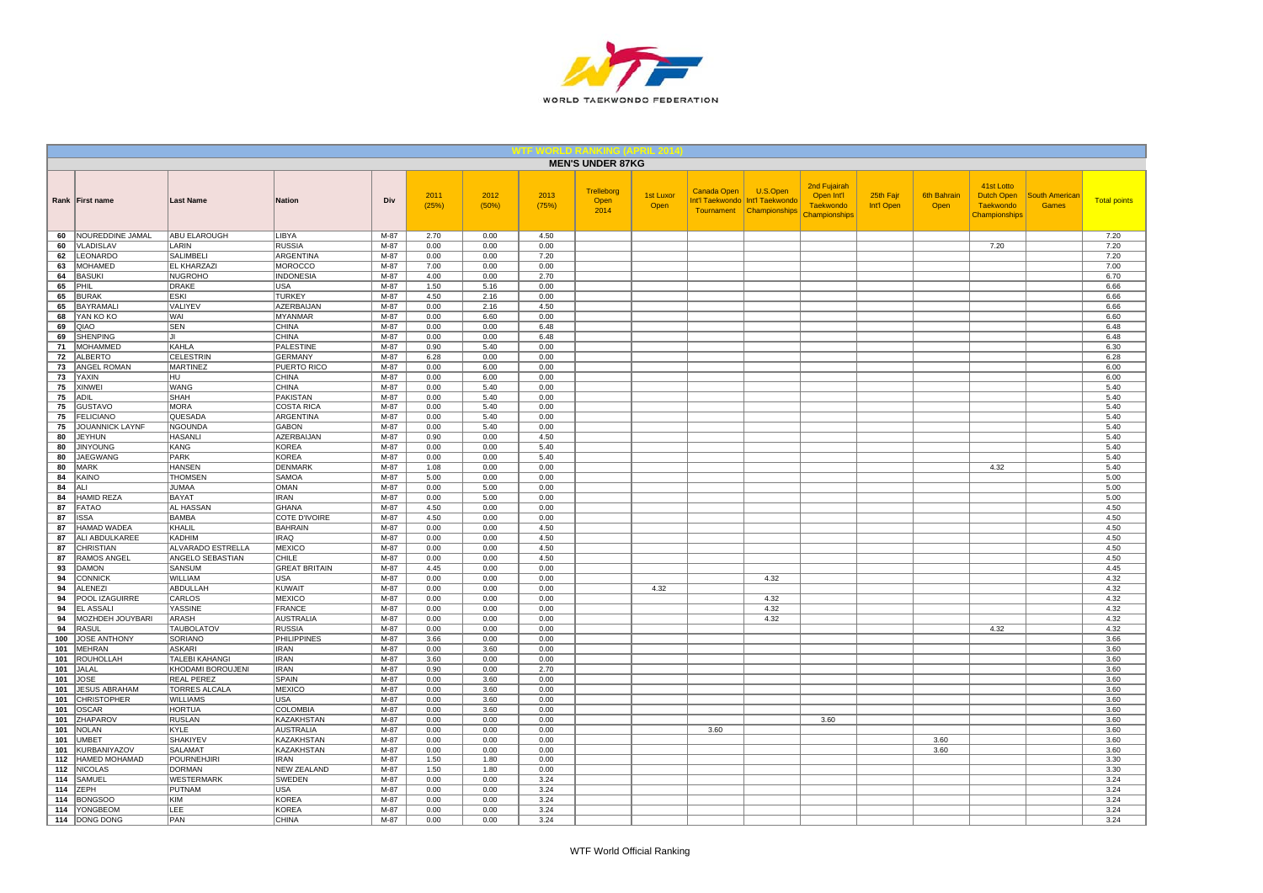

|            |                                  |                        |                                   |              |               |               |               | <b>MEN'S UNDER 87KG</b>           |                          |             |                                                                         |                                                                 |                         |                            |                                                               |                                |                     |
|------------|----------------------------------|------------------------|-----------------------------------|--------------|---------------|---------------|---------------|-----------------------------------|--------------------------|-------------|-------------------------------------------------------------------------|-----------------------------------------------------------------|-------------------------|----------------------------|---------------------------------------------------------------|--------------------------------|---------------------|
|            | Rank First name                  | <b>Last Name</b>       | <b>Nation</b>                     | Div          | 2011<br>(25%) | 2012<br>(50%) | 2013<br>(75%) | <b>Trelleborg</b><br>Open<br>2014 | <b>1st Luxor</b><br>Open | Canada Open | U.S.Open<br>Int'l Taekwondo Int'l Taekwondo<br>Tournament Championships | 2nd Fujairah<br>Open Int'l<br><b>Taekwondo</b><br>Championships | 25th Fajr<br>Int'l Open | <b>6th Bahrain</b><br>Open | 41st Lotto<br>Dutch Open<br><b>Taekwondo</b><br>Championships | <b>South American</b><br>Games | <b>Total points</b> |
| 60         | NOUREDDINE JAMAL                 | ABU ELAROUGH           | <b>LIBYA</b>                      | M-87         | 2.70          | 0.00          | 4.50          |                                   |                          |             |                                                                         |                                                                 |                         |                            |                                                               |                                | 7.20                |
| 60         | VLADISLAV                        | LARIN                  | <b>RUSSIA</b>                     | $M-87$       | 0.00          | 0.00          | 0.00          |                                   |                          |             |                                                                         |                                                                 |                         |                            | 7.20                                                          |                                | 7.20                |
| 62         | <b>LEONARDO</b>                  | <b>SALIMBELI</b>       | <b>ARGENTINA</b>                  | $M-87$       | 0.00          | 0.00          | 7.20          |                                   |                          |             |                                                                         |                                                                 |                         |                            |                                                               |                                | 7.20                |
| 63         | MOHAMED                          | <b>EL KHARZAZI</b>     | <b>MOROCCO</b>                    | $M-87$       | 7.00          | 0.00          | 0.00          |                                   |                          |             |                                                                         |                                                                 |                         |                            |                                                               |                                | 7.00                |
| 64         | <b>BASUKI</b>                    | NUGROHO                | <b>INDONESIA</b>                  | M-87         | 4.00          | 0.00          | 2.70          |                                   |                          |             |                                                                         |                                                                 |                         |                            |                                                               |                                | 6.70                |
| 65<br>65   | PHIL                             | DRAKE<br><b>ESKI</b>   | <b>USA</b><br><b>TURKEY</b>       | M-87<br>M-87 | 1.50          | 5.16<br>2.16  | 0.00          |                                   |                          |             |                                                                         |                                                                 |                         |                            |                                                               |                                | 6.66                |
| 65         | <b>BURAK</b><br>BAYRAMALI        | VALIYEV                | AZERBAIJAN                        | M-87         | 4.50<br>0.00  | 2.16          | 0.00<br>4.50  |                                   |                          |             |                                                                         |                                                                 |                         |                            |                                                               |                                | 6.66<br>6.66        |
| 68         | YAN KO KO                        | WAI                    | <b>MYANMAR</b>                    | M-87         | 0.00          | 6.60          | 0.00          |                                   |                          |             |                                                                         |                                                                 |                         |                            |                                                               |                                | 6.60                |
| 69         | QIAO                             | <b>SEN</b>             | <b>CHINA</b>                      | M-87         | 0.00          | 0.00          | 6.48          |                                   |                          |             |                                                                         |                                                                 |                         |                            |                                                               |                                | 6.48                |
| 69         | <b>SHENPING</b>                  | l. II                  | CHINA                             | $M-87$       | 0.00          | 0.00          | 6.48          |                                   |                          |             |                                                                         |                                                                 |                         |                            |                                                               |                                | 6.48                |
| 71         | MOHAMMED                         | KAHLA                  | <b>PALESTINE</b>                  | M-87         | 0.90          | 5.40          | 0.00          |                                   |                          |             |                                                                         |                                                                 |                         |                            |                                                               |                                | 6.30                |
| 72         | ALBERTO                          | <b>CELESTRIN</b>       | <b>GERMANY</b>                    | M-87         | 6.28          | 0.00          | 0.00          |                                   |                          |             |                                                                         |                                                                 |                         |                            |                                                               |                                | 6.28                |
| 73         | ANGEL ROMAN                      | MARTINEZ               | PUERTO RICO                       | M-87         | 0.00          | 6.00          | 0.00          |                                   |                          |             |                                                                         |                                                                 |                         |                            |                                                               |                                | 6.00                |
| 73         | YAXIN                            | lhu.                   | <b>CHINA</b>                      | M-87         | 0.00          | 6.00          | 0.00          |                                   |                          |             |                                                                         |                                                                 |                         |                            |                                                               |                                | 6.00                |
| 75         | <b>XINWEI</b>                    | <b>WANG</b>            | <b>CHINA</b>                      | $M-87$       | 0.00          | 5.40          | 0.00          |                                   |                          |             |                                                                         |                                                                 |                         |                            |                                                               |                                | 5.40                |
| 75         | <b>ADIL</b>                      | SHAH                   | <b>PAKISTAN</b>                   | M-87         | 0.00          | 5.40          | 0.00          |                                   |                          |             |                                                                         |                                                                 |                         |                            |                                                               |                                | 5.40                |
| 75         | <b>GUSTAVO</b>                   | <b>MORA</b>            | <b>COSTA RICA</b>                 | $M-87$       | 0.00          | 5.40          | 0.00          |                                   |                          |             |                                                                         |                                                                 |                         |                            |                                                               |                                | 5.40                |
| 75         | FELICIANO                        | QUESADA                | <b>ARGENTINA</b>                  | M-87         | 0.00          | 5.40          | 0.00          |                                   |                          |             |                                                                         |                                                                 |                         |                            |                                                               |                                | 5.40                |
| 75         | JOUANNICK LAYNF                  | <b>NGOUNDA</b>         | <b>GABON</b>                      | M-87         | 0.00          | 5.40          | 0.00          |                                   |                          |             |                                                                         |                                                                 |                         |                            |                                                               |                                | 5.40                |
| 80<br>80   | <b>JEYHUN</b><br><b>JINYOUNG</b> | <b>HASANLI</b><br>KANG | <b>AZERBAIJAN</b><br><b>KOREA</b> | M-87<br>M-87 | 0.90<br>0.00  | 0.00<br>0.00  | 4.50<br>5.40  |                                   |                          |             |                                                                         |                                                                 |                         |                            |                                                               |                                | 5.40<br>5.40        |
| 80         | <b>JAEGWANG</b>                  | PARK                   | <b>KOREA</b>                      | $M-87$       | 0.00          | 0.00          | 5.40          |                                   |                          |             |                                                                         |                                                                 |                         |                            |                                                               |                                | 5.40                |
| 80         | MARK                             | <b>HANSEN</b>          | <b>DENMARK</b>                    | M-87         | 1.08          | 0.00          | 0.00          |                                   |                          |             |                                                                         |                                                                 |                         |                            | 4.32                                                          |                                | 5.40                |
| 84         | KAINO                            | <b>THOMSEN</b>         | <b>SAMOA</b>                      | M-87         | 5.00          | 0.00          | 0.00          |                                   |                          |             |                                                                         |                                                                 |                         |                            |                                                               |                                | 5.00                |
| 84         | ALI                              | <b>JUMAA</b>           | <b>OMAN</b>                       | M-87         | 0.00          | 5.00          | 0.00          |                                   |                          |             |                                                                         |                                                                 |                         |                            |                                                               |                                | 5.00                |
| 84         | <b>HAMID REZA</b>                | <b>BAYAT</b>           | <b>IRAN</b>                       | M-87         | 0.00          | 5.00          | 0.00          |                                   |                          |             |                                                                         |                                                                 |                         |                            |                                                               |                                | 5.00                |
| 87         | <b>FATAO</b>                     | <b>AL HASSAN</b>       | <b>GHANA</b>                      | M-87         | 4.50          | 0.00          | 0.00          |                                   |                          |             |                                                                         |                                                                 |                         |                            |                                                               |                                | 4.50                |
| 87         | <b>ISSA</b>                      | BAMBA                  | COTE D'IVOIRE                     | M-87         | 4.50          | 0.00          | 0.00          |                                   |                          |             |                                                                         |                                                                 |                         |                            |                                                               |                                | 4.50                |
| 87         | <b>HAMAD WADEA</b>               | KHALIL                 | <b>BAHRAIN</b>                    | $M-87$       | 0.00          | 0.00          | 4.50          |                                   |                          |             |                                                                         |                                                                 |                         |                            |                                                               |                                | 4.50                |
| 87         | ALI ABDULKAREE                   | <b>KADHIM</b>          | <b>IRAQ</b>                       | $M-87$       | 0.00          | 0.00          | 4.50          |                                   |                          |             |                                                                         |                                                                 |                         |                            |                                                               |                                | 4.50                |
| 87         | <b>CHRISTIAN</b>                 | ALVARADO ESTRELLA      | <b>MEXICO</b>                     | $M-87$       | 0.00          | 0.00          | 4.50          |                                   |                          |             |                                                                         |                                                                 |                         |                            |                                                               |                                | 4.50                |
| 87         | <b>RAMOS ANGEL</b>               | ANGELO SEBASTIAN       | CHILE                             | M-87         | 0.00          | 0.00          | 4.50          |                                   |                          |             |                                                                         |                                                                 |                         |                            |                                                               |                                | 4.50                |
| 93         | <b>DAMON</b>                     | SANSUM                 | <b>GREAT BRITAIN</b>              | M-87         | 4.45          | 0.00          | 0.00          |                                   |                          |             |                                                                         |                                                                 |                         |                            |                                                               |                                | 4.45                |
| 94         | CONNICK                          | WILLIAM                | <b>USA</b>                        | $M-87$       | 0.00          | 0.00          | 0.00          |                                   |                          |             | 4.32                                                                    |                                                                 |                         |                            |                                                               |                                | 4.32                |
| 94<br>94   | <b>ALENEZI</b><br>POOL IZAGUIRRE | ABDULLAH<br>CARLOS     | <b>KUWAIT</b><br><b>MEXICO</b>    | M-87<br>M-87 | 0.00<br>0.00  | 0.00<br>0.00  | 0.00<br>0.00  |                                   | 4.32                     |             |                                                                         |                                                                 |                         |                            |                                                               |                                | 4.32<br>4.32        |
| 94         | <b>EL ASSALI</b>                 | YASSINE                | <b>FRANCE</b>                     | M-87         | 0.00          | 0.00          | 0.00          |                                   |                          |             | 4.32<br>4.32                                                            |                                                                 |                         |                            |                                                               |                                | 4.32                |
| 94         | MOZHDEH JOUYBARI                 | ARASH                  | <b>AUSTRALIA</b>                  | M-87         | 0.00          | 0.00          | 0.00          |                                   |                          |             | 4.32                                                                    |                                                                 |                         |                            |                                                               |                                | 4.32                |
| 94         | <b>RASUL</b>                     | <b>TAUBOLATOV</b>      | <b>RUSSIA</b>                     | M-87         | 0.00          | 0.00          | 0.00          |                                   |                          |             |                                                                         |                                                                 |                         |                            | 4.32                                                          |                                | 4.32                |
| 100        | JOSE ANTHONY                     | SORIANO                | <b>PHILIPPINES</b>                | M-87         | 3.66          | 0.00          | 0.00          |                                   |                          |             |                                                                         |                                                                 |                         |                            |                                                               |                                | 3.66                |
| 101        | MEHRAN                           | ASKARI                 | <b>IRAN</b>                       | M-87         | 0.00          | 3.60          | 0.00          |                                   |                          |             |                                                                         |                                                                 |                         |                            |                                                               |                                | 3.60                |
| 101        | <b>ROUHOLLAH</b>                 | <b>TALEBI KAHANGI</b>  | <b>IRAN</b>                       | M-87         | 3.60          | 0.00          | 0.00          |                                   |                          |             |                                                                         |                                                                 |                         |                            |                                                               |                                | 3.60                |
| 101        | JALAL                            | KHODAMI BOROUJENI      | <b>IRAN</b>                       | M-87         | 0.90          | 0.00          | 2.70          |                                   |                          |             |                                                                         |                                                                 |                         |                            |                                                               |                                | 3.60                |
| 101        | <b>JOSE</b>                      | <b>REAL PEREZ</b>      | <b>SPAIN</b>                      | $M-87$       | 0.00          | 3.60          | 0.00          |                                   |                          |             |                                                                         |                                                                 |                         |                            |                                                               |                                | 3.60                |
| 101        | <b>JESUS ABRAHAM</b>             | <b>TORRES ALCALA</b>   | <b>MEXICO</b>                     | $M-87$       | 0.00          | 3.60          | 0.00          |                                   |                          |             |                                                                         |                                                                 |                         |                            |                                                               |                                | 3.60                |
| 101        | <b>CHRISTOPHER</b>               | <b>WILLIAMS</b>        | USA                               | $M-87$       | 0.00          | 3.60          | 0.00          |                                   |                          |             |                                                                         |                                                                 |                         |                            |                                                               |                                | 3.60                |
| 101        | <b>OSCAR</b>                     | <b>HORTUA</b>          | <b>COLOMBIA</b>                   | M-87         | 0.00          | 3.60          | 0.00          |                                   |                          |             |                                                                         |                                                                 |                         |                            |                                                               |                                | 3.60                |
| 101        | <b>ZHAPAROV</b>                  | <b>RUSLAN</b>          | KAZAKHSTAN                        | M-87         | 0.00          | 0.00          | 0.00          |                                   |                          |             |                                                                         | 3.60                                                            |                         |                            |                                                               |                                | 3.60                |
| 101        | <b>NOLAN</b>                     | KYLE                   | <b>AUSTRALIA</b>                  | M-87         | 0.00          | 0.00          | 0.00          |                                   |                          | 3.60        |                                                                         |                                                                 |                         |                            |                                                               |                                | 3.60                |
| 101        | <b>UMBET</b>                     | <b>SHAKIYEV</b>        | KAZAKHSTAN                        | M-87         | 0.00          | 0.00          | 0.00          |                                   |                          |             |                                                                         |                                                                 |                         | 3.60                       |                                                               |                                | 3.60                |
| 101<br>112 | KURBANIYAZOV<br>HAMED MOHAMAD    | SALAMAT<br>POURNEHJIRI | KAZAKHSTAN<br><b>IRAN</b>         | M-87<br>M-87 | 0.00<br>1.50  | 0.00<br>1.80  | 0.00<br>0.00  |                                   |                          |             |                                                                         |                                                                 |                         | 3.60                       |                                                               |                                | 3.60<br>3.30        |
| 112        | <b>NICOLAS</b>                   | DORMAN                 | <b>NEW ZEALAND</b>                | M-87         | 1.50          | 1.80          | 0.00          |                                   |                          |             |                                                                         |                                                                 |                         |                            |                                                               |                                | 3.30                |
| 114        | SAMUEL                           | <b>WESTERMARK</b>      | SWEDEN                            | M-87         | 0.00          | 0.00          | 3.24          |                                   |                          |             |                                                                         |                                                                 |                         |                            |                                                               |                                | 3.24                |
| 114        | <b>ZEPH</b>                      | PUTNAM                 | USA                               | M-87         | 0.00          | 0.00          | 3.24          |                                   |                          |             |                                                                         |                                                                 |                         |                            |                                                               |                                | 3.24                |
| 114        | <b>BONGSOO</b>                   | <b>KIM</b>             | <b>KOREA</b>                      | M-87         | 0.00          | 0.00          | 3.24          |                                   |                          |             |                                                                         |                                                                 |                         |                            |                                                               |                                | 3.24                |
| 114        | <b>YONGBEOM</b>                  | LEE                    | <b>KOREA</b>                      | M-87         | 0.00          | 0.00          | 3.24          |                                   |                          |             |                                                                         |                                                                 |                         |                            |                                                               |                                | 3.24                |
|            | 114 DONG DONG                    | PAN                    | <b>CHINA</b>                      | $M-87$       | 0.00          | 0.00          | 3.24          |                                   |                          |             |                                                                         |                                                                 |                         |                            |                                                               |                                | 3.24                |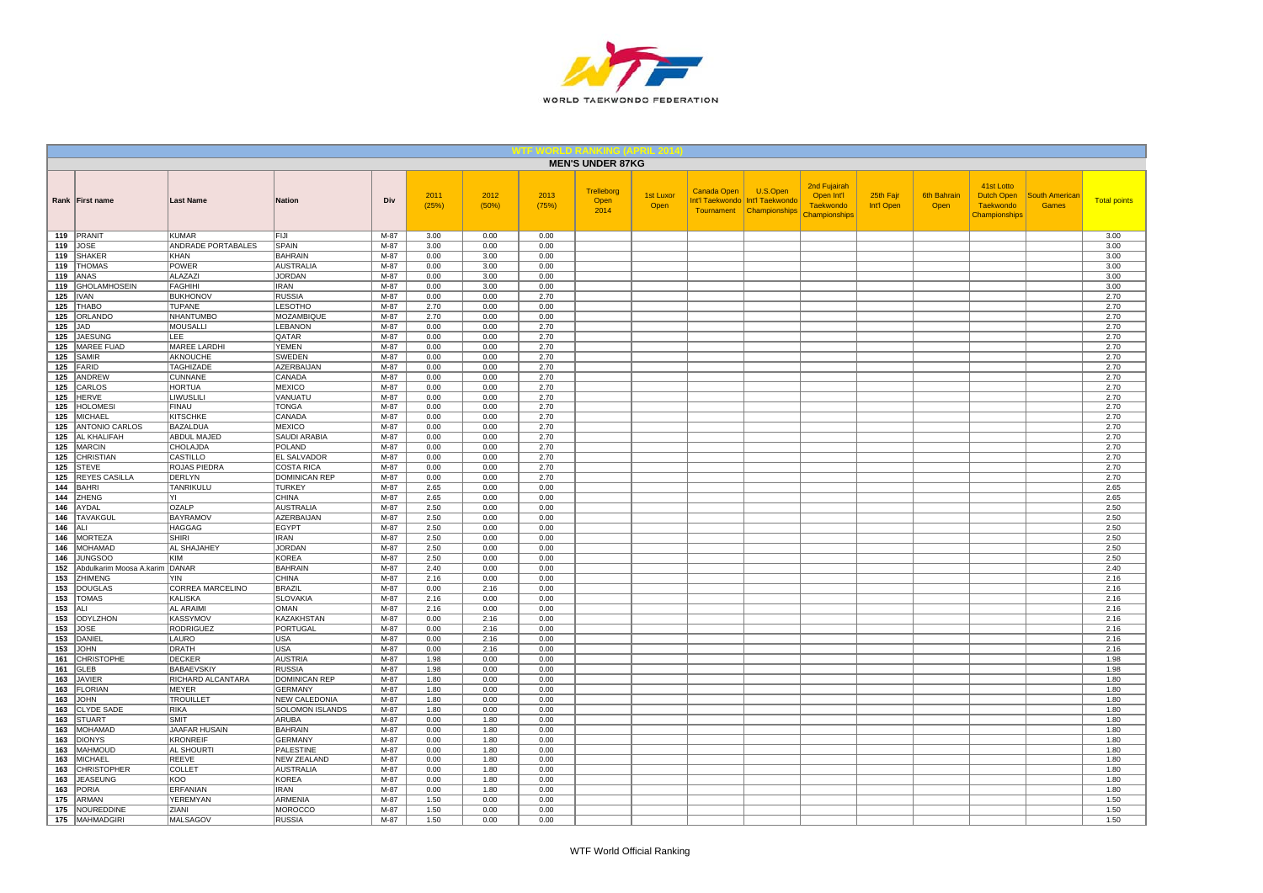

|            |                                  |                                        |                                        |                |               |               |               | <b>MEN'S UNDER 87KG</b>    |                   |             |                                                                           |                                                                        |                         |                            |                                                                      |                                       |                     |
|------------|----------------------------------|----------------------------------------|----------------------------------------|----------------|---------------|---------------|---------------|----------------------------|-------------------|-------------|---------------------------------------------------------------------------|------------------------------------------------------------------------|-------------------------|----------------------------|----------------------------------------------------------------------|---------------------------------------|---------------------|
|            | Rank First name                  | <b>Last Name</b>                       | <b>Nation</b>                          | Div            | 2011<br>(25%) | 2012<br>(50%) | 2013<br>(75%) | Trelleborg<br>Open<br>2014 | 1st Luxor<br>Open | Canada Open | U.S.Open<br>Int'l Taekwondo   Int'l Taekwondo<br>Tournament Championships | 2nd Fujairah<br>Open Int'l<br><b>Taekwondo</b><br><b>Championships</b> | 25th Fajr<br>Int'l Open | <b>6th Bahrain</b><br>Open | 41st Lotto<br><b>Dutch Open</b><br><b>Taekwondo</b><br>Championships | <b>South Americar</b><br><b>Games</b> | <b>Total points</b> |
|            | 119 PRANIT                       | KUMAR                                  | FIJI                                   | M-87           | 3.00          | 0.00          | 0.00          |                            |                   |             |                                                                           |                                                                        |                         |                            |                                                                      |                                       | 3.00                |
| 119<br>119 | JOSE<br><b>SHAKER</b>            | ANDRADE PORTABALES<br><b>KHAN</b>      | SPAIN<br><b>BAHRAIN</b>                | M-87<br>$M-87$ | 3.00<br>0.00  | 0.00<br>3.00  | 0.00<br>0.00  |                            |                   |             |                                                                           |                                                                        |                         |                            |                                                                      |                                       | 3.00<br>3.00        |
| 119        | <b>THOMAS</b>                    | <b>POWER</b>                           | AUSTRALIA                              | $M-87$         | 0.00          | 3.00          | 0.00          |                            |                   |             |                                                                           |                                                                        |                         |                            |                                                                      |                                       | 3.00                |
|            | 119 ANAS                         | ALAZAZI                                | <b>JORDAN</b>                          | $M-87$         | 0.00          | 3.00          | 0.00          |                            |                   |             |                                                                           |                                                                        |                         |                            |                                                                      |                                       | 3.00                |
| 119        | <b>GHOLAMHOSEIN</b>              | <b>FAGHIHI</b>                         | <b>IRAN</b>                            | M-87           | 0.00          | 3.00          | 0.00          |                            |                   |             |                                                                           |                                                                        |                         |                            |                                                                      |                                       | 3.00                |
| 125        | <b>IVAN</b>                      | <b>BUKHONOV</b>                        | <b>RUSSIA</b>                          | M-87           | 0.00          | 0.00          | 2.70          |                            |                   |             |                                                                           |                                                                        |                         |                            |                                                                      |                                       | 2.70                |
| 125        | <b>THABO</b>                     | <b>TUPANE</b>                          | <b>LESOTHO</b>                         | M-87           | 2.70          | 0.00          | 0.00          |                            |                   |             |                                                                           |                                                                        |                         |                            |                                                                      |                                       | 2.70                |
|            | 125 ORLANDO                      | NHANTUMBO                              | <b>MOZAMBIQUE</b>                      | M-87           | 2.70          | 0.00          | 0.00          |                            |                   |             |                                                                           |                                                                        |                         |                            |                                                                      |                                       | 2.70                |
|            | $125$ JAD                        | <b>MOUSALLI</b>                        | LEBANON                                | M-87           | 0.00          | 0.00          | 2.70          |                            |                   |             |                                                                           |                                                                        |                         |                            |                                                                      |                                       | 2.70                |
| 125<br>125 | <b>JAESUNG</b><br>MAREE FUAD     | LEE<br><b>MAREE LARDHI</b>             | QATAR<br><b>YEMEN</b>                  | M-87<br>M-87   | 0.00<br>0.00  | 0.00<br>0.00  | 2.70<br>2.70  |                            |                   |             |                                                                           |                                                                        |                         |                            |                                                                      |                                       | 2.70<br>2.70        |
| 125        | SAMIR                            | AKNOUCHE                               | SWEDEN                                 | M-87           | 0.00          | 0.00          | 2.70          |                            |                   |             |                                                                           |                                                                        |                         |                            |                                                                      |                                       | 2.70                |
| 125        | FARID                            | <b>TAGHIZADE</b>                       | <b>AZERBAIJAN</b>                      | M-87           | 0.00          | 0.00          | 2.70          |                            |                   |             |                                                                           |                                                                        |                         |                            |                                                                      |                                       | 2.70                |
| 125        | ANDREW                           | <b>CUNNANE</b>                         | CANADA                                 | M-87           | 0.00          | 0.00          | 2.70          |                            |                   |             |                                                                           |                                                                        |                         |                            |                                                                      |                                       | 2.70                |
| 125        | CARLOS                           | <b>HORTUA</b>                          | <b>MEXICO</b>                          | M-87           | 0.00          | 0.00          | 2.70          |                            |                   |             |                                                                           |                                                                        |                         |                            |                                                                      |                                       | 2.70                |
| 125        | <b>HERVE</b>                     | <b>LIWUSLILI</b>                       | VANUATU                                | $M-87$         | 0.00          | 0.00          | 2.70          |                            |                   |             |                                                                           |                                                                        |                         |                            |                                                                      |                                       | 2.70                |
| 125        | <b>HOLOMESI</b>                  | <b>FINAU</b>                           | <b>TONGA</b>                           | $M-87$         | 0.00          | 0.00          | 2.70          |                            |                   |             |                                                                           |                                                                        |                         |                            |                                                                      |                                       | 2.70                |
| 125<br>125 | MICHAEL<br><b>ANTONIO CARLOS</b> | <b>KITSCHKE</b><br><b>BAZALDUA</b>     | CANADA<br><b>MEXICO</b>                | M-87<br>M-87   | 0.00<br>0.00  | 0.00<br>0.00  | 2.70<br>2.70  |                            |                   |             |                                                                           |                                                                        |                         |                            |                                                                      |                                       | 2.70<br>2.70        |
| 125        | <b>AL KHALIFAH</b>               | ABDUL MAJED                            | SAUDI ARABIA                           | M-87           | 0.00          | 0.00          | 2.70          |                            |                   |             |                                                                           |                                                                        |                         |                            |                                                                      |                                       | 2.70                |
| 125        | MARCIN                           | CHOLAJDA                               | POLAND                                 | $M-87$         | 0.00          | 0.00          | 2.70          |                            |                   |             |                                                                           |                                                                        |                         |                            |                                                                      |                                       | 2.70                |
| 125        | <b>CHRISTIAN</b>                 | CASTILLO                               | <b>EL SALVADOR</b>                     | M-87           | 0.00          | 0.00          | 2.70          |                            |                   |             |                                                                           |                                                                        |                         |                            |                                                                      |                                       | 2.70                |
| 125        | <b>STEVE</b>                     | ROJAS PIEDRA                           | <b>COSTA RICA</b>                      | M-87           | 0.00          | 0.00          | 2.70          |                            |                   |             |                                                                           |                                                                        |                         |                            |                                                                      |                                       | 2.70                |
| 125        | <b>REYES CASILLA</b>             | DERLYN                                 | <b>DOMINICAN REP</b>                   | M-87           | 0.00          | 0.00          | 2.70          |                            |                   |             |                                                                           |                                                                        |                         |                            |                                                                      |                                       | 2.70                |
| 144        | <b>BAHRI</b>                     | TANRIKULU                              | <b>TURKEY</b>                          | M-87           | 2.65          | 0.00          | 0.00          |                            |                   |             |                                                                           |                                                                        |                         |                            |                                                                      |                                       | 2.65                |
| 144<br>146 | ZHENG                            | YI                                     | <b>CHINA</b>                           | M-87<br>$M-87$ | 2.65          | 0.00          | 0.00          |                            |                   |             |                                                                           |                                                                        |                         |                            |                                                                      |                                       | 2.65                |
| 146        | AYDAL<br><b>TAVAKGUI</b>         | <b>OZALP</b><br><b>BAYRAMOV</b>        | <b>AUSTRALIA</b><br>AZERBAIJAN         | M-87           | 2.50<br>2.50  | 0.00<br>0.00  | 0.00<br>0.00  |                            |                   |             |                                                                           |                                                                        |                         |                            |                                                                      |                                       | 2.50<br>2.50        |
| 146        | ALI                              | <b>HAGGAG</b>                          | <b>EGYPT</b>                           | M-87           | 2.50          | 0.00          | 0.00          |                            |                   |             |                                                                           |                                                                        |                         |                            |                                                                      |                                       | 2.50                |
| 146        | <b>MORTEZA</b>                   | <b>SHIRI</b>                           | <b>IRAN</b>                            | $M-87$         | 2.50          | 0.00          | 0.00          |                            |                   |             |                                                                           |                                                                        |                         |                            |                                                                      |                                       | 2.50                |
| 146        | <b>MOHAMAD</b>                   | AL SHAJAHEY                            | <b>JORDAN</b>                          | $M-87$         | 2.50          | 0.00          | 0.00          |                            |                   |             |                                                                           |                                                                        |                         |                            |                                                                      |                                       | 2.50                |
| 146        | <b>JUNGSOO</b>                   | KIM                                    | <b>KOREA</b>                           | M-87           | 2.50          | 0.00          | 0.00          |                            |                   |             |                                                                           |                                                                        |                         |                            |                                                                      |                                       | 2.50                |
| 152        | Abdulkarim Moosa A.karim DANAR   |                                        | <b>BAHRAIN</b>                         | M-87           | 2.40          | 0.00          | 0.00          |                            |                   |             |                                                                           |                                                                        |                         |                            |                                                                      |                                       | 2.40                |
| 153<br>153 | ZHIMENG<br><b>DOUGLAS</b>        | <b>YIN</b><br>CORREA MARCELINO         | <b>CHINA</b><br><b>BRAZIL</b>          | M-87<br>M-87   | 2.16<br>0.00  | 0.00<br>2.16  | 0.00          |                            |                   |             |                                                                           |                                                                        |                         |                            |                                                                      |                                       | 2.16<br>2.16        |
| 153        | <b>TOMAS</b>                     | <b>KALISKA</b>                         | <b>SLOVAKIA</b>                        | M-87           | 2.16          | 0.00          | 0.00<br>0.00  |                            |                   |             |                                                                           |                                                                        |                         |                            |                                                                      |                                       | 2.16                |
| 153        | ALI-                             | <b>AL ARAIMI</b>                       | <b>OMAN</b>                            | M-87           | 2.16          | 0.00          | 0.00          |                            |                   |             |                                                                           |                                                                        |                         |                            |                                                                      |                                       | 2.16                |
| 153        | ODYLZHON                         | KASSYMOV                               | <b>KAZAKHSTAN</b>                      | M-87           | 0.00          | 2.16          | 0.00          |                            |                   |             |                                                                           |                                                                        |                         |                            |                                                                      |                                       | 2.16                |
| 153        | <b>JOSE</b>                      | <b>RODRIGUEZ</b>                       | PORTUGAL                               | M-87           | 0.00          | 2.16          | 0.00          |                            |                   |             |                                                                           |                                                                        |                         |                            |                                                                      |                                       | 2.16                |
| 153        | DANIEL                           | LAURO                                  | <b>USA</b>                             | $M-87$         | 0.00          | 2.16          | 0.00          |                            |                   |             |                                                                           |                                                                        |                         |                            |                                                                      |                                       | 2.16                |
| 153        | <b>JOHN</b>                      | <b>DRATH</b>                           | <b>USA</b>                             | M-87           | 0.00          | 2.16          | 0.00          |                            |                   |             |                                                                           |                                                                        |                         |                            |                                                                      |                                       | 2.16                |
| 161        | <b>CHRISTOPHE</b>                | <b>DECKER</b>                          | AUSTRIA                                | M-87           | 1.98          | 0.00          | 0.00          |                            |                   |             |                                                                           |                                                                        |                         |                            |                                                                      |                                       | 1.98                |
| 161<br>163 | <b>GLEB</b><br><b>JAVIER</b>     | <b>BABAEVSKIY</b><br>RICHARD ALCANTARA | <b>RUSSIA</b><br><b>DOMINICAN REP</b>  | M-87<br>$M-87$ | 1.98<br>1.80  | 0.00<br>0.00  | 0.00<br>0.00  |                            |                   |             |                                                                           |                                                                        |                         |                            |                                                                      |                                       | 1.98<br>1.80        |
| 163        | <b>FLORIAN</b>                   | MEYER                                  | <b>GERMANY</b>                         | $M-87$         | 1.80          | 0.00          | 0.00          |                            |                   |             |                                                                           |                                                                        |                         |                            |                                                                      |                                       | 1.80                |
| 163        | <b>JOHN</b>                      | <b>TROUILLET</b>                       | <b>NEW CALEDONIA</b>                   | M-87           | 1.80          | 0.00          | 0.00          |                            |                   |             |                                                                           |                                                                        |                         |                            |                                                                      |                                       | 1.80                |
| 163        | <b>CLYDE SADE</b>                | RIKA                                   | SOLOMON ISLANDS                        | M-87           | 1.80          | 0.00          | 0.00          |                            |                   |             |                                                                           |                                                                        |                         |                            |                                                                      |                                       | 1.80                |
| 163        | <b>STUART</b>                    | <b>SMIT</b>                            | ARUBA                                  | M-87           | 0.00          | 1.80          | 0.00          |                            |                   |             |                                                                           |                                                                        |                         |                            |                                                                      |                                       | 1.80                |
| 163        | <b>MOHAMAD</b>                   | JAAFAR HUSAIN                          | <b>BAHRAIN</b>                         | $M-87$         | 0.00          | 1.80          | 0.00          |                            |                   |             |                                                                           |                                                                        |                         |                            |                                                                      |                                       | 1.80                |
| 163        | <b>DIONYS</b>                    | <b>KRONREIF</b>                        | <b>GERMANY</b>                         | M-87           | 0.00          | 1.80          | 0.00          |                            |                   |             |                                                                           |                                                                        |                         |                            |                                                                      |                                       | 1.80                |
| 163<br>163 | MAHMOUD<br>MICHAEL               | AL SHOURTI<br><b>REEVE</b>             | <b>PALESTINE</b><br><b>NEW ZEALAND</b> | M-87<br>M-87   | 0.00<br>0.00  | 1.80<br>1.80  | 0.00<br>0.00  |                            |                   |             |                                                                           |                                                                        |                         |                            |                                                                      |                                       | 1.80<br>1.80        |
| 163        | <b>CHRISTOPHER</b>               | <b>COLLET</b>                          | <b>AUSTRALIA</b>                       | M-87           | 0.00          | 1.80          | 0.00          |                            |                   |             |                                                                           |                                                                        |                         |                            |                                                                      |                                       | 1.80                |
| 163        | <b>JEASEUNG</b>                  | KOO                                    | <b>KOREA</b>                           | $M-87$         | 0.00          | 1.80          | 0.00          |                            |                   |             |                                                                           |                                                                        |                         |                            |                                                                      |                                       | 1.80                |
| 163        | <b>PORIA</b>                     | <b>ERFANIAN</b>                        | <b>IRAN</b>                            | M-87           | 0.00          | 1.80          | 0.00          |                            |                   |             |                                                                           |                                                                        |                         |                            |                                                                      |                                       | 1.80                |
| 175        | <b>ARMAN</b>                     | YEREMYAN                               | ARMENIA                                | M-87           | 1.50          | 0.00          | 0.00          |                            |                   |             |                                                                           |                                                                        |                         |                            |                                                                      |                                       | 1.50                |
| 175        | <b>NOUREDDINE</b>                | ZIANI                                  | <b>MOROCCO</b>                         | M-87           | 1.50          | 0.00          | 0.00          |                            |                   |             |                                                                           |                                                                        |                         |                            |                                                                      |                                       | 1.50                |
|            | 175   MAHMADGIRI                 | <b>MALSAGOV</b>                        | <b>RUSSIA</b>                          | $M-87$         | 1.50          | 0.00          | 0.00          |                            |                   |             |                                                                           |                                                                        |                         |                            |                                                                      |                                       | 1.50                |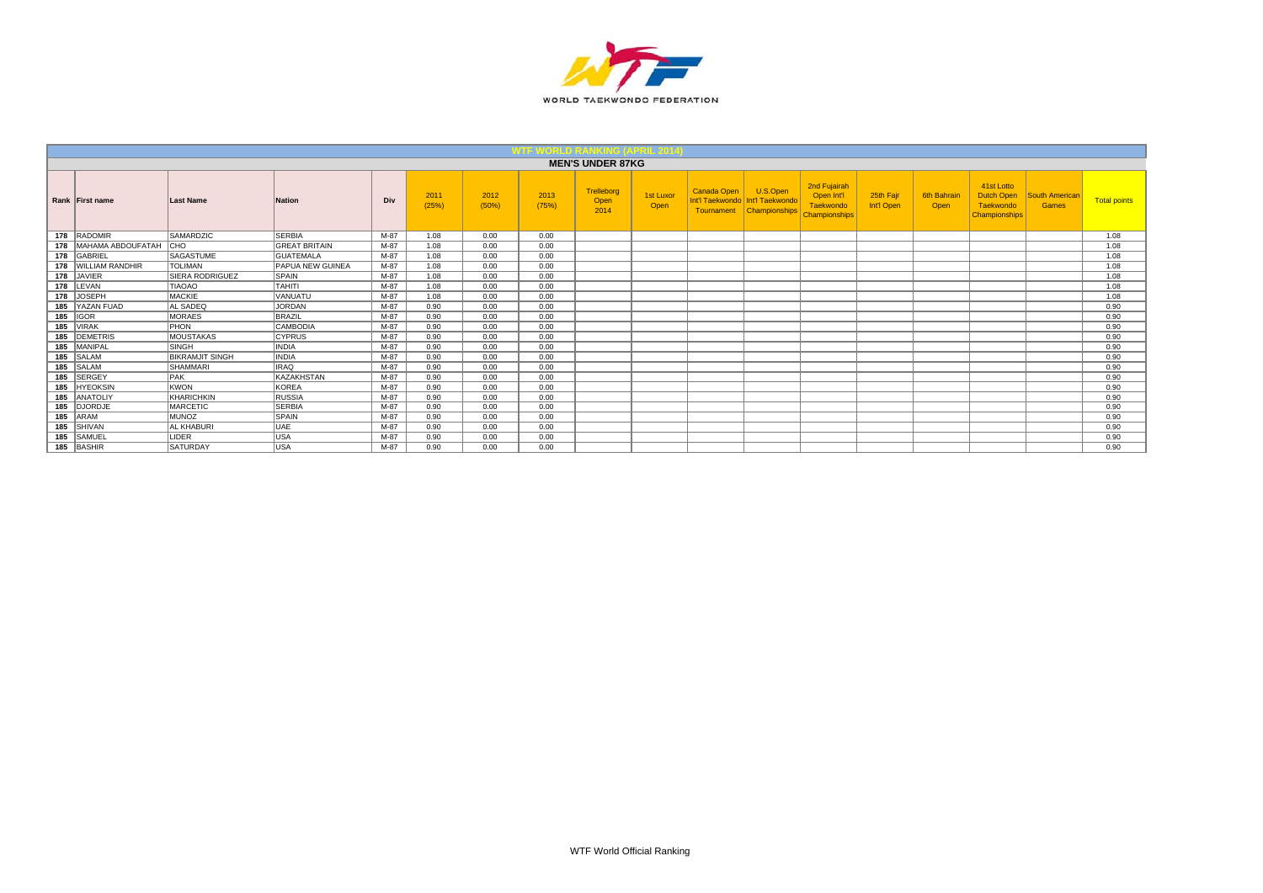

|                       |                        |                         |      |               |               |               | <b>MEN'S UNDER 87KG</b>    |                   |                                              |                                              |                                                                 |                         |                     |                                                                      |                                       |                     |
|-----------------------|------------------------|-------------------------|------|---------------|---------------|---------------|----------------------------|-------------------|----------------------------------------------|----------------------------------------------|-----------------------------------------------------------------|-------------------------|---------------------|----------------------------------------------------------------------|---------------------------------------|---------------------|
| Rank First name       | <b>Last Name</b>       | Nation                  | Div  | 2011<br>(25%) | 2012<br>(50%) | 2013<br>(75%) | Trelleborg<br>Open<br>2014 | 1st Luxor<br>Open | Canada Open<br>Int'l Taekwondo<br>Tournament | U.S.Open<br>Int'l Taekwondo<br>Championships | 2nd Fujairah<br>Open Int'l<br>Taekwondo<br><b>Championships</b> | 25th Fair<br>Int'l Open | 6th Bahrair<br>Open | 41st Lotto<br><b>Dutch Open</b><br>Taekwondo<br><b>Championships</b> | <b>South American</b><br><b>Games</b> | <b>Total points</b> |
| 178 RADOMIR           | SAMARDZIC              | <b>SERBIA</b>           | M-87 | 1.08          | 0.00          | 0.00          |                            |                   |                                              |                                              |                                                                 |                         |                     |                                                                      |                                       | 1.08                |
| 178 MAHAMA ABDOUFATAH | <b>CHO</b>             | <b>GREAT BRITAIN</b>    | M-87 | 1.08          | 0.00          | 0.00          |                            |                   |                                              |                                              |                                                                 |                         |                     |                                                                      |                                       | 1.08                |
| 178 GABRIEL           | SAGASTUME              | <b>GUATEMALA</b>        | M-87 | 1.08          | 0.00          | 0.00          |                            |                   |                                              |                                              |                                                                 |                         |                     |                                                                      |                                       | 1.08                |
| 178 WILLIAM RANDHIR   | <b>TOLIMAN</b>         | <b>PAPUA NEW GUINEA</b> | M-87 | 1.08          | 0.00          | 0.00          |                            |                   |                                              |                                              |                                                                 |                         |                     |                                                                      |                                       | 1.08                |
| 178 JAVIER            | <b>SIERA RODRIGUEZ</b> | SPAIN                   | M-87 | 1.08          | 0.00          | 0.00          |                            |                   |                                              |                                              |                                                                 |                         |                     |                                                                      |                                       | 1.08                |
| 178 LEVAN             | <b>TIAOAO</b>          | <b>TAHITI</b>           | M-87 | 1.08          | 0.00          | 0.00          |                            |                   |                                              |                                              |                                                                 |                         |                     |                                                                      |                                       | 1.08                |
| 178 JOSEPH            | MACKIE                 | <b>VANUATU</b>          | M-87 | 1.08          | 0.00          | 0.00          |                            |                   |                                              |                                              |                                                                 |                         |                     |                                                                      |                                       | 1.08                |
| 185 YAZAN FUAD        | AL SADEQ               | JORDAN                  | M-87 | 0.90          | 0.00          | 0.00          |                            |                   |                                              |                                              |                                                                 |                         |                     |                                                                      |                                       | 0.90                |
| $185$ GOR             | <b>MORAES</b>          | BRAZIL                  | M-87 | 0.90          | 0.00          | 0.00          |                            |                   |                                              |                                              |                                                                 |                         |                     |                                                                      |                                       | 0.90                |
| 185 VIRAK             | PHON                   | CAMBODIA                | M-87 | 0.90          | 0.00          | 0.00          |                            |                   |                                              |                                              |                                                                 |                         |                     |                                                                      |                                       | 0.90                |
| 185 DEMETRIS          | MOUSTAKAS              | <b>CYPRUS</b>           | M-87 | 0.90          | 0.00          | 0.00          |                            |                   |                                              |                                              |                                                                 |                         |                     |                                                                      |                                       | 0.90                |
| 185 MANIPAL           | <b>SINGH</b>           | <b>INDIA</b>            | M-87 | 0.90          | 0.00          | 0.00          |                            |                   |                                              |                                              |                                                                 |                         |                     |                                                                      |                                       | 0.90                |
| 185 SALAM             | <b>BIKRAMJIT SINGH</b> | <b>INDIA</b>            | M-87 | 0.90          | 0.00          | 0.00          |                            |                   |                                              |                                              |                                                                 |                         |                     |                                                                      |                                       | 0.90                |
| 185 SALAM             | SHAMMARI               | <b>IRAQ</b>             | M-87 | 0.90          | 0.00          | 0.00          |                            |                   |                                              |                                              |                                                                 |                         |                     |                                                                      |                                       | 0.90                |
| 185 SERGEY            | <b>PAK</b>             | KAZAKHSTAN              | M-87 | 0.90          | 0.00          | 0.00          |                            |                   |                                              |                                              |                                                                 |                         |                     |                                                                      |                                       | 0.90                |
| 185 HYEOKSIN          | <b>KWON</b>            | KOREA                   | M-87 | 0.90          | 0.00          | 0.00          |                            |                   |                                              |                                              |                                                                 |                         |                     |                                                                      |                                       | 0.90                |
| 185 ANATOLIY          | KHARICHKIN             | RUSSIA                  | M-87 | 0.90          | 0.00          | 0.00          |                            |                   |                                              |                                              |                                                                 |                         |                     |                                                                      |                                       | 0.90                |
| 185 DJORDJE           | <b>MARCETIC</b>        | <b>SERBIA</b>           | M-87 | 0.90          | 0.00          | 0.00          |                            |                   |                                              |                                              |                                                                 |                         |                     |                                                                      |                                       | 0.90                |
| 185 ARAM              | <b>MUNOZ</b>           | SPAIN                   | M-87 | 0.90          | 0.00          | 0.00          |                            |                   |                                              |                                              |                                                                 |                         |                     |                                                                      |                                       | 0.90                |
| 185 SHIVAN            | <b>AL KHABURI</b>      | UAE                     | M-87 | 0.90          | 0.00          | 0.00          |                            |                   |                                              |                                              |                                                                 |                         |                     |                                                                      |                                       | 0.90                |
| 185 SAMUEL            | <b>LIDER</b>           | USA                     | M-87 | 0.90          | 0.00          | 0.00          |                            |                   |                                              |                                              |                                                                 |                         |                     |                                                                      |                                       | 0.90                |
| 185 BASHIR            | SATURDAY               | lusa                    | M-87 | 0.90          | 0.00          | 0.00          |                            |                   |                                              |                                              |                                                                 |                         |                     |                                                                      |                                       | 0.90                |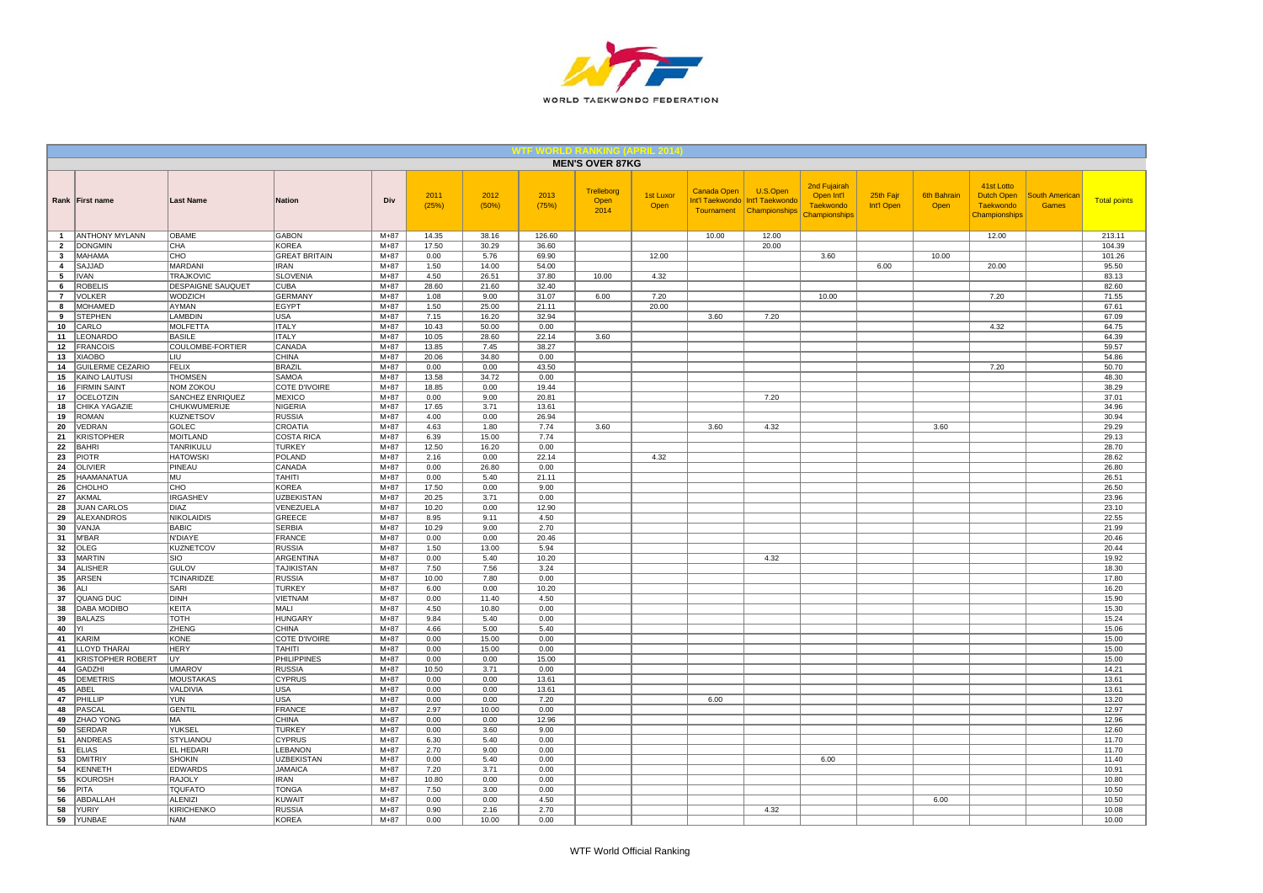

|                     |                                      |                                    |                                     |                    |                |                |                | <b>MEN'S OVER 87KG</b>     |                   |                                                     |                                              |                                                                 |                         |                            |                                                               |                                       |                     |
|---------------------|--------------------------------------|------------------------------------|-------------------------------------|--------------------|----------------|----------------|----------------|----------------------------|-------------------|-----------------------------------------------------|----------------------------------------------|-----------------------------------------------------------------|-------------------------|----------------------------|---------------------------------------------------------------|---------------------------------------|---------------------|
|                     | Rank First name                      | <b>Last Name</b>                   | <b>Nation</b>                       | Div                | 2011<br>(25%)  | 2012<br>(50%)  | 2013<br>(75%)  | Trelleborg<br>Open<br>2014 | 1st Luxor<br>Open | <b>Canada Open</b><br>Int'l Taekwondo<br>Tournament | U.S.Open<br>Int'l Taekwondo<br>Championships | 2nd Fujairah<br>Open Int'l<br>Taekwondo<br><b>Championships</b> | 25th Fajr<br>Int'l Open | <b>6th Bahrain</b><br>Open | 41st Lotto<br><b>Dutch Open</b><br>Taekwondo<br>Championships | <b>South American</b><br><b>Games</b> | <b>Total points</b> |
| $\mathbf{1}$        | <b>ANTHONY MYLANN</b>                | OBAME                              | <b>GABON</b>                        | $M + 87$           | 14.35          | 38.16          | 126.60         |                            |                   | 10.00                                               | 12.00                                        |                                                                 |                         |                            | 12.00                                                         |                                       | 213.11              |
| $\overline{2}$      | <b>DONGMIN</b>                       | CHA                                | KOREA                               | $M + 87$           | 17.50          | 30.29          | 36.60          |                            |                   |                                                     | 20.00                                        |                                                                 |                         |                            |                                                               |                                       | 104.39              |
| 3                   | <b>MAHAMA</b>                        | CHO                                | <b>GREAT BRITAIN</b>                | $M+87$             | 0.00           | 5.76           | 69.90          |                            | 12.00             |                                                     |                                              | 3.60                                                            |                         | 10.00                      |                                                               |                                       | 101.26              |
| $\overline{4}$<br>5 | SAJJAD<br><b>IVAN</b>                | <b>MARDANI</b><br><b>TRAJKOVIC</b> | <b>IRAN</b><br><b>SLOVENIA</b>      | $M + 87$<br>$M+87$ | 1.50<br>4.50   | 14.00<br>26.51 | 54.00<br>37.80 | 10.00                      | 4.32              |                                                     |                                              |                                                                 | 6.00                    |                            | 20.00                                                         |                                       | 95.50<br>83.13      |
| 6                   | <b>ROBELIS</b>                       | DESPAIGNE SAUQUET                  | CUBA                                | $M + 87$           | 28.60          | 21.60          | 32.40          |                            |                   |                                                     |                                              |                                                                 |                         |                            |                                                               |                                       | 82.60               |
| $\overline{7}$      | <b>VOLKER</b>                        | WODZICH                            | GERMANY                             | $M + 87$           | 1.08           | 9.00           | 31.07          | 6.00                       | 7.20              |                                                     |                                              | 10.00                                                           |                         |                            | 7.20                                                          |                                       | 71.55               |
| 8                   | <b>MOHAMED</b>                       | AYMAN                              | EGYPT                               | $M+87$             | 1.50           | 25.00          | 21.11          |                            | 20.00             |                                                     |                                              |                                                                 |                         |                            |                                                               |                                       | 67.61               |
| 9                   | <b>STEPHEN</b>                       | LAMBDIN                            | <b>USA</b>                          | $M+87$             | 7.15           | 16.20          | 32.94          |                            |                   | 3.60                                                | 7.20                                         |                                                                 |                         |                            |                                                               |                                       | 67.09               |
| 10                  | CARLO                                | <b>MOLFETTA</b>                    | <b>ITALY</b>                        | $M + 87$           | 10.43          | 50.00          | 0.00           |                            |                   |                                                     |                                              |                                                                 |                         |                            | 4.32                                                          |                                       | 64.75               |
| 11                  | LEONARDO                             | <b>BASILE</b>                      | <b>ITALY</b>                        | $M+87$             | 10.05          | 28.60          | 22.14          | 3.60                       |                   |                                                     |                                              |                                                                 |                         |                            |                                                               |                                       | 64.39               |
| 12                  | <b>FRANCOIS</b>                      | COULOMBE-FORTIER                   | CANADA                              | $M+87$             | 13.85          | 7.45           | 38.27          |                            |                   |                                                     |                                              |                                                                 |                         |                            |                                                               |                                       | 59.57               |
| 13                  | <b>XIAOBO</b>                        | LIU                                | <b>CHINA</b>                        | $M + 87$           | 20.06          | 34.80          | 0.00           |                            |                   |                                                     |                                              |                                                                 |                         |                            |                                                               |                                       | 54.86               |
| 14                  | GUILERME CEZARIO                     | <b>FELIX</b>                       | BRAZIL                              | $M+87$             | 0.00           | 0.00           | 43.50          |                            |                   |                                                     |                                              |                                                                 |                         |                            | 7.20                                                          |                                       | 50.70               |
| 15<br>16            | KAINO LAUTUSI<br><b>FIRMIN SAINT</b> | <b>THOMSEN</b><br><b>NOM ZOKOU</b> | SAMOA<br><b>COTE D'IVOIRE</b>       | $M + 87$<br>$M+87$ | 13.58<br>18.85 | 34.72<br>0.00  | 0.00<br>19.44  |                            |                   |                                                     |                                              |                                                                 |                         |                            |                                                               |                                       | 48.30<br>38.29      |
| 17                  | <b>OCELOTZIN</b>                     | SANCHEZ ENRIQUEZ                   | <b>MEXICO</b>                       | $M+87$             | 0.00           | 9.00           | 20.81          |                            |                   |                                                     | 7.20                                         |                                                                 |                         |                            |                                                               |                                       | 37.01               |
| 18                  | CHIKA YAGAZIE                        | CHUKWUMERIJE                       | NIGERIA                             | $M + 87$           | 17.65          | 3.71           | 13.61          |                            |                   |                                                     |                                              |                                                                 |                         |                            |                                                               |                                       | 34.96               |
| 19                  | <b>ROMAN</b>                         | <b>KUZNETSOV</b>                   | <b>RUSSIA</b>                       | $M+87$             | 4.00           | 0.00           | 26.94          |                            |                   |                                                     |                                              |                                                                 |                         |                            |                                                               |                                       | 30.94               |
| 20                  | VEDRAN                               | GOLEC                              | CROATIA                             | $M + 87$           | 4.63           | 1.80           | 7.74           | 3.60                       |                   | 3.60                                                | 4.32                                         |                                                                 |                         | 3.60                       |                                                               |                                       | 29.29               |
| 21                  | <b>KRISTOPHER</b>                    | <b>MOITLAND</b>                    | <b>COSTA RICA</b>                   | $M+87$             | 6.39           | 15.00          | 7.74           |                            |                   |                                                     |                                              |                                                                 |                         |                            |                                                               |                                       | 29.13               |
| 22                  | <b>BAHRI</b>                         | TANRIKULU                          | <b>TURKEY</b>                       | $M + 87$           | 12.50          | 16.20          | 0.00           |                            |                   |                                                     |                                              |                                                                 |                         |                            |                                                               |                                       | 28.70               |
| 23                  | <b>PIOTR</b>                         | <b>HATOWSKI</b>                    | POLAND                              | $M+87$             | 2.16           | 0.00           | 22.14          |                            | 4.32              |                                                     |                                              |                                                                 |                         |                            |                                                               |                                       | 28.62               |
| 24                  | OLIVIER                              | PINEAU                             | CANADA                              | $M+87$             | 0.00           | 26.80          | 0.00           |                            |                   |                                                     |                                              |                                                                 |                         |                            |                                                               |                                       | 26.80               |
| 25                  | <b>HAAMANATUA</b><br>CHOLHO          | MU<br>CHO                          | <b>TAHITI</b><br>KOREA              | $M+87$<br>$M+87$   | 0.00<br>17.50  | 5.40<br>0.00   | 21.11<br>9.00  |                            |                   |                                                     |                                              |                                                                 |                         |                            |                                                               |                                       | 26.51<br>26.50      |
| 26<br>27            | AKMAL                                | <b>IRGASHEV</b>                    | <b>UZBEKISTAN</b>                   | $M + 87$           | 20.25          | 3.71           | 0.00           |                            |                   |                                                     |                                              |                                                                 |                         |                            |                                                               |                                       | 23.96               |
| 28                  | <b>JUAN CARLOS</b>                   | <b>DIAZ</b>                        | VENEZUELA                           | $M+87$             | 10.20          | 0.00           | 12.90          |                            |                   |                                                     |                                              |                                                                 |                         |                            |                                                               |                                       | 23.10               |
| 29                  | <b>ALEXANDROS</b>                    | <b>NIKOLAIDIS</b>                  | GREECE                              | $M + 87$           | 8.95           | 9.11           | 4.50           |                            |                   |                                                     |                                              |                                                                 |                         |                            |                                                               |                                       | 22.55               |
| 30                  | VANJA                                | <b>BABIC</b>                       | <b>SERBIA</b>                       | $M+87$             | 10.29          | 9.00           | 2.70           |                            |                   |                                                     |                                              |                                                                 |                         |                            |                                                               |                                       | 21.99               |
| 31                  | M'BAR                                | <b>N'DIAYE</b>                     | FRANCE                              | $M+87$             | 0.00           | 0.00           | 20.46          |                            |                   |                                                     |                                              |                                                                 |                         |                            |                                                               |                                       | 20.46               |
| 32                  | OLEG                                 | <b>KUZNETCOV</b>                   | <b>RUSSIA</b>                       | $M + 87$           | 1.50           | 13.00          | 5.94           |                            |                   |                                                     |                                              |                                                                 |                         |                            |                                                               |                                       | 20.44               |
| 33<br>34            | <b>MARTIN</b><br><b>ALISHER</b>      | SIO<br><b>GULOV</b>                | ARGENTINA<br>TAJIKISTAN             | $M+87$<br>$M+87$   | 0.00<br>7.50   | 5.40<br>7.56   | 10.20<br>3.24  |                            |                   |                                                     | 4.32                                         |                                                                 |                         |                            |                                                               |                                       | 19.92<br>18.30      |
| 35                  | <b>ARSEN</b>                         | <b>TCINARIDZE</b>                  | <b>RUSSIA</b>                       | $M+87$             | 10.00          | 7.80           | 0.00           |                            |                   |                                                     |                                              |                                                                 |                         |                            |                                                               |                                       | 17.80               |
| 36                  | ALI                                  | SARI                               | <b>TURKEY</b>                       | $M + 87$           | 6.00           | 0.00           | 10.20          |                            |                   |                                                     |                                              |                                                                 |                         |                            |                                                               |                                       | 16.20               |
| 37                  | QUANG DUC                            | <b>DINH</b>                        | <b>VIETNAM</b>                      | $M+87$             | 0.00           | 11.40          | 4.50           |                            |                   |                                                     |                                              |                                                                 |                         |                            |                                                               |                                       | 15.90               |
| 38                  | <b>DABA MODIBO</b>                   | <b>KEITA</b>                       | MALI                                | $M + 87$           | 4.50           | 10.80          | 0.00           |                            |                   |                                                     |                                              |                                                                 |                         |                            |                                                               |                                       | 15.30               |
| 39                  | <b>BALAZS</b>                        | <b>TOTH</b>                        | HUNGARY                             | $M + 87$           | 9.84           | 5.40           | 0.00           |                            |                   |                                                     |                                              |                                                                 |                         |                            |                                                               |                                       | 15.24               |
| 40                  | YI                                   | ZHENG                              | <b>CHINA</b>                        | $M+87$             | 4.66           | 5.00           | 5.40           |                            |                   |                                                     |                                              |                                                                 |                         |                            |                                                               |                                       | 15.06               |
| 41                  | KARIM                                | KONE                               | COTE D'IVOIRE                       | $M + 87$           | 0.00           | 15.00          | 0.00           |                            |                   |                                                     |                                              |                                                                 |                         |                            |                                                               |                                       | 15.00               |
| 41                  | LLOYD THARAI                         | <b>HERY</b>                        | TAHITI                              | $M+87$             | 0.00           | 15.00          | 0.00           |                            |                   |                                                     |                                              |                                                                 |                         |                            |                                                               |                                       | 15.00               |
| 41<br>44            | KRISTOPHER ROBERT<br><b>GADZHI</b>   | UY<br><b>UMAROV</b>                | PHILIPPINES<br><b>RUSSIA</b>        | $M+87$<br>$M+87$   | 0.00<br>10.50  | 0.00<br>3.71   | 15.00<br>0.00  |                            |                   |                                                     |                                              |                                                                 |                         |                            |                                                               |                                       | 15.00<br>14.21      |
| 45                  | <b>DEMETRIS</b>                      | <b>MOUSTAKAS</b>                   | <b>CYPRUS</b>                       | $M+87$             | 0.00           | 0.00           | 13.61          |                            |                   |                                                     |                                              |                                                                 |                         |                            |                                                               |                                       | 13.61               |
| 45                  | ABEL                                 | VALDIVIA                           | USA                                 | $M + 87$           | 0.00           | 0.00           | 13.61          |                            |                   |                                                     |                                              |                                                                 |                         |                            |                                                               |                                       | 13.61               |
| 47                  | PHILLIP                              | <b>YUN</b>                         | <b>USA</b>                          | $M+87$             | 0.00           | 0.00           | 7.20           |                            |                   | 6.00                                                |                                              |                                                                 |                         |                            |                                                               |                                       | 13.20               |
| 48                  | PASCAL                               | <b>GENTIL</b>                      | FRANCE                              | $M + 87$           | 2.97           | 10.00          | 0.00           |                            |                   |                                                     |                                              |                                                                 |                         |                            |                                                               |                                       | 12.97               |
| 49                  | ZHAO YONG                            | MA                                 | <b>CHINA</b>                        | $M+87$             | 0.00           | 0.00           | 12.96          |                            |                   |                                                     |                                              |                                                                 |                         |                            |                                                               |                                       | 12.96               |
| 50                  | <b>SERDAR</b>                        | YUKSEL                             | <b>TURKEY</b>                       | $M + 87$           | 0.00           | 3.60           | 9.00           |                            |                   |                                                     |                                              |                                                                 |                         |                            |                                                               |                                       | 12.60               |
| 51                  | <b>ANDREAS</b>                       | <b>STYLIANOU</b>                   | <b>CYPRUS</b>                       | $M+87$             | 6.30           | 5.40           | 0.00           |                            |                   |                                                     |                                              |                                                                 |                         |                            |                                                               |                                       | 11.70               |
| 51<br>53            | <b>ELIAS</b><br><b>DMITRIY</b>       | EL HEDARI<br><b>SHOKIN</b>         | <b>LEBANON</b><br><b>UZBEKISTAN</b> | $M+87$<br>$M+87$   | 2.70<br>0.00   | 9.00<br>5.40   | 0.00<br>0.00   |                            |                   |                                                     |                                              | 6.00                                                            |                         |                            |                                                               |                                       | 11.70<br>11.40      |
| 54                  | <b>KENNETH</b>                       | <b>EDWARDS</b>                     | <b>JAMAICA</b>                      | $M + 87$           | 7.20           | 3.71           | 0.00           |                            |                   |                                                     |                                              |                                                                 |                         |                            |                                                               |                                       | 10.91               |
| 55                  | <b>KOUROSH</b>                       | RAJOLY                             | <b>IRAN</b>                         | $M + 87$           | 10.80          | 0.00           | 0.00           |                            |                   |                                                     |                                              |                                                                 |                         |                            |                                                               |                                       | 10.80               |
| 56                  | PITA                                 | <b>TQUFATO</b>                     | <b>TONGA</b>                        | $M+87$             | 7.50           | 3.00           | 0.00           |                            |                   |                                                     |                                              |                                                                 |                         |                            |                                                               |                                       | 10.50               |
| 56                  | ABDALLAH                             | <b>ALENIZI</b>                     | <b>KUWAIT</b>                       | $M + 87$           | 0.00           | 0.00           | 4.50           |                            |                   |                                                     |                                              |                                                                 |                         | 6.00                       |                                                               |                                       | 10.50               |
| 58                  | YURIY                                | <b>KIRICHENKO</b>                  | <b>RUSSIA</b>                       | $M+87$             | 0.90           | 2.16           | 2.70           |                            |                   |                                                     | 4.32                                         |                                                                 |                         |                            |                                                               |                                       | 10.08               |
| 59                  | YUNBAE                               | <b>NAM</b>                         | KOREA                               | $M+87$             | 0.00           | 10.00          | 0.00           |                            |                   |                                                     |                                              |                                                                 |                         |                            |                                                               |                                       | 10.00               |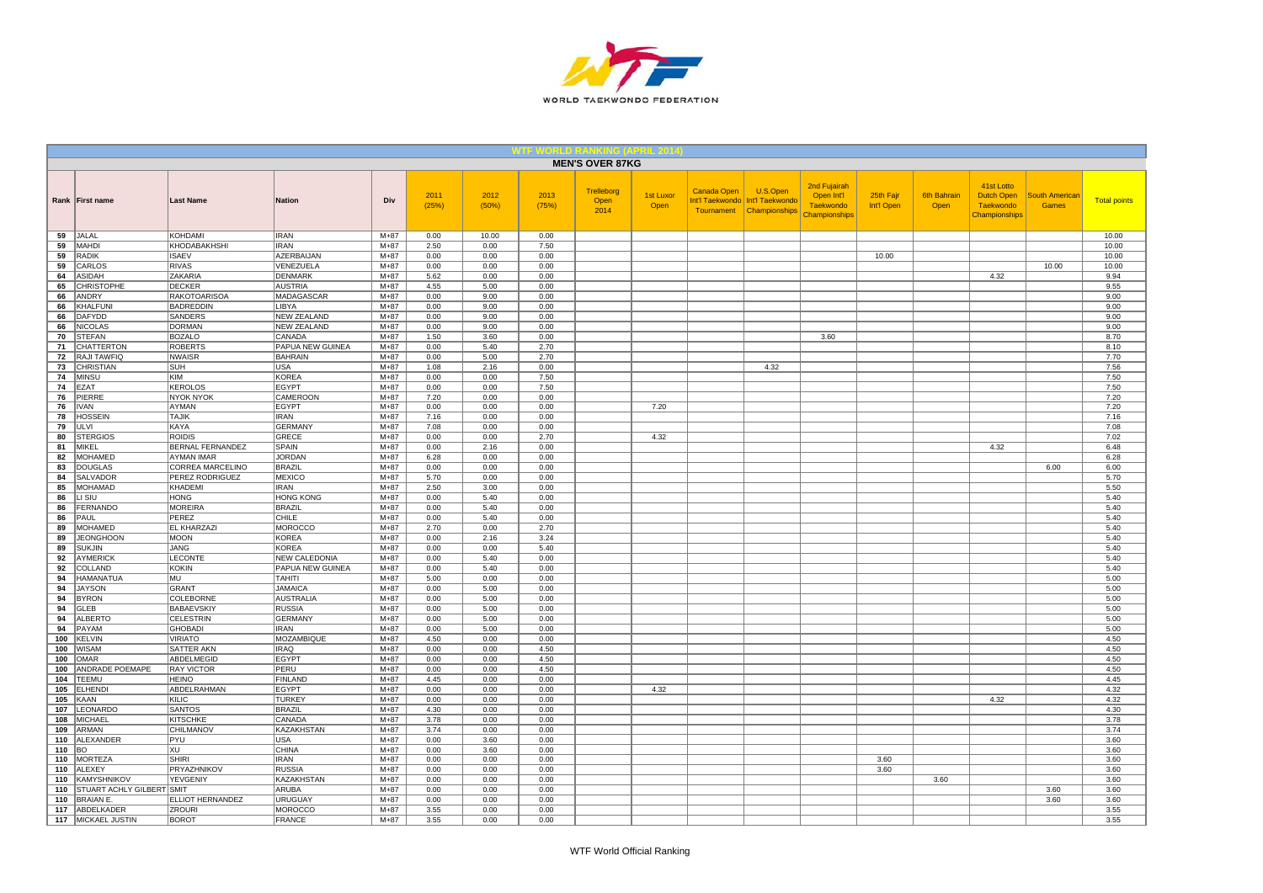

|            |                                  |                                    |                                      |                  |               |               |               | <b>MEN'S OVER 87KG</b>     |                          |                                              |                                              |                                                                 |                         |                            |                                                               |                                       |                     |
|------------|----------------------------------|------------------------------------|--------------------------------------|------------------|---------------|---------------|---------------|----------------------------|--------------------------|----------------------------------------------|----------------------------------------------|-----------------------------------------------------------------|-------------------------|----------------------------|---------------------------------------------------------------|---------------------------------------|---------------------|
|            | Rank First name                  | <b>Last Name</b>                   | Nation                               | Div              | 2011<br>(25%) | 2012<br>(50%) | 2013<br>(75%) | Trelleborg<br>Open<br>2014 | <b>1st Luxor</b><br>Open | Canada Open<br>Int'l Taekwondo<br>Tournament | U.S.Open<br>Int'l Taekwondo<br>Championships | 2nd Fujairah<br>Open Int'l<br><b>Taekwondo</b><br>Championships | 25th Fajr<br>Int'l Open | <b>6th Bahrain</b><br>Open | 41st Lotto<br><b>Dutch Open</b><br>Taekwondo<br>Championships | <b>South American</b><br><b>Games</b> | <b>Total points</b> |
| 59         | JALAL                            | KOHDAMI                            | <b>IRAN</b>                          | $M+87$           | 0.00          | 10.00         | 0.00          |                            |                          |                                              |                                              |                                                                 |                         |                            |                                                               |                                       | 10.00               |
| 59         | MAHDI                            | KHODABAKHSHI<br><b>ISAEV</b>       | IRAN                                 | $M + 87$         | 2.50          | 0.00          | 7.50          |                            |                          |                                              |                                              |                                                                 |                         |                            |                                                               |                                       | 10.00               |
| 59<br>59   | <b>RADIK</b><br>CARLOS           | <b>RIVAS</b>                       | <b>AZERBAIJAN</b><br>VENEZUELA       | $M+87$<br>$M+87$ | 0.00<br>0.00  | 0.00<br>0.00  | 0.00<br>0.00  |                            |                          |                                              |                                              |                                                                 | 10.00                   |                            |                                                               | 10.00                                 | 10.00<br>10.00      |
| 64         | <b>ASIDAH</b>                    | ZAKARIA                            | <b>DENMARK</b>                       | $M+87$           | 5.62          | 0.00          | 0.00          |                            |                          |                                              |                                              |                                                                 |                         |                            | 4.32                                                          |                                       | 9.94                |
| 65         | <b>CHRISTOPHE</b>                | <b>DECKER</b>                      | <b>AUSTRIA</b>                       | $M+87$           | 4.55          | 5.00          | 0.00          |                            |                          |                                              |                                              |                                                                 |                         |                            |                                                               |                                       | 9.55                |
| 66         | <b>ANDRY</b>                     | <b>RAKOTOARISOA</b>                | MADAGASCAR                           | $M+87$           | 0.00          | 9.00          | 0.00          |                            |                          |                                              |                                              |                                                                 |                         |                            |                                                               |                                       | 9.00                |
| 66         | <b>KHALFUN</b>                   | <b>BADREDDIN</b>                   | <b>LIBYA</b>                         | $M+87$           | 0.00          | 9.00          | 0.00          |                            |                          |                                              |                                              |                                                                 |                         |                            |                                                               |                                       | 9.00                |
| 66         | <b>DAFYDD</b>                    | SANDERS                            | <b>NEW ZEALAND</b>                   | $M+87$           | 0.00          | 9.00          | 0.00          |                            |                          |                                              |                                              |                                                                 |                         |                            |                                                               |                                       | 9.00                |
| 66<br>70   | <b>NICOLAS</b><br><b>STEFAN</b>  | DORMAN<br><b>BOZALO</b>            | <b>NEW ZEALAND</b><br>CANADA         | $M+87$<br>$M+87$ | 0.00<br>1.50  | 9.00<br>3.60  | 0.00<br>0.00  |                            |                          |                                              |                                              | 3.60                                                            |                         |                            |                                                               |                                       | 9.00<br>8.70        |
| 71         | CHATTERTON                       | ROBERTS                            | PAPUA NEW GUINEA                     | $M+87$           | 0.00          | 5.40          | 2.70          |                            |                          |                                              |                                              |                                                                 |                         |                            |                                                               |                                       | 8.10                |
| 72         | <b>RAJI TAWFIQ</b>               | NWAISR                             | <b>BAHRAIN</b>                       | $M+87$           | 0.00          | 5.00          | 2.70          |                            |                          |                                              |                                              |                                                                 |                         |                            |                                                               |                                       | 7.70                |
| 73         | <b>CHRISTIAN</b>                 | SUH                                | <b>USA</b>                           | $M+87$           | 1.08          | 2.16          | 0.00          |                            |                          |                                              | 4.32                                         |                                                                 |                         |                            |                                                               |                                       | 7.56                |
| 74         | MINSU                            | KIM                                | <b>KOREA</b>                         | $M+87$           | 0.00          | 0.00          | 7.50          |                            |                          |                                              |                                              |                                                                 |                         |                            |                                                               |                                       | 7.50                |
| 74         | EZAT                             | <b>KEROLOS</b>                     | <b>EGYPT</b>                         | $M + 87$         | 0.00          | 0.00          | 7.50          |                            |                          |                                              |                                              |                                                                 |                         |                            |                                                               |                                       | 7.50                |
| 76<br>76   | PIERRE<br><b>IVAN</b>            | <b>NYOK NYOK</b><br>AYMAN          | CAMEROON<br><b>EGYPT</b>             | $M+87$<br>$M+87$ | 7.20<br>0.00  | 0.00<br>0.00  | 0.00<br>0.00  |                            | 7.20                     |                                              |                                              |                                                                 |                         |                            |                                                               |                                       | 7.20<br>7.20        |
| 78         | <b>HOSSEIN</b>                   | TAJIK                              | <b>IRAN</b>                          | $M+87$           | 7.16          | 0.00          | 0.00          |                            |                          |                                              |                                              |                                                                 |                         |                            |                                                               |                                       | 7.16                |
| 79         | ULVI                             | KAYA                               | <b>GERMANY</b>                       | $M+87$           | 7.08          | 0.00          | 0.00          |                            |                          |                                              |                                              |                                                                 |                         |                            |                                                               |                                       | 7.08                |
| 80         | <b>STERGIOS</b>                  | <b>ROIDIS</b>                      | <b>GRECE</b>                         | $M+87$           | 0.00          | 0.00          | 2.70          |                            | 4.32                     |                                              |                                              |                                                                 |                         |                            |                                                               |                                       | 7.02                |
| 81         | <b>MIKEL</b>                     | BERNAL FERNANDEZ                   | SPAIN                                | $M+87$           | 0.00          | 2.16          | 0.00          |                            |                          |                                              |                                              |                                                                 |                         |                            | 4.32                                                          |                                       | 6.48                |
| 82         | <b>MOHAMED</b>                   | AYMAN IMAR                         | <b>JORDAN</b>                        | $M + 87$         | 6.28          | 0.00          | 0.00          |                            |                          |                                              |                                              |                                                                 |                         |                            |                                                               |                                       | 6.28                |
| 83         | DOUGLAS                          | CORREA MARCELINO                   | <b>BRAZIL</b>                        | $M+87$           | 0.00          | 0.00          | 0.00          |                            |                          |                                              |                                              |                                                                 |                         |                            |                                                               | 6.00                                  | 6.00                |
| 84<br>85   | SALVADOR<br><b>MOHAMAD</b>       | PEREZ RODRIGUEZ<br>KHADEMI         | <b>MEXICO</b><br><b>IRAN</b>         | $M+87$<br>$M+87$ | 5.70<br>2.50  | 0.00<br>3.00  | 0.00<br>0.00  |                            |                          |                                              |                                              |                                                                 |                         |                            |                                                               |                                       | 5.70<br>5.50        |
| 86         | LI SIU                           | <b>HONG</b>                        | HONG KONG                            | $M+87$           | 0.00          | 5.40          | 0.00          |                            |                          |                                              |                                              |                                                                 |                         |                            |                                                               |                                       | 5.40                |
| 86         | FERNANDO                         | <b>MOREIRA</b>                     | <b>BRAZIL</b>                        | $M+87$           | 0.00          | 5.40          | 0.00          |                            |                          |                                              |                                              |                                                                 |                         |                            |                                                               |                                       | 5.40                |
| 86         | PAUL                             | PEREZ                              | CHILE                                | $M+87$           | 0.00          | 5.40          | 0.00          |                            |                          |                                              |                                              |                                                                 |                         |                            |                                                               |                                       | 5.40                |
| 89         | <b>MOHAMED</b>                   | <b>EL KHARZAZI</b>                 | <b>MOROCCO</b>                       | $M+87$           | 2.70          | 0.00          | 2.70          |                            |                          |                                              |                                              |                                                                 |                         |                            |                                                               |                                       | 5.40                |
| 89         | <b>JEONGHOON</b>                 | MOON                               | KOREA                                | $M+87$           | 0.00          | 2.16          | 3.24          |                            |                          |                                              |                                              |                                                                 |                         |                            |                                                               |                                       | 5.40                |
| 89<br>92   | <b>SUKJIN</b><br><b>AYMERICK</b> | <b>JANG</b><br>LECONTE             | <b>KOREA</b><br><b>NEW CALEDONIA</b> | $M+87$<br>$M+87$ | 0.00<br>0.00  | 0.00<br>5.40  | 5.40<br>0.00  |                            |                          |                                              |                                              |                                                                 |                         |                            |                                                               |                                       | 5.40<br>5.40        |
| 92         | COLLAND                          | KOKIN                              | PAPUA NEW GUINEA                     | $M+87$           | 0.00          | 5.40          | 0.00          |                            |                          |                                              |                                              |                                                                 |                         |                            |                                                               |                                       | 5.40                |
| 94         | <b>HAMANATUA</b>                 | l MU                               | <b>TAHITI</b>                        | $M+87$           | 5.00          | 0.00          | 0.00          |                            |                          |                                              |                                              |                                                                 |                         |                            |                                                               |                                       | 5.00                |
| 94         | <b>JAYSON</b>                    | GRANT                              | <b>JAMAICA</b>                       | $M+87$           | 0.00          | 5.00          | 0.00          |                            |                          |                                              |                                              |                                                                 |                         |                            |                                                               |                                       | 5.00                |
| 94         | <b>BYRON</b>                     | COLEBORNE                          | <b>AUSTRALIA</b>                     | $M+87$           | 0.00          | 5.00          | 0.00          |                            |                          |                                              |                                              |                                                                 |                         |                            |                                                               |                                       | 5.00                |
| 94         | <b>GLEB</b>                      | <b>BABAEVSKIY</b>                  | <b>RUSSIA</b>                        | $M+87$           | 0.00          | 5.00          | 0.00          |                            |                          |                                              |                                              |                                                                 |                         |                            |                                                               |                                       | 5.00                |
| 94<br>94   | <b>ALBERTO</b><br>PAYAM          | <b>CELESTRIN</b><br><b>GHOBADI</b> | <b>GERMANY</b><br><b>IRAN</b>        | $M+87$<br>$M+87$ | 0.00<br>0.00  | 5.00<br>5.00  | 0.00<br>0.00  |                            |                          |                                              |                                              |                                                                 |                         |                            |                                                               |                                       | 5.00<br>5.00        |
| 100        | <b>KELVIN</b>                    | <b>VIRIATO</b>                     | MOZAMBIQUE                           | $M+87$           | 4.50          | 0.00          | 0.00          |                            |                          |                                              |                                              |                                                                 |                         |                            |                                                               |                                       | 4.50                |
| 100        | <b>WISAM</b>                     | <b>SATTER AKN</b>                  | <b>IRAQ</b>                          | $M+87$           | 0.00          | 0.00          | 4.50          |                            |                          |                                              |                                              |                                                                 |                         |                            |                                                               |                                       | 4.50                |
| 100        | <b>OMAR</b>                      | ABDELMEGID                         | <b>EGYPT</b>                         | $M+87$           | 0.00          | 0.00          | 4.50          |                            |                          |                                              |                                              |                                                                 |                         |                            |                                                               |                                       | 4.50                |
| 100        | ANDRADE POEMAPE                  | <b>RAY VICTOR</b>                  | PERU                                 | $M+87$           | 0.00          | 0.00          | 4.50          |                            |                          |                                              |                                              |                                                                 |                         |                            |                                                               |                                       | 4.50                |
| 104        | TEEMU                            | <b>HEINO</b>                       | <b>FINLAND</b>                       | $M+87$<br>$M+87$ | 4.45          | 0.00          | 0.00          |                            |                          |                                              |                                              |                                                                 |                         |                            |                                                               |                                       | 4.45                |
| 105<br>105 | <b>ELHENDI</b><br>KAAN           | ABDELRAHMAN<br>KILIC               | <b>EGYPT</b><br>TURKEY               | $M+87$           | 0.00<br>0.00  | 0.00<br>0.00  | 0.00<br>0.00  |                            | 4.32                     |                                              |                                              |                                                                 |                         |                            | 4.32                                                          |                                       | 4.32<br>4.32        |
| 107        | LEONARDO                         | <b>SANTOS</b>                      | <b>BRAZIL</b>                        | $M+87$           | 4.30          | 0.00          | 0.00          |                            |                          |                                              |                                              |                                                                 |                         |                            |                                                               |                                       | 4.30                |
| 108        | <b>MICHAEL</b>                   | KITSCHKE                           | CANADA                               | $M+87$           | 3.78          | 0.00          | 0.00          |                            |                          |                                              |                                              |                                                                 |                         |                            |                                                               |                                       | 3.78                |
| 109        | ARMAN                            | CHILMANOV                          | KAZAKHSTAN                           | $M+87$           | 3.74          | 0.00          | 0.00          |                            |                          |                                              |                                              |                                                                 |                         |                            |                                                               |                                       | 3.74                |
| 110        | ALEXANDER                        | PYU                                | <b>USA</b>                           | $M+87$           | 0.00          | 3.60          | 0.00          |                            |                          |                                              |                                              |                                                                 |                         |                            |                                                               |                                       | 3.60                |
| 110        | l BO                             | lxu                                | <b>CHINA</b>                         | $M+87$           | 0.00          | 3.60          | 0.00          |                            |                          |                                              |                                              |                                                                 |                         |                            |                                                               |                                       | 3.60                |
| 110<br>110 | MORTEZA<br><b>ALEXEY</b>         | <b>SHIRI</b><br>PRYAZHNIKOV        | <b>IRAN</b><br><b>RUSSIA</b>         | $M+87$<br>$M+87$ | 0.00<br>0.00  | 0.00<br>0.00  | 0.00<br>0.00  |                            |                          |                                              |                                              |                                                                 | 3.60<br>3.60            |                            |                                                               |                                       | 3.60<br>3.60        |
| 110        | <b>KAMYSHNIKOV</b>               | YEVGENIY                           | KAZAKHSTAN                           | $M+87$           | 0.00          | 0.00          | 0.00          |                            |                          |                                              |                                              |                                                                 |                         | 3.60                       |                                                               |                                       | 3.60                |
| 110        | STUART ACHLY GILBERT SMIT        |                                    | <b>ARUBA</b>                         | $M+87$           | 0.00          | 0.00          | 0.00          |                            |                          |                                              |                                              |                                                                 |                         |                            |                                                               | 3.60                                  | 3.60                |
| 110        | <b>BRAIAN E.</b>                 | ELLIOT HERNANDEZ                   | <b>URUGUAY</b>                       | $M+87$           | 0.00          | 0.00          | 0.00          |                            |                          |                                              |                                              |                                                                 |                         |                            |                                                               | 3.60                                  | 3.60                |
| 117        | ABDELKADER                       | <b>ZROURI</b>                      | <b>MOROCCO</b>                       | $M+87$           | 3.55          | 0.00          | 0.00          |                            |                          |                                              |                                              |                                                                 |                         |                            |                                                               |                                       | 3.55                |
|            | 117 MICKAEL JUSTIN               | <b>BOROT</b>                       | <b>FRANCE</b>                        | $M+87$           | 3.55          | 0.00          | 0.00          |                            |                          |                                              |                                              |                                                                 |                         |                            |                                                               |                                       | 3.55                |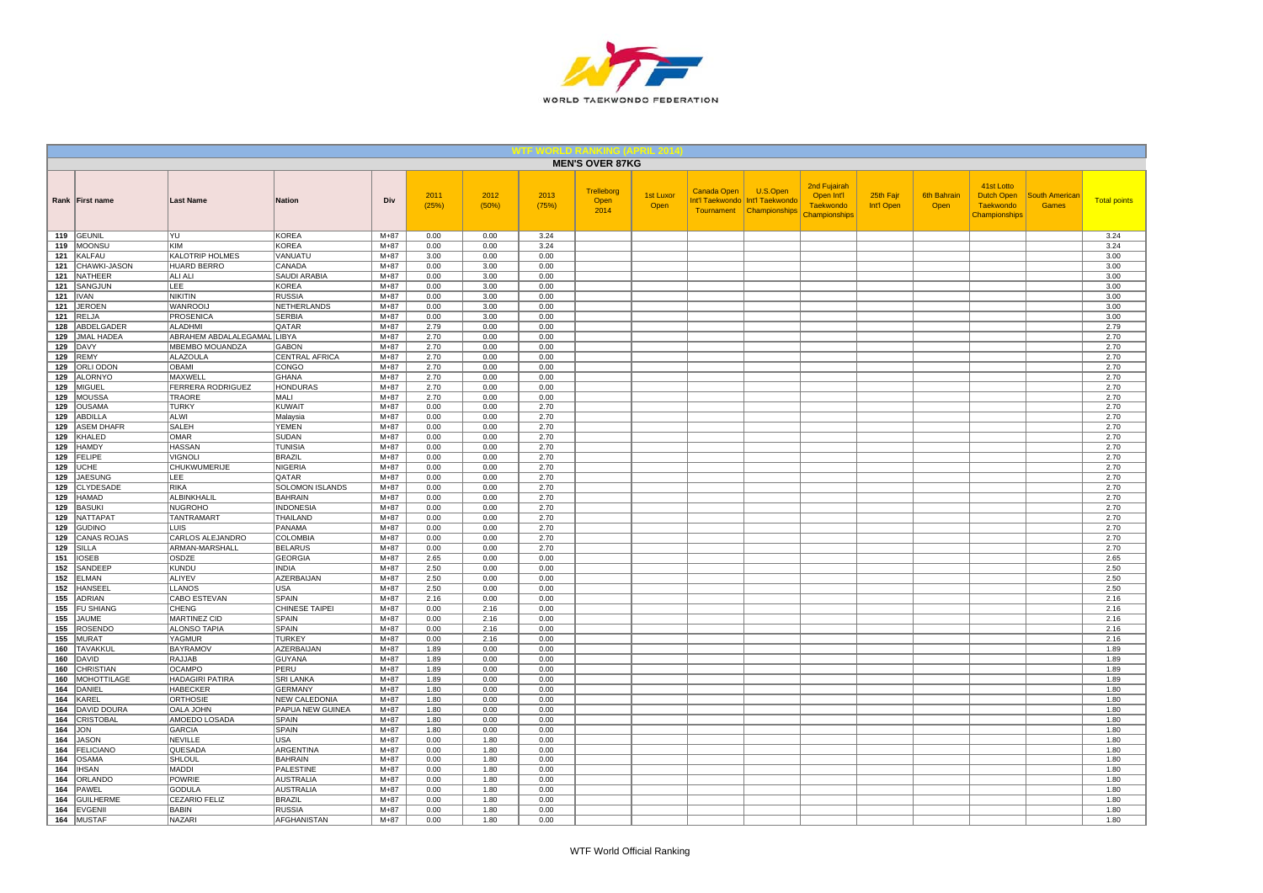

|            |                             |                                              |                                          |                    |               |               |               | <b>MEN'S OVER 87KG</b>     |                   |             |                                                                           |                                                                        |                         |                            |                                                                      |                                       |                     |
|------------|-----------------------------|----------------------------------------------|------------------------------------------|--------------------|---------------|---------------|---------------|----------------------------|-------------------|-------------|---------------------------------------------------------------------------|------------------------------------------------------------------------|-------------------------|----------------------------|----------------------------------------------------------------------|---------------------------------------|---------------------|
|            | Rank First name             | <b>Last Name</b>                             | <b>Nation</b>                            | Div                | 2011<br>(25%) | 2012<br>(50%) | 2013<br>(75%) | Trelleborg<br>Open<br>2014 | 1st Luxor<br>Open | Canada Open | U.S.Open<br>Int'l Taekwondo   Int'l Taekwondo<br>Tournament Championships | 2nd Fujairah<br>Open Int'l<br><b>Taekwondo</b><br><b>Championships</b> | 25th Fajr<br>Int'l Open | <b>6th Bahrain</b><br>Open | 41st Lotto<br><b>Dutch Open</b><br><b>Taekwondo</b><br>Championships | <b>South American</b><br><b>Games</b> | <b>Total points</b> |
|            | 119 GEUNIL                  | YU                                           | <b>KOREA</b>                             | $M+87$             | 0.00          | 0.00          | 3.24          |                            |                   |             |                                                                           |                                                                        |                         |                            |                                                                      |                                       | 3.24                |
| 119        | MOONSU                      | KIM                                          | <b>KOREA</b>                             | $M + 87$           | 0.00          | 0.00          | 3.24          |                            |                   |             |                                                                           |                                                                        |                         |                            |                                                                      |                                       | 3.24                |
| 121<br>121 | KALFAU<br>CHAWKI-JASON      | <b>KALOTRIP HOLMES</b><br><b>HUARD BERRO</b> | VANUATU<br>CANADA                        | $M+87$<br>$M + 87$ | 3.00<br>0.00  | 0.00<br>3.00  | 0.00<br>0.00  |                            |                   |             |                                                                           |                                                                        |                         |                            |                                                                      |                                       | 3.00<br>3.00        |
| 121        | <b>NATHEER</b>              | ALI ALI                                      | SAUDI ARABIA                             | $M+87$             | 0.00          | 3.00          | 0.00          |                            |                   |             |                                                                           |                                                                        |                         |                            |                                                                      |                                       | 3.00                |
| 121        | SANGJUN                     | LEE                                          | <b>KOREA</b>                             | $M+87$             | 0.00          | 3.00          | 0.00          |                            |                   |             |                                                                           |                                                                        |                         |                            |                                                                      |                                       | 3.00                |
| 121        | <b>IVAN</b>                 | <b>NIKITIN</b>                               | <b>RUSSIA</b>                            | $M + 87$           | 0.00          | 3.00          | 0.00          |                            |                   |             |                                                                           |                                                                        |                         |                            |                                                                      |                                       | 3.00                |
| 121        | <b>JEROEN</b>               | WANROOIJ                                     | NETHERLANDS                              | $M+87$             | 0.00          | 3.00          | 0.00          |                            |                   |             |                                                                           |                                                                        |                         |                            |                                                                      |                                       | 3.00                |
| 121        | <b>RELJA</b>                | PROSENICA                                    | <b>SERBIA</b>                            | $M+87$             | 0.00          | 3.00          | 0.00          |                            |                   |             |                                                                           |                                                                        |                         |                            |                                                                      |                                       | 3.00                |
| 128        | ABDELGADER                  | ALADHMI                                      | QATAR                                    | $M+87$             | 2.79          | 0.00          | 0.00          |                            |                   |             |                                                                           |                                                                        |                         |                            |                                                                      |                                       | 2.79                |
| 129        | <b>JMAL HADEA</b>           | ABRAHEM ABDALALEGAMAL                        | LIBYA                                    | $M+87$             | 2.70          | 0.00          | 0.00          |                            |                   |             |                                                                           |                                                                        |                         |                            |                                                                      |                                       | 2.70                |
| 129        | <b>DAVY</b>                 | MBEMBO MOUANDZA                              | <b>GABON</b>                             | $M+87$             | 2.70          | 0.00          | 0.00          |                            |                   |             |                                                                           |                                                                        |                         |                            |                                                                      |                                       | 2.70                |
| 129        | <b>REMY</b>                 | <b>ALAZOULA</b>                              | <b>CENTRAL AFRICA</b>                    | $M + 87$           | 2.70          | 0.00          | 0.00          |                            |                   |             |                                                                           |                                                                        |                         |                            |                                                                      |                                       | 2.70                |
| 129        | ORLI ODON                   | OBAMI                                        | CONGO                                    | $M+87$             | 2.70          | 0.00          | 0.00          |                            |                   |             |                                                                           |                                                                        |                         |                            |                                                                      |                                       | 2.70                |
| 129        | <b>ALORNYO</b>              | MAXWELL                                      | GHANA                                    | $M+87$             | 2.70          | 0.00          | 0.00          |                            |                   |             |                                                                           |                                                                        |                         |                            |                                                                      |                                       | 2.70                |
| 129        | <b>MIGUEL</b>               | <b>FERRERA RODRIGUEZ</b>                     | <b>HONDURAS</b>                          | $M+87$             | 2.70          | 0.00          | 0.00          |                            |                   |             |                                                                           |                                                                        |                         |                            |                                                                      |                                       | 2.70                |
| 129        | <b>MOUSSA</b>               | TRAORE                                       | MALI                                     | $M+87$             | 2.70          | 0.00          | 0.00          |                            |                   |             |                                                                           |                                                                        |                         |                            |                                                                      |                                       | 2.70                |
| 129<br>129 | <b>OUSAMA</b><br>ABDILLA    | <b>TURKY</b><br>ALWI                         | <b>KUWAIT</b><br>Malaysia                | $M + 87$<br>$M+87$ | 0.00<br>0.00  | 0.00<br>0.00  | 2.70<br>2.70  |                            |                   |             |                                                                           |                                                                        |                         |                            |                                                                      |                                       | 2.70<br>2.70        |
| 129        | <b>ASEM DHAFR</b>           | <b>SALEH</b>                                 | <b>YEMEN</b>                             | $M+87$             | 0.00          | 0.00          | 2.70          |                            |                   |             |                                                                           |                                                                        |                         |                            |                                                                      |                                       | 2.70                |
| 129        | KHALED                      | OMAR                                         | SUDAN                                    | $M+87$             | 0.00          | 0.00          | 2.70          |                            |                   |             |                                                                           |                                                                        |                         |                            |                                                                      |                                       | 2.70                |
| 129        | <b>HAMDY</b>                | <b>HASSAN</b>                                | <b>TUNISIA</b>                           | $M+87$             | 0.00          | 0.00          | 2.70          |                            |                   |             |                                                                           |                                                                        |                         |                            |                                                                      |                                       | 2.70                |
| 129        | FELIPE                      | <b>VIGNOLI</b>                               | BRAZIL                                   | $M+87$             | 0.00          | 0.00          | 2.70          |                            |                   |             |                                                                           |                                                                        |                         |                            |                                                                      |                                       | 2.70                |
| 129        | <b>UCHE</b>                 | CHUKWUMERIJE                                 | <b>NIGERIA</b>                           | $M+87$             | 0.00          | 0.00          | 2.70          |                            |                   |             |                                                                           |                                                                        |                         |                            |                                                                      |                                       | 2.70                |
| 129        | <b>JAESUNG</b>              | LEE                                          | <b>QATAR</b>                             | $M+87$             | 0.00          | 0.00          | 2.70          |                            |                   |             |                                                                           |                                                                        |                         |                            |                                                                      |                                       | 2.70                |
| 129        | <b>CLYDESADE</b>            | RIKA                                         | <b>SOLOMON ISLANDS</b>                   | $M+87$             | 0.00          | 0.00          | 2.70          |                            |                   |             |                                                                           |                                                                        |                         |                            |                                                                      |                                       | 2.70                |
| 129        | <b>HAMAD</b>                | ALBINKHALIL                                  | <b>BAHRAIN</b>                           | $M + 87$           | 0.00          | 0.00          | 2.70          |                            |                   |             |                                                                           |                                                                        |                         |                            |                                                                      |                                       | 2.70                |
| 129        | <b>BASUKI</b>               | <b>NUGROHO</b>                               | <b>INDONESIA</b>                         | $M+87$             | 0.00          | 0.00          | 2.70          |                            |                   |             |                                                                           |                                                                        |                         |                            |                                                                      |                                       | 2.70                |
| 129        | NATTAPA <sup>-</sup>        | <b>TANTRAMART</b>                            | THAILAND                                 | $M+87$             | 0.00          | 0.00          | 2.70          |                            |                   |             |                                                                           |                                                                        |                         |                            |                                                                      |                                       | 2.70                |
| 129        | <b>GUDINO</b>               | <b>LUIS</b>                                  | PANAMA                                   | $M+87$             | 0.00          | 0.00          | 2.70          |                            |                   |             |                                                                           |                                                                        |                         |                            |                                                                      |                                       | 2.70                |
| 129        | <b>CANAS ROJAS</b>          | CARLOS ALEJANDRO                             | <b>COLOMBIA</b>                          | $M+87$             | 0.00          | 0.00          | 2.70          |                            |                   |             |                                                                           |                                                                        |                         |                            |                                                                      |                                       | 2.70                |
| 129        | <b>SILLA</b>                | ARMAN-MARSHALL                               | <b>BELARUS</b>                           | $M + 87$           | 0.00          | 0.00          | 2.70          |                            |                   |             |                                                                           |                                                                        |                         |                            |                                                                      |                                       | 2.70                |
| 151<br>152 | <b>IOSEB</b><br>SANDEEF     | OSDZE<br><b>KUNDU</b>                        | <b>GEORGIA</b><br><b>INDIA</b>           | $M+87$<br>$M+87$   | 2.65<br>2.50  | 0.00<br>0.00  | 0.00<br>0.00  |                            |                   |             |                                                                           |                                                                        |                         |                            |                                                                      |                                       | 2.65<br>2.50        |
| 152        | <b>ELMAN</b>                | <b>ALIYEV</b>                                | <b>AZERBAIJAN</b>                        | $M+87$             | 2.50          | 0.00          | 0.00          |                            |                   |             |                                                                           |                                                                        |                         |                            |                                                                      |                                       | 2.50                |
| 152        | <b>HANSEEI</b>              | LLANOS                                       | <b>USA</b>                               | $M + 87$           | 2.50          | 0.00          | 0.00          |                            |                   |             |                                                                           |                                                                        |                         |                            |                                                                      |                                       | 2.50                |
| 155        | <b>ADRIAN</b>               | CABO ESTEVAN                                 | <b>SPAIN</b>                             | $M+87$             | 2.16          | 0.00          | 0.00          |                            |                   |             |                                                                           |                                                                        |                         |                            |                                                                      |                                       | 2.16                |
| 155        | <b>FU SHIANG</b>            | CHENG                                        | <b>CHINESE TAIPEI</b>                    | $M+87$             | 0.00          | 2.16          | 0.00          |                            |                   |             |                                                                           |                                                                        |                         |                            |                                                                      |                                       | 2.16                |
| 155        | <b>JAUME</b>                | <b>MARTINEZ CID</b>                          | SPAIN                                    | $M+87$             | 0.00          | 2.16          | 0.00          |                            |                   |             |                                                                           |                                                                        |                         |                            |                                                                      |                                       | 2.16                |
| 155        | <b>ROSENDO</b>              | <b>ALONSO TAPIA</b>                          | <b>SPAIN</b>                             | $M+87$             | 0.00          | 2.16          | 0.00          |                            |                   |             |                                                                           |                                                                        |                         |                            |                                                                      |                                       | 2.16                |
| 155        | <b>MURAT</b>                | YAGMUR                                       | <b>TURKEY</b>                            | $M + 87$           | 0.00          | 2.16          | 0.00          |                            |                   |             |                                                                           |                                                                        |                         |                            |                                                                      |                                       | 2.16                |
| 160        | <b>TAVAKKUL</b>             | <b>BAYRAMOV</b>                              | AZERBAIJAN                               | $M+87$             | 1.89          | 0.00          | 0.00          |                            |                   |             |                                                                           |                                                                        |                         |                            |                                                                      |                                       | 1.89                |
| 160        | <b>DAVID</b>                | RAJJAB                                       | GUYANA                                   | $M+87$             | 1.89          | 0.00          | 0.00          |                            |                   |             |                                                                           |                                                                        |                         |                            |                                                                      |                                       | 1.89                |
| 160        | <b>CHRISTIAN</b>            | <b>OCAMPO</b>                                | PERU                                     | $M+87$             | 1.89          | 0.00          | 0.00          |                            |                   |             |                                                                           |                                                                        |                         |                            |                                                                      |                                       | 1.89                |
| 160        | <b>MOHOTTILAGE</b>          | <b>HADAGIRI PATIRA</b>                       | <b>SRI LANKA</b>                         | $M+87$             | 1.89          | 0.00          | 0.00          |                            |                   |             |                                                                           |                                                                        |                         |                            |                                                                      |                                       | 1.89                |
| 164        | DANIEL                      | <b>HABECKER</b>                              | <b>GERMANY</b>                           | $M + 87$           | 1.80          | 0.00<br>0.00  | 0.00<br>0.00  |                            |                   |             |                                                                           |                                                                        |                         |                            |                                                                      |                                       | 1.80<br>1.80        |
| 164<br>164 | KAREL<br><b>DAVID DOURA</b> | ORTHOSIE<br>OALA JOHN                        | <b>NEW CALEDONIA</b><br>PAPUA NEW GUINEA | $M+87$<br>$M+87$   | 1.80<br>1.80  | 0.00          | 0.00          |                            |                   |             |                                                                           |                                                                        |                         |                            |                                                                      |                                       | 1.80                |
| 164        | <b>CRISTOBAL</b>            | AMOEDO LOSADA                                | SPAIN                                    | $M+87$             | 1.80          | 0.00          | 0.00          |                            |                   |             |                                                                           |                                                                        |                         |                            |                                                                      |                                       | 1.80                |
| 164        | <b>JON</b>                  | <b>GARCIA</b>                                | SPAIN                                    | $M+87$             | 1.80          | 0.00          | 0.00          |                            |                   |             |                                                                           |                                                                        |                         |                            |                                                                      |                                       | 1.80                |
| 164        | <b>JASON</b>                | <b>NEVILLE</b>                               | <b>USA</b>                               | $M+87$             | 0.00          | 1.80          | 0.00          |                            |                   |             |                                                                           |                                                                        |                         |                            |                                                                      |                                       | 1.80                |
| 164        | <b>FELICIANO</b>            | QUESADA                                      | ARGENTINA                                | $M+87$             | 0.00          | 1.80          | 0.00          |                            |                   |             |                                                                           |                                                                        |                         |                            |                                                                      |                                       | 1.80                |
| 164        | <b>OSAMA</b>                | SHLOUL                                       | <b>BAHRAIN</b>                           | $M+87$             | 0.00          | 1.80          | 0.00          |                            |                   |             |                                                                           |                                                                        |                         |                            |                                                                      |                                       | 1.80                |
| 164        | <b>IHSAN</b>                | <b>MADDI</b>                                 | PALESTINE                                | $M+87$             | 0.00          | 1.80          | 0.00          |                            |                   |             |                                                                           |                                                                        |                         |                            |                                                                      |                                       | 1.80                |
| 164        | ORLANDO                     | <b>POWRIE</b>                                | <b>AUSTRALIA</b>                         | $M+87$             | 0.00          | 1.80          | 0.00          |                            |                   |             |                                                                           |                                                                        |                         |                            |                                                                      |                                       | 1.80                |
| 164        | PAWEL                       | <b>GODULA</b>                                | <b>AUSTRALIA</b>                         | $M + 87$           | 0.00          | 1.80          | 0.00          |                            |                   |             |                                                                           |                                                                        |                         |                            |                                                                      |                                       | 1.80                |
| 164        | <b>GUILHERME</b>            | CEZARIO FELIZ                                | <b>BRAZIL</b>                            | $M+87$             | 0.00          | 1.80          | 0.00          |                            |                   |             |                                                                           |                                                                        |                         |                            |                                                                      |                                       | 1.80                |
| 164        | EVGENII                     | <b>BABIN</b>                                 | <b>RUSSIA</b>                            | $M+87$             | 0.00          | 1.80          | 0.00          |                            |                   |             |                                                                           |                                                                        |                         |                            |                                                                      |                                       | 1.80                |
|            | 164 MUSTAF                  | <b>NAZARI</b>                                | <b>AFGHANISTAN</b>                       | $M+87$             | 0.00          | 1.80          | 0.00          |                            |                   |             |                                                                           |                                                                        |                         |                            |                                                                      |                                       | 1.80                |